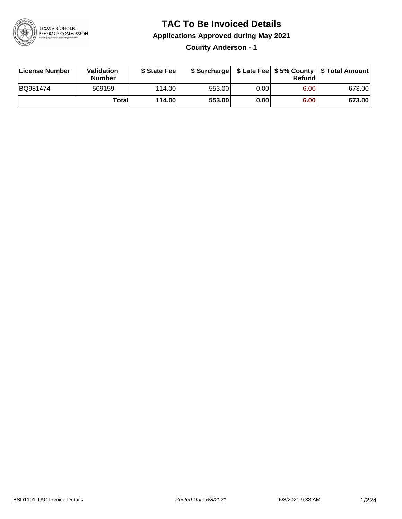

### **TAC To Be Invoiced Details**

**Applications Approved during May 2021**

**County Anderson - 1**

| License Number | <b>Validation</b><br><b>Number</b> | \$ State Fee |        |      | Refundl | \$ Surcharge   \$ Late Fee   \$5% County   \$ Total Amount |
|----------------|------------------------------------|--------------|--------|------|---------|------------------------------------------------------------|
| BQ981474       | 509159                             | 114.00       | 553.00 | 0.00 | 6.00    | 673.00                                                     |
|                | Totall                             | 114.00       | 553.00 | 0.00 | 6.00    | 673.00                                                     |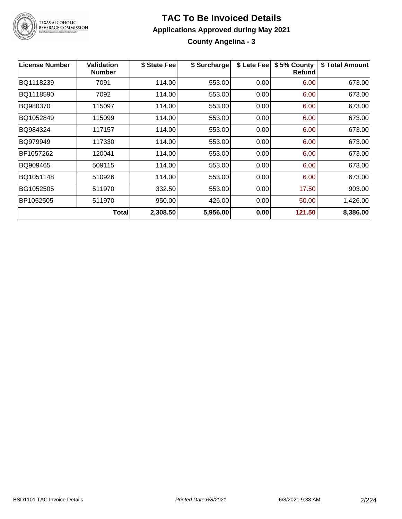

#### **TAC To Be Invoiced Details Applications Approved during May 2021 County Angelina - 3**

| <b>License Number</b> | <b>Validation</b><br><b>Number</b> | \$ State Fee | \$ Surcharge | \$ Late Fee | \$5% County<br>Refund | \$ Total Amount |
|-----------------------|------------------------------------|--------------|--------------|-------------|-----------------------|-----------------|
| BQ1118239             | 7091                               | 114.00       | 553.00       | 0.00        | 6.00                  | 673.00          |
| BQ1118590             | 7092                               | 114.00       | 553.00       | 0.00        | 6.00                  | 673.00          |
| BQ980370              | 115097                             | 114.00       | 553.00       | 0.00        | 6.00                  | 673.00          |
| BQ1052849             | 115099                             | 114.00       | 553.00       | 0.00        | 6.00                  | 673.00          |
| BQ984324              | 117157                             | 114.00       | 553.00       | 0.00        | 6.00                  | 673.00          |
| BQ979949              | 117330                             | 114.00       | 553.00       | 0.00        | 6.00                  | 673.00          |
| BF1057262             | 120041                             | 114.00       | 553.00       | 0.00        | 6.00                  | 673.00          |
| BQ909465              | 509115                             | 114.00       | 553.00       | 0.00        | 6.00                  | 673.00          |
| BQ1051148             | 510926                             | 114.00       | 553.00       | 0.00        | 6.00                  | 673.00          |
| BG1052505             | 511970                             | 332.50       | 553.00       | 0.00        | 17.50                 | 903.00          |
| BP1052505             | 511970                             | 950.00       | 426.00       | 0.00        | 50.00                 | 1,426.00        |
|                       | <b>Total</b>                       | 2,308.50     | 5,956.00     | 0.00        | 121.50                | 8,386.00        |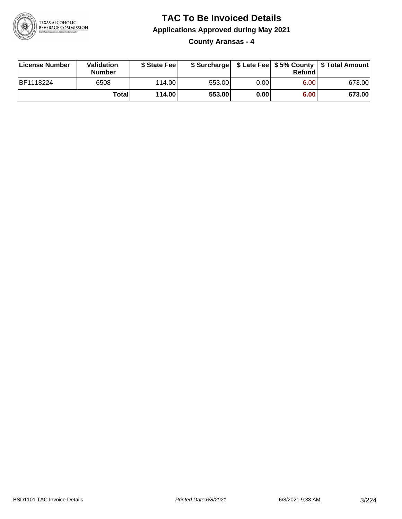

**County Aransas - 4**

| License Number   | Validation<br><b>Number</b> | \$ State Fee |        |      | Refundl | \$ Surcharge   \$ Late Fee   \$5% County   \$ Total Amount |
|------------------|-----------------------------|--------------|--------|------|---------|------------------------------------------------------------|
| <b>BF1118224</b> | 6508                        | 114.00       | 553.00 | 0.00 | 6.00    | 673.00                                                     |
|                  | Totall                      | 114.00       | 553.00 | 0.00 | 6.00    | 673.00                                                     |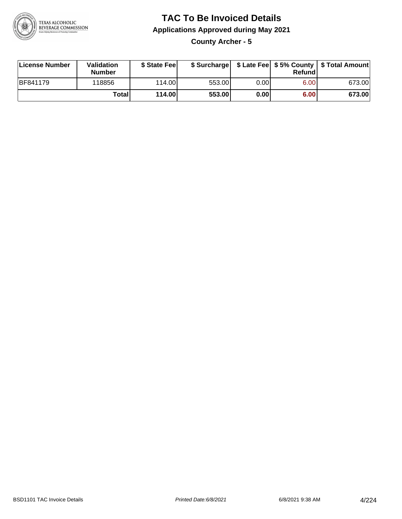

**County Archer - 5**

| License Number  | Validation<br><b>Number</b> | \$ State Feel |        |       | Refundl | \$ Surcharge   \$ Late Fee   \$5% County   \$ Total Amount |
|-----------------|-----------------------------|---------------|--------|-------|---------|------------------------------------------------------------|
| <b>BF841179</b> | 118856                      | 114.00        | 553.00 | 0.00  | 6.00    | 673.00                                                     |
|                 | Totall                      | 114.00        | 553.00 | 0.001 | 6.00    | 673.00                                                     |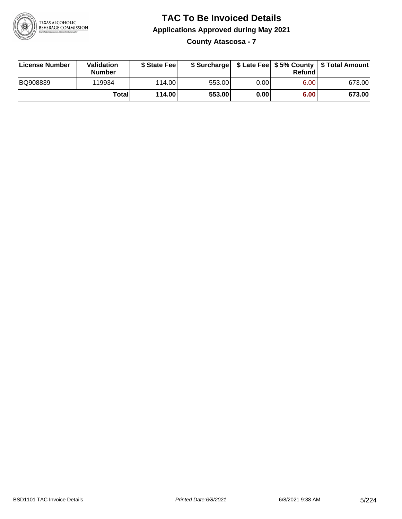

**County Atascosa - 7**

| License Number | Validation<br><b>Number</b> | \$ State Feel |        |      | Refundl | \$ Surcharge   \$ Late Fee   \$5% County   \$ Total Amount |
|----------------|-----------------------------|---------------|--------|------|---------|------------------------------------------------------------|
| BQ908839       | 119934                      | 114.00        | 553.00 | 0.00 | 6.00    | 673.00                                                     |
|                | Totall                      | 114.00        | 553.00 | 0.00 | 6.00    | 673.00                                                     |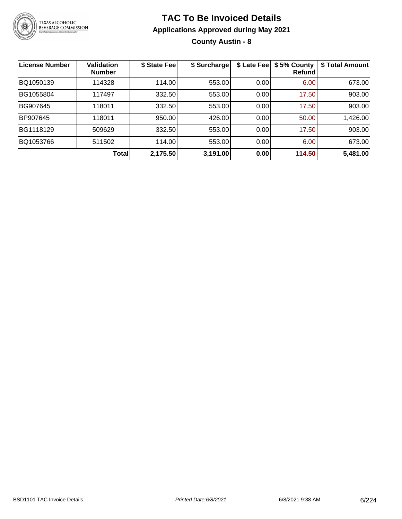

**County Austin - 8**

| <b>License Number</b> | <b>Validation</b><br><b>Number</b> | \$ State Fee | \$ Surcharge | \$ Late Fee | \$5% County<br>Refundl | \$ Total Amount |
|-----------------------|------------------------------------|--------------|--------------|-------------|------------------------|-----------------|
| BQ1050139             | 114328                             | 114.00       | 553.00       | 0.00        | 6.00                   | 673.00          |
| BG1055804             | 117497                             | 332.50       | 553.00       | 0.00        | 17.50                  | 903.00          |
| BG907645              | 118011                             | 332.50       | 553.00       | 0.00        | 17.50                  | 903.00          |
| BP907645              | 118011                             | 950.00       | 426.00       | 0.00        | 50.00                  | 1,426.00        |
| BG1118129             | 509629                             | 332.50       | 553.00       | 0.00        | 17.50                  | 903.00          |
| BQ1053766             | 511502                             | 114.00       | 553.00       | 0.00        | 6.00                   | 673.00          |
|                       | Total                              | 2,175.50     | 3,191.00     | 0.00        | 114.50                 | 5,481.00        |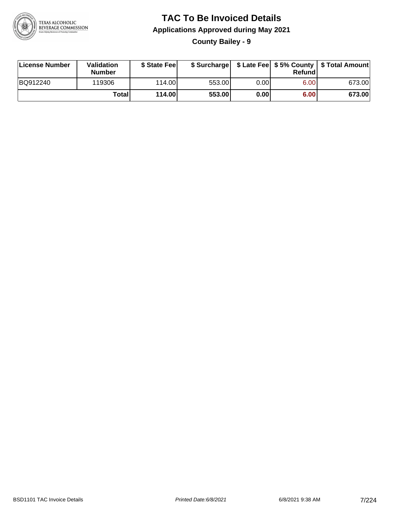

**County Bailey - 9**

| License Number | Validation<br><b>Number</b> | \$ State Feel |        |      | Refundl | \$ Surcharge   \$ Late Fee   \$5% County   \$ Total Amount |
|----------------|-----------------------------|---------------|--------|------|---------|------------------------------------------------------------|
| BQ912240       | 119306                      | 114.00        | 553.00 | 0.00 | 6.00    | 673.00                                                     |
|                | <b>Total</b>                | 114.00        | 553.00 | 0.00 | 6.00    | 673.00                                                     |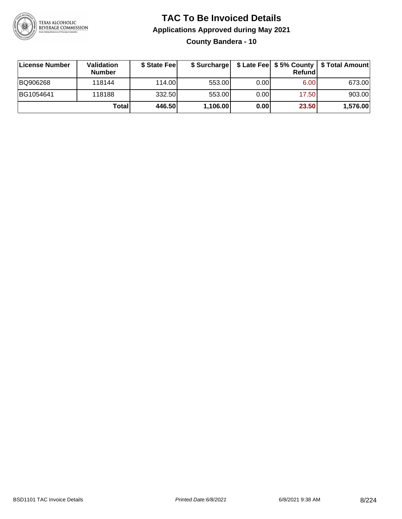

### **TAC To Be Invoiced Details Applications Approved during May 2021 County Bandera - 10**

| License Number | <b>Validation</b><br><b>Number</b> | \$ State Fee | \$ Surcharge |      | Refund | \$ Late Fee   \$5% County   \$ Total Amount |
|----------------|------------------------------------|--------------|--------------|------|--------|---------------------------------------------|
| BQ906268       | 118144                             | 114.00L      | 553.00       | 0.00 | 6.00   | 673.00                                      |
| BG1054641      | 118188                             | 332.50       | 553.00       | 0.00 | 17.50  | 903.00                                      |
|                | Total                              | 446.50       | 1,106.00     | 0.00 | 23.50  | 1,576.00                                    |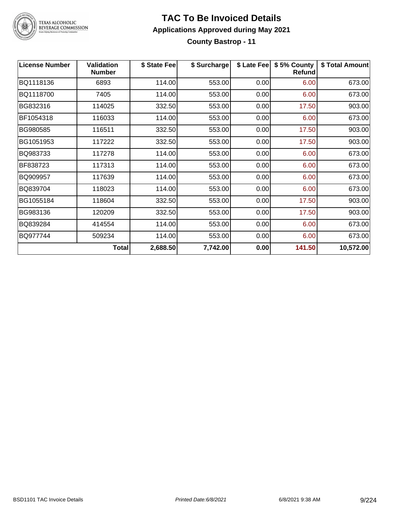

# TEXAS ALCOHOLIC<br>BEVERAGE COMMISSION

#### **TAC To Be Invoiced Details Applications Approved during May 2021 County Bastrop - 11**

| <b>License Number</b> | <b>Validation</b><br><b>Number</b> | \$ State Fee | \$ Surcharge | \$ Late Fee | \$5% County<br>Refund | \$ Total Amount |
|-----------------------|------------------------------------|--------------|--------------|-------------|-----------------------|-----------------|
| BQ1118136             | 6893                               | 114.00       | 553.00       | 0.00        | 6.00                  | 673.00          |
| BQ1118700             | 7405                               | 114.00       | 553.00       | 0.00        | 6.00                  | 673.00          |
| BG832316              | 114025                             | 332.50       | 553.00       | 0.00        | 17.50                 | 903.00          |
| BF1054318             | 116033                             | 114.00       | 553.00       | 0.00        | 6.00                  | 673.00          |
| BG980585              | 116511                             | 332.50       | 553.00       | 0.00        | 17.50                 | 903.00          |
| BG1051953             | 117222                             | 332.50       | 553.00       | 0.00        | 17.50                 | 903.00          |
| BQ983733              | 117278                             | 114.00       | 553.00       | 0.00        | 6.00                  | 673.00          |
| BF838723              | 117313                             | 114.00       | 553.00       | 0.00        | 6.00                  | 673.00          |
| BQ909957              | 117639                             | 114.00       | 553.00       | 0.00        | 6.00                  | 673.00          |
| BQ839704              | 118023                             | 114.00       | 553.00       | 0.00        | 6.00                  | 673.00          |
| BG1055184             | 118604                             | 332.50       | 553.00       | 0.00        | 17.50                 | 903.00          |
| BG983136              | 120209                             | 332.50       | 553.00       | 0.00        | 17.50                 | 903.00          |
| BQ839284              | 414554                             | 114.00       | 553.00       | 0.00        | 6.00                  | 673.00          |
| BQ977744              | 509234                             | 114.00       | 553.00       | 0.00        | 6.00                  | 673.00          |
|                       | <b>Total</b>                       | 2,688.50     | 7,742.00     | 0.00        | 141.50                | 10,572.00       |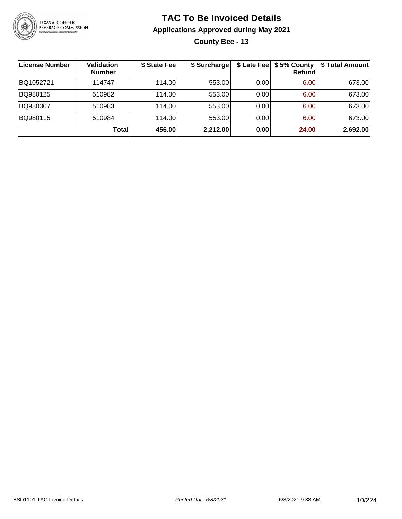

**County Bee - 13**

| License Number | <b>Validation</b><br><b>Number</b> | \$ State Fee | \$ Surcharge |      | \$ Late Fee   \$5% County  <br><b>Refund</b> | \$ Total Amount |
|----------------|------------------------------------|--------------|--------------|------|----------------------------------------------|-----------------|
| BQ1052721      | 114747                             | 114.00L      | 553.00       | 0.00 | 6.00                                         | 673.00          |
| BQ980125       | 510982                             | 114.00       | 553.00       | 0.00 | 6.00                                         | 673.00          |
| BQ980307       | 510983                             | 114.00L      | 553.00       | 0.00 | 6.00                                         | 673.00          |
| BQ980115       | 510984                             | 114.00       | 553.00       | 0.00 | 6.00                                         | 673.00          |
|                | Total                              | 456.00       | 2,212.00     | 0.00 | 24.00                                        | 2,692.00        |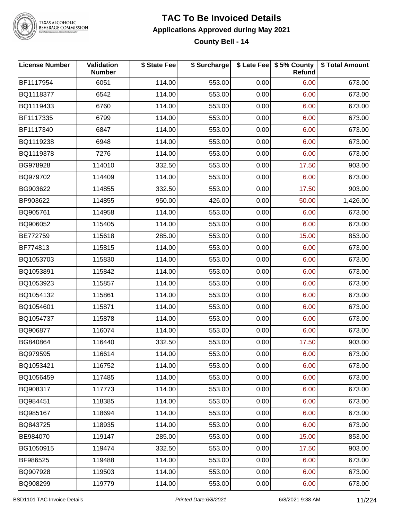

# TEXAS ALCOHOLIC<br>BEVERAGE COMMISSION

### **TAC To Be Invoiced Details Applications Approved during May 2021**

**County Bell - 14**

| <b>License Number</b> | Validation<br><b>Number</b> | \$ State Fee | \$ Surcharge |      | \$ Late Fee   \$5% County<br>Refund | \$ Total Amount |
|-----------------------|-----------------------------|--------------|--------------|------|-------------------------------------|-----------------|
| BF1117954             | 6051                        | 114.00       | 553.00       | 0.00 | 6.00                                | 673.00          |
| BQ1118377             | 6542                        | 114.00       | 553.00       | 0.00 | 6.00                                | 673.00          |
| BQ1119433             | 6760                        | 114.00       | 553.00       | 0.00 | 6.00                                | 673.00          |
| BF1117335             | 6799                        | 114.00       | 553.00       | 0.00 | 6.00                                | 673.00          |
| BF1117340             | 6847                        | 114.00       | 553.00       | 0.00 | 6.00                                | 673.00          |
| BQ1119238             | 6948                        | 114.00       | 553.00       | 0.00 | 6.00                                | 673.00          |
| BQ1119378             | 7276                        | 114.00       | 553.00       | 0.00 | 6.00                                | 673.00          |
| BG978928              | 114010                      | 332.50       | 553.00       | 0.00 | 17.50                               | 903.00          |
| BQ979702              | 114409                      | 114.00       | 553.00       | 0.00 | 6.00                                | 673.00          |
| BG903622              | 114855                      | 332.50       | 553.00       | 0.00 | 17.50                               | 903.00          |
| BP903622              | 114855                      | 950.00       | 426.00       | 0.00 | 50.00                               | 1,426.00        |
| BQ905761              | 114958                      | 114.00       | 553.00       | 0.00 | 6.00                                | 673.00          |
| BQ906052              | 115405                      | 114.00       | 553.00       | 0.00 | 6.00                                | 673.00          |
| BE772759              | 115618                      | 285.00       | 553.00       | 0.00 | 15.00                               | 853.00          |
| BF774813              | 115815                      | 114.00       | 553.00       | 0.00 | 6.00                                | 673.00          |
| BQ1053703             | 115830                      | 114.00       | 553.00       | 0.00 | 6.00                                | 673.00          |
| BQ1053891             | 115842                      | 114.00       | 553.00       | 0.00 | 6.00                                | 673.00          |
| BQ1053923             | 115857                      | 114.00       | 553.00       | 0.00 | 6.00                                | 673.00          |
| BQ1054132             | 115861                      | 114.00       | 553.00       | 0.00 | 6.00                                | 673.00          |
| BQ1054601             | 115871                      | 114.00       | 553.00       | 0.00 | 6.00                                | 673.00          |
| BQ1054737             | 115878                      | 114.00       | 553.00       | 0.00 | 6.00                                | 673.00          |
| BQ906877              | 116074                      | 114.00       | 553.00       | 0.00 | 6.00                                | 673.00          |
| BG840864              | 116440                      | 332.50       | 553.00       | 0.00 | 17.50                               | 903.00          |
| BQ979595              | 116614                      | 114.00       | 553.00       | 0.00 | 6.00                                | 673.00          |
| BQ1053421             | 116752                      | 114.00       | 553.00       | 0.00 | 6.00                                | 673.00          |
| BQ1056459             | 117485                      | 114.00       | 553.00       | 0.00 | 6.00                                | 673.00          |
| BQ908317              | 117773                      | 114.00       | 553.00       | 0.00 | 6.00                                | 673.00          |
| BQ984451              | 118385                      | 114.00       | 553.00       | 0.00 | 6.00                                | 673.00          |
| BQ985167              | 118694                      | 114.00       | 553.00       | 0.00 | 6.00                                | 673.00          |
| BQ843725              | 118935                      | 114.00       | 553.00       | 0.00 | 6.00                                | 673.00          |
| BE984070              | 119147                      | 285.00       | 553.00       | 0.00 | 15.00                               | 853.00          |
| BG1050915             | 119474                      | 332.50       | 553.00       | 0.00 | 17.50                               | 903.00          |
| BF986525              | 119488                      | 114.00       | 553.00       | 0.00 | 6.00                                | 673.00          |
| BQ907928              | 119503                      | 114.00       | 553.00       | 0.00 | 6.00                                | 673.00          |
| BQ908299              | 119779                      | 114.00       | 553.00       | 0.00 | 6.00                                | 673.00          |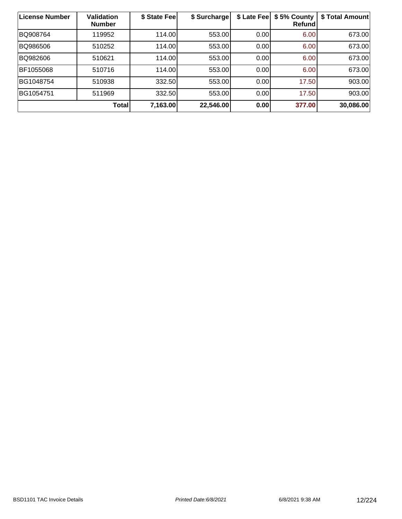| <b>License Number</b> | <b>Validation</b><br><b>Number</b> | \$ State Fee | \$ Surcharge | \$ Late Fee | \$5% County<br>Refundl | \$ Total Amount |
|-----------------------|------------------------------------|--------------|--------------|-------------|------------------------|-----------------|
| BQ908764              | 119952                             | 114.00       | 553.00       | 0.00        | 6.00                   | 673.00          |
| BQ986506              | 510252                             | 114.00       | 553.00       | 0.00        | 6.00                   | 673.00          |
| BQ982606              | 510621                             | 114.00       | 553.00       | 0.00        | 6.00                   | 673.00          |
| BF1055068             | 510716                             | 114.00       | 553.00       | 0.00        | 6.00                   | 673.00          |
| BG1048754             | 510938                             | 332.50       | 553.00       | 0.00        | 17.50                  | 903.00          |
| BG1054751             | 511969                             | 332.50       | 553.00       | 0.00        | 17.50                  | 903.00          |
|                       | <b>Total</b>                       | 7,163.00     | 22,546.00    | 0.00        | 377.00                 | 30,086.00       |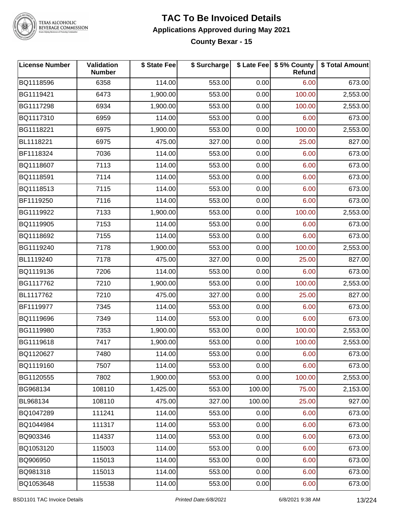

#### **TEXAS ALCOHOLIC BEVERAGE COMMISSION**

#### **TAC To Be Invoiced Details Applications Approved during May 2021 County Bexar - 15**

**License Number Validation Number \$ State Fee \$ Surcharge \$ Late Fee \$ 5% County Refund \$ Total Amount** BQ1118596 | 6358 | 114.00| 553.00| 0.00| 6.00| 673.00 BG1119421 6473 1,900.00 553.00 0.00 100.00 2,553.00 BG1117298 6934 1,900.00 553.00 0.00 100.00 2,553.00 BQ1117310 | 6959 | 114.00| 553.00| 0.00| 6.00| 673.00 BG1118221 6975 1,900.00 553.00 0.00 100.00 2,553.00 BL1118221 6975 475.00 327.00 0.00 25.00 827.00 BF1118324 | 7036 | 114.00| 553.00| 0.00| 6.00| 673.00 BQ1118607 7113 114.00 553.00 0.00 6.00 673.00 BQ1118591 7114 114.00 553.00 0.00 6.00 673.00 BQ1118513 7115 114.00 553.00 0.00 6.00 673.00 BF1119250 7116 114.00 553.00 0.00 6.00 673.00 BG1119922 | 7133 | 1,900.00| 553.00| 0.00| 100.00| 2,553.00 BQ1119905 | 7153 | 114.00| 553.00| 0.00| 6.00| 673.00 BQ1118692 | 7155 | 114.00| 553.00| 0.00| 6.00| 673.00 BG1119240 7178 1,900.00 553.00 0.00 100.00 2,553.00 BL1119240 7178 475.00 327.00 0.00 25.00 827.00 BQ1119136 | 7206 | 114.00| 553.00| 0.00| 6.00| 673.00 BG1117762 7210 1,900.00 553.00 0.00 100.00 2,553.00 BL1117762 7210 475.00 327.00 0.00 25.00 827.00 BF1119977 7345 114.00 553.00 0.00 6.00 673.00 BQ1119696 7349 114.00 553.00 0.00 6.00 673.00 BG1119980 | 7353 | 1,900.00| 553.00| 0.00| 100.00| 2,553.00 BG1119618 7417 1,900.00 553.00 0.00 100.00 2,553.00 BQ1120627 7480 114.00 553.00 0.00 6.00 673.00 BQ1119160 7507 114.00 553.00 0.00 6.00 673.00 BG1120555 7802 1,900.00 553.00 0.00 100.00 2,553.00 BG968134 108110 1,425.00 553.00 100.00 75.00 2,153.00 BL968134 108110 475.00 327.00 100.00 25.00 927.00 BQ1047289 111241 114.00 553.00 0.00 6.00 673.00 BQ1044984 111317 114.00 553.00 0.00 6.00 673.00 BQ903346 114337 114.00 553.00 0.00 6.00 673.00 BQ1053120 | 115003 | 114.00| 553.00| 0.00| 6.00| 673.00 BQ906950 115013 114.00 553.00 0.00 6.00 673.00 BQ981318 115013 114.00 553.00 0.00 6.00 673.00 BQ1053648 | 115538 | 114.00| 553.00| 0.00| 6.00| 673.00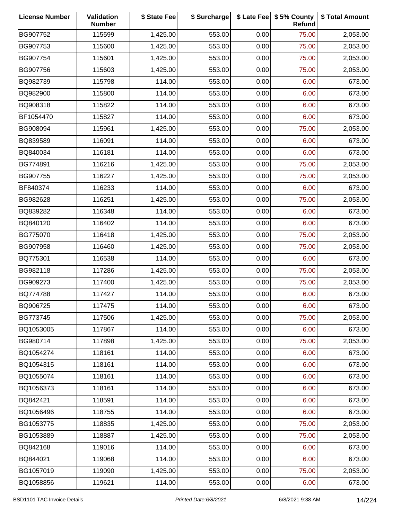| <b>License Number</b> | Validation<br><b>Number</b> | \$ State Fee | \$ Surcharge |      | \$ Late Fee   \$5% County<br>Refund | \$ Total Amount |
|-----------------------|-----------------------------|--------------|--------------|------|-------------------------------------|-----------------|
| BG907752              | 115599                      | 1,425.00     | 553.00       | 0.00 | 75.00                               | 2,053.00        |
| BG907753              | 115600                      | 1,425.00     | 553.00       | 0.00 | 75.00                               | 2,053.00        |
| BG907754              | 115601                      | 1,425.00     | 553.00       | 0.00 | 75.00                               | 2,053.00        |
| BG907756              | 115603                      | 1,425.00     | 553.00       | 0.00 | 75.00                               | 2,053.00        |
| BQ982739              | 115798                      | 114.00       | 553.00       | 0.00 | 6.00                                | 673.00          |
| BQ982900              | 115800                      | 114.00       | 553.00       | 0.00 | 6.00                                | 673.00          |
| BQ908318              | 115822                      | 114.00       | 553.00       | 0.00 | 6.00                                | 673.00          |
| BF1054470             | 115827                      | 114.00       | 553.00       | 0.00 | 6.00                                | 673.00          |
| BG908094              | 115961                      | 1,425.00     | 553.00       | 0.00 | 75.00                               | 2,053.00        |
| BQ839589              | 116091                      | 114.00       | 553.00       | 0.00 | 6.00                                | 673.00          |
| BQ840034              | 116181                      | 114.00       | 553.00       | 0.00 | 6.00                                | 673.00          |
| BG774891              | 116216                      | 1,425.00     | 553.00       | 0.00 | 75.00                               | 2,053.00        |
| BG907755              | 116227                      | 1,425.00     | 553.00       | 0.00 | 75.00                               | 2,053.00        |
| BF840374              | 116233                      | 114.00       | 553.00       | 0.00 | 6.00                                | 673.00          |
| BG982628              | 116251                      | 1,425.00     | 553.00       | 0.00 | 75.00                               | 2,053.00        |
| BQ839282              | 116348                      | 114.00       | 553.00       | 0.00 | 6.00                                | 673.00          |
| BQ840120              | 116402                      | 114.00       | 553.00       | 0.00 | 6.00                                | 673.00          |
| BG775070              | 116418                      | 1,425.00     | 553.00       | 0.00 | 75.00                               | 2,053.00        |
| BG907958              | 116460                      | 1,425.00     | 553.00       | 0.00 | 75.00                               | 2,053.00        |
| BQ775301              | 116538                      | 114.00       | 553.00       | 0.00 | 6.00                                | 673.00          |
| BG982118              | 117286                      | 1,425.00     | 553.00       | 0.00 | 75.00                               | 2,053.00        |
| BG909273              | 117400                      | 1,425.00     | 553.00       | 0.00 | 75.00                               | 2,053.00        |
| BQ774788              | 117427                      | 114.00       | 553.00       | 0.00 | 6.00                                | 673.00          |
| BQ906725              | 117475                      | 114.00       | 553.00       | 0.00 | 6.00                                | 673.00          |
| BG773745              | 117506                      | 1,425.00     | 553.00       | 0.00 | 75.00                               | 2,053.00        |
| BQ1053005             | 117867                      | 114.00       | 553.00       | 0.00 | 6.00                                | 673.00          |
| BG980714              | 117898                      | 1,425.00     | 553.00       | 0.00 | 75.00                               | 2,053.00        |
| BQ1054274             | 118161                      | 114.00       | 553.00       | 0.00 | 6.00                                | 673.00          |
| BQ1054315             | 118161                      | 114.00       | 553.00       | 0.00 | 6.00                                | 673.00          |
| BQ1055074             | 118161                      | 114.00       | 553.00       | 0.00 | 6.00                                | 673.00          |
| BQ1056373             | 118161                      | 114.00       | 553.00       | 0.00 | 6.00                                | 673.00          |
| BQ842421              | 118591                      | 114.00       | 553.00       | 0.00 | 6.00                                | 673.00          |
| BQ1056496             | 118755                      | 114.00       | 553.00       | 0.00 | 6.00                                | 673.00          |
| BG1053775             | 118835                      | 1,425.00     | 553.00       | 0.00 | 75.00                               | 2,053.00        |
| BG1053889             | 118887                      | 1,425.00     | 553.00       | 0.00 | 75.00                               | 2,053.00        |
| BQ842168              | 119016                      | 114.00       | 553.00       | 0.00 | 6.00                                | 673.00          |
| BQ844021              | 119068                      | 114.00       | 553.00       | 0.00 | 6.00                                | 673.00          |
| BG1057019             | 119090                      | 1,425.00     | 553.00       | 0.00 | 75.00                               | 2,053.00        |
| BQ1058856             | 119621                      | 114.00       | 553.00       | 0.00 | 6.00                                | 673.00          |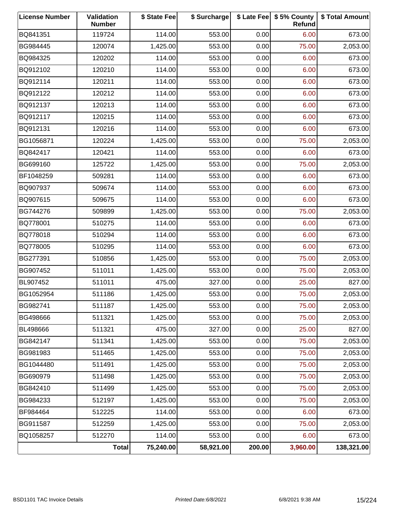| <b>License Number</b> | Validation<br><b>Number</b> | \$ State Fee | \$ Surcharge |        | \$ Late Fee   \$5% County<br>Refund | \$ Total Amount |
|-----------------------|-----------------------------|--------------|--------------|--------|-------------------------------------|-----------------|
| BQ841351              | 119724                      | 114.00       | 553.00       | 0.00   | 6.00                                | 673.00          |
| BG984445              | 120074                      | 1,425.00     | 553.00       | 0.00   | 75.00                               | 2,053.00        |
| BQ984325              | 120202                      | 114.00       | 553.00       | 0.00   | 6.00                                | 673.00          |
| BQ912102              | 120210                      | 114.00       | 553.00       | 0.00   | 6.00                                | 673.00          |
| BQ912114              | 120211                      | 114.00       | 553.00       | 0.00   | 6.00                                | 673.00          |
| BQ912122              | 120212                      | 114.00       | 553.00       | 0.00   | 6.00                                | 673.00          |
| BQ912137              | 120213                      | 114.00       | 553.00       | 0.00   | 6.00                                | 673.00          |
| BQ912117              | 120215                      | 114.00       | 553.00       | 0.00   | 6.00                                | 673.00          |
| BQ912131              | 120216                      | 114.00       | 553.00       | 0.00   | 6.00                                | 673.00          |
| BG1056871             | 120224                      | 1,425.00     | 553.00       | 0.00   | 75.00                               | 2,053.00        |
| BQ842417              | 120421                      | 114.00       | 553.00       | 0.00   | 6.00                                | 673.00          |
| BG699160              | 125722                      | 1,425.00     | 553.00       | 0.00   | 75.00                               | 2,053.00        |
| BF1048259             | 509281                      | 114.00       | 553.00       | 0.00   | 6.00                                | 673.00          |
| BQ907937              | 509674                      | 114.00       | 553.00       | 0.00   | 6.00                                | 673.00          |
| BQ907615              | 509675                      | 114.00       | 553.00       | 0.00   | 6.00                                | 673.00          |
| BG744276              | 509899                      | 1,425.00     | 553.00       | 0.00   | 75.00                               | 2,053.00        |
| BQ778001              | 510275                      | 114.00       | 553.00       | 0.00   | 6.00                                | 673.00          |
| BQ778018              | 510294                      | 114.00       | 553.00       | 0.00   | 6.00                                | 673.00          |
| BQ778005              | 510295                      | 114.00       | 553.00       | 0.00   | 6.00                                | 673.00          |
| BG277391              | 510856                      | 1,425.00     | 553.00       | 0.00   | 75.00                               | 2,053.00        |
| BG907452              | 511011                      | 1,425.00     | 553.00       | 0.00   | 75.00                               | 2,053.00        |
| BL907452              | 511011                      | 475.00       | 327.00       | 0.00   | 25.00                               | 827.00          |
| BG1052954             | 511186                      | 1,425.00     | 553.00       | 0.00   | 75.00                               | 2,053.00        |
| BG982741              | 511187                      | 1,425.00     | 553.00       | 0.00   | 75.00                               | 2,053.00        |
| BG498666              | 511321                      | 1,425.00     | 553.00       | 0.00   | 75.00                               | 2,053.00        |
| BL498666              | 511321                      | 475.00       | 327.00       | 0.00   | 25.00                               | 827.00          |
| BG842147              | 511341                      | 1,425.00     | 553.00       | 0.00   | 75.00                               | 2,053.00        |
| BG981983              | 511465                      | 1,425.00     | 553.00       | 0.00   | 75.00                               | 2,053.00        |
| BG1044480             | 511491                      | 1,425.00     | 553.00       | 0.00   | 75.00                               | 2,053.00        |
| BG690979              | 511498                      | 1,425.00     | 553.00       | 0.00   | 75.00                               | 2,053.00        |
| BG842410              | 511499                      | 1,425.00     | 553.00       | 0.00   | 75.00                               | 2,053.00        |
| BG984233              | 512197                      | 1,425.00     | 553.00       | 0.00   | 75.00                               | 2,053.00        |
| BF984464              | 512225                      | 114.00       | 553.00       | 0.00   | 6.00                                | 673.00          |
| BG911587              | 512259                      | 1,425.00     | 553.00       | 0.00   | 75.00                               | 2,053.00        |
| BQ1058257             | 512270                      | 114.00       | 553.00       | 0.00   | 6.00                                | 673.00          |
|                       | <b>Total</b>                | 75,240.00    | 58,921.00    | 200.00 | 3,960.00                            | 138,321.00      |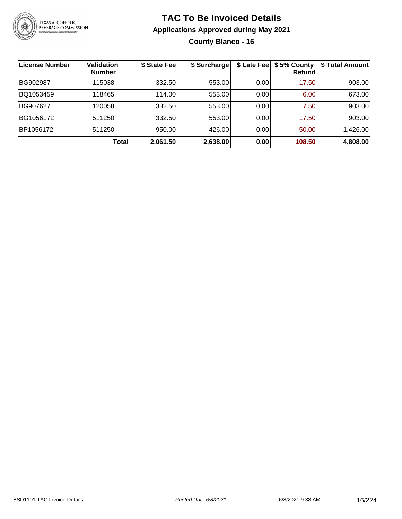

**County Blanco - 16**

| <b>License Number</b> | Validation<br><b>Number</b> | \$ State Fee | \$ Surcharge | \$ Late Fee | \$5% County<br>Refundl | \$ Total Amount |
|-----------------------|-----------------------------|--------------|--------------|-------------|------------------------|-----------------|
| BG902987              | 115038                      | 332.50       | 553.00       | 0.00        | 17.50                  | 903.00          |
| BQ1053459             | 118465                      | 114.00       | 553.00       | 0.00        | 6.00                   | 673.00          |
| BG907627              | 120058                      | 332.50       | 553.00       | 0.00        | 17.50                  | 903.00          |
| BG1056172             | 511250                      | 332.50       | 553.00       | 0.00        | 17.50                  | 903.00          |
| BP1056172             | 511250                      | 950.00       | 426.00       | 0.00        | 50.00                  | 1,426.00        |
|                       | <b>Total</b>                | 2,061.50     | 2,638.00     | 0.00        | 108.50                 | 4,808.00        |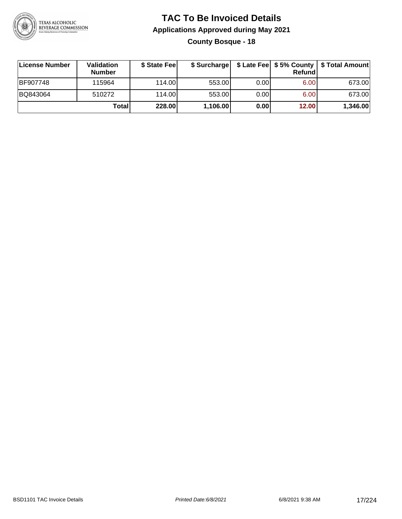

### **TAC To Be Invoiced Details Applications Approved during May 2021 County Bosque - 18**

| License Number  | Validation<br><b>Number</b> | \$ State Fee |          |      | Refundl | \$ Surcharge   \$ Late Fee   \$5% County   \$ Total Amount |
|-----------------|-----------------------------|--------------|----------|------|---------|------------------------------------------------------------|
| <b>BF907748</b> | 115964                      | 114.00L      | 553.00   | 0.00 | 6.00    | 673.00                                                     |
| BQ843064        | 510272                      | 114.00L      | 553.00   | 0.00 | 6.00    | 673.00                                                     |
|                 | Totall                      | 228.00       | 1,106.00 | 0.00 | 12.00   | 1,346.00                                                   |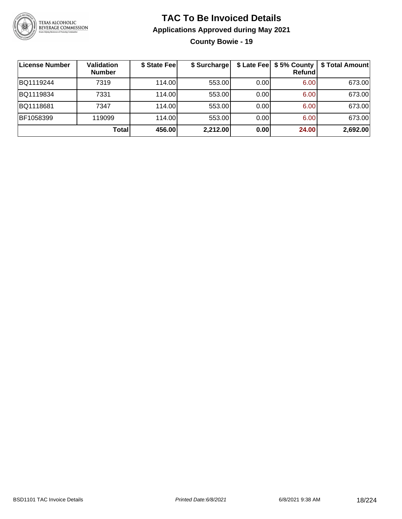

**County Bowie - 19**

| ∣License Number | <b>Validation</b><br><b>Number</b> | \$ State Fee | \$ Surcharge |      | Refundl | \$ Late Fee   \$5% County   \$ Total Amount |
|-----------------|------------------------------------|--------------|--------------|------|---------|---------------------------------------------|
| BQ1119244       | 7319                               | 114.00       | 553.00       | 0.00 | 6.00    | 673.00                                      |
| BQ1119834       | 7331                               | 114.00       | 553.00       | 0.00 | 6.00    | 673.00                                      |
| BQ1118681       | 7347                               | 114.00       | 553.00       | 0.00 | 6.00    | 673.00                                      |
| BF1058399       | 119099                             | 114.00       | 553.00       | 0.00 | 6.00    | 673.00                                      |
|                 | Total                              | 456.00       | 2,212.00     | 0.00 | 24.00   | 2,692.00                                    |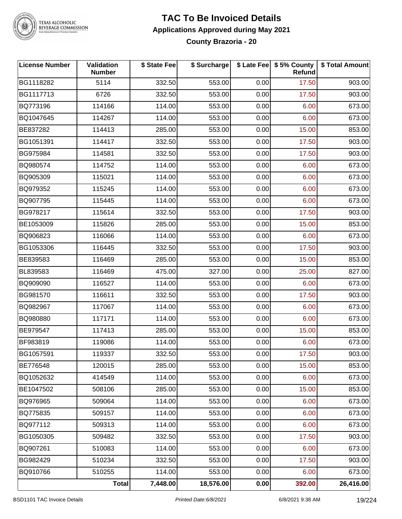

# TEXAS ALCOHOLIC<br>BEVERAGE COMMISSION

#### **TAC To Be Invoiced Details Applications Approved during May 2021 County Brazoria - 20**

| <b>License Number</b> | Validation<br><b>Number</b> | \$ State Fee | \$ Surcharge |      | \$ Late Fee   \$5% County<br>Refund | \$ Total Amount |
|-----------------------|-----------------------------|--------------|--------------|------|-------------------------------------|-----------------|
| BG1118282             | 5114                        | 332.50       | 553.00       | 0.00 | 17.50                               | 903.00          |
| BG1117713             | 6726                        | 332.50       | 553.00       | 0.00 | 17.50                               | 903.00          |
| BQ773196              | 114166                      | 114.00       | 553.00       | 0.00 | 6.00                                | 673.00          |
| BQ1047645             | 114267                      | 114.00       | 553.00       | 0.00 | 6.00                                | 673.00          |
| BE837282              | 114413                      | 285.00       | 553.00       | 0.00 | 15.00                               | 853.00          |
| BG1051391             | 114417                      | 332.50       | 553.00       | 0.00 | 17.50                               | 903.00          |
| BG975984              | 114581                      | 332.50       | 553.00       | 0.00 | 17.50                               | 903.00          |
| BQ980574              | 114752                      | 114.00       | 553.00       | 0.00 | 6.00                                | 673.00          |
| BQ905309              | 115021                      | 114.00       | 553.00       | 0.00 | 6.00                                | 673.00          |
| BQ979352              | 115245                      | 114.00       | 553.00       | 0.00 | 6.00                                | 673.00          |
| BQ907795              | 115445                      | 114.00       | 553.00       | 0.00 | 6.00                                | 673.00          |
| BG978217              | 115614                      | 332.50       | 553.00       | 0.00 | 17.50                               | 903.00          |
| BE1053009             | 115826                      | 285.00       | 553.00       | 0.00 | 15.00                               | 853.00          |
| BQ906823              | 116066                      | 114.00       | 553.00       | 0.00 | 6.00                                | 673.00          |
| BG1053306             | 116445                      | 332.50       | 553.00       | 0.00 | 17.50                               | 903.00          |
| BE839583              | 116469                      | 285.00       | 553.00       | 0.00 | 15.00                               | 853.00          |
| BL839583              | 116469                      | 475.00       | 327.00       | 0.00 | 25.00                               | 827.00          |
| BQ909090              | 116527                      | 114.00       | 553.00       | 0.00 | 6.00                                | 673.00          |
| BG981570              | 116611                      | 332.50       | 553.00       | 0.00 | 17.50                               | 903.00          |
| BQ982967              | 117067                      | 114.00       | 553.00       | 0.00 | 6.00                                | 673.00          |
| BQ980880              | 117171                      | 114.00       | 553.00       | 0.00 | 6.00                                | 673.00          |
| BE979547              | 117413                      | 285.00       | 553.00       | 0.00 | 15.00                               | 853.00          |
| BF983819              | 119086                      | 114.00       | 553.00       | 0.00 | 6.00                                | 673.00          |
| BG1057591             | 119337                      | 332.50       | 553.00       | 0.00 | 17.50                               | 903.00          |
| BE776548              | 120015                      | 285.00       | 553.00       | 0.00 | 15.00                               | 853.00          |
| BQ1052632             | 414549                      | 114.00       | 553.00       | 0.00 | 6.00                                | 673.00          |
| BE1047502             | 508106                      | 285.00       | 553.00       | 0.00 | 15.00                               | 853.00          |
| BQ976965              | 509064                      | 114.00       | 553.00       | 0.00 | 6.00                                | 673.00          |
| BQ775835              | 509157                      | 114.00       | 553.00       | 0.00 | 6.00                                | 673.00          |
| BQ977112              | 509313                      | 114.00       | 553.00       | 0.00 | 6.00                                | 673.00          |
| BG1050305             | 509482                      | 332.50       | 553.00       | 0.00 | 17.50                               | 903.00          |
| BQ907261              | 510083                      | 114.00       | 553.00       | 0.00 | 6.00                                | 673.00          |
| BG982429              | 510234                      | 332.50       | 553.00       | 0.00 | 17.50                               | 903.00          |
| BQ910766              | 510255                      | 114.00       | 553.00       | 0.00 | 6.00                                | 673.00          |
|                       | <b>Total</b>                | 7,448.00     | 18,576.00    | 0.00 | 392.00                              | 26,416.00       |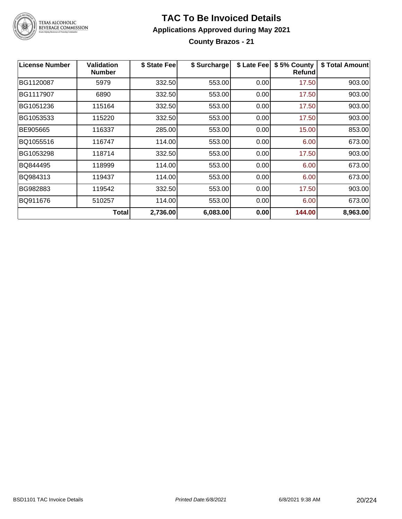

**County Brazos - 21**

| <b>License Number</b> | Validation<br><b>Number</b> | \$ State Fee | \$ Surcharge | \$ Late Fee | \$5% County<br><b>Refund</b> | \$ Total Amount |
|-----------------------|-----------------------------|--------------|--------------|-------------|------------------------------|-----------------|
| BG1120087             | 5979                        | 332.50       | 553.00       | 0.00        | 17.50                        | 903.00          |
| BG1117907             | 6890                        | 332.50       | 553.00       | 0.00        | 17.50                        | 903.00          |
| BG1051236             | 115164                      | 332.50       | 553.00       | 0.00        | 17.50                        | 903.00          |
| BG1053533             | 115220                      | 332.50       | 553.00       | 0.00        | 17.50                        | 903.00          |
| BE905665              | 116337                      | 285.00       | 553.00       | 0.00        | 15.00                        | 853.00          |
| BQ1055516             | 116747                      | 114.00       | 553.00       | 0.00        | 6.00                         | 673.00          |
| BG1053298             | 118714                      | 332.50       | 553.00       | 0.00        | 17.50                        | 903.00          |
| BQ844495              | 118999                      | 114.00       | 553.00       | 0.00        | 6.00                         | 673.00          |
| BQ984313              | 119437                      | 114.00       | 553.00       | 0.00        | 6.00                         | 673.00          |
| BG982883              | 119542                      | 332.50       | 553.00       | 0.00        | 17.50                        | 903.00          |
| BQ911676              | 510257                      | 114.00       | 553.00       | 0.00        | 6.00                         | 673.00          |
|                       | Total                       | 2,736.00     | 6,083.00     | 0.00        | 144.00                       | 8,963.00        |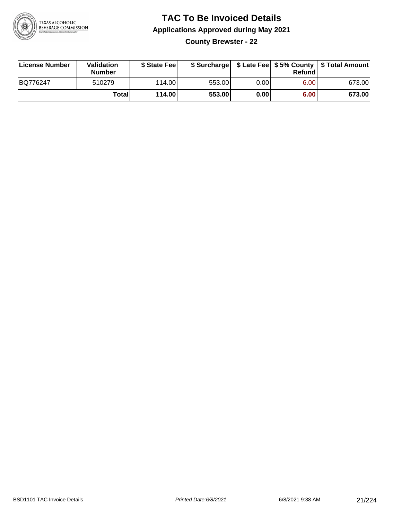

**County Brewster - 22**

| License Number | Validation<br><b>Number</b> | \$ State Feel |        |      | Refundl | \$ Surcharge   \$ Late Fee   \$5% County   \$ Total Amount |
|----------------|-----------------------------|---------------|--------|------|---------|------------------------------------------------------------|
| BQ776247       | 510279                      | 114.00        | 553.00 | 0.00 | 6.00    | 673.00                                                     |
|                | Totall                      | 114.00        | 553.00 | 0.00 | 6.00    | 673.00                                                     |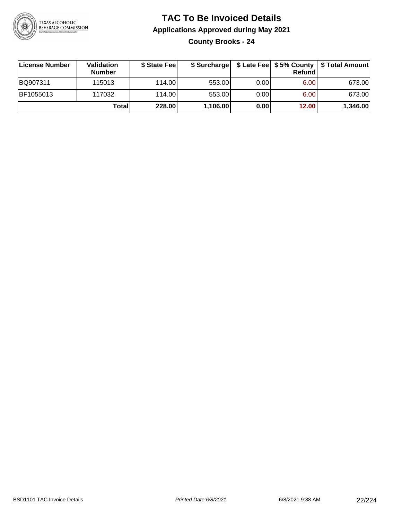

**County Brooks - 24**

| ∣License Number | <b>Validation</b><br><b>Number</b> | \$ State Fee |          |      | Refundl | \$ Surcharge   \$ Late Fee   \$5% County   \$ Total Amount |
|-----------------|------------------------------------|--------------|----------|------|---------|------------------------------------------------------------|
| BQ907311        | 115013                             | 114.00       | 553.00   | 0.00 | 6.00    | 673.00                                                     |
| BF1055013       | 117032                             | 114.00       | 553.00   | 0.00 | 6.00    | 673.00                                                     |
|                 | Totall                             | 228.00       | 1,106.00 | 0.00 | 12.00   | 1,346.00                                                   |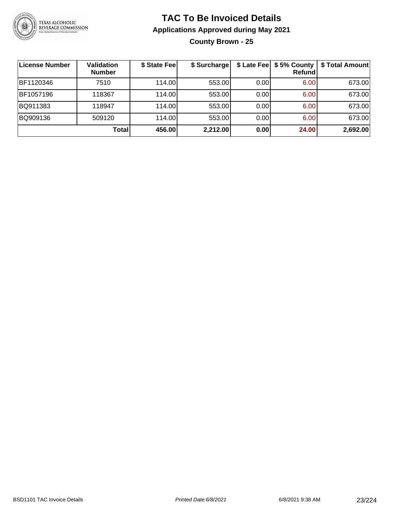

**County Brown - 25**

| License Number | Validation<br><b>Number</b> | \$ State Fee | \$ Surcharge |      | \$ Late Fee   \$5% County  <br>Refundl | \$ Total Amount |
|----------------|-----------------------------|--------------|--------------|------|----------------------------------------|-----------------|
| BF1120346      | 7510                        | 114.00       | 553.00       | 0.00 | 6.00                                   | 673.00          |
| BF1057196      | 118367                      | 114.00       | 553.00       | 0.00 | 6.00                                   | 673.00          |
| BQ911383       | 118947                      | 114.00       | 553.00       | 0.00 | 6.00                                   | 673.00          |
| BQ909136       | 509120                      | 114.00       | 553.00       | 0.00 | 6.00                                   | 673.00          |
|                | Total                       | 456.00       | 2,212.00     | 0.00 | 24.00                                  | 2,692.00        |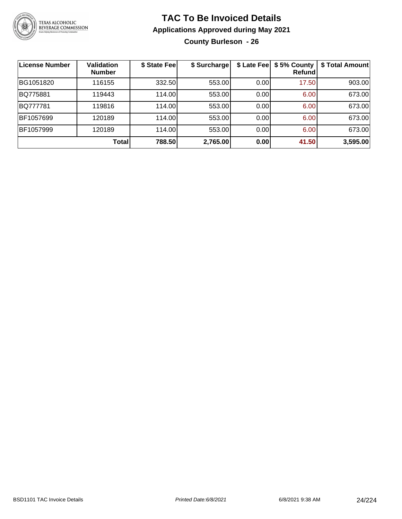

**County Burleson - 26**

| License Number | <b>Validation</b><br><b>Number</b> | \$ State Fee | \$ Surcharge | \$ Late Fee | \$5% County<br>Refundl | \$ Total Amount |
|----------------|------------------------------------|--------------|--------------|-------------|------------------------|-----------------|
| BG1051820      | 116155                             | 332.50       | 553.00       | 0.00        | 17.50                  | 903.00          |
| BQ775881       | 119443                             | 114.00       | 553.00       | 0.00        | 6.00                   | 673.00          |
| BQ777781       | 119816                             | 114.00       | 553.00       | 0.00        | 6.00                   | 673.00          |
| BF1057699      | 120189                             | 114.00       | 553.00       | 0.00        | 6.00                   | 673.00          |
| BF1057999      | 120189                             | 114.00       | 553.00       | 0.00        | 6.00                   | 673.00          |
|                | <b>Total</b>                       | 788.50       | 2,765.00     | 0.00        | 41.50                  | 3,595.00        |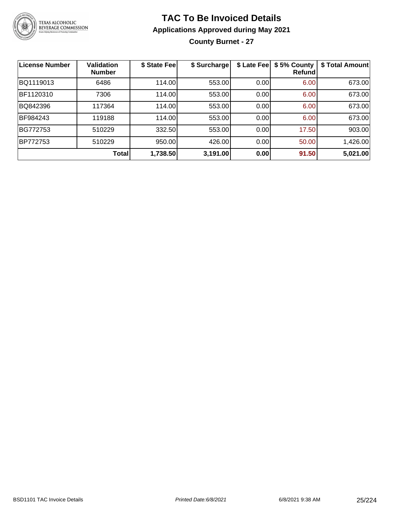

**County Burnet - 27**

| <b>License Number</b> | <b>Validation</b><br><b>Number</b> | \$ State Fee | \$ Surcharge | \$ Late Fee | \$5% County<br>Refundl | \$ Total Amount |
|-----------------------|------------------------------------|--------------|--------------|-------------|------------------------|-----------------|
| BQ1119013             | 6486                               | 114.00       | 553.00       | 0.00        | 6.00                   | 673.00          |
| BF1120310             | 7306                               | 114.00       | 553.00       | 0.00        | 6.00                   | 673.00          |
| BQ842396              | 117364                             | 114.00       | 553.00       | 0.00        | 6.00                   | 673.00          |
| BF984243              | 119188                             | 114.00       | 553.00       | 0.00        | 6.00                   | 673.00          |
| BG772753              | 510229                             | 332.50       | 553.00       | 0.00        | 17.50                  | 903.00          |
| <b>BP772753</b>       | 510229                             | 950.00       | 426.00       | 0.00        | 50.00                  | 1,426.00        |
|                       | Total                              | 1,738.50     | 3,191.00     | 0.00        | 91.50                  | 5,021.00        |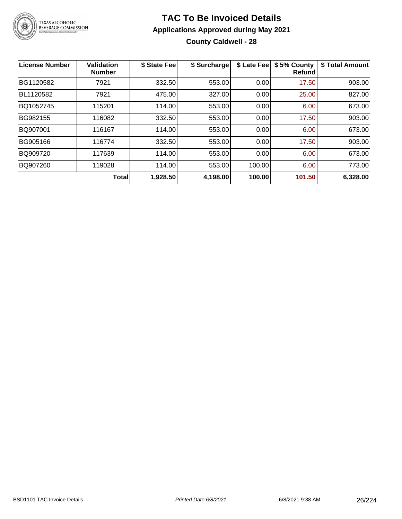

### **TAC To Be Invoiced Details Applications Approved during May 2021 County Caldwell - 28**

| License Number | <b>Validation</b><br><b>Number</b> | \$ State Fee | \$ Surcharge | \$ Late Fee | \$5% County<br>Refundl | \$ Total Amount |
|----------------|------------------------------------|--------------|--------------|-------------|------------------------|-----------------|
| BG1120582      | 7921                               | 332.50       | 553.00       | 0.00        | 17.50                  | 903.00          |
| BL1120582      | 7921                               | 475.00       | 327.00       | 0.00        | 25.00                  | 827.00          |
| BQ1052745      | 115201                             | 114.00       | 553.00       | 0.00        | 6.00                   | 673.00          |
| BG982155       | 116082                             | 332.50       | 553.00       | 0.00        | 17.50                  | 903.00          |
| BQ907001       | 116167                             | 114.00       | 553.00       | 0.00        | 6.00                   | 673.00          |
| BG905166       | 116774                             | 332.50       | 553.00       | 0.00        | 17.50                  | 903.00          |
| BQ909720       | 117639                             | 114.00       | 553.00       | 0.00        | 6.00                   | 673.00          |
| BQ907260       | 119028                             | 114.00       | 553.00       | 100.00      | 6.00                   | 773.00          |
|                | <b>Total</b>                       | 1,928.50     | 4,198.00     | 100.00      | 101.50                 | 6,328.00        |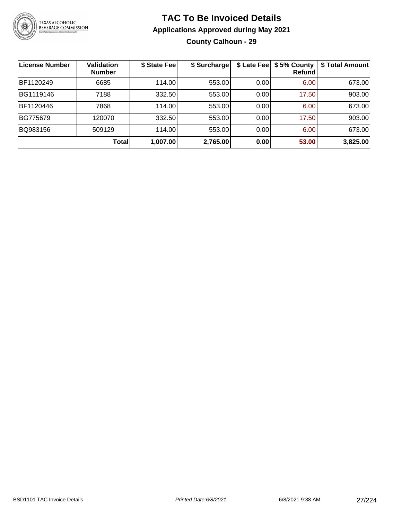

#### **TAC To Be Invoiced Details Applications Approved during May 2021 County Calhoun - 29**

| <b>License Number</b> | <b>Validation</b><br><b>Number</b> | \$ State Feel | \$ Surcharge |      | \$ Late Fee   \$5% County<br>Refundl | \$ Total Amount |
|-----------------------|------------------------------------|---------------|--------------|------|--------------------------------------|-----------------|
| BF1120249             | 6685                               | 114.00        | 553.00       | 0.00 | 6.00                                 | 673.00          |
| BG1119146             | 7188                               | 332.50        | 553.00       | 0.00 | 17.50                                | 903.00          |
| BF1120446             | 7868                               | 114.00        | 553.00       | 0.00 | 6.00                                 | 673.00          |
| BG775679              | 120070                             | 332.50        | 553.00       | 0.00 | 17.50                                | 903.00          |
| BQ983156              | 509129                             | 114.00        | 553.00       | 0.00 | 6.00                                 | 673.00          |
|                       | Total                              | 1,007.00      | 2,765.00     | 0.00 | 53.00                                | 3,825.00        |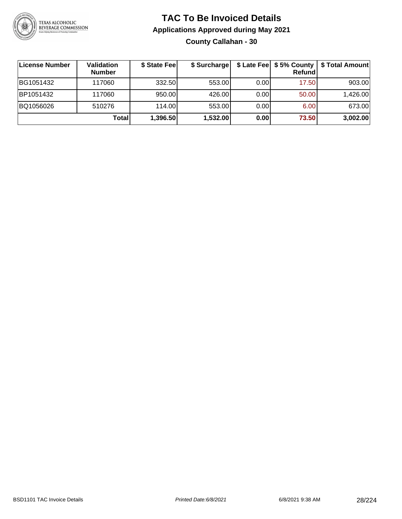

### **TAC To Be Invoiced Details Applications Approved during May 2021 County Callahan - 30**

| License Number | Validation<br><b>Number</b> | \$ State Fee | \$ Surcharge |      | <b>Refund</b>     | \$ Late Fee   \$5% County   \$ Total Amount |
|----------------|-----------------------------|--------------|--------------|------|-------------------|---------------------------------------------|
| BG1051432      | 117060                      | 332.50       | 553.00       | 0.00 | 17.50             | 903.00                                      |
| BP1051432      | 117060                      | 950.00       | 426.00       | 0.00 | 50.00             | 1,426.00                                    |
| BQ1056026      | 510276                      | 114.00       | 553.00       | 0.00 | 6.00 <sub>1</sub> | 673.00                                      |
|                | <b>Total</b>                | 1,396.50     | 1,532.00     | 0.00 | 73.50             | 3,002.00                                    |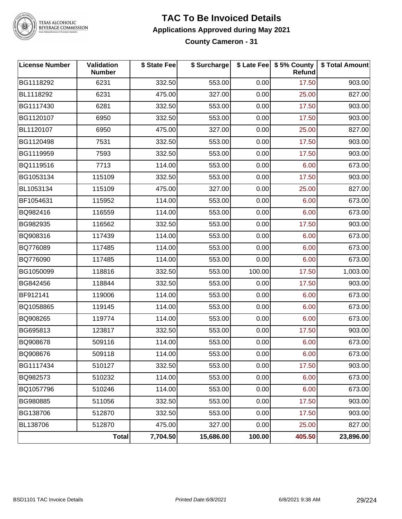

TEXAS ALCOHOLIC<br>BEVERAGE COMMISSION

#### **TAC To Be Invoiced Details Applications Approved during May 2021 County Cameron - 31**

| <b>License Number</b> | Validation<br><b>Number</b> | \$ State Fee | \$ Surcharge |        | \$ Late Fee   \$5% County<br>Refund | \$ Total Amount |
|-----------------------|-----------------------------|--------------|--------------|--------|-------------------------------------|-----------------|
| BG1118292             | 6231                        | 332.50       | 553.00       | 0.00   | 17.50                               | 903.00          |
| BL1118292             | 6231                        | 475.00       | 327.00       | 0.00   | 25.00                               | 827.00          |
| BG1117430             | 6281                        | 332.50       | 553.00       | 0.00   | 17.50                               | 903.00          |
| BG1120107             | 6950                        | 332.50       | 553.00       | 0.00   | 17.50                               | 903.00          |
| BL1120107             | 6950                        | 475.00       | 327.00       | 0.00   | 25.00                               | 827.00          |
| BG1120498             | 7531                        | 332.50       | 553.00       | 0.00   | 17.50                               | 903.00          |
| BG1119959             | 7593                        | 332.50       | 553.00       | 0.00   | 17.50                               | 903.00          |
| BQ1119516             | 7713                        | 114.00       | 553.00       | 0.00   | 6.00                                | 673.00          |
| BG1053134             | 115109                      | 332.50       | 553.00       | 0.00   | 17.50                               | 903.00          |
| BL1053134             | 115109                      | 475.00       | 327.00       | 0.00   | 25.00                               | 827.00          |
| BF1054631             | 115952                      | 114.00       | 553.00       | 0.00   | 6.00                                | 673.00          |
| BQ982416              | 116559                      | 114.00       | 553.00       | 0.00   | 6.00                                | 673.00          |
| BG982935              | 116562                      | 332.50       | 553.00       | 0.00   | 17.50                               | 903.00          |
| BQ908316              | 117439                      | 114.00       | 553.00       | 0.00   | 6.00                                | 673.00          |
| BQ776089              | 117485                      | 114.00       | 553.00       | 0.00   | 6.00                                | 673.00          |
| BQ776090              | 117485                      | 114.00       | 553.00       | 0.00   | 6.00                                | 673.00          |
| BG1050099             | 118816                      | 332.50       | 553.00       | 100.00 | 17.50                               | 1,003.00        |
| BG842456              | 118844                      | 332.50       | 553.00       | 0.00   | 17.50                               | 903.00          |
| BF912141              | 119006                      | 114.00       | 553.00       | 0.00   | 6.00                                | 673.00          |
| BQ1058865             | 119145                      | 114.00       | 553.00       | 0.00   | 6.00                                | 673.00          |
| BQ908265              | 119774                      | 114.00       | 553.00       | 0.00   | 6.00                                | 673.00          |
| BG695813              | 123817                      | 332.50       | 553.00       | 0.00   | 17.50                               | 903.00          |
| BQ908678              | 509116                      | 114.00       | 553.00       | 0.00   | 6.00                                | 673.00          |
| BQ908676              | 509118                      | 114.00       | 553.00       | 0.00   | 6.00                                | 673.00          |
| BG1117434             | 510127                      | 332.50       | 553.00       | 0.00   | 17.50                               | 903.00          |
| BQ982573              | 510232                      | 114.00       | 553.00       | 0.00   | 6.00                                | 673.00          |
| BQ1057796             | 510246                      | 114.00       | 553.00       | 0.00   | 6.00                                | 673.00          |
| BG980885              | 511056                      | 332.50       | 553.00       | 0.00   | 17.50                               | 903.00          |
| BG138706              | 512870                      | 332.50       | 553.00       | 0.00   | 17.50                               | 903.00          |
| BL138706              | 512870                      | 475.00       | 327.00       | 0.00   | 25.00                               | 827.00          |
|                       | Total                       | 7,704.50     | 15,686.00    | 100.00 | 405.50                              | 23,896.00       |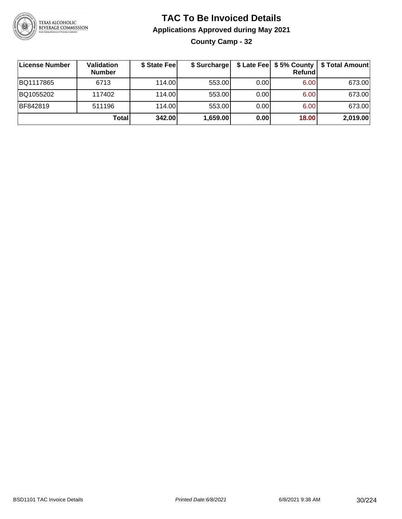

**County Camp - 32**

| License Number | Validation<br><b>Number</b> | \$ State Fee | \$ Surcharge |      | Refundl |          |
|----------------|-----------------------------|--------------|--------------|------|---------|----------|
| BQ1117865      | 6713                        | 114.00       | 553.00       | 0.00 | 6.00    | 673.00   |
| BQ1055202      | 117402                      | 114.00       | 553.00       | 0.00 | 6.00    | 673.00   |
| BF842819       | 511196                      | 114.00L      | 553.00       | 0.00 | 6.00    | 673.00   |
|                | <b>Total</b>                | 342.00       | 1,659.00     | 0.00 | 18.00   | 2,019.00 |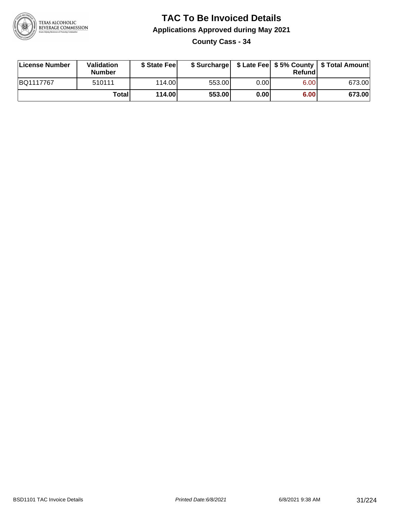

**County Cass - 34**

| License Number | Validation<br><b>Number</b> | \$ State Feel |        |      | Refundl | \$ Surcharge   \$ Late Fee   \$5% County   \$ Total Amount |
|----------------|-----------------------------|---------------|--------|------|---------|------------------------------------------------------------|
| BQ1117767      | 510111                      | 114.00        | 553.00 | 0.00 | 6.00    | 673.00                                                     |
|                | Totall                      | 114.00        | 553.00 | 0.00 | 6.00    | 673.00                                                     |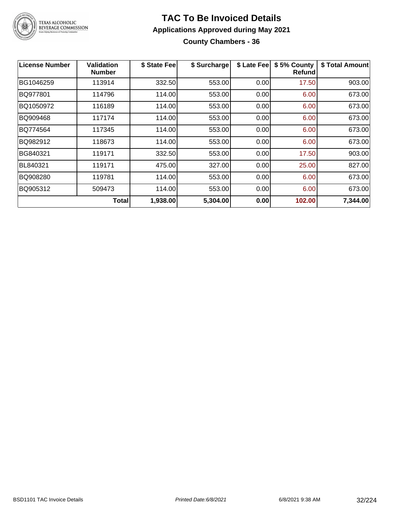

### **TAC To Be Invoiced Details Applications Approved during May 2021 County Chambers - 36**

| <b>License Number</b> | Validation<br><b>Number</b> | \$ State Fee | \$ Surcharge | \$ Late Fee | \$5% County<br><b>Refund</b> | \$ Total Amount |
|-----------------------|-----------------------------|--------------|--------------|-------------|------------------------------|-----------------|
| BG1046259             | 113914                      | 332.50       | 553.00       | 0.00        | 17.50                        | 903.00          |
| BQ977801              | 114796                      | 114.00       | 553.00       | 0.00        | 6.00                         | 673.00          |
| BQ1050972             | 116189                      | 114.00       | 553.00       | 0.00        | 6.00                         | 673.00          |
| BQ909468              | 117174                      | 114.00       | 553.00       | 0.00        | 6.00                         | 673.00          |
| BQ774564              | 117345                      | 114.00       | 553.00       | 0.00        | 6.00                         | 673.00          |
| BQ982912              | 118673                      | 114.00       | 553.00       | 0.00        | 6.00                         | 673.00          |
| BG840321              | 119171                      | 332.50       | 553.00       | 0.00        | 17.50                        | 903.00          |
| BL840321              | 119171                      | 475.00       | 327.00       | 0.00        | 25.00                        | 827.00          |
| BQ908280              | 119781                      | 114.00       | 553.00       | 0.00        | 6.00                         | 673.00          |
| BQ905312              | 509473                      | 114.00       | 553.00       | 0.00        | 6.00                         | 673.00          |
|                       | <b>Total</b>                | 1,938.00     | 5,304.00     | 0.00        | 102.00                       | 7,344.00        |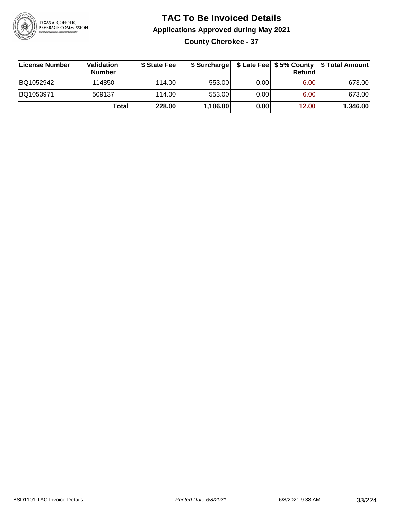

### **TAC To Be Invoiced Details Applications Approved during May 2021 County Cherokee - 37**

| License Number | Validation<br><b>Number</b> | \$ State Fee |          |      | Refundl | \$ Surcharge   \$ Late Fee   \$5% County   \$ Total Amount |
|----------------|-----------------------------|--------------|----------|------|---------|------------------------------------------------------------|
| BQ1052942      | 114850                      | 114.00L      | 553.00   | 0.00 | 6.00    | 673.00                                                     |
| BQ1053971      | 509137                      | 114.00       | 553.00   | 0.00 | 6.00    | 673.00                                                     |
|                | Totall                      | 228.00       | 1,106.00 | 0.00 | 12.00   | 1,346.00                                                   |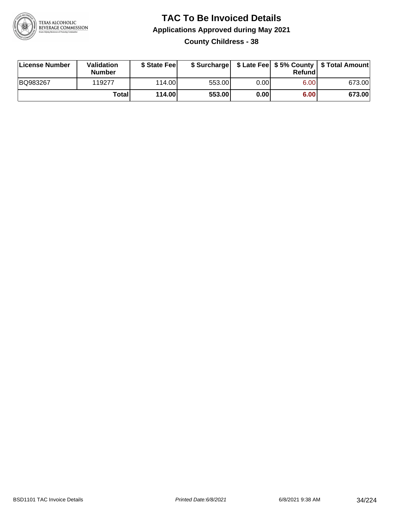

#### **TAC To Be Invoiced Details Applications Approved during May 2021 County Childress - 38**

| License Number | Validation<br><b>Number</b> | \$ State Feel |        |      | Refund | \$ Surcharge   \$ Late Fee   \$5% County   \$ Total Amount |
|----------------|-----------------------------|---------------|--------|------|--------|------------------------------------------------------------|
| BQ983267       | 119277                      | 114.00L       | 553.00 | 0.00 | 6.00   | 673.00                                                     |
|                | Total                       | 114.00        | 553.00 | 0.00 | 6.00   | 673.00                                                     |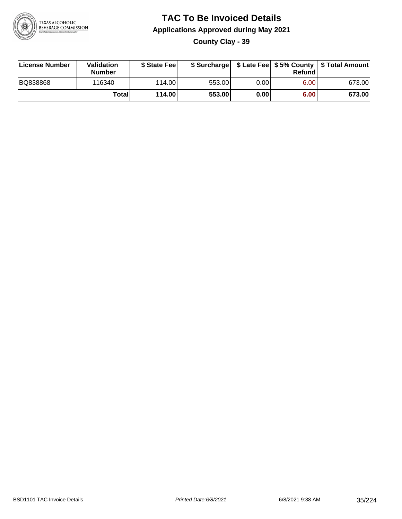

**County Clay - 39**

| License Number  | Validation<br><b>Number</b> | \$ State Feel |        |      | Refundl | \$ Surcharge   \$ Late Fee   \$5% County   \$ Total Amount |
|-----------------|-----------------------------|---------------|--------|------|---------|------------------------------------------------------------|
| <b>BQ838868</b> | 116340                      | 114.00        | 553.00 | 0.00 | 6.00    | 673.00                                                     |
|                 | Totall                      | 114.00        | 553.00 | 0.00 | 6.00    | 673.00                                                     |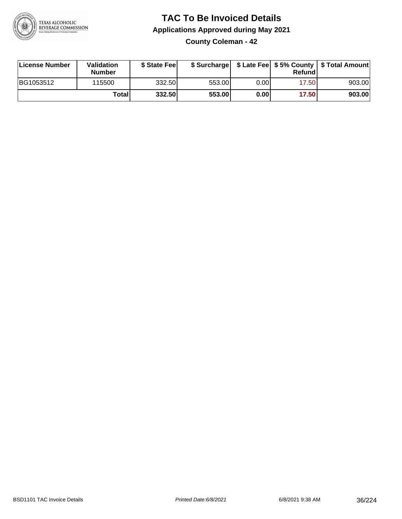

**County Coleman - 42**

| License Number | Validation<br><b>Number</b> | \$ State Feel |        |       | Refundl | \$ Surcharge   \$ Late Fee   \$5% County   \$ Total Amount |
|----------------|-----------------------------|---------------|--------|-------|---------|------------------------------------------------------------|
| BG1053512      | 115500                      | 332.50        | 553.00 | 0.00  | 17.50   | 903.00                                                     |
|                | Totall                      | 332.50        | 553.00 | 0.001 | 17.50   | 903.00                                                     |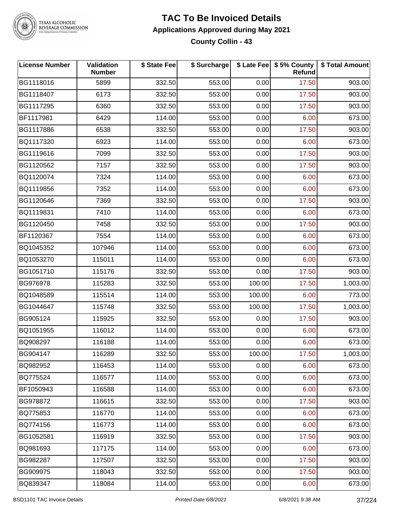

#### **TAC To Be Invoiced Details Applications Approved during May 2021 County Collin - 43**

| <b>License Number</b> | Validation<br><b>Number</b> | \$ State Fee | \$ Surcharge |        | \$ Late Fee   \$5% County<br>Refund | \$ Total Amount |
|-----------------------|-----------------------------|--------------|--------------|--------|-------------------------------------|-----------------|
| BG1118016             | 5899                        | 332.50       | 553.00       | 0.00   | 17.50                               | 903.00          |
| BG1118407             | 6173                        | 332.50       | 553.00       | 0.00   | 17.50                               | 903.00          |
| BG1117295             | 6360                        | 332.50       | 553.00       | 0.00   | 17.50                               | 903.00          |
| BF1117981             | 6429                        | 114.00       | 553.00       | 0.00   | 6.00                                | 673.00          |
| BG1117886             | 6538                        | 332.50       | 553.00       | 0.00   | 17.50                               | 903.00          |
| BQ1117320             | 6923                        | 114.00       | 553.00       | 0.00   | 6.00                                | 673.00          |
| BG1119616             | 7099                        | 332.50       | 553.00       | 0.00   | 17.50                               | 903.00          |
| BG1120562             | 7157                        | 332.50       | 553.00       | 0.00   | 17.50                               | 903.00          |
| BQ1120074             | 7324                        | 114.00       | 553.00       | 0.00   | 6.00                                | 673.00          |
| BQ1119856             | 7352                        | 114.00       | 553.00       | 0.00   | 6.00                                | 673.00          |
| BG1120646             | 7369                        | 332.50       | 553.00       | 0.00   | 17.50                               | 903.00          |
| BQ1119831             | 7410                        | 114.00       | 553.00       | 0.00   | 6.00                                | 673.00          |
| BG1120450             | 7458                        | 332.50       | 553.00       | 0.00   | 17.50                               | 903.00          |
| BF1120367             | 7554                        | 114.00       | 553.00       | 0.00   | 6.00                                | 673.00          |
| BQ1045352             | 107946                      | 114.00       | 553.00       | 0.00   | 6.00                                | 673.00          |
| BQ1053270             | 115011                      | 114.00       | 553.00       | 0.00   | 6.00                                | 673.00          |
| BG1051710             | 115176                      | 332.50       | 553.00       | 0.00   | 17.50                               | 903.00          |
| BG976978              | 115283                      | 332.50       | 553.00       | 100.00 | 17.50                               | 1,003.00        |
| BQ1048589             | 115514                      | 114.00       | 553.00       | 100.00 | 6.00                                | 773.00          |
| BG1044647             | 115748                      | 332.50       | 553.00       | 100.00 | 17.50                               | 1,003.00        |
| BG905124              | 115925                      | 332.50       | 553.00       | 0.00   | 17.50                               | 903.00          |
| BQ1051955             | 116012                      | 114.00       | 553.00       | 0.00   | 6.00                                | 673.00          |
| BQ908297              | 116188                      | 114.00       | 553.00       | 0.00   | 6.00                                | 673.00          |
| BG904147              | 116289                      | 332.50       | 553.00       | 100.00 | 17.50                               | 1,003.00        |
| BQ982952              | 116453                      | 114.00       | 553.00       | 0.00   | 6.00                                | 673.00          |
| BQ775524              | 116577                      | 114.00       | 553.00       | 0.00   | 6.00                                | 673.00          |
| BF1050943             | 116588                      | 114.00       | 553.00       | 0.00   | 6.00                                | 673.00          |
| BG978872              | 116615                      | 332.50       | 553.00       | 0.00   | 17.50                               | 903.00          |
| BQ775853              | 116770                      | 114.00       | 553.00       | 0.00   | 6.00                                | 673.00          |
| BQ774156              | 116773                      | 114.00       | 553.00       | 0.00   | 6.00                                | 673.00          |
| BG1052581             | 116919                      | 332.50       | 553.00       | 0.00   | 17.50                               | 903.00          |
| BQ981693              | 117175                      | 114.00       | 553.00       | 0.00   | 6.00                                | 673.00          |
| BG982287              | 117507                      | 332.50       | 553.00       | 0.00   | 17.50                               | 903.00          |
| BG909975              | 118043                      | 332.50       | 553.00       | 0.00   | 17.50                               | 903.00          |
| BQ839347              | 118084                      | 114.00       | 553.00       | 0.00   | 6.00                                | 673.00          |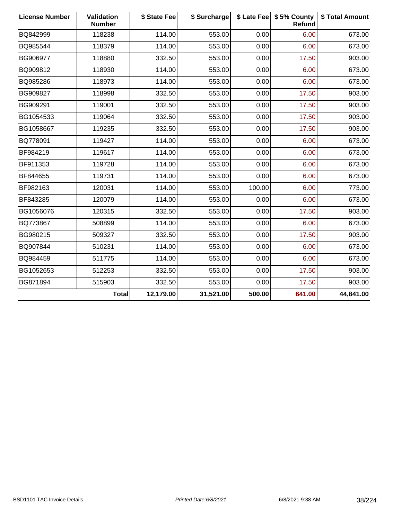| <b>License Number</b> | Validation<br><b>Number</b> | \$ State Fee | \$ Surcharge |        | \$ Late Fee   \$5% County<br>Refund | \$ Total Amount |
|-----------------------|-----------------------------|--------------|--------------|--------|-------------------------------------|-----------------|
| BQ842999              | 118238                      | 114.00       | 553.00       | 0.00   | 6.00                                | 673.00          |
| BQ985544              | 118379                      | 114.00       | 553.00       | 0.00   | 6.00                                | 673.00          |
| BG906977              | 118880                      | 332.50       | 553.00       | 0.00   | 17.50                               | 903.00          |
| BQ909812              | 118930                      | 114.00       | 553.00       | 0.00   | 6.00                                | 673.00          |
| BQ985286              | 118973                      | 114.00       | 553.00       | 0.00   | 6.00                                | 673.00          |
| BG909827              | 118998                      | 332.50       | 553.00       | 0.00   | 17.50                               | 903.00          |
| BG909291              | 119001                      | 332.50       | 553.00       | 0.00   | 17.50                               | 903.00          |
| BG1054533             | 119064                      | 332.50       | 553.00       | 0.00   | 17.50                               | 903.00          |
| BG1058667             | 119235                      | 332.50       | 553.00       | 0.00   | 17.50                               | 903.00          |
| BQ778091              | 119427                      | 114.00       | 553.00       | 0.00   | 6.00                                | 673.00          |
| BF984219              | 119617                      | 114.00       | 553.00       | 0.00   | 6.00                                | 673.00          |
| BF911353              | 119728                      | 114.00       | 553.00       | 0.00   | 6.00                                | 673.00          |
| BF844655              | 119731                      | 114.00       | 553.00       | 0.00   | 6.00                                | 673.00          |
| BF982163              | 120031                      | 114.00       | 553.00       | 100.00 | 6.00                                | 773.00          |
| BF843285              | 120079                      | 114.00       | 553.00       | 0.00   | 6.00                                | 673.00          |
| BG1056076             | 120315                      | 332.50       | 553.00       | 0.00   | 17.50                               | 903.00          |
| BQ773867              | 508899                      | 114.00       | 553.00       | 0.00   | 6.00                                | 673.00          |
| BG980215              | 509327                      | 332.50       | 553.00       | 0.00   | 17.50                               | 903.00          |
| BQ907844              | 510231                      | 114.00       | 553.00       | 0.00   | 6.00                                | 673.00          |
| BQ984459              | 511775                      | 114.00       | 553.00       | 0.00   | 6.00                                | 673.00          |
| BG1052653             | 512253                      | 332.50       | 553.00       | 0.00   | 17.50                               | 903.00          |
| BG871894              | 515903                      | 332.50       | 553.00       | 0.00   | 17.50                               | 903.00          |
|                       | <b>Total</b>                | 12,179.00    | 31,521.00    | 500.00 | 641.00                              | 44,841.00       |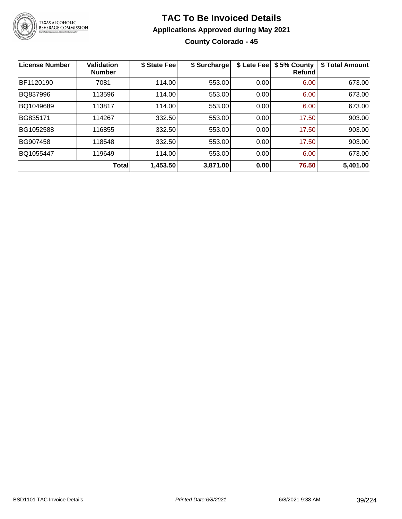

### **TAC To Be Invoiced Details Applications Approved during May 2021 County Colorado - 45**

| <b>License Number</b> | <b>Validation</b><br><b>Number</b> | \$ State Fee | \$ Surcharge | \$ Late Fee | \$5% County<br>Refundl | \$ Total Amount |
|-----------------------|------------------------------------|--------------|--------------|-------------|------------------------|-----------------|
| BF1120190             | 7081                               | 114.00       | 553.00       | 0.00        | 6.00                   | 673.00          |
| BQ837996              | 113596                             | 114.00       | 553.00       | 0.00        | 6.00                   | 673.00          |
| BQ1049689             | 113817                             | 114.00       | 553.00       | 0.00        | 6.00                   | 673.00          |
| BG835171              | 114267                             | 332.50       | 553.00       | 0.00        | 17.50                  | 903.00          |
| BG1052588             | 116855                             | 332.50       | 553.00       | 0.00        | 17.50                  | 903.00          |
| BG907458              | 118548                             | 332.50       | 553.00       | 0.00        | 17.50                  | 903.00          |
| BQ1055447             | 119649                             | 114.00       | 553.00       | 0.00        | 6.00                   | 673.00          |
|                       | <b>Total</b>                       | 1,453.50     | 3,871.00     | 0.00        | 76.50                  | 5,401.00        |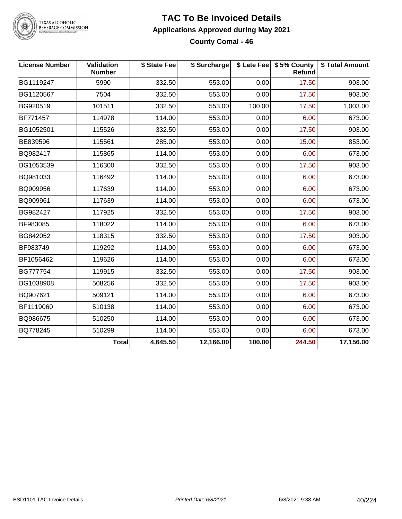

#### **TAC To Be Invoiced Details Applications Approved during May 2021 County Comal - 46**

| <b>License Number</b> | <b>Validation</b><br><b>Number</b> | \$ State Fee | \$ Surcharge |        | \$ Late Fee   \$5% County  <br>Refund | \$ Total Amount |
|-----------------------|------------------------------------|--------------|--------------|--------|---------------------------------------|-----------------|
| BG1119247             | 5990                               | 332.50       | 553.00       | 0.00   | 17.50                                 | 903.00          |
| BG1120567             | 7504                               | 332.50       | 553.00       | 0.00   | 17.50                                 | 903.00          |
| BG920519              | 101511                             | 332.50       | 553.00       | 100.00 | 17.50                                 | 1,003.00        |
| BF771457              | 114978                             | 114.00       | 553.00       | 0.00   | 6.00                                  | 673.00          |
| BG1052501             | 115526                             | 332.50       | 553.00       | 0.00   | 17.50                                 | 903.00          |
| BE839596              | 115561                             | 285.00       | 553.00       | 0.00   | 15.00                                 | 853.00          |
| BQ982417              | 115865                             | 114.00       | 553.00       | 0.00   | 6.00                                  | 673.00          |
| BG1053539             | 116300                             | 332.50       | 553.00       | 0.00   | 17.50                                 | 903.00          |
| BQ981033              | 116492                             | 114.00       | 553.00       | 0.00   | 6.00                                  | 673.00          |
| BQ909956              | 117639                             | 114.00       | 553.00       | 0.00   | 6.00                                  | 673.00          |
| BQ909961              | 117639                             | 114.00       | 553.00       | 0.00   | 6.00                                  | 673.00          |
| BG982427              | 117925                             | 332.50       | 553.00       | 0.00   | 17.50                                 | 903.00          |
| BF983085              | 118022                             | 114.00       | 553.00       | 0.00   | 6.00                                  | 673.00          |
| BG842052              | 118315                             | 332.50       | 553.00       | 0.00   | 17.50                                 | 903.00          |
| BF983749              | 119292                             | 114.00       | 553.00       | 0.00   | 6.00                                  | 673.00          |
| BF1056462             | 119626                             | 114.00       | 553.00       | 0.00   | 6.00                                  | 673.00          |
| BG777754              | 119915                             | 332.50       | 553.00       | 0.00   | 17.50                                 | 903.00          |
| BG1038908             | 508256                             | 332.50       | 553.00       | 0.00   | 17.50                                 | 903.00          |
| BQ907621              | 509121                             | 114.00       | 553.00       | 0.00   | 6.00                                  | 673.00          |
| BF1119060             | 510138                             | 114.00       | 553.00       | 0.00   | 6.00                                  | 673.00          |
| BQ986675              | 510250                             | 114.00       | 553.00       | 0.00   | 6.00                                  | 673.00          |
| BQ778245              | 510299                             | 114.00       | 553.00       | 0.00   | 6.00                                  | 673.00          |
|                       | <b>Total</b>                       | 4,645.50     | 12,166.00    | 100.00 | 244.50                                | 17,156.00       |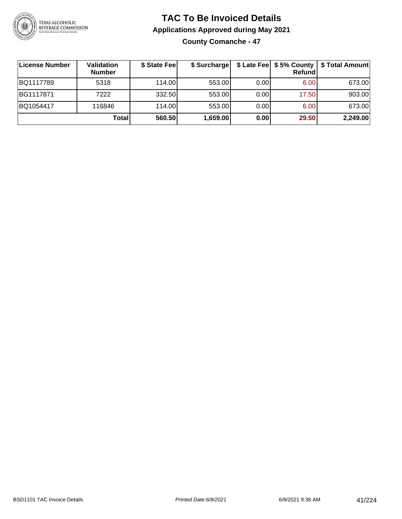

**County Comanche - 47**

| <b>License Number</b> | <b>Validation</b><br><b>Number</b> | \$ State Feel | \$ Surcharge |       | <b>Refund</b> | \$ Late Fee   \$5% County   \$ Total Amount |
|-----------------------|------------------------------------|---------------|--------------|-------|---------------|---------------------------------------------|
| BQ1117789             | 5318                               | 114.00        | 553.00       | 0.001 | 6.00          | 673.00                                      |
| BG1117871             | 7222                               | 332.50        | 553.00       | 0.00  | 17.50         | 903.00                                      |
| BQ1054417             | 116846                             | 114.00L       | 553.00       | 0.00  | 6.00          | 673.00                                      |
|                       | <b>Total</b>                       | 560.50        | 1,659.00     | 0.00  | 29.50         | 2,249.00                                    |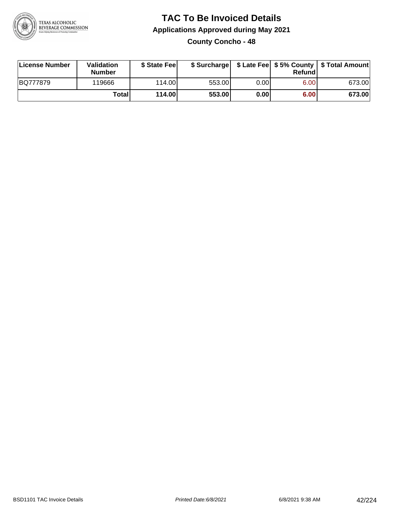

#### **TAC To Be Invoiced Details Applications Approved during May 2021 County Concho - 48**

| License Number | Validation<br><b>Number</b> | \$ State Fee |        |      | Refund | \$ Surcharge   \$ Late Fee   \$5% County   \$ Total Amount |
|----------------|-----------------------------|--------------|--------|------|--------|------------------------------------------------------------|
| BQ777879       | 119666                      | 114.00L      | 553.00 | 0.00 | 6.00   | 673.00                                                     |
|                | Totall                      | 114.00       | 553.00 | 0.00 | 6.00   | 673.00                                                     |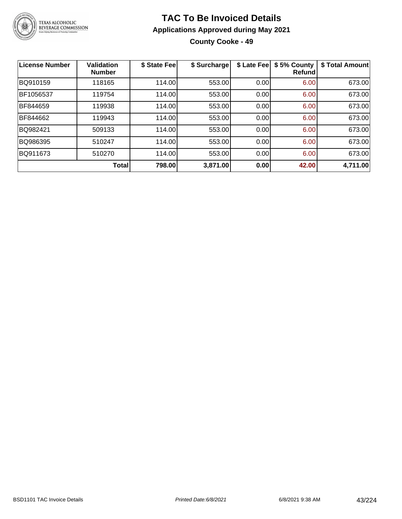

**County Cooke - 49**

| <b>License Number</b> | <b>Validation</b><br><b>Number</b> | \$ State Fee | \$ Surcharge | \$ Late Fee | \$5% County<br>Refundl | \$ Total Amount |
|-----------------------|------------------------------------|--------------|--------------|-------------|------------------------|-----------------|
| BQ910159              | 118165                             | 114.00       | 553.00       | 0.00        | 6.00                   | 673.00          |
| BF1056537             | 119754                             | 114.00       | 553.00       | 0.00        | 6.00                   | 673.00          |
| BF844659              | 119938                             | 114.00       | 553.00       | 0.00        | 6.00                   | 673.00          |
| BF844662              | 119943                             | 114.00       | 553.00       | 0.00        | 6.00                   | 673.00          |
| BQ982421              | 509133                             | 114.00       | 553.00       | 0.00        | 6.00                   | 673.00          |
| BQ986395              | 510247                             | 114.00       | 553.00       | 0.00        | 6.00                   | 673.00          |
| BQ911673              | 510270                             | 114.00       | 553.00       | 0.00        | 6.00                   | 673.00          |
|                       | Total                              | 798.00       | 3,871.00     | 0.00        | 42.00                  | 4,711.00        |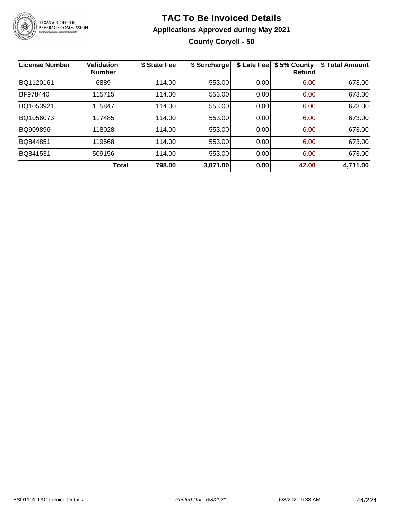

### **TAC To Be Invoiced Details Applications Approved during May 2021 County Coryell - 50**

| <b>License Number</b> | <b>Validation</b><br><b>Number</b> | \$ State Fee | \$ Surcharge | \$ Late Fee | \$5% County<br>Refundl | \$ Total Amount |
|-----------------------|------------------------------------|--------------|--------------|-------------|------------------------|-----------------|
| BQ1120161             | 6889                               | 114.00       | 553.00       | 0.00        | 6.00                   | 673.00          |
| BF978440              | 115715                             | 114.00       | 553.00       | 0.00        | 6.00                   | 673.00          |
| BQ1053921             | 115847                             | 114.00       | 553.00       | 0.00        | 6.00                   | 673.00          |
| BQ1056073             | 117485                             | 114.00       | 553.00       | 0.00        | 6.00                   | 673.00          |
| BQ909896              | 118028                             | 114.00       | 553.00       | 0.00        | 6.00                   | 673.00          |
| BQ844851              | 119568                             | 114.00       | 553.00       | 0.00        | 6.00                   | 673.00          |
| BQ841531              | 509156                             | 114.00       | 553.00       | 0.00        | 6.00                   | 673.00          |
|                       | Total                              | 798.00       | 3,871.00     | 0.00        | 42.00                  | 4,711.00        |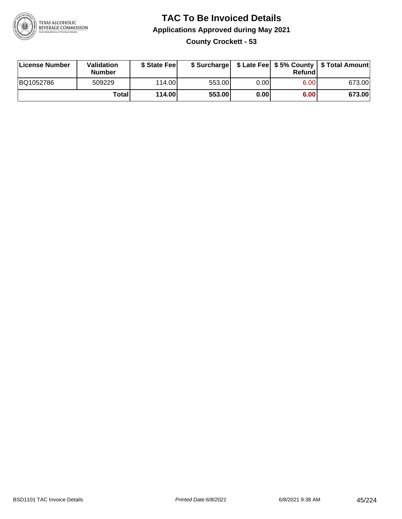

#### **TAC To Be Invoiced Details Applications Approved during May 2021 County Crockett - 53**

| License Number | Validation<br><b>Number</b> | \$ State Feel |        |      | Refund | \$ Surcharge   \$ Late Fee   \$5% County   \$ Total Amount |
|----------------|-----------------------------|---------------|--------|------|--------|------------------------------------------------------------|
| BQ1052786      | 509229                      | 114.00L       | 553.00 | 0.00 | 6.00   | 673.00                                                     |
|                | Totall                      | 114.00        | 553.00 | 0.00 | 6.00   | 673.00                                                     |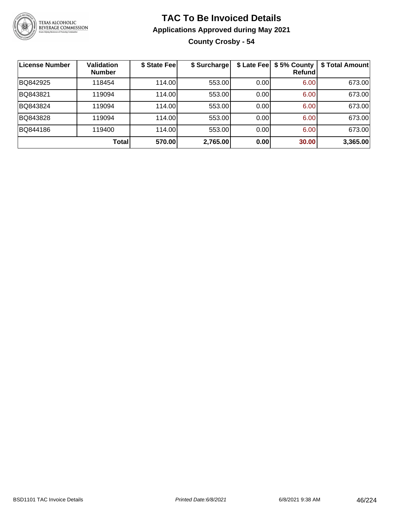

**County Crosby - 54**

| License Number | <b>Validation</b><br><b>Number</b> | \$ State Fee | \$ Surcharge | \$ Late Fee | \$5% County<br>Refundl | \$ Total Amount |
|----------------|------------------------------------|--------------|--------------|-------------|------------------------|-----------------|
| BQ842925       | 118454                             | 114.00       | 553.00       | 0.00        | 6.00                   | 673.00          |
| BQ843821       | 119094                             | 114.00       | 553.00       | 0.00        | 6.00                   | 673.00          |
| BQ843824       | 119094                             | 114.00       | 553.00       | 0.00        | 6.00                   | 673.00          |
| BQ843828       | 119094                             | 114.00       | 553.00       | 0.00        | 6.00                   | 673.00          |
| BQ844186       | 119400                             | 114.00       | 553.00       | 0.00        | 6.00                   | 673.00          |
|                | Total                              | 570.00       | 2,765.00     | 0.00        | 30.00                  | 3,365.00        |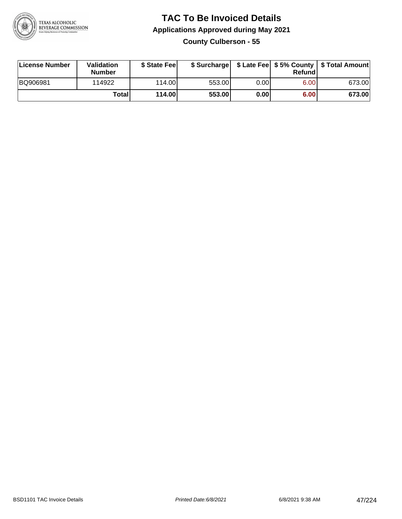

#### **TAC To Be Invoiced Details Applications Approved during May 2021 County Culberson - 55**

| License Number | Validation<br><b>Number</b> | \$ State Fee |        |      | Refund | \$ Surcharge   \$ Late Fee   \$5% County   \$ Total Amount |
|----------------|-----------------------------|--------------|--------|------|--------|------------------------------------------------------------|
| BQ906981       | 114922                      | 114.00L      | 553.00 | 0.00 | 6.00   | 673.00                                                     |
|                | Total                       | 114.00       | 553.00 | 0.00 | 6.00   | 673.00                                                     |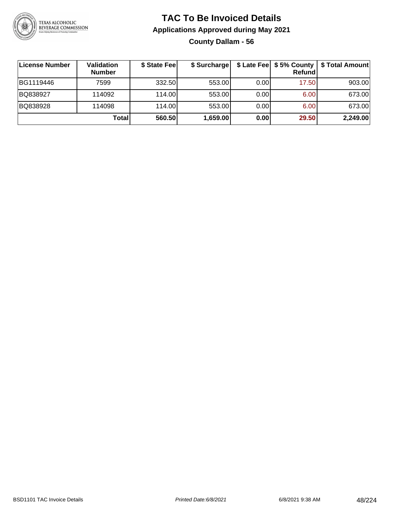

#### **TAC To Be Invoiced Details Applications Approved during May 2021 County Dallam - 56**

**License Number Validation Number \$ State Fee \$ Surcharge \$ Late Fee \$ 5% County Refund \$ Total Amount** BG1119446 | 7599 | 332.50| 553.00| 0.00| 17.50| 903.00 BQ838927 114092 114.00 553.00 0.00 6.00 673.00 BQ838928 114098 114.00 553.00 0.00 6.00 673.00 **Total 560.50 1,659.00 0.00 29.50 2,249.00**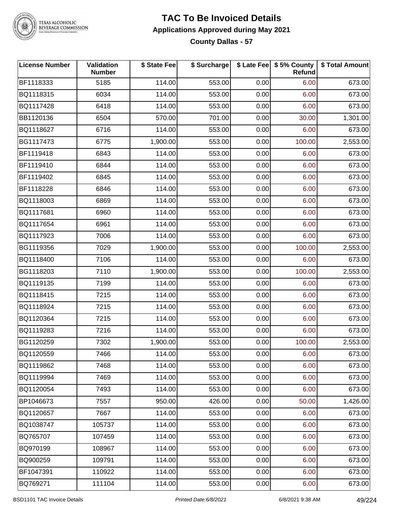

#### **TAC To Be Invoiced Details Applications Approved during May 2021 County Dallas - 57**

| <b>License Number</b> | Validation<br><b>Number</b> | \$ State Fee | \$ Surcharge |      | \$ Late Fee   \$5% County  <br><b>Refund</b> | \$ Total Amount |
|-----------------------|-----------------------------|--------------|--------------|------|----------------------------------------------|-----------------|
| BF1118333             | 5185                        | 114.00       | 553.00       | 0.00 | 6.00                                         | 673.00          |
| BQ1118315             | 6034                        | 114.00       | 553.00       | 0.00 | 6.00                                         | 673.00          |
| BQ1117428             | 6418                        | 114.00       | 553.00       | 0.00 | 6.00                                         | 673.00          |
| BB1120136             | 6504                        | 570.00       | 701.00       | 0.00 | 30.00                                        | 1,301.00        |
| BQ1118627             | 6716                        | 114.00       | 553.00       | 0.00 | 6.00                                         | 673.00          |
| BG1117473             | 6775                        | 1,900.00     | 553.00       | 0.00 | 100.00                                       | 2,553.00        |
| BF1119418             | 6843                        | 114.00       | 553.00       | 0.00 | 6.00                                         | 673.00          |
| BF1119410             | 6844                        | 114.00       | 553.00       | 0.00 | 6.00                                         | 673.00          |
| BF1119402             | 6845                        | 114.00       | 553.00       | 0.00 | 6.00                                         | 673.00          |
| BF1118228             | 6846                        | 114.00       | 553.00       | 0.00 | 6.00                                         | 673.00          |
| BQ1118003             | 6869                        | 114.00       | 553.00       | 0.00 | 6.00                                         | 673.00          |
| BQ1117681             | 6960                        | 114.00       | 553.00       | 0.00 | 6.00                                         | 673.00          |
| BQ1117654             | 6961                        | 114.00       | 553.00       | 0.00 | 6.00                                         | 673.00          |
| BQ1117923             | 7006                        | 114.00       | 553.00       | 0.00 | 6.00                                         | 673.00          |
| BG1119356             | 7029                        | 1,900.00     | 553.00       | 0.00 | 100.00                                       | 2,553.00        |
| BQ1118400             | 7106                        | 114.00       | 553.00       | 0.00 | 6.00                                         | 673.00          |
| BG1118203             | 7110                        | 1,900.00     | 553.00       | 0.00 | 100.00                                       | 2,553.00        |
| BQ1119135             | 7199                        | 114.00       | 553.00       | 0.00 | 6.00                                         | 673.00          |
| BQ1118415             | 7215                        | 114.00       | 553.00       | 0.00 | 6.00                                         | 673.00          |
| BQ1118924             | 7215                        | 114.00       | 553.00       | 0.00 | 6.00                                         | 673.00          |
| BQ1120364             | 7215                        | 114.00       | 553.00       | 0.00 | 6.00                                         | 673.00          |
| BQ1119283             | 7216                        | 114.00       | 553.00       | 0.00 | 6.00                                         | 673.00          |
| BG1120259             | 7302                        | 1,900.00     | 553.00       | 0.00 | 100.00                                       | 2,553.00        |
| BQ1120559             | 7466                        | 114.00       | 553.00       | 0.00 | 6.00                                         | 673.00          |
| BQ1119862             | 7468                        | 114.00       | 553.00       | 0.00 | 6.00                                         | 673.00          |
| BQ1119994             | 7469                        | 114.00       | 553.00       | 0.00 | 6.00                                         | 673.00          |
| BQ1120054             | 7493                        | 114.00       | 553.00       | 0.00 | 6.00                                         | 673.00          |
| BP1046673             | 7557                        | 950.00       | 426.00       | 0.00 | 50.00                                        | 1,426.00        |
| BQ1120657             | 7667                        | 114.00       | 553.00       | 0.00 | 6.00                                         | 673.00          |
| BQ1038747             | 105737                      | 114.00       | 553.00       | 0.00 | 6.00                                         | 673.00          |
| BQ765707              | 107459                      | 114.00       | 553.00       | 0.00 | 6.00                                         | 673.00          |
| BQ970199              | 108967                      | 114.00       | 553.00       | 0.00 | 6.00                                         | 673.00          |
| BQ900259              | 109791                      | 114.00       | 553.00       | 0.00 | 6.00                                         | 673.00          |
| BF1047391             | 110922                      | 114.00       | 553.00       | 0.00 | 6.00                                         | 673.00          |
| BQ769271              | 111104                      | 114.00       | 553.00       | 0.00 | 6.00                                         | 673.00          |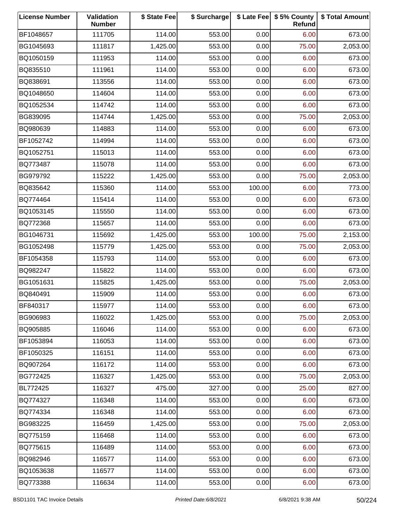| <b>License Number</b> | Validation<br><b>Number</b> | \$ State Fee | \$ Surcharge |        | \$ Late Fee   \$5% County<br>Refund | \$ Total Amount |
|-----------------------|-----------------------------|--------------|--------------|--------|-------------------------------------|-----------------|
| BF1048657             | 111705                      | 114.00       | 553.00       | 0.00   | 6.00                                | 673.00          |
| BG1045693             | 111817                      | 1,425.00     | 553.00       | 0.00   | 75.00                               | 2,053.00        |
| BQ1050159             | 111953                      | 114.00       | 553.00       | 0.00   | 6.00                                | 673.00          |
| BQ835510              | 111961                      | 114.00       | 553.00       | 0.00   | 6.00                                | 673.00          |
| BQ838691              | 113556                      | 114.00       | 553.00       | 0.00   | 6.00                                | 673.00          |
| BQ1048650             | 114604                      | 114.00       | 553.00       | 0.00   | 6.00                                | 673.00          |
| BQ1052534             | 114742                      | 114.00       | 553.00       | 0.00   | 6.00                                | 673.00          |
| BG839095              | 114744                      | 1,425.00     | 553.00       | 0.00   | 75.00                               | 2,053.00        |
| BQ980639              | 114883                      | 114.00       | 553.00       | 0.00   | 6.00                                | 673.00          |
| BF1052742             | 114994                      | 114.00       | 553.00       | 0.00   | 6.00                                | 673.00          |
| BQ1052751             | 115013                      | 114.00       | 553.00       | 0.00   | 6.00                                | 673.00          |
| BQ773487              | 115078                      | 114.00       | 553.00       | 0.00   | 6.00                                | 673.00          |
| BG979792              | 115222                      | 1,425.00     | 553.00       | 0.00   | 75.00                               | 2,053.00        |
| BQ835642              | 115360                      | 114.00       | 553.00       | 100.00 | 6.00                                | 773.00          |
| BQ774464              | 115414                      | 114.00       | 553.00       | 0.00   | 6.00                                | 673.00          |
| BQ1053145             | 115550                      | 114.00       | 553.00       | 0.00   | 6.00                                | 673.00          |
| BQ772368              | 115657                      | 114.00       | 553.00       | 0.00   | 6.00                                | 673.00          |
| BG1046731             | 115692                      | 1,425.00     | 553.00       | 100.00 | 75.00                               | 2,153.00        |
| BG1052498             | 115779                      | 1,425.00     | 553.00       | 0.00   | 75.00                               | 2,053.00        |
| BF1054358             | 115793                      | 114.00       | 553.00       | 0.00   | 6.00                                | 673.00          |
| BQ982247              | 115822                      | 114.00       | 553.00       | 0.00   | 6.00                                | 673.00          |
| BG1051631             | 115825                      | 1,425.00     | 553.00       | 0.00   | 75.00                               | 2,053.00        |
| BQ840491              | 115909                      | 114.00       | 553.00       | 0.00   | 6.00                                | 673.00          |
| BF840317              | 115977                      | 114.00       | 553.00       | 0.00   | 6.00                                | 673.00          |
| BG906983              | 116022                      | 1,425.00     | 553.00       | 0.00   | 75.00                               | 2,053.00        |
| BQ905885              | 116046                      | 114.00       | 553.00       | 0.00   | 6.00                                | 673.00          |
| BF1053894             | 116053                      | 114.00       | 553.00       | 0.00   | 6.00                                | 673.00          |
| BF1050325             | 116151                      | 114.00       | 553.00       | 0.00   | 6.00                                | 673.00          |
| BQ907264              | 116172                      | 114.00       | 553.00       | 0.00   | 6.00                                | 673.00          |
| BG772425              | 116327                      | 1,425.00     | 553.00       | 0.00   | 75.00                               | 2,053.00        |
| BL772425              | 116327                      | 475.00       | 327.00       | 0.00   | 25.00                               | 827.00          |
| BQ774327              | 116348                      | 114.00       | 553.00       | 0.00   | 6.00                                | 673.00          |
| BQ774334              | 116348                      | 114.00       | 553.00       | 0.00   | 6.00                                | 673.00          |
| BG983225              | 116459                      | 1,425.00     | 553.00       | 0.00   | 75.00                               | 2,053.00        |
| BQ775159              | 116468                      | 114.00       | 553.00       | 0.00   | 6.00                                | 673.00          |
| BQ775615              | 116489                      | 114.00       | 553.00       | 0.00   | 6.00                                | 673.00          |
| BQ982946              | 116577                      | 114.00       | 553.00       | 0.00   | 6.00                                | 673.00          |
| BQ1053638             | 116577                      | 114.00       | 553.00       | 0.00   | 6.00                                | 673.00          |
| BQ773388              | 116634                      | 114.00       | 553.00       | 0.00   | 6.00                                | 673.00          |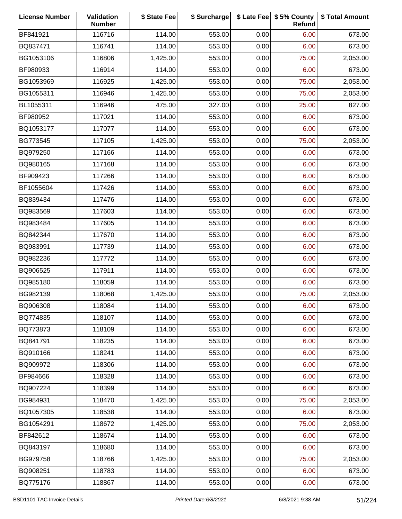| <b>License Number</b> | Validation<br><b>Number</b> | \$ State Fee | \$ Surcharge |      | \$ Late Fee   \$5% County<br>Refund | \$ Total Amount |
|-----------------------|-----------------------------|--------------|--------------|------|-------------------------------------|-----------------|
| BF841921              | 116716                      | 114.00       | 553.00       | 0.00 | 6.00                                | 673.00          |
| BQ837471              | 116741                      | 114.00       | 553.00       | 0.00 | 6.00                                | 673.00          |
| BG1053106             | 116806                      | 1,425.00     | 553.00       | 0.00 | 75.00                               | 2,053.00        |
| BF980933              | 116914                      | 114.00       | 553.00       | 0.00 | 6.00                                | 673.00          |
| BG1053969             | 116925                      | 1,425.00     | 553.00       | 0.00 | 75.00                               | 2,053.00        |
| BG1055311             | 116946                      | 1,425.00     | 553.00       | 0.00 | 75.00                               | 2,053.00        |
| BL1055311             | 116946                      | 475.00       | 327.00       | 0.00 | 25.00                               | 827.00          |
| BF980952              | 117021                      | 114.00       | 553.00       | 0.00 | 6.00                                | 673.00          |
| BQ1053177             | 117077                      | 114.00       | 553.00       | 0.00 | 6.00                                | 673.00          |
| BG773545              | 117105                      | 1,425.00     | 553.00       | 0.00 | 75.00                               | 2,053.00        |
| BQ979250              | 117166                      | 114.00       | 553.00       | 0.00 | 6.00                                | 673.00          |
| BQ980165              | 117168                      | 114.00       | 553.00       | 0.00 | 6.00                                | 673.00          |
| BF909423              | 117266                      | 114.00       | 553.00       | 0.00 | 6.00                                | 673.00          |
| BF1055604             | 117426                      | 114.00       | 553.00       | 0.00 | 6.00                                | 673.00          |
| BQ839434              | 117476                      | 114.00       | 553.00       | 0.00 | 6.00                                | 673.00          |
| BQ983569              | 117603                      | 114.00       | 553.00       | 0.00 | 6.00                                | 673.00          |
| BQ983484              | 117605                      | 114.00       | 553.00       | 0.00 | 6.00                                | 673.00          |
| BQ842344              | 117670                      | 114.00       | 553.00       | 0.00 | 6.00                                | 673.00          |
| BQ983991              | 117739                      | 114.00       | 553.00       | 0.00 | 6.00                                | 673.00          |
| BQ982236              | 117772                      | 114.00       | 553.00       | 0.00 | 6.00                                | 673.00          |
| BQ906525              | 117911                      | 114.00       | 553.00       | 0.00 | 6.00                                | 673.00          |
| BQ985180              | 118059                      | 114.00       | 553.00       | 0.00 | 6.00                                | 673.00          |
| BG982139              | 118068                      | 1,425.00     | 553.00       | 0.00 | 75.00                               | 2,053.00        |
| BQ906308              | 118084                      | 114.00       | 553.00       | 0.00 | 6.00                                | 673.00          |
| BQ774835              | 118107                      | 114.00       | 553.00       | 0.00 | 6.00                                | 673.00          |
| BQ773873              | 118109                      | 114.00       | 553.00       | 0.00 | 6.00                                | 673.00          |
| BQ841791              | 118235                      | 114.00       | 553.00       | 0.00 | 6.00                                | 673.00          |
| BQ910166              | 118241                      | 114.00       | 553.00       | 0.00 | 6.00                                | 673.00          |
| BQ909972              | 118306                      | 114.00       | 553.00       | 0.00 | 6.00                                | 673.00          |
| BF984666              | 118328                      | 114.00       | 553.00       | 0.00 | 6.00                                | 673.00          |
| BQ907224              | 118399                      | 114.00       | 553.00       | 0.00 | 6.00                                | 673.00          |
| BG984931              | 118470                      | 1,425.00     | 553.00       | 0.00 | 75.00                               | 2,053.00        |
| BQ1057305             | 118538                      | 114.00       | 553.00       | 0.00 | 6.00                                | 673.00          |
| BG1054291             | 118672                      | 1,425.00     | 553.00       | 0.00 | 75.00                               | 2,053.00        |
| BF842612              | 118674                      | 114.00       | 553.00       | 0.00 | 6.00                                | 673.00          |
| BQ843197              | 118680                      | 114.00       | 553.00       | 0.00 | 6.00                                | 673.00          |
| BG979758              | 118766                      | 1,425.00     | 553.00       | 0.00 | 75.00                               | 2,053.00        |
| BQ908251              | 118783                      | 114.00       | 553.00       | 0.00 | 6.00                                | 673.00          |
| BQ775176              | 118867                      | 114.00       | 553.00       | 0.00 | 6.00                                | 673.00          |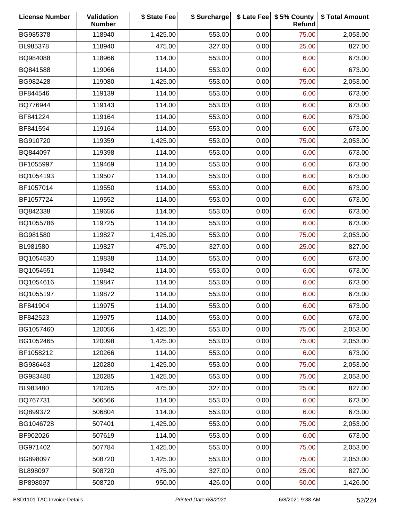| <b>License Number</b> | Validation<br><b>Number</b> | \$ State Fee | \$ Surcharge |      | \$ Late Fee   \$5% County<br>Refund | \$ Total Amount |
|-----------------------|-----------------------------|--------------|--------------|------|-------------------------------------|-----------------|
| BG985378              | 118940                      | 1,425.00     | 553.00       | 0.00 | 75.00                               | 2,053.00        |
| BL985378              | 118940                      | 475.00       | 327.00       | 0.00 | 25.00                               | 827.00          |
| BQ984088              | 118966                      | 114.00       | 553.00       | 0.00 | 6.00                                | 673.00          |
| BQ841588              | 119066                      | 114.00       | 553.00       | 0.00 | 6.00                                | 673.00          |
| BG982428              | 119080                      | 1,425.00     | 553.00       | 0.00 | 75.00                               | 2,053.00        |
| BF844546              | 119139                      | 114.00       | 553.00       | 0.00 | 6.00                                | 673.00          |
| BQ776944              | 119143                      | 114.00       | 553.00       | 0.00 | 6.00                                | 673.00          |
| BF841224              | 119164                      | 114.00       | 553.00       | 0.00 | 6.00                                | 673.00          |
| BF841594              | 119164                      | 114.00       | 553.00       | 0.00 | 6.00                                | 673.00          |
| BG910720              | 119359                      | 1,425.00     | 553.00       | 0.00 | 75.00                               | 2,053.00        |
| BQ844097              | 119398                      | 114.00       | 553.00       | 0.00 | 6.00                                | 673.00          |
| BF1055997             | 119469                      | 114.00       | 553.00       | 0.00 | 6.00                                | 673.00          |
| BQ1054193             | 119507                      | 114.00       | 553.00       | 0.00 | 6.00                                | 673.00          |
| BF1057014             | 119550                      | 114.00       | 553.00       | 0.00 | 6.00                                | 673.00          |
| BF1057724             | 119552                      | 114.00       | 553.00       | 0.00 | 6.00                                | 673.00          |
| BQ842338              | 119656                      | 114.00       | 553.00       | 0.00 | 6.00                                | 673.00          |
| BQ1055786             | 119725                      | 114.00       | 553.00       | 0.00 | 6.00                                | 673.00          |
| BG981580              | 119827                      | 1,425.00     | 553.00       | 0.00 | 75.00                               | 2,053.00        |
| BL981580              | 119827                      | 475.00       | 327.00       | 0.00 | 25.00                               | 827.00          |
| BQ1054530             | 119838                      | 114.00       | 553.00       | 0.00 | 6.00                                | 673.00          |
| BQ1054551             | 119842                      | 114.00       | 553.00       | 0.00 | 6.00                                | 673.00          |
| BQ1054616             | 119847                      | 114.00       | 553.00       | 0.00 | 6.00                                | 673.00          |
| BQ1055197             | 119872                      | 114.00       | 553.00       | 0.00 | 6.00                                | 673.00          |
| BF841904              | 119975                      | 114.00       | 553.00       | 0.00 | 6.00                                | 673.00          |
| BF842523              | 119975                      | 114.00       | 553.00       | 0.00 | 6.00                                | 673.00          |
| BG1057460             | 120056                      | 1,425.00     | 553.00       | 0.00 | 75.00                               | 2,053.00        |
| BG1052465             | 120098                      | 1,425.00     | 553.00       | 0.00 | 75.00                               | 2,053.00        |
| BF1058212             | 120266                      | 114.00       | 553.00       | 0.00 | 6.00                                | 673.00          |
| BG986463              | 120280                      | 1,425.00     | 553.00       | 0.00 | 75.00                               | 2,053.00        |
| BG983480              | 120285                      | 1,425.00     | 553.00       | 0.00 | 75.00                               | 2,053.00        |
| BL983480              | 120285                      | 475.00       | 327.00       | 0.00 | 25.00                               | 827.00          |
| BQ767731              | 506566                      | 114.00       | 553.00       | 0.00 | 6.00                                | 673.00          |
| BQ899372              | 506804                      | 114.00       | 553.00       | 0.00 | 6.00                                | 673.00          |
| BG1046728             | 507401                      | 1,425.00     | 553.00       | 0.00 | 75.00                               | 2,053.00        |
| BF902026              | 507619                      | 114.00       | 553.00       | 0.00 | 6.00                                | 673.00          |
| BG971402              | 507784                      | 1,425.00     | 553.00       | 0.00 | 75.00                               | 2,053.00        |
| BG898097              | 508720                      | 1,425.00     | 553.00       | 0.00 | 75.00                               | 2,053.00        |
| BL898097              | 508720                      | 475.00       | 327.00       | 0.00 | 25.00                               | 827.00          |
| BP898097              | 508720                      | 950.00       | 426.00       | 0.00 | 50.00                               | 1,426.00        |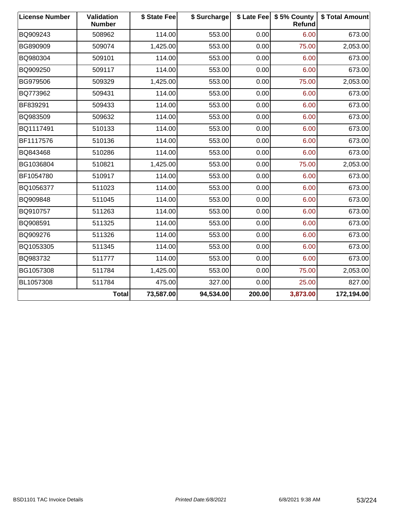| <b>License Number</b> | Validation<br><b>Number</b> | \$ State Fee | \$ Surcharge |        | \$ Late Fee   \$5% County<br>Refund | \$ Total Amount |
|-----------------------|-----------------------------|--------------|--------------|--------|-------------------------------------|-----------------|
| BQ909243              | 508962                      | 114.00       | 553.00       | 0.00   | 6.00                                | 673.00          |
| BG890909              | 509074                      | 1,425.00     | 553.00       | 0.00   | 75.00                               | 2,053.00        |
| BQ980304              | 509101                      | 114.00       | 553.00       | 0.00   | 6.00                                | 673.00          |
| BQ909250              | 509117                      | 114.00       | 553.00       | 0.00   | 6.00                                | 673.00          |
| BG979506              | 509329                      | 1,425.00     | 553.00       | 0.00   | 75.00                               | 2,053.00        |
| BQ773962              | 509431                      | 114.00       | 553.00       | 0.00   | 6.00                                | 673.00          |
| BF839291              | 509433                      | 114.00       | 553.00       | 0.00   | 6.00                                | 673.00          |
| BQ983509              | 509632                      | 114.00       | 553.00       | 0.00   | 6.00                                | 673.00          |
| BQ1117491             | 510133                      | 114.00       | 553.00       | 0.00   | 6.00                                | 673.00          |
| BF1117576             | 510136                      | 114.00       | 553.00       | 0.00   | 6.00                                | 673.00          |
| BQ843468              | 510286                      | 114.00       | 553.00       | 0.00   | 6.00                                | 673.00          |
| BG1036804             | 510821                      | 1,425.00     | 553.00       | 0.00   | 75.00                               | 2,053.00        |
| BF1054780             | 510917                      | 114.00       | 553.00       | 0.00   | 6.00                                | 673.00          |
| BQ1056377             | 511023                      | 114.00       | 553.00       | 0.00   | 6.00                                | 673.00          |
| BQ909848              | 511045                      | 114.00       | 553.00       | 0.00   | 6.00                                | 673.00          |
| BQ910757              | 511263                      | 114.00       | 553.00       | 0.00   | 6.00                                | 673.00          |
| BQ908591              | 511325                      | 114.00       | 553.00       | 0.00   | 6.00                                | 673.00          |
| BQ909276              | 511326                      | 114.00       | 553.00       | 0.00   | 6.00                                | 673.00          |
| BQ1053305             | 511345                      | 114.00       | 553.00       | 0.00   | 6.00                                | 673.00          |
| BQ983732              | 511777                      | 114.00       | 553.00       | 0.00   | 6.00                                | 673.00          |
| BG1057308             | 511784                      | 1,425.00     | 553.00       | 0.00   | 75.00                               | 2,053.00        |
| BL1057308             | 511784                      | 475.00       | 327.00       | 0.00   | 25.00                               | 827.00          |
|                       | <b>Total</b>                | 73,587.00    | 94,534.00    | 200.00 | 3,873.00                            | 172,194.00      |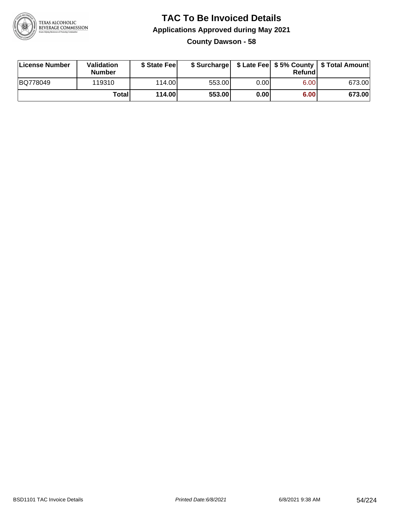

#### **TAC To Be Invoiced Details Applications Approved during May 2021 County Dawson - 58**

| <b>License Number</b> | Validation<br><b>Number</b> | \$ State Fee |        |      | Refund | \$ Surcharge   \$ Late Fee   \$5% County   \$ Total Amount |
|-----------------------|-----------------------------|--------------|--------|------|--------|------------------------------------------------------------|
| BQ778049              | 119310                      | 114.00       | 553.00 | 0.00 | 6.00   | 673.00                                                     |
|                       | Total                       | 114.00       | 553.00 | 0.00 | 6.00   | 673.00                                                     |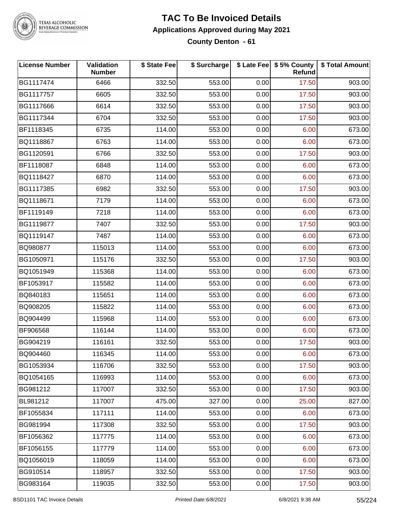

#### **TAC To Be Invoiced Details Applications Approved during May 2021 County Denton - 61**

| <b>License Number</b> | Validation<br><b>Number</b> | \$ State Fee | \$ Surcharge |      | \$ Late Fee   \$5% County<br><b>Refund</b> | \$ Total Amount |
|-----------------------|-----------------------------|--------------|--------------|------|--------------------------------------------|-----------------|
| BG1117474             | 6466                        | 332.50       | 553.00       | 0.00 | 17.50                                      | 903.00          |
| BG1117757             | 6605                        | 332.50       | 553.00       | 0.00 | 17.50                                      | 903.00          |
| BG1117666             | 6614                        | 332.50       | 553.00       | 0.00 | 17.50                                      | 903.00          |
| BG1117344             | 6704                        | 332.50       | 553.00       | 0.00 | 17.50                                      | 903.00          |
| BF1118345             | 6735                        | 114.00       | 553.00       | 0.00 | 6.00                                       | 673.00          |
| BQ1118867             | 6763                        | 114.00       | 553.00       | 0.00 | 6.00                                       | 673.00          |
| BG1120591             | 6766                        | 332.50       | 553.00       | 0.00 | 17.50                                      | 903.00          |
| BF1118087             | 6848                        | 114.00       | 553.00       | 0.00 | 6.00                                       | 673.00          |
| BQ1118427             | 6870                        | 114.00       | 553.00       | 0.00 | 6.00                                       | 673.00          |
| BG1117385             | 6982                        | 332.50       | 553.00       | 0.00 | 17.50                                      | 903.00          |
| BQ1118671             | 7179                        | 114.00       | 553.00       | 0.00 | 6.00                                       | 673.00          |
| BF1119149             | 7218                        | 114.00       | 553.00       | 0.00 | 6.00                                       | 673.00          |
| BG1119877             | 7407                        | 332.50       | 553.00       | 0.00 | 17.50                                      | 903.00          |
| BQ1119147             | 7487                        | 114.00       | 553.00       | 0.00 | 6.00                                       | 673.00          |
| BQ980877              | 115013                      | 114.00       | 553.00       | 0.00 | 6.00                                       | 673.00          |
| BG1050971             | 115176                      | 332.50       | 553.00       | 0.00 | 17.50                                      | 903.00          |
| BQ1051949             | 115368                      | 114.00       | 553.00       | 0.00 | 6.00                                       | 673.00          |
| BF1053917             | 115582                      | 114.00       | 553.00       | 0.00 | 6.00                                       | 673.00          |
| BQ840183              | 115651                      | 114.00       | 553.00       | 0.00 | 6.00                                       | 673.00          |
| BQ908205              | 115822                      | 114.00       | 553.00       | 0.00 | 6.00                                       | 673.00          |
| BQ904499              | 115968                      | 114.00       | 553.00       | 0.00 | 6.00                                       | 673.00          |
| BF906568              | 116144                      | 114.00       | 553.00       | 0.00 | 6.00                                       | 673.00          |
| BG904219              | 116161                      | 332.50       | 553.00       | 0.00 | 17.50                                      | 903.00          |
| BQ904460              | 116345                      | 114.00       | 553.00       | 0.00 | 6.00                                       | 673.00          |
| BG1053934             | 116706                      | 332.50       | 553.00       | 0.00 | 17.50                                      | 903.00          |
| BQ1054165             | 116993                      | 114.00       | 553.00       | 0.00 | 6.00                                       | 673.00          |
| BG981212              | 117007                      | 332.50       | 553.00       | 0.00 | 17.50                                      | 903.00          |
| BL981212              | 117007                      | 475.00       | 327.00       | 0.00 | 25.00                                      | 827.00          |
| BF1055834             | 117111                      | 114.00       | 553.00       | 0.00 | 6.00                                       | 673.00          |
| BG981994              | 117308                      | 332.50       | 553.00       | 0.00 | 17.50                                      | 903.00          |
| BF1056362             | 117775                      | 114.00       | 553.00       | 0.00 | 6.00                                       | 673.00          |
| BF1056155             | 117779                      | 114.00       | 553.00       | 0.00 | 6.00                                       | 673.00          |
| BQ1056019             | 118059                      | 114.00       | 553.00       | 0.00 | 6.00                                       | 673.00          |
| BG910514              | 118957                      | 332.50       | 553.00       | 0.00 | 17.50                                      | 903.00          |
| BG983164              | 119035                      | 332.50       | 553.00       | 0.00 | 17.50                                      | 903.00          |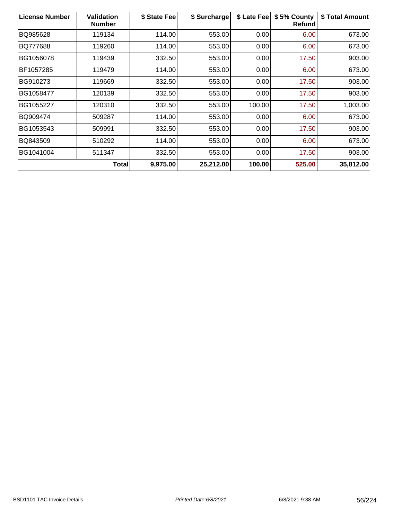| <b>License Number</b> | <b>Validation</b><br><b>Number</b> | \$ State Fee | \$ Surcharge | \$ Late Fee | \$5% County<br><b>Refund</b> | \$ Total Amount |
|-----------------------|------------------------------------|--------------|--------------|-------------|------------------------------|-----------------|
| BQ985628              | 119134                             | 114.00       | 553.00       | 0.00        | 6.00                         | 673.00          |
| BQ777688              | 119260                             | 114.00       | 553.00       | 0.00        | 6.00                         | 673.00          |
| BG1056078             | 119439                             | 332.50       | 553.00       | 0.00        | 17.50                        | 903.00          |
| BF1057285             | 119479                             | 114.00       | 553.00       | 0.00        | 6.00                         | 673.00          |
| BG910273              | 119669                             | 332.50       | 553.00       | 0.00        | 17.50                        | 903.00          |
| BG1058477             | 120139                             | 332.50       | 553.00       | 0.00        | 17.50                        | 903.00          |
| BG1055227             | 120310                             | 332.50       | 553.00       | 100.00      | 17.50                        | 1,003.00        |
| BQ909474              | 509287                             | 114.00       | 553.00       | 0.00        | 6.00                         | 673.00          |
| BG1053543             | 509991                             | 332.50       | 553.00       | 0.00        | 17.50                        | 903.00          |
| BQ843509              | 510292                             | 114.00       | 553.00       | 0.00        | 6.00                         | 673.00          |
| BG1041004             | 511347                             | 332.50       | 553.00       | 0.00        | 17.50                        | 903.00          |
|                       | Total                              | 9,975.00     | 25,212.00    | 100.00      | 525.00                       | 35,812.00       |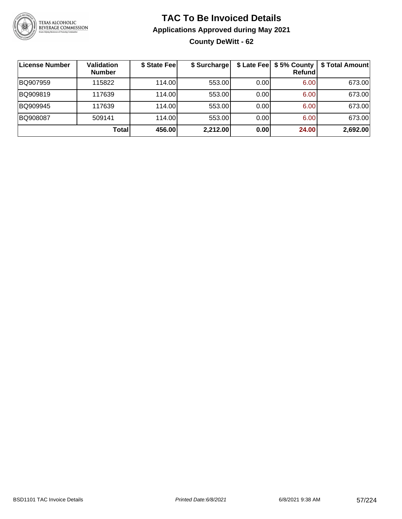

### **TAC To Be Invoiced Details Applications Approved during May 2021 County DeWitt - 62**

| License Number | <b>Validation</b><br><b>Number</b> | \$ State Fee | \$ Surcharge |      | Refundl | \$ Late Fee   \$5% County   \$ Total Amount |
|----------------|------------------------------------|--------------|--------------|------|---------|---------------------------------------------|
| BQ907959       | 115822                             | 114.00       | 553.00       | 0.00 | 6.00    | 673.00                                      |
| BQ909819       | 117639                             | 114.00       | 553.00       | 0.00 | 6.00    | 673.00                                      |
| BQ909945       | 117639                             | 114.00       | 553.00       | 0.00 | 6.00    | 673.00                                      |
| BQ908087       | 509141                             | 114.00L      | 553.00       | 0.00 | 6.00    | 673.00                                      |
|                | Total                              | 456.00       | 2,212.00     | 0.00 | 24.00   | 2,692.00                                    |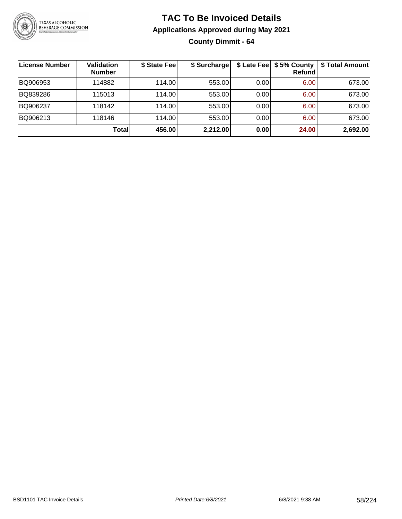

**County Dimmit - 64**

| License Number | <b>Validation</b><br><b>Number</b> | \$ State Fee | \$ Surcharge |      | \$ Late Fee   \$5% County  <br>Refundl | \$ Total Amount |
|----------------|------------------------------------|--------------|--------------|------|----------------------------------------|-----------------|
| BQ906953       | 114882                             | 114.00       | 553.00       | 0.00 | 6.00                                   | 673.00          |
| BQ839286       | 115013                             | 114.00       | 553.00       | 0.00 | 6.00                                   | 673.00          |
| BQ906237       | 118142                             | 114.00       | 553.00       | 0.00 | 6.00                                   | 673.00          |
| BQ906213       | 118146                             | 114.00       | 553.00       | 0.00 | 6.00                                   | 673.00          |
|                | Total                              | 456.00       | 2,212.00     | 0.00 | 24.00                                  | 2,692.00        |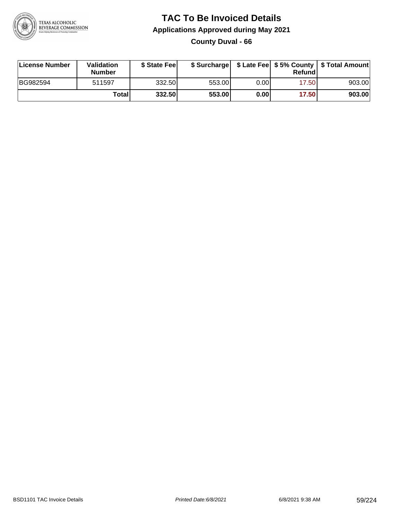

#### **TAC To Be Invoiced Details Applications Approved during May 2021 County Duval - 66**

| License Number | Validation<br>Number | \$ State Feel |        |      | Refundl | \$ Surcharge   \$ Late Fee   \$5% County   \$ Total Amount |
|----------------|----------------------|---------------|--------|------|---------|------------------------------------------------------------|
| BG982594       | 511597               | 332.50        | 553.00 | 0.00 | 17.50   | 903.00                                                     |
|                | Total                | 332.50        | 553.00 | 0.00 | 17.50   | 903.00                                                     |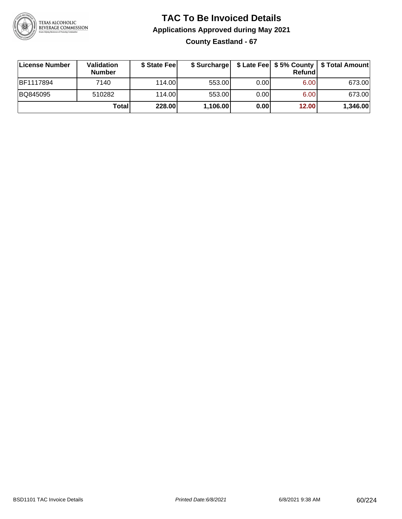

### **TAC To Be Invoiced Details Applications Approved during May 2021 County Eastland - 67**

| License Number | <b>Validation</b><br><b>Number</b> | \$ State Fee | \$ Surcharge |      | Refundi | \$ Late Fee   \$5% County   \$ Total Amount |
|----------------|------------------------------------|--------------|--------------|------|---------|---------------------------------------------|
| BF1117894      | 7140                               | 114.00L      | 553.00       | 0.00 | 6.00    | 673.00                                      |
| BQ845095       | 510282                             | 114.00L      | 553.00       | 0.00 | 6.00    | 673.00                                      |
|                | Total                              | 228.00       | 1,106.00     | 0.00 | 12.00   | 1,346.00                                    |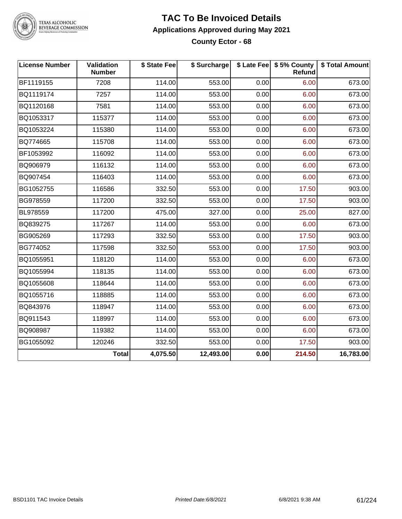

#### **TAC To Be Invoiced Details Applications Approved during May 2021 County Ector - 68**

| <b>License Number</b> | Validation<br><b>Number</b> | \$ State Fee | \$ Surcharge |      | \$ Late Fee   \$5% County  <br><b>Refund</b> | \$ Total Amount |
|-----------------------|-----------------------------|--------------|--------------|------|----------------------------------------------|-----------------|
| BF1119155             | 7208                        | 114.00       | 553.00       | 0.00 | 6.00                                         | 673.00          |
| BQ1119174             | 7257                        | 114.00       | 553.00       | 0.00 | 6.00                                         | 673.00          |
| BQ1120168             | 7581                        | 114.00       | 553.00       | 0.00 | 6.00                                         | 673.00          |
| BQ1053317             | 115377                      | 114.00       | 553.00       | 0.00 | 6.00                                         | 673.00          |
| BQ1053224             | 115380                      | 114.00       | 553.00       | 0.00 | 6.00                                         | 673.00          |
| BQ774665              | 115708                      | 114.00       | 553.00       | 0.00 | 6.00                                         | 673.00          |
| BF1053992             | 116092                      | 114.00       | 553.00       | 0.00 | 6.00                                         | 673.00          |
| BQ906979              | 116132                      | 114.00       | 553.00       | 0.00 | 6.00                                         | 673.00          |
| BQ907454              | 116403                      | 114.00       | 553.00       | 0.00 | 6.00                                         | 673.00          |
| BG1052755             | 116586                      | 332.50       | 553.00       | 0.00 | 17.50                                        | 903.00          |
| BG978559              | 117200                      | 332.50       | 553.00       | 0.00 | 17.50                                        | 903.00          |
| <b>BL978559</b>       | 117200                      | 475.00       | 327.00       | 0.00 | 25.00                                        | 827.00          |
| BQ839275              | 117267                      | 114.00       | 553.00       | 0.00 | 6.00                                         | 673.00          |
| BG905269              | 117293                      | 332.50       | 553.00       | 0.00 | 17.50                                        | 903.00          |
| BG774052              | 117598                      | 332.50       | 553.00       | 0.00 | 17.50                                        | 903.00          |
| BQ1055951             | 118120                      | 114.00       | 553.00       | 0.00 | 6.00                                         | 673.00          |
| BQ1055994             | 118135                      | 114.00       | 553.00       | 0.00 | 6.00                                         | 673.00          |
| BQ1055608             | 118644                      | 114.00       | 553.00       | 0.00 | 6.00                                         | 673.00          |
| BQ1055716             | 118885                      | 114.00       | 553.00       | 0.00 | 6.00                                         | 673.00          |
| BQ843976              | 118947                      | 114.00       | 553.00       | 0.00 | 6.00                                         | 673.00          |
| BQ911543              | 118997                      | 114.00       | 553.00       | 0.00 | 6.00                                         | 673.00          |
| BQ908987              | 119382                      | 114.00       | 553.00       | 0.00 | 6.00                                         | 673.00          |
| BG1055092             | 120246                      | 332.50       | 553.00       | 0.00 | 17.50                                        | 903.00          |
|                       | <b>Total</b>                | 4,075.50     | 12,493.00    | 0.00 | 214.50                                       | 16,783.00       |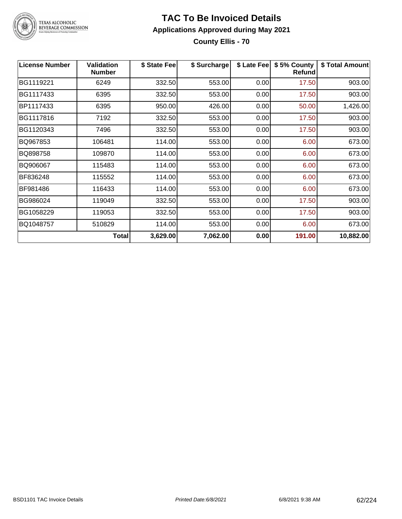

#### **TAC To Be Invoiced Details Applications Approved during May 2021 County Ellis - 70**

| <b>License Number</b> | <b>Validation</b><br><b>Number</b> | \$ State Fee | \$ Surcharge | \$ Late Fee | \$5% County<br>Refund | \$ Total Amount |
|-----------------------|------------------------------------|--------------|--------------|-------------|-----------------------|-----------------|
| BG1119221             | 6249                               | 332.50       | 553.00       | 0.00        | 17.50                 | 903.00          |
| BG1117433             | 6395                               | 332.50       | 553.00       | 0.00        | 17.50                 | 903.00          |
| BP1117433             | 6395                               | 950.00       | 426.00       | 0.00        | 50.00                 | 1,426.00        |
| BG1117816             | 7192                               | 332.50       | 553.00       | 0.00        | 17.50                 | 903.00          |
| BG1120343             | 7496                               | 332.50       | 553.00       | 0.00        | 17.50                 | 903.00          |
| BQ967853              | 106481                             | 114.00       | 553.00       | 0.00        | 6.00                  | 673.00          |
| BQ898758              | 109870                             | 114.00       | 553.00       | 0.00        | 6.00                  | 673.00          |
| BQ906067              | 115483                             | 114.00       | 553.00       | 0.00        | 6.00                  | 673.00          |
| BF836248              | 115552                             | 114.00       | 553.00       | 0.00        | 6.00                  | 673.00          |
| BF981486              | 116433                             | 114.00       | 553.00       | 0.00        | 6.00                  | 673.00          |
| BG986024              | 119049                             | 332.50       | 553.00       | 0.00        | 17.50                 | 903.00          |
| BG1058229             | 119053                             | 332.50       | 553.00       | 0.00        | 17.50                 | 903.00          |
| BQ1048757             | 510829                             | 114.00       | 553.00       | 0.00        | 6.00                  | 673.00          |
|                       | <b>Total</b>                       | 3,629.00     | 7,062.00     | 0.00        | 191.00                | 10,882.00       |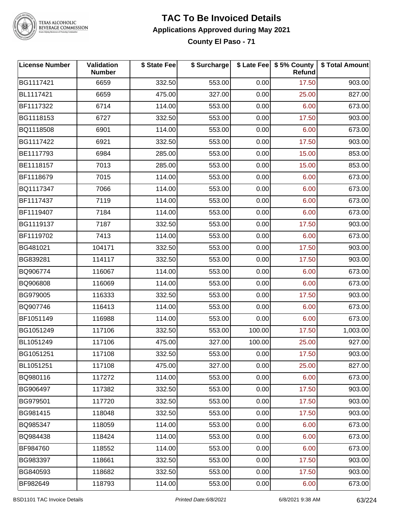

## **TAC To Be Invoiced Details Applications Approved during May 2021**

**County El Paso - 71**

| <b>License Number</b> | Validation<br><b>Number</b> | \$ State Fee | \$ Surcharge |        | \$ Late Fee   \$5% County<br>Refund | \$ Total Amount |
|-----------------------|-----------------------------|--------------|--------------|--------|-------------------------------------|-----------------|
| BG1117421             | 6659                        | 332.50       | 553.00       | 0.00   | 17.50                               | 903.00          |
| BL1117421             | 6659                        | 475.00       | 327.00       | 0.00   | 25.00                               | 827.00          |
| BF1117322             | 6714                        | 114.00       | 553.00       | 0.00   | 6.00                                | 673.00          |
| BG1118153             | 6727                        | 332.50       | 553.00       | 0.00   | 17.50                               | 903.00          |
| BQ1118508             | 6901                        | 114.00       | 553.00       | 0.00   | 6.00                                | 673.00          |
| BG1117422             | 6921                        | 332.50       | 553.00       | 0.00   | 17.50                               | 903.00          |
| BE1117793             | 6984                        | 285.00       | 553.00       | 0.00   | 15.00                               | 853.00          |
| BE1118157             | 7013                        | 285.00       | 553.00       | 0.00   | 15.00                               | 853.00          |
| BF1118679             | 7015                        | 114.00       | 553.00       | 0.00   | 6.00                                | 673.00          |
| BQ1117347             | 7066                        | 114.00       | 553.00       | 0.00   | 6.00                                | 673.00          |
| BF1117437             | 7119                        | 114.00       | 553.00       | 0.00   | 6.00                                | 673.00          |
| BF1119407             | 7184                        | 114.00       | 553.00       | 0.00   | 6.00                                | 673.00          |
| BG1119137             | 7187                        | 332.50       | 553.00       | 0.00   | 17.50                               | 903.00          |
| BF1119702             | 7413                        | 114.00       | 553.00       | 0.00   | 6.00                                | 673.00          |
| BG481021              | 104171                      | 332.50       | 553.00       | 0.00   | 17.50                               | 903.00          |
| BG839281              | 114117                      | 332.50       | 553.00       | 0.00   | 17.50                               | 903.00          |
| BQ906774              | 116067                      | 114.00       | 553.00       | 0.00   | 6.00                                | 673.00          |
| BQ906808              | 116069                      | 114.00       | 553.00       | 0.00   | 6.00                                | 673.00          |
| BG979005              | 116333                      | 332.50       | 553.00       | 0.00   | 17.50                               | 903.00          |
| BQ907746              | 116413                      | 114.00       | 553.00       | 0.00   | 6.00                                | 673.00          |
| BF1051149             | 116988                      | 114.00       | 553.00       | 0.00   | 6.00                                | 673.00          |
| BG1051249             | 117106                      | 332.50       | 553.00       | 100.00 | 17.50                               | 1,003.00        |
| BL1051249             | 117106                      | 475.00       | 327.00       | 100.00 | 25.00                               | 927.00          |
| BG1051251             | 117108                      | 332.50       | 553.00       | 0.00   | 17.50                               | 903.00          |
| BL1051251             | 117108                      | 475.00       | 327.00       | 0.00   | 25.00                               | 827.00          |
| BQ980116              | 117272                      | 114.00       | 553.00       | 0.00   | 6.00                                | 673.00          |
| BG906497              | 117382                      | 332.50       | 553.00       | 0.00   | 17.50                               | 903.00          |
| BG979501              | 117720                      | 332.50       | 553.00       | 0.00   | 17.50                               | 903.00          |
| BG981415              | 118048                      | 332.50       | 553.00       | 0.00   | 17.50                               | 903.00          |
| BQ985347              | 118059                      | 114.00       | 553.00       | 0.00   | 6.00                                | 673.00          |
| BQ984438              | 118424                      | 114.00       | 553.00       | 0.00   | 6.00                                | 673.00          |
| BF984760              | 118552                      | 114.00       | 553.00       | 0.00   | 6.00                                | 673.00          |
| BG983397              | 118661                      | 332.50       | 553.00       | 0.00   | 17.50                               | 903.00          |
| BG840593              | 118682                      | 332.50       | 553.00       | 0.00   | 17.50                               | 903.00          |
| BF982649              | 118793                      | 114.00       | 553.00       | 0.00   | 6.00                                | 673.00          |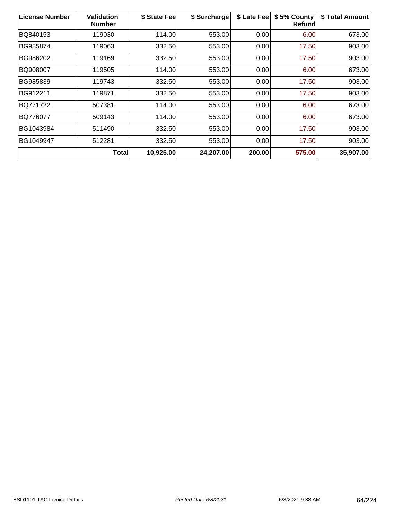| <b>License Number</b> | <b>Validation</b><br><b>Number</b> | \$ State Fee | \$ Surcharge | \$ Late Fee | \$5% County<br><b>Refund</b> | \$ Total Amount |
|-----------------------|------------------------------------|--------------|--------------|-------------|------------------------------|-----------------|
| BQ840153              | 119030                             | 114.00       | 553.00       | 0.00        | 6.00                         | 673.00          |
| BG985874              | 119063                             | 332.50       | 553.00       | 0.00        | 17.50                        | 903.00          |
| BG986202              | 119169                             | 332.50       | 553.00       | 0.00        | 17.50                        | 903.00          |
| BQ908007              | 119505                             | 114.00       | 553.00       | 0.00        | 6.00                         | 673.00          |
| BG985839              | 119743                             | 332.50       | 553.00       | 0.00        | 17.50                        | 903.00          |
| BG912211              | 119871                             | 332.50       | 553.00       | 0.00        | 17.50                        | 903.00          |
| <b>BQ771722</b>       | 507381                             | 114.00       | 553.00       | 0.00        | 6.00                         | 673.00          |
| BQ776077              | 509143                             | 114.00       | 553.00       | 0.00        | 6.00                         | 673.00          |
| BG1043984             | 511490                             | 332.50       | 553.00       | 0.00        | 17.50                        | 903.00          |
| BG1049947             | 512281                             | 332.50       | 553.00       | 0.00        | 17.50                        | 903.00          |
|                       | <b>Total</b>                       | 10,925.00    | 24,207.00    | 200.00      | 575.00                       | 35,907.00       |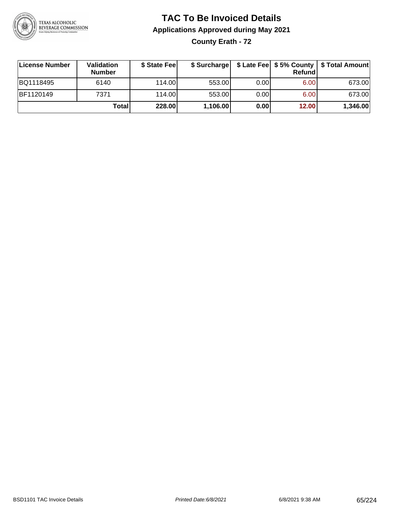

**County Erath - 72**

| License Number   | Validation<br><b>Number</b> | \$ State Fee | \$ Surcharge |       | Refundl | \$ Late Fee   \$5% County   \$ Total Amount |
|------------------|-----------------------------|--------------|--------------|-------|---------|---------------------------------------------|
| BQ1118495        | 6140                        | 114.00       | 553.00       | 0.001 | 6.00    | 673.00                                      |
| <b>BF1120149</b> | 7371                        | 114.00       | 553.00       | 0.001 | 6.00    | 673.00                                      |
|                  | Totall                      | 228.00       | 1,106.00     | 0.00  | 12.00   | 1,346.00                                    |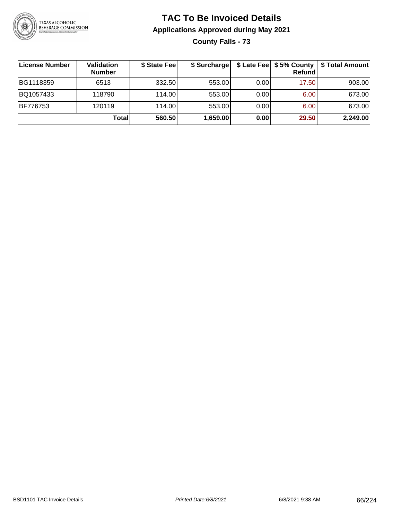

**County Falls - 73**

| <b>License Number</b> | Validation<br><b>Number</b> | \$ State Fee | \$ Surcharge |       | Refundl | \$ Late Fee   \$5% County   \$ Total Amount |
|-----------------------|-----------------------------|--------------|--------------|-------|---------|---------------------------------------------|
| BG1118359             | 6513                        | 332.50       | 553.00       | 0.001 | 17.50   | 903.00                                      |
| BQ1057433             | 118790                      | 114.00       | 553.00       | 0.00  | 6.00    | 673.00                                      |
| <b>BF776753</b>       | 120119                      | 114.00L      | 553.00       | 0.00  | 6.00    | 673.00                                      |
|                       | Total                       | 560.50       | 1,659.00     | 0.00  | 29.50   | 2,249.00                                    |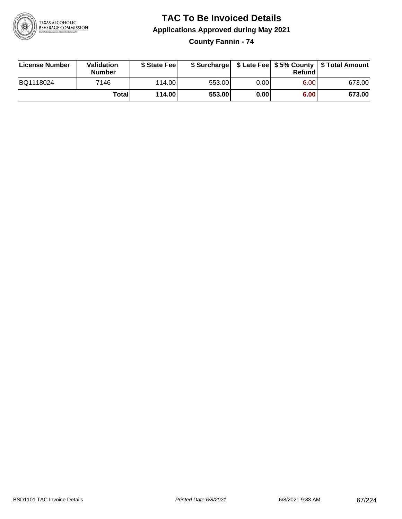

**County Fannin - 74**

| License Number | Validation<br><b>Number</b> | \$ State Feel |        |      | Refundl | \$ Surcharge   \$ Late Fee   \$5% County   \$ Total Amount |
|----------------|-----------------------------|---------------|--------|------|---------|------------------------------------------------------------|
| BQ1118024      | 7146                        | 114.00        | 553.00 | 0.00 | 6.00    | 673.00                                                     |
|                | Totall                      | 114.00        | 553.00 | 0.00 | 6.00    | 673.00                                                     |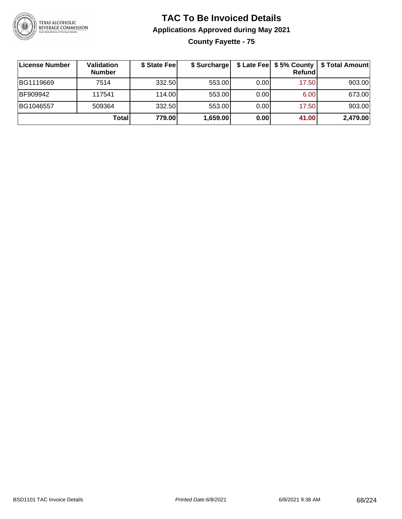

**County Fayette - 75**

| License Number  | <b>Validation</b><br><b>Number</b> | \$ State Feel | \$ Surcharge |       | <b>Refund</b> | \$ Late Fee   \$5% County   \$ Total Amount |
|-----------------|------------------------------------|---------------|--------------|-------|---------------|---------------------------------------------|
| BG1119669       | 7514                               | 332.50        | 553.00       | 0.001 | 17.50         | 903.00                                      |
| <b>BF909942</b> | 117541                             | 114.00        | 553.00       | 0.001 | 6.00          | 673.00                                      |
| BG1046557       | 509364                             | 332.50        | 553.00       | 0.00  | 17.50         | 903.00                                      |
|                 | Total                              | 779.00        | 1,659.00     | 0.00  | 41.00         | 2,479.00                                    |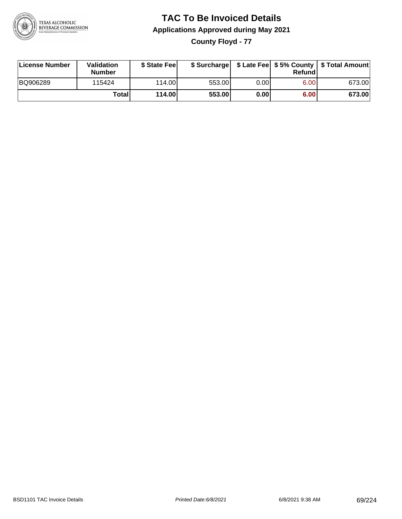

**County Floyd - 77**

| License Number | Validation<br><b>Number</b> | \$ State Feel |        |      | Refundl | \$ Surcharge   \$ Late Fee   \$5% County   \$ Total Amount |
|----------------|-----------------------------|---------------|--------|------|---------|------------------------------------------------------------|
| BQ906289       | 115424                      | 114.00        | 553.00 | 0.00 | 6.00    | 673.00                                                     |
|                | Totall                      | 114.00        | 553.00 | 0.00 | 6.00    | 673.00                                                     |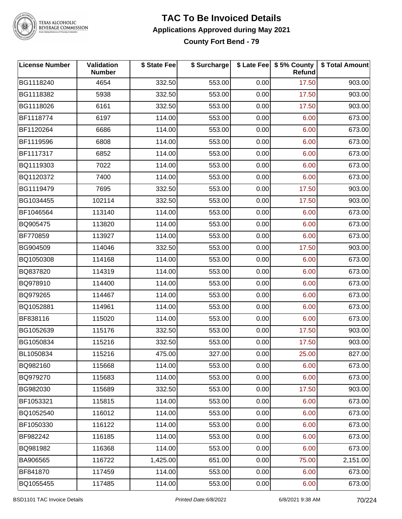

#### **TAC To Be Invoiced Details Applications Approved during May 2021 County Fort Bend - 79**

| <b>License Number</b> | Validation<br><b>Number</b> | \$ State Fee | \$ Surcharge |      | \$ Late Fee   \$5% County<br>Refund | \$ Total Amount |
|-----------------------|-----------------------------|--------------|--------------|------|-------------------------------------|-----------------|
| BG1118240             | 4654                        | 332.50       | 553.00       | 0.00 | 17.50                               | 903.00          |
| BG1118382             | 5938                        | 332.50       | 553.00       | 0.00 | 17.50                               | 903.00          |
| BG1118026             | 6161                        | 332.50       | 553.00       | 0.00 | 17.50                               | 903.00          |
| BF1118774             | 6197                        | 114.00       | 553.00       | 0.00 | 6.00                                | 673.00          |
| BF1120264             | 6686                        | 114.00       | 553.00       | 0.00 | 6.00                                | 673.00          |
| BF1119596             | 6808                        | 114.00       | 553.00       | 0.00 | 6.00                                | 673.00          |
| BF1117317             | 6852                        | 114.00       | 553.00       | 0.00 | 6.00                                | 673.00          |
| BQ1119303             | 7022                        | 114.00       | 553.00       | 0.00 | 6.00                                | 673.00          |
| BQ1120372             | 7400                        | 114.00       | 553.00       | 0.00 | 6.00                                | 673.00          |
| BG1119479             | 7695                        | 332.50       | 553.00       | 0.00 | 17.50                               | 903.00          |
| BG1034455             | 102114                      | 332.50       | 553.00       | 0.00 | 17.50                               | 903.00          |
| BF1046564             | 113140                      | 114.00       | 553.00       | 0.00 | 6.00                                | 673.00          |
| BQ905475              | 113820                      | 114.00       | 553.00       | 0.00 | 6.00                                | 673.00          |
| BF770859              | 113927                      | 114.00       | 553.00       | 0.00 | 6.00                                | 673.00          |
| BG904509              | 114046                      | 332.50       | 553.00       | 0.00 | 17.50                               | 903.00          |
| BQ1050308             | 114168                      | 114.00       | 553.00       | 0.00 | 6.00                                | 673.00          |
| BQ837820              | 114319                      | 114.00       | 553.00       | 0.00 | 6.00                                | 673.00          |
| BQ978910              | 114400                      | 114.00       | 553.00       | 0.00 | 6.00                                | 673.00          |
| BQ979265              | 114467                      | 114.00       | 553.00       | 0.00 | 6.00                                | 673.00          |
| BQ1052881             | 114961                      | 114.00       | 553.00       | 0.00 | 6.00                                | 673.00          |
| BF838116              | 115020                      | 114.00       | 553.00       | 0.00 | 6.00                                | 673.00          |
| BG1052639             | 115176                      | 332.50       | 553.00       | 0.00 | 17.50                               | 903.00          |
| BG1050834             | 115216                      | 332.50       | 553.00       | 0.00 | 17.50                               | 903.00          |
| BL1050834             | 115216                      | 475.00       | 327.00       | 0.00 | 25.00                               | 827.00          |
| BQ982160              | 115668                      | 114.00       | 553.00       | 0.00 | 6.00                                | 673.00          |
| BQ979270              | 115683                      | 114.00       | 553.00       | 0.00 | 6.00                                | 673.00          |
| BG982030              | 115689                      | 332.50       | 553.00       | 0.00 | 17.50                               | 903.00          |
| BF1053321             | 115815                      | 114.00       | 553.00       | 0.00 | 6.00                                | 673.00          |
| BQ1052540             | 116012                      | 114.00       | 553.00       | 0.00 | 6.00                                | 673.00          |
| BF1050330             | 116122                      | 114.00       | 553.00       | 0.00 | 6.00                                | 673.00          |
| BF982242              | 116185                      | 114.00       | 553.00       | 0.00 | 6.00                                | 673.00          |
| BQ981982              | 116368                      | 114.00       | 553.00       | 0.00 | 6.00                                | 673.00          |
| BA906565              | 116722                      | 1,425.00     | 651.00       | 0.00 | 75.00                               | 2,151.00        |
| BF841870              | 117459                      | 114.00       | 553.00       | 0.00 | 6.00                                | 673.00          |
| BQ1055455             | 117485                      | 114.00       | 553.00       | 0.00 | 6.00                                | 673.00          |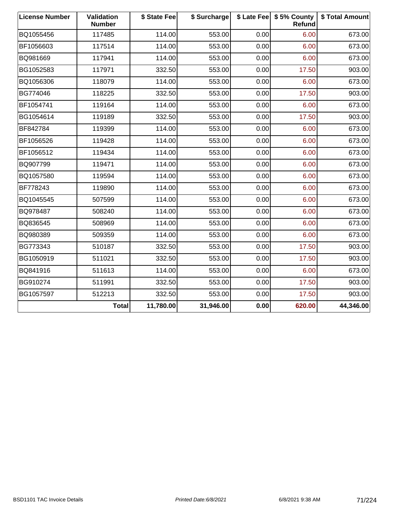| <b>License Number</b> | Validation<br><b>Number</b> | \$ State Fee | \$ Surcharge |      | \$ Late Fee   \$5% County<br>Refund | \$ Total Amount |
|-----------------------|-----------------------------|--------------|--------------|------|-------------------------------------|-----------------|
| BQ1055456             | 117485                      | 114.00       | 553.00       | 0.00 | 6.00                                | 673.00          |
| BF1056603             | 117514                      | 114.00       | 553.00       | 0.00 | 6.00                                | 673.00          |
| BQ981669              | 117941                      | 114.00       | 553.00       | 0.00 | 6.00                                | 673.00          |
| BG1052583             | 117971                      | 332.50       | 553.00       | 0.00 | 17.50                               | 903.00          |
| BQ1056306             | 118079                      | 114.00       | 553.00       | 0.00 | 6.00                                | 673.00          |
| BG774046              | 118225                      | 332.50       | 553.00       | 0.00 | 17.50                               | 903.00          |
| BF1054741             | 119164                      | 114.00       | 553.00       | 0.00 | 6.00                                | 673.00          |
| BG1054614             | 119189                      | 332.50       | 553.00       | 0.00 | 17.50                               | 903.00          |
| BF842784              | 119399                      | 114.00       | 553.00       | 0.00 | 6.00                                | 673.00          |
| BF1056526             | 119428                      | 114.00       | 553.00       | 0.00 | 6.00                                | 673.00          |
| BF1056512             | 119434                      | 114.00       | 553.00       | 0.00 | 6.00                                | 673.00          |
| BQ907799              | 119471                      | 114.00       | 553.00       | 0.00 | 6.00                                | 673.00          |
| BQ1057580             | 119594                      | 114.00       | 553.00       | 0.00 | 6.00                                | 673.00          |
| BF778243              | 119890                      | 114.00       | 553.00       | 0.00 | 6.00                                | 673.00          |
| BQ1045545             | 507599                      | 114.00       | 553.00       | 0.00 | 6.00                                | 673.00          |
| BQ978487              | 508240                      | 114.00       | 553.00       | 0.00 | 6.00                                | 673.00          |
| BQ836545              | 508969                      | 114.00       | 553.00       | 0.00 | 6.00                                | 673.00          |
| BQ980389              | 509359                      | 114.00       | 553.00       | 0.00 | 6.00                                | 673.00          |
| BG773343              | 510187                      | 332.50       | 553.00       | 0.00 | 17.50                               | 903.00          |
| BG1050919             | 511021                      | 332.50       | 553.00       | 0.00 | 17.50                               | 903.00          |
| BQ841916              | 511613                      | 114.00       | 553.00       | 0.00 | 6.00                                | 673.00          |
| BG910274              | 511991                      | 332.50       | 553.00       | 0.00 | 17.50                               | 903.00          |
| BG1057597             | 512213                      | 332.50       | 553.00       | 0.00 | 17.50                               | 903.00          |
|                       | <b>Total</b>                | 11,780.00    | 31,946.00    | 0.00 | 620.00                              | 44,346.00       |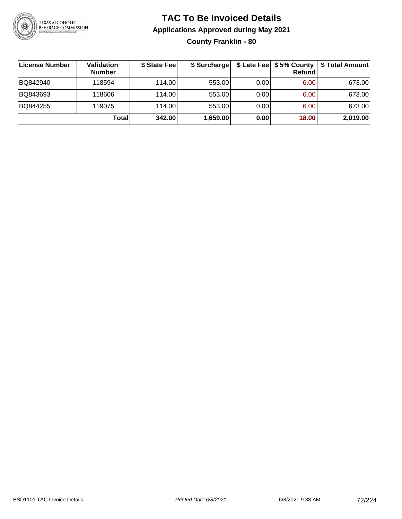

### **TAC To Be Invoiced Details Applications Approved during May 2021 County Franklin - 80**

| License Number | <b>Validation</b><br><b>Number</b> | \$ State Feel | \$ Surcharge |      | Refundl | \$ Late Fee   \$5% County   \$ Total Amount |
|----------------|------------------------------------|---------------|--------------|------|---------|---------------------------------------------|
| BQ842940       | 118594                             | 114.00        | 553.00       | 0.00 | 6.00    | 673.00                                      |
| BQ843693       | 118606                             | 114.00        | 553.00       | 0.00 | 6.00    | 673.00                                      |
| BQ844255       | 119075                             | 114.00        | 553.00       | 0.00 | 6.00    | 673.00                                      |
|                | Total                              | 342.00        | 1,659.00     | 0.00 | 18.00   | 2,019.00                                    |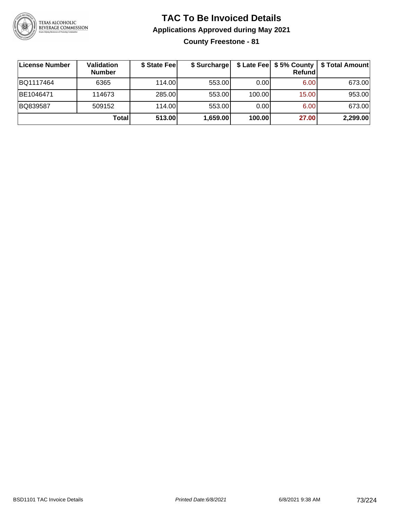

**County Freestone - 81**

| License Number | Validation<br><b>Number</b> | \$ State Fee | \$ Surcharge |        | Refundl | \$ Late Fee   \$5% County   \$ Total Amount |
|----------------|-----------------------------|--------------|--------------|--------|---------|---------------------------------------------|
| BQ1117464      | 6365                        | 114.00       | 553.00       | 0.00   | 6.00    | 673.00                                      |
| BE1046471      | 114673                      | 285.00       | 553.00       | 100.00 | 15.00   | 953.00                                      |
| BQ839587       | 509152                      | 114.00       | 553.00       | 0.00   | 6.00    | 673.00                                      |
|                | <b>Total</b>                | 513.00       | 1,659.00     | 100.00 | 27.00   | 2,299.00                                    |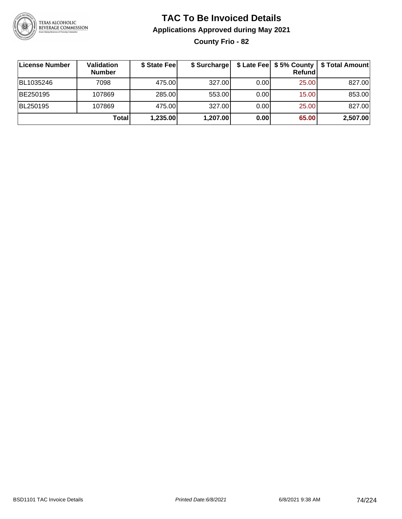

**County Frio - 82**

| <b>License Number</b> | Validation<br><b>Number</b> | \$ State Fee | \$ Surcharge |      | Refundl | \$ Late Fee   \$5% County   \$ Total Amount |
|-----------------------|-----------------------------|--------------|--------------|------|---------|---------------------------------------------|
| BL1035246             | 7098                        | 475.00       | 327.00       | 0.00 | 25.00   | 827.00                                      |
| BE250195              | 107869                      | 285.00       | 553.00       | 0.00 | 15.00   | 853.00                                      |
| BL250195              | 107869                      | 475.00       | 327.00       | 0.00 | 25.00   | 827.00                                      |
|                       | <b>Total</b>                | 1,235.00     | 1,207.00     | 0.00 | 65.00   | 2,507.00                                    |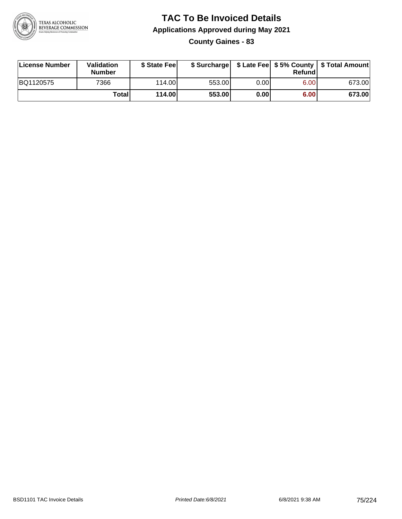

**County Gaines - 83**

| License Number | Validation<br><b>Number</b> | \$ State Feel |        |      | Refundl | \$ Surcharge   \$ Late Fee   \$5% County   \$ Total Amount |
|----------------|-----------------------------|---------------|--------|------|---------|------------------------------------------------------------|
| BQ1120575      | 7366                        | 114.00        | 553.00 | 0.00 | 6.00    | 673.00                                                     |
|                | Totall                      | 114.00        | 553.00 | 0.00 | 6.00    | 673.00                                                     |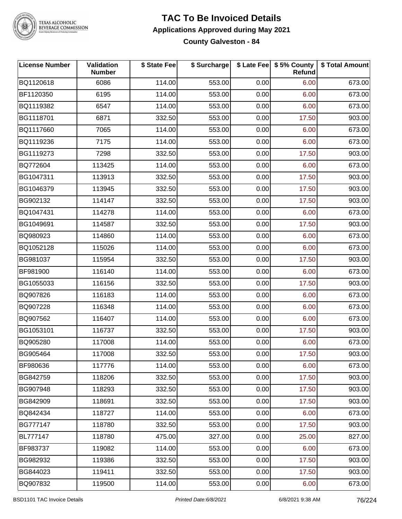

### **TAC To Be Invoiced Details Applications Approved during May 2021**

**County Galveston - 84**

| <b>License Number</b> | Validation<br><b>Number</b> | \$ State Fee | \$ Surcharge |      | \$ Late Fee   \$5% County<br><b>Refund</b> | \$ Total Amount |
|-----------------------|-----------------------------|--------------|--------------|------|--------------------------------------------|-----------------|
| BQ1120618             | 6086                        | 114.00       | 553.00       | 0.00 | 6.00                                       | 673.00          |
| BF1120350             | 6195                        | 114.00       | 553.00       | 0.00 | 6.00                                       | 673.00          |
| BQ1119382             | 6547                        | 114.00       | 553.00       | 0.00 | 6.00                                       | 673.00          |
| BG1118701             | 6871                        | 332.50       | 553.00       | 0.00 | 17.50                                      | 903.00          |
| BQ1117660             | 7065                        | 114.00       | 553.00       | 0.00 | 6.00                                       | 673.00          |
| BQ1119236             | 7175                        | 114.00       | 553.00       | 0.00 | 6.00                                       | 673.00          |
| BG1119273             | 7298                        | 332.50       | 553.00       | 0.00 | 17.50                                      | 903.00          |
| BQ772604              | 113425                      | 114.00       | 553.00       | 0.00 | 6.00                                       | 673.00          |
| BG1047311             | 113913                      | 332.50       | 553.00       | 0.00 | 17.50                                      | 903.00          |
| BG1046379             | 113945                      | 332.50       | 553.00       | 0.00 | 17.50                                      | 903.00          |
| BG902132              | 114147                      | 332.50       | 553.00       | 0.00 | 17.50                                      | 903.00          |
| BQ1047431             | 114278                      | 114.00       | 553.00       | 0.00 | 6.00                                       | 673.00          |
| BG1049691             | 114587                      | 332.50       | 553.00       | 0.00 | 17.50                                      | 903.00          |
| BQ980923              | 114860                      | 114.00       | 553.00       | 0.00 | 6.00                                       | 673.00          |
| BQ1052128             | 115026                      | 114.00       | 553.00       | 0.00 | 6.00                                       | 673.00          |
| BG981037              | 115954                      | 332.50       | 553.00       | 0.00 | 17.50                                      | 903.00          |
| BF981900              | 116140                      | 114.00       | 553.00       | 0.00 | 6.00                                       | 673.00          |
| BG1055033             | 116156                      | 332.50       | 553.00       | 0.00 | 17.50                                      | 903.00          |
| BQ907826              | 116183                      | 114.00       | 553.00       | 0.00 | 6.00                                       | 673.00          |
| BQ907228              | 116348                      | 114.00       | 553.00       | 0.00 | 6.00                                       | 673.00          |
| BQ907562              | 116407                      | 114.00       | 553.00       | 0.00 | 6.00                                       | 673.00          |
| BG1053101             | 116737                      | 332.50       | 553.00       | 0.00 | 17.50                                      | 903.00          |
| BQ905280              | 117008                      | 114.00       | 553.00       | 0.00 | 6.00                                       | 673.00          |
| BG905464              | 117008                      | 332.50       | 553.00       | 0.00 | 17.50                                      | 903.00          |
| BF980636              | 117776                      | 114.00       | 553.00       | 0.00 | 6.00                                       | 673.00          |
| BG842759              | 118206                      | 332.50       | 553.00       | 0.00 | 17.50                                      | 903.00          |
| BG907948              | 118293                      | 332.50       | 553.00       | 0.00 | 17.50                                      | 903.00          |
| BG842909              | 118691                      | 332.50       | 553.00       | 0.00 | 17.50                                      | 903.00          |
| BQ842434              | 118727                      | 114.00       | 553.00       | 0.00 | 6.00                                       | 673.00          |
| BG777147              | 118780                      | 332.50       | 553.00       | 0.00 | 17.50                                      | 903.00          |
| BL777147              | 118780                      | 475.00       | 327.00       | 0.00 | 25.00                                      | 827.00          |
| BF983737              | 119082                      | 114.00       | 553.00       | 0.00 | 6.00                                       | 673.00          |
| BG982932              | 119386                      | 332.50       | 553.00       | 0.00 | 17.50                                      | 903.00          |
| BG844023              | 119411                      | 332.50       | 553.00       | 0.00 | 17.50                                      | 903.00          |
| BQ907832              | 119500                      | 114.00       | 553.00       | 0.00 | 6.00                                       | 673.00          |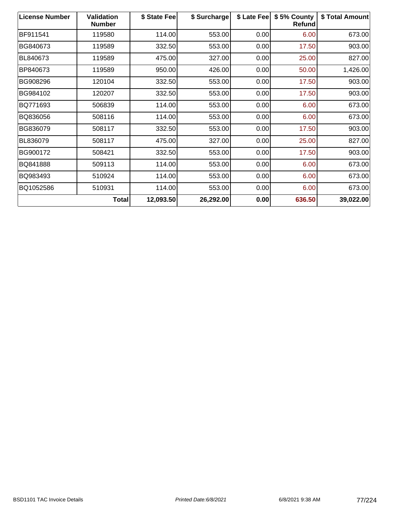| <b>License Number</b> | <b>Validation</b><br><b>Number</b> | \$ State Fee | \$ Surcharge | \$ Late Fee | \$5% County<br>Refund | \$ Total Amount |
|-----------------------|------------------------------------|--------------|--------------|-------------|-----------------------|-----------------|
| BF911541              | 119580                             | 114.00       | 553.00       | 0.00        | 6.00                  | 673.00          |
| BG840673              | 119589                             | 332.50       | 553.00       | 0.00        | 17.50                 | 903.00          |
| BL840673              | 119589                             | 475.00       | 327.00       | 0.00        | 25.00                 | 827.00          |
| BP840673              | 119589                             | 950.00       | 426.00       | 0.00        | 50.00                 | 1,426.00        |
| BG908296              | 120104                             | 332.50       | 553.00       | 0.00        | 17.50                 | 903.00          |
| BG984102              | 120207                             | 332.50       | 553.00       | 0.00        | 17.50                 | 903.00          |
| BQ771693              | 506839                             | 114.00       | 553.00       | 0.00        | 6.00                  | 673.00          |
| BQ836056              | 508116                             | 114.00       | 553.00       | 0.00        | 6.00                  | 673.00          |
| BG836079              | 508117                             | 332.50       | 553.00       | 0.00        | 17.50                 | 903.00          |
| BL836079              | 508117                             | 475.00       | 327.00       | 0.00        | 25.00                 | 827.00          |
| BG900172              | 508421                             | 332.50       | 553.00       | 0.00        | 17.50                 | 903.00          |
| BQ841888              | 509113                             | 114.00       | 553.00       | 0.00        | 6.00                  | 673.00          |
| BQ983493              | 510924                             | 114.00       | 553.00       | 0.00        | 6.00                  | 673.00          |
| BQ1052586             | 510931                             | 114.00       | 553.00       | 0.00        | 6.00                  | 673.00          |
|                       | <b>Total</b>                       | 12,093.50    | 26,292.00    | 0.00        | 636.50                | 39,022.00       |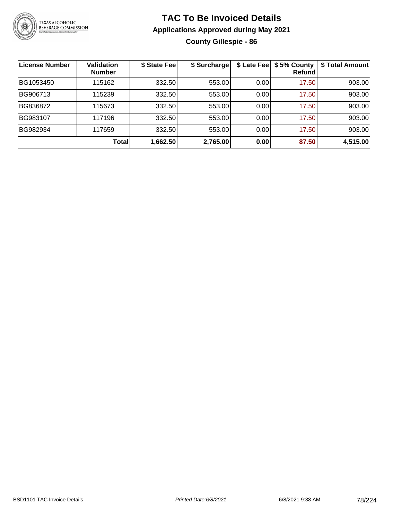

#### **TAC To Be Invoiced Details Applications Approved during May 2021 County Gillespie - 86**

| License Number | <b>Validation</b><br><b>Number</b> | \$ State Fee | \$ Surcharge | \$ Late Fee | \$5% County<br>Refundl | \$ Total Amount |
|----------------|------------------------------------|--------------|--------------|-------------|------------------------|-----------------|
| BG1053450      | 115162                             | 332.50       | 553.00       | 0.00        | 17.50                  | 903.00          |
| BG906713       | 115239                             | 332.50       | 553.00       | 0.00        | 17.50                  | 903.00          |
| BG836872       | 115673                             | 332.50       | 553.00       | 0.00        | 17.50                  | 903.00          |
| BG983107       | 117196                             | 332.50       | 553.00       | 0.00        | 17.50                  | 903.00          |
| BG982934       | 117659                             | 332.50       | 553.00       | 0.00        | 17.50                  | 903.00          |
|                | Total                              | 1,662.50     | 2,765.00     | 0.00        | 87.50                  | 4,515.00        |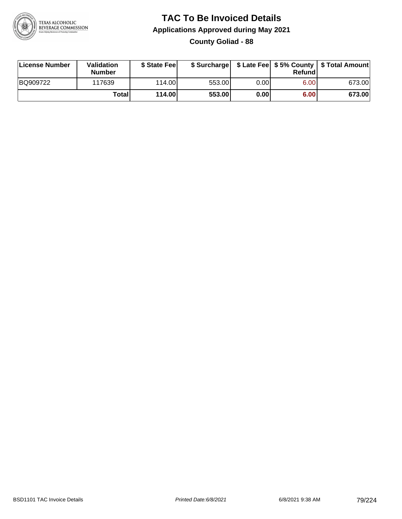

**County Goliad - 88**

| License Number | <b>Validation</b><br><b>Number</b> | \$ State Feel | \$ Surcharge |       | Refundl |        |
|----------------|------------------------------------|---------------|--------------|-------|---------|--------|
| BQ909722       | 117639                             | 114.00        | 553.00       | 0.001 | 6.00    | 673.00 |
|                | Totall                             | 114.00        | 553.00       | 0.00  | 6.00    | 673.00 |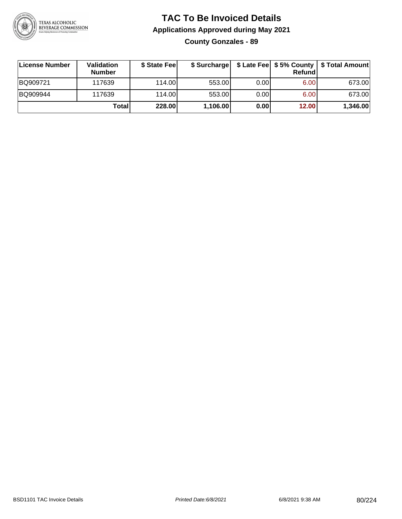

#### **TAC To Be Invoiced Details Applications Approved during May 2021 County Gonzales - 89**

| License Number | Validation<br><b>Number</b> | \$ State Fee |          |       | Refundl | \$ Surcharge   \$ Late Fee   \$5% County   \$ Total Amount |
|----------------|-----------------------------|--------------|----------|-------|---------|------------------------------------------------------------|
| BQ909721       | 117639                      | 114.00L      | 553.00   | 0.001 | 6.00    | 673.00                                                     |
| BQ909944       | 117639                      | 114.00L      | 553.00   | 0.00  | 6.00    | 673.00                                                     |
|                | Total                       | 228.00       | 1,106.00 | 0.00  | 12.00   | 1,346.00                                                   |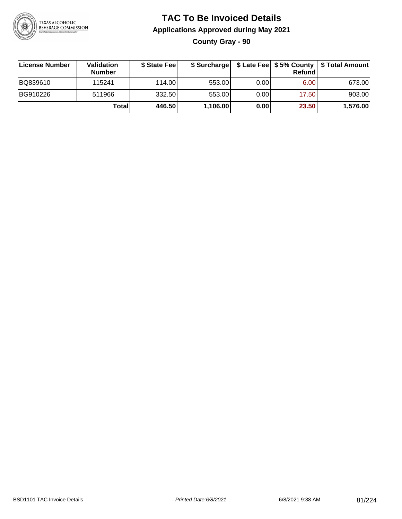

**County Gray - 90**

| License Number | Validation<br><b>Number</b> | \$ State Feel |          |      | Refundl | \$ Surcharge   \$ Late Fee   \$5% County   \$ Total Amount |
|----------------|-----------------------------|---------------|----------|------|---------|------------------------------------------------------------|
| BQ839610       | 115241                      | 114.00        | 553.00   | 0.00 | 6.00    | 673.00                                                     |
| BG910226       | 511966                      | 332.50        | 553.00   | 0.00 | 17.50   | 903.00                                                     |
|                | <b>Total</b>                | 446.50        | 1,106.00 | 0.00 | 23.50   | 1,576.00                                                   |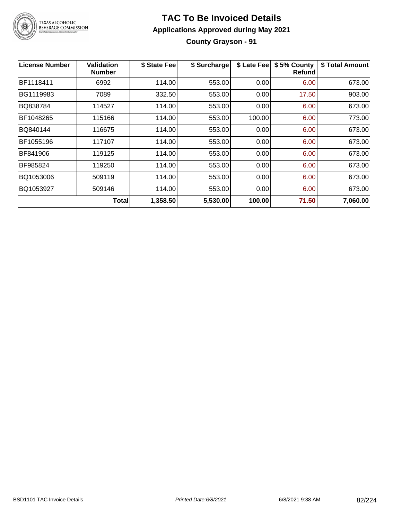

#### **TAC To Be Invoiced Details Applications Approved during May 2021 County Grayson - 91**

| <b>License Number</b> | Validation<br><b>Number</b> | \$ State Fee | \$ Surcharge | \$ Late Fee | \$5% County<br>Refund | \$ Total Amount |
|-----------------------|-----------------------------|--------------|--------------|-------------|-----------------------|-----------------|
| BF1118411             | 6992                        | 114.00       | 553.00       | 0.00        | 6.00                  | 673.00          |
| BG1119983             | 7089                        | 332.50       | 553.00       | 0.00        | 17.50                 | 903.00          |
| BQ838784              | 114527                      | 114.00       | 553.00       | 0.00        | 6.00                  | 673.00          |
| BF1048265             | 115166                      | 114.00       | 553.00       | 100.00      | 6.00                  | 773.00          |
| BQ840144              | 116675                      | 114.00       | 553.00       | 0.00        | 6.00                  | 673.00          |
| BF1055196             | 117107                      | 114.00       | 553.00       | 0.00        | 6.00                  | 673.00          |
| BF841906              | 119125                      | 114.00       | 553.00       | 0.00        | 6.00                  | 673.00          |
| BF985824              | 119250                      | 114.00       | 553.00       | 0.00        | 6.00                  | 673.00          |
| BQ1053006             | 509119                      | 114.00       | 553.00       | 0.00        | 6.00                  | 673.00          |
| BQ1053927             | 509146                      | 114.00       | 553.00       | 0.00        | 6.00                  | 673.00          |
|                       | <b>Total</b>                | 1,358.50     | 5,530.00     | 100.00      | 71.50                 | 7,060.00        |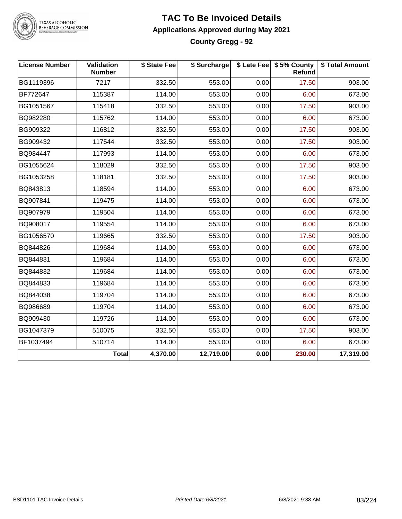

#### **TAC To Be Invoiced Details Applications Approved during May 2021 County Gregg - 92**

| <b>License Number</b> | Validation<br><b>Number</b> | \$ State Fee | \$ Surcharge |      | \$ Late Fee   \$5% County  <br>Refund | \$ Total Amount |
|-----------------------|-----------------------------|--------------|--------------|------|---------------------------------------|-----------------|
| BG1119396             | 7217                        | 332.50       | 553.00       | 0.00 | 17.50                                 | 903.00          |
| <b>BF772647</b>       | 115387                      | 114.00       | 553.00       | 0.00 | 6.00                                  | 673.00          |
| BG1051567             | 115418                      | 332.50       | 553.00       | 0.00 | 17.50                                 | 903.00          |
| BQ982280              | 115762                      | 114.00       | 553.00       | 0.00 | 6.00                                  | 673.00          |
| BG909322              | 116812                      | 332.50       | 553.00       | 0.00 | 17.50                                 | 903.00          |
| BG909432              | 117544                      | 332.50       | 553.00       | 0.00 | 17.50                                 | 903.00          |
| BQ984447              | 117993                      | 114.00       | 553.00       | 0.00 | 6.00                                  | 673.00          |
| BG1055624             | 118029                      | 332.50       | 553.00       | 0.00 | 17.50                                 | 903.00          |
| BG1053258             | 118181                      | 332.50       | 553.00       | 0.00 | 17.50                                 | 903.00          |
| BQ843813              | 118594                      | 114.00       | 553.00       | 0.00 | 6.00                                  | 673.00          |
| BQ907841              | 119475                      | 114.00       | 553.00       | 0.00 | 6.00                                  | 673.00          |
| BQ907979              | 119504                      | 114.00       | 553.00       | 0.00 | 6.00                                  | 673.00          |
| BQ908017              | 119554                      | 114.00       | 553.00       | 0.00 | 6.00                                  | 673.00          |
| BG1056570             | 119665                      | 332.50       | 553.00       | 0.00 | 17.50                                 | 903.00          |
| BQ844826              | 119684                      | 114.00       | 553.00       | 0.00 | 6.00                                  | 673.00          |
| BQ844831              | 119684                      | 114.00       | 553.00       | 0.00 | 6.00                                  | 673.00          |
| BQ844832              | 119684                      | 114.00       | 553.00       | 0.00 | 6.00                                  | 673.00          |
| BQ844833              | 119684                      | 114.00       | 553.00       | 0.00 | 6.00                                  | 673.00          |
| BQ844038              | 119704                      | 114.00       | 553.00       | 0.00 | 6.00                                  | 673.00          |
| BQ986689              | 119704                      | 114.00       | 553.00       | 0.00 | 6.00                                  | 673.00          |
| BQ909430              | 119726                      | 114.00       | 553.00       | 0.00 | 6.00                                  | 673.00          |
| BG1047379             | 510075                      | 332.50       | 553.00       | 0.00 | 17.50                                 | 903.00          |
| BF1037494             | 510714                      | 114.00       | 553.00       | 0.00 | 6.00                                  | 673.00          |
|                       | <b>Total</b>                | 4,370.00     | 12,719.00    | 0.00 | 230.00                                | 17,319.00       |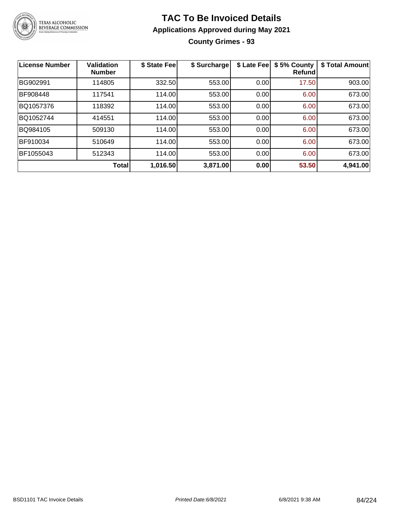

#### **TAC To Be Invoiced Details Applications Approved during May 2021 County Grimes - 93**

| <b>License Number</b> | <b>Validation</b><br><b>Number</b> | \$ State Fee | \$ Surcharge | \$ Late Fee | \$5% County<br>Refundl | \$ Total Amount |
|-----------------------|------------------------------------|--------------|--------------|-------------|------------------------|-----------------|
| BG902991              | 114805                             | 332.50       | 553.00       | 0.00        | 17.50                  | 903.00          |
| BF908448              | 117541                             | 114.00       | 553.00       | 0.00        | 6.00                   | 673.00          |
| BQ1057376             | 118392                             | 114.00       | 553.00       | 0.00        | 6.00                   | 673.00          |
| BQ1052744             | 414551                             | 114.00       | 553.00       | 0.00        | 6.00                   | 673.00          |
| BQ984105              | 509130                             | 114.00       | 553.00       | 0.00        | 6.00                   | 673.00          |
| BF910034              | 510649                             | 114.00       | 553.00       | 0.00        | 6.00                   | 673.00          |
| BF1055043             | 512343                             | 114.00       | 553.00       | 0.00        | 6.00                   | 673.00          |
|                       | Total                              | 1,016.50     | 3,871.00     | 0.00        | 53.50                  | 4,941.00        |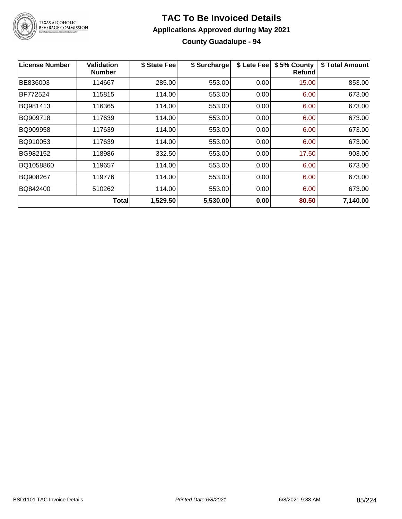

#### **TAC To Be Invoiced Details Applications Approved during May 2021 County Guadalupe - 94**

| <b>License Number</b> | <b>Validation</b><br><b>Number</b> | \$ State Fee | \$ Surcharge | \$ Late Fee | \$5% County<br><b>Refund</b> | \$ Total Amount |
|-----------------------|------------------------------------|--------------|--------------|-------------|------------------------------|-----------------|
| BE836003              | 114667                             | 285.00       | 553.00       | 0.00        | 15.00                        | 853.00          |
| BF772524              | 115815                             | 114.00       | 553.00       | 0.00        | 6.00                         | 673.00          |
| BQ981413              | 116365                             | 114.00       | 553.00       | 0.00        | 6.00                         | 673.00          |
| BQ909718              | 117639                             | 114.00       | 553.00       | 0.00        | 6.00                         | 673.00          |
| BQ909958              | 117639                             | 114.00       | 553.00       | 0.00        | 6.00                         | 673.00          |
| BQ910053              | 117639                             | 114.00       | 553.00       | 0.00        | 6.00                         | 673.00          |
| BG982152              | 118986                             | 332.50       | 553.00       | 0.00        | 17.50                        | 903.00          |
| BQ1058860             | 119657                             | 114.00       | 553.00       | 0.00        | 6.00                         | 673.00          |
| BQ908267              | 119776                             | 114.00       | 553.00       | 0.00        | 6.00                         | 673.00          |
| BQ842400              | 510262                             | 114.00       | 553.00       | 0.00        | 6.00                         | 673.00          |
|                       | <b>Total</b>                       | 1,529.50     | 5,530.00     | 0.00        | 80.50                        | 7,140.00        |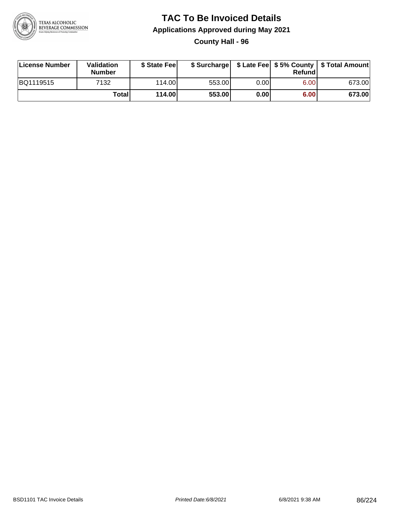

**County Hall - 96**

| License Number | Validation<br><b>Number</b> | \$ State Fee |        |      | Refundl | \$ Surcharge   \$ Late Fee   \$5% County   \$ Total Amount |
|----------------|-----------------------------|--------------|--------|------|---------|------------------------------------------------------------|
| BQ1119515      | 7132                        | 114.00       | 553.00 | 0.00 | 6.00    | 673.00                                                     |
|                | Totall                      | 114.00       | 553.00 | 0.00 | 6.00    | 673.00                                                     |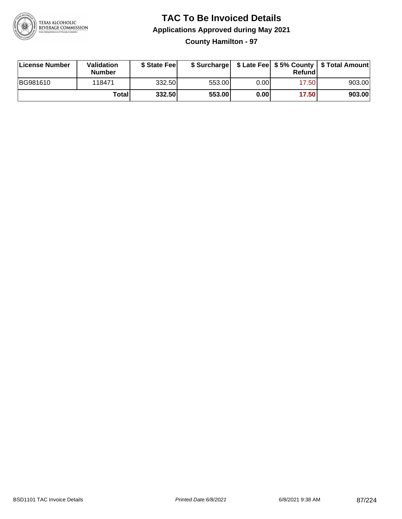

#### **TAC To Be Invoiced Details Applications Approved during May 2021 County Hamilton - 97**

| License Number | Validation<br><b>Number</b> | \$ State Fee |        |      | Refundl | \$ Surcharge   \$ Late Fee   \$5% County   \$ Total Amount |
|----------------|-----------------------------|--------------|--------|------|---------|------------------------------------------------------------|
| BG981610       | 118471                      | 332.50       | 553.00 | 0.00 | 17.50   | 903.00                                                     |
|                | Totall                      | 332.50       | 553.00 | 0.00 | 17.50   | 903.00                                                     |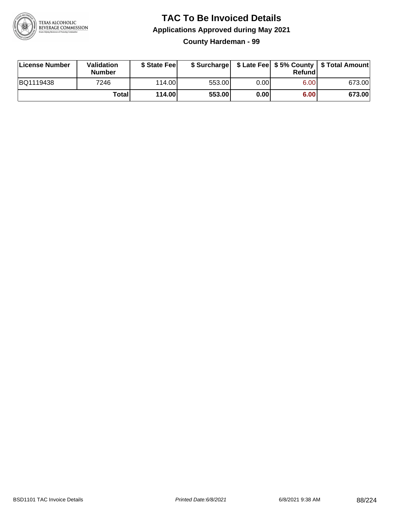

**County Hardeman - 99**

| License Number | Validation<br><b>Number</b> | \$ State Feel   |        |       | Refundl | \$ Surcharge   \$ Late Fee   \$5% County   \$ Total Amount |
|----------------|-----------------------------|-----------------|--------|-------|---------|------------------------------------------------------------|
| BQ1119438      | 7246                        | 114.00 <b>1</b> | 553.00 | 0.001 | 6.00    | 673.00                                                     |
|                | Totali                      | 114.00          | 553.00 | 0.00  | 6.00    | 673.00                                                     |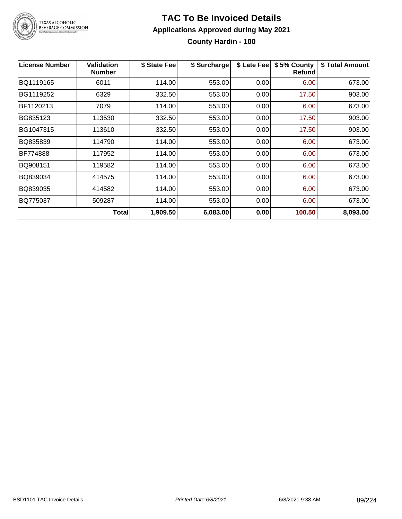

#### **TAC To Be Invoiced Details Applications Approved during May 2021 County Hardin - 100**

| <b>License Number</b> | <b>Validation</b><br><b>Number</b> | \$ State Fee | \$ Surcharge | \$ Late Fee | \$5% County<br><b>Refund</b> | \$ Total Amount |
|-----------------------|------------------------------------|--------------|--------------|-------------|------------------------------|-----------------|
| BQ1119165             | 6011                               | 114.00       | 553.00       | 0.00        | 6.00                         | 673.00          |
| BG1119252             | 6329                               | 332.50       | 553.00       | 0.00        | 17.50                        | 903.00          |
| BF1120213             | 7079                               | 114.00       | 553.00       | 0.00        | 6.00                         | 673.00          |
| BG835123              | 113530                             | 332.50       | 553.00       | 0.00        | 17.50                        | 903.00          |
| BG1047315             | 113610                             | 332.50       | 553.00       | 0.00        | 17.50                        | 903.00          |
| BQ835839              | 114790                             | 114.00       | 553.00       | 0.00        | 6.00                         | 673.00          |
| BF774888              | 117952                             | 114.00       | 553.00       | 0.00        | 6.00                         | 673.00          |
| BQ908151              | 119582                             | 114.00       | 553.00       | 0.00        | 6.00                         | 673.00          |
| BQ839034              | 414575                             | 114.00       | 553.00       | 0.00        | 6.00                         | 673.00          |
| BQ839035              | 414582                             | 114.00       | 553.00       | 0.00        | 6.00                         | 673.00          |
| BQ775037              | 509287                             | 114.00       | 553.00       | 0.00        | 6.00                         | 673.00          |
|                       | <b>Total</b>                       | 1,909.50     | 6,083.00     | 0.00        | 100.50                       | 8,093.00        |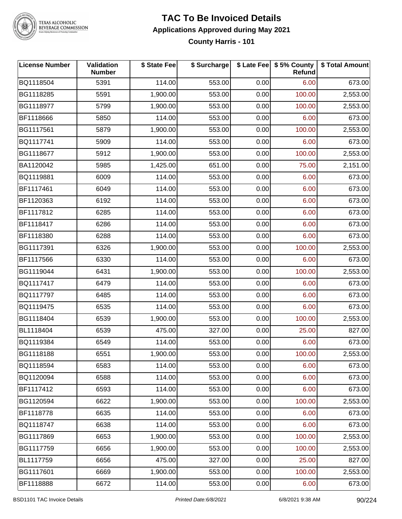

### **TAC To Be Invoiced Details Applications Approved during May 2021**

**County Harris - 101**

| <b>License Number</b> | Validation<br><b>Number</b> | \$ State Fee | \$ Surcharge |      | \$ Late Fee   \$5% County<br>Refund | \$ Total Amount |
|-----------------------|-----------------------------|--------------|--------------|------|-------------------------------------|-----------------|
| BQ1118504             | 5391                        | 114.00       | 553.00       | 0.00 | 6.00                                | 673.00          |
| BG1118285             | 5591                        | 1,900.00     | 553.00       | 0.00 | 100.00                              | 2,553.00        |
| BG1118977             | 5799                        | 1,900.00     | 553.00       | 0.00 | 100.00                              | 2,553.00        |
| BF1118666             | 5850                        | 114.00       | 553.00       | 0.00 | 6.00                                | 673.00          |
| BG1117561             | 5879                        | 1,900.00     | 553.00       | 0.00 | 100.00                              | 2,553.00        |
| BQ1117741             | 5909                        | 114.00       | 553.00       | 0.00 | 6.00                                | 673.00          |
| BG1118677             | 5912                        | 1,900.00     | 553.00       | 0.00 | 100.00                              | 2,553.00        |
| BA1120042             | 5985                        | 1,425.00     | 651.00       | 0.00 | 75.00                               | 2,151.00        |
| BQ1119881             | 6009                        | 114.00       | 553.00       | 0.00 | 6.00                                | 673.00          |
| BF1117461             | 6049                        | 114.00       | 553.00       | 0.00 | 6.00                                | 673.00          |
| BF1120363             | 6192                        | 114.00       | 553.00       | 0.00 | 6.00                                | 673.00          |
| BF1117812             | 6285                        | 114.00       | 553.00       | 0.00 | 6.00                                | 673.00          |
| BF1118417             | 6286                        | 114.00       | 553.00       | 0.00 | 6.00                                | 673.00          |
| BF1118380             | 6288                        | 114.00       | 553.00       | 0.00 | 6.00                                | 673.00          |
| BG1117391             | 6326                        | 1,900.00     | 553.00       | 0.00 | 100.00                              | 2,553.00        |
| BF1117566             | 6330                        | 114.00       | 553.00       | 0.00 | 6.00                                | 673.00          |
| BG1119044             | 6431                        | 1,900.00     | 553.00       | 0.00 | 100.00                              | 2,553.00        |
| BQ1117417             | 6479                        | 114.00       | 553.00       | 0.00 | 6.00                                | 673.00          |
| BQ1117797             | 6485                        | 114.00       | 553.00       | 0.00 | 6.00                                | 673.00          |
| BQ1119475             | 6535                        | 114.00       | 553.00       | 0.00 | 6.00                                | 673.00          |
| BG1118404             | 6539                        | 1,900.00     | 553.00       | 0.00 | 100.00                              | 2,553.00        |
| BL1118404             | 6539                        | 475.00       | 327.00       | 0.00 | 25.00                               | 827.00          |
| BQ1119384             | 6549                        | 114.00       | 553.00       | 0.00 | 6.00                                | 673.00          |
| BG1118188             | 6551                        | 1,900.00     | 553.00       | 0.00 | 100.00                              | 2,553.00        |
| BQ1118594             | 6583                        | 114.00       | 553.00       | 0.00 | 6.00                                | 673.00          |
| BQ1120094             | 6588                        | 114.00       | 553.00       | 0.00 | 6.00                                | 673.00          |
| BF1117412             | 6593                        | 114.00       | 553.00       | 0.00 | 6.00                                | 673.00          |
| BG1120594             | 6622                        | 1,900.00     | 553.00       | 0.00 | 100.00                              | 2,553.00        |
| BF1118778             | 6635                        | 114.00       | 553.00       | 0.00 | 6.00                                | 673.00          |
| BQ1118747             | 6638                        | 114.00       | 553.00       | 0.00 | 6.00                                | 673.00          |
| BG1117869             | 6653                        | 1,900.00     | 553.00       | 0.00 | 100.00                              | 2,553.00        |
| BG1117759             | 6656                        | 1,900.00     | 553.00       | 0.00 | 100.00                              | 2,553.00        |
| BL1117759             | 6656                        | 475.00       | 327.00       | 0.00 | 25.00                               | 827.00          |
| BG1117601             | 6669                        | 1,900.00     | 553.00       | 0.00 | 100.00                              | 2,553.00        |
| BF1118888             | 6672                        | 114.00       | 553.00       | 0.00 | 6.00                                | 673.00          |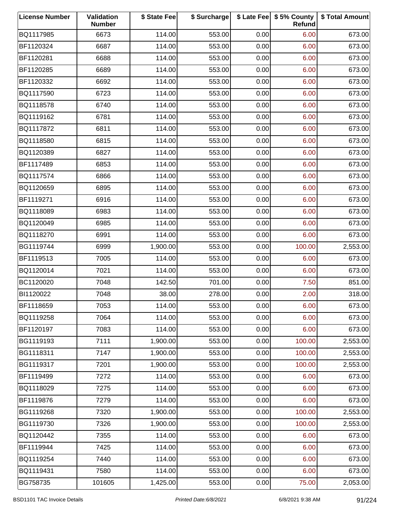| <b>License Number</b> | Validation<br><b>Number</b> | \$ State Fee | \$ Surcharge |      | \$ Late Fee   \$5% County<br>Refund | \$ Total Amount |
|-----------------------|-----------------------------|--------------|--------------|------|-------------------------------------|-----------------|
| BQ1117985             | 6673                        | 114.00       | 553.00       | 0.00 | 6.00                                | 673.00          |
| BF1120324             | 6687                        | 114.00       | 553.00       | 0.00 | 6.00                                | 673.00          |
| BF1120281             | 6688                        | 114.00       | 553.00       | 0.00 | 6.00                                | 673.00          |
| BF1120285             | 6689                        | 114.00       | 553.00       | 0.00 | 6.00                                | 673.00          |
| BF1120332             | 6692                        | 114.00       | 553.00       | 0.00 | 6.00                                | 673.00          |
| BQ1117590             | 6723                        | 114.00       | 553.00       | 0.00 | 6.00                                | 673.00          |
| BQ1118578             | 6740                        | 114.00       | 553.00       | 0.00 | 6.00                                | 673.00          |
| BQ1119162             | 6781                        | 114.00       | 553.00       | 0.00 | 6.00                                | 673.00          |
| BQ1117872             | 6811                        | 114.00       | 553.00       | 0.00 | 6.00                                | 673.00          |
| BQ1118580             | 6815                        | 114.00       | 553.00       | 0.00 | 6.00                                | 673.00          |
| BQ1120389             | 6827                        | 114.00       | 553.00       | 0.00 | 6.00                                | 673.00          |
| BF1117489             | 6853                        | 114.00       | 553.00       | 0.00 | 6.00                                | 673.00          |
| BQ1117574             | 6866                        | 114.00       | 553.00       | 0.00 | 6.00                                | 673.00          |
| BQ1120659             | 6895                        | 114.00       | 553.00       | 0.00 | 6.00                                | 673.00          |
| BF1119271             | 6916                        | 114.00       | 553.00       | 0.00 | 6.00                                | 673.00          |
| BQ1118089             | 6983                        | 114.00       | 553.00       | 0.00 | 6.00                                | 673.00          |
| BQ1120049             | 6985                        | 114.00       | 553.00       | 0.00 | 6.00                                | 673.00          |
| BQ1118270             | 6991                        | 114.00       | 553.00       | 0.00 | 6.00                                | 673.00          |
| BG1119744             | 6999                        | 1,900.00     | 553.00       | 0.00 | 100.00                              | 2,553.00        |
| BF1119513             | 7005                        | 114.00       | 553.00       | 0.00 | 6.00                                | 673.00          |
| BQ1120014             | 7021                        | 114.00       | 553.00       | 0.00 | 6.00                                | 673.00          |
| BC1120020             | 7048                        | 142.50       | 701.00       | 0.00 | 7.50                                | 851.00          |
| BI1120022             | 7048                        | 38.00        | 278.00       | 0.00 | 2.00                                | 318.00          |
| BF1118659             | 7053                        | 114.00       | 553.00       | 0.00 | 6.00                                | 673.00          |
| BQ1119258             | 7064                        | 114.00       | 553.00       | 0.00 | 6.00                                | 673.00          |
| BF1120197             | 7083                        | 114.00       | 553.00       | 0.00 | 6.00                                | 673.00          |
| BG1119193             | 7111                        | 1,900.00     | 553.00       | 0.00 | 100.00                              | 2,553.00        |
| BG1118311             | 7147                        | 1,900.00     | 553.00       | 0.00 | 100.00                              | 2,553.00        |
| BG1119317             | 7201                        | 1,900.00     | 553.00       | 0.00 | 100.00                              | 2,553.00        |
| BF1119499             | 7272                        | 114.00       | 553.00       | 0.00 | 6.00                                | 673.00          |
| BQ1118029             | 7275                        | 114.00       | 553.00       | 0.00 | 6.00                                | 673.00          |
| BF1119876             | 7279                        | 114.00       | 553.00       | 0.00 | 6.00                                | 673.00          |
| BG1119268             | 7320                        | 1,900.00     | 553.00       | 0.00 | 100.00                              | 2,553.00        |
| BG1119730             | 7326                        | 1,900.00     | 553.00       | 0.00 | 100.00                              | 2,553.00        |
| BQ1120442             | 7355                        | 114.00       | 553.00       | 0.00 | 6.00                                | 673.00          |
| BF1119944             | 7425                        | 114.00       | 553.00       | 0.00 | 6.00                                | 673.00          |
| BQ1119254             | 7440                        | 114.00       | 553.00       | 0.00 | 6.00                                | 673.00          |
| BQ1119431             | 7580                        | 114.00       | 553.00       | 0.00 | 6.00                                | 673.00          |
| BG758735              | 101605                      | 1,425.00     | 553.00       | 0.00 | 75.00                               | 2,053.00        |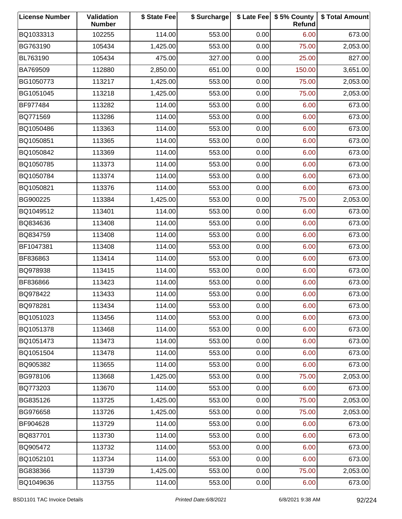| <b>License Number</b> | Validation<br><b>Number</b> | \$ State Fee | \$ Surcharge |      | \$ Late Fee   \$5% County<br>Refund | \$ Total Amount |
|-----------------------|-----------------------------|--------------|--------------|------|-------------------------------------|-----------------|
| BQ1033313             | 102255                      | 114.00       | 553.00       | 0.00 | 6.00                                | 673.00          |
| BG763190              | 105434                      | 1,425.00     | 553.00       | 0.00 | 75.00                               | 2,053.00        |
| BL763190              | 105434                      | 475.00       | 327.00       | 0.00 | 25.00                               | 827.00          |
| BA769509              | 112880                      | 2,850.00     | 651.00       | 0.00 | 150.00                              | 3,651.00        |
| BG1050773             | 113217                      | 1,425.00     | 553.00       | 0.00 | 75.00                               | 2,053.00        |
| BG1051045             | 113218                      | 1,425.00     | 553.00       | 0.00 | 75.00                               | 2,053.00        |
| BF977484              | 113282                      | 114.00       | 553.00       | 0.00 | 6.00                                | 673.00          |
| BQ771569              | 113286                      | 114.00       | 553.00       | 0.00 | 6.00                                | 673.00          |
| BQ1050486             | 113363                      | 114.00       | 553.00       | 0.00 | 6.00                                | 673.00          |
| BQ1050851             | 113365                      | 114.00       | 553.00       | 0.00 | 6.00                                | 673.00          |
| BQ1050842             | 113369                      | 114.00       | 553.00       | 0.00 | 6.00                                | 673.00          |
| BQ1050785             | 113373                      | 114.00       | 553.00       | 0.00 | 6.00                                | 673.00          |
| BQ1050784             | 113374                      | 114.00       | 553.00       | 0.00 | 6.00                                | 673.00          |
| BQ1050821             | 113376                      | 114.00       | 553.00       | 0.00 | 6.00                                | 673.00          |
| BG900225              | 113384                      | 1,425.00     | 553.00       | 0.00 | 75.00                               | 2,053.00        |
| BQ1049512             | 113401                      | 114.00       | 553.00       | 0.00 | 6.00                                | 673.00          |
| BQ834636              | 113408                      | 114.00       | 553.00       | 0.00 | 6.00                                | 673.00          |
| BQ834759              | 113408                      | 114.00       | 553.00       | 0.00 | 6.00                                | 673.00          |
| BF1047381             | 113408                      | 114.00       | 553.00       | 0.00 | 6.00                                | 673.00          |
| BF836863              | 113414                      | 114.00       | 553.00       | 0.00 | 6.00                                | 673.00          |
| BQ978938              | 113415                      | 114.00       | 553.00       | 0.00 | 6.00                                | 673.00          |
| BF836866              | 113423                      | 114.00       | 553.00       | 0.00 | 6.00                                | 673.00          |
| BQ978422              | 113433                      | 114.00       | 553.00       | 0.00 | 6.00                                | 673.00          |
| BQ978281              | 113434                      | 114.00       | 553.00       | 0.00 | 6.00                                | 673.00          |
| BQ1051023             | 113456                      | 114.00       | 553.00       | 0.00 | 6.00                                | 673.00          |
| BQ1051378             | 113468                      | 114.00       | 553.00       | 0.00 | 6.00                                | 673.00          |
| BQ1051473             | 113473                      | 114.00       | 553.00       | 0.00 | 6.00                                | 673.00          |
| BQ1051504             | 113478                      | 114.00       | 553.00       | 0.00 | 6.00                                | 673.00          |
| BQ905382              | 113655                      | 114.00       | 553.00       | 0.00 | 6.00                                | 673.00          |
| BG978106              | 113668                      | 1,425.00     | 553.00       | 0.00 | 75.00                               | 2,053.00        |
| BQ773203              | 113670                      | 114.00       | 553.00       | 0.00 | 6.00                                | 673.00          |
| BG835126              | 113725                      | 1,425.00     | 553.00       | 0.00 | 75.00                               | 2,053.00        |
| BG976658              | 113726                      | 1,425.00     | 553.00       | 0.00 | 75.00                               | 2,053.00        |
| BF904628              | 113729                      | 114.00       | 553.00       | 0.00 | 6.00                                | 673.00          |
| BQ837701              | 113730                      | 114.00       | 553.00       | 0.00 | 6.00                                | 673.00          |
| BQ905472              | 113732                      | 114.00       | 553.00       | 0.00 | 6.00                                | 673.00          |
| BQ1052101             | 113734                      | 114.00       | 553.00       | 0.00 | 6.00                                | 673.00          |
| BG838366              | 113739                      | 1,425.00     | 553.00       | 0.00 | 75.00                               | 2,053.00        |
| BQ1049636             | 113755                      | 114.00       | 553.00       | 0.00 | 6.00                                | 673.00          |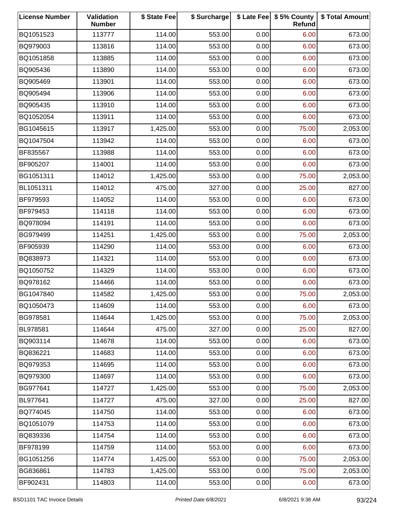| <b>License Number</b> | <b>Validation</b><br><b>Number</b> | \$ State Fee | \$ Surcharge |      | \$ Late Fee   \$5% County<br>Refund | \$ Total Amount |
|-----------------------|------------------------------------|--------------|--------------|------|-------------------------------------|-----------------|
| BQ1051523             | 113777                             | 114.00       | 553.00       | 0.00 | 6.00                                | 673.00          |
| BQ979003              | 113816                             | 114.00       | 553.00       | 0.00 | 6.00                                | 673.00          |
| BQ1051858             | 113885                             | 114.00       | 553.00       | 0.00 | 6.00                                | 673.00          |
| BQ905436              | 113890                             | 114.00       | 553.00       | 0.00 | 6.00                                | 673.00          |
| BQ905469              | 113901                             | 114.00       | 553.00       | 0.00 | 6.00                                | 673.00          |
| BQ905494              | 113906                             | 114.00       | 553.00       | 0.00 | 6.00                                | 673.00          |
| BQ905435              | 113910                             | 114.00       | 553.00       | 0.00 | 6.00                                | 673.00          |
| BQ1052054             | 113911                             | 114.00       | 553.00       | 0.00 | 6.00                                | 673.00          |
| BG1045615             | 113917                             | 1,425.00     | 553.00       | 0.00 | 75.00                               | 2,053.00        |
| BQ1047504             | 113942                             | 114.00       | 553.00       | 0.00 | 6.00                                | 673.00          |
| BF835567              | 113988                             | 114.00       | 553.00       | 0.00 | 6.00                                | 673.00          |
| BF905207              | 114001                             | 114.00       | 553.00       | 0.00 | 6.00                                | 673.00          |
| BG1051311             | 114012                             | 1,425.00     | 553.00       | 0.00 | 75.00                               | 2,053.00        |
| BL1051311             | 114012                             | 475.00       | 327.00       | 0.00 | 25.00                               | 827.00          |
| BF979593              | 114052                             | 114.00       | 553.00       | 0.00 | 6.00                                | 673.00          |
| BF979453              | 114118                             | 114.00       | 553.00       | 0.00 | 6.00                                | 673.00          |
| BQ978094              | 114191                             | 114.00       | 553.00       | 0.00 | 6.00                                | 673.00          |
| BG979499              | 114251                             | 1,425.00     | 553.00       | 0.00 | 75.00                               | 2,053.00        |
| BF905939              | 114290                             | 114.00       | 553.00       | 0.00 | 6.00                                | 673.00          |
| BQ838973              | 114321                             | 114.00       | 553.00       | 0.00 | 6.00                                | 673.00          |
| BQ1050752             | 114329                             | 114.00       | 553.00       | 0.00 | 6.00                                | 673.00          |
| BQ978162              | 114466                             | 114.00       | 553.00       | 0.00 | 6.00                                | 673.00          |
| BG1047840             | 114582                             | 1,425.00     | 553.00       | 0.00 | 75.00                               | 2,053.00        |
| BQ1050473             | 114609                             | 114.00       | 553.00       | 0.00 | 6.00                                | 673.00          |
| BG978581              | 114644                             | 1,425.00     | 553.00       | 0.00 | 75.00                               | 2,053.00        |
| BL978581              | 114644                             | 475.00       | 327.00       | 0.00 | 25.00                               | 827.00          |
| BQ903114              | 114678                             | 114.00       | 553.00       | 0.00 | 6.00                                | 673.00          |
| BQ836221              | 114683                             | 114.00       | 553.00       | 0.00 | 6.00                                | 673.00          |
| BQ979353              | 114695                             | 114.00       | 553.00       | 0.00 | 6.00                                | 673.00          |
| BQ979300              | 114697                             | 114.00       | 553.00       | 0.00 | 6.00                                | 673.00          |
| BG977641              | 114727                             | 1,425.00     | 553.00       | 0.00 | 75.00                               | 2,053.00        |
| BL977641              | 114727                             | 475.00       | 327.00       | 0.00 | 25.00                               | 827.00          |
| BQ774045              | 114750                             | 114.00       | 553.00       | 0.00 | 6.00                                | 673.00          |
| BQ1051079             | 114753                             | 114.00       | 553.00       | 0.00 | 6.00                                | 673.00          |
| BQ839336              | 114754                             | 114.00       | 553.00       | 0.00 | 6.00                                | 673.00          |
| BF978199              | 114759                             | 114.00       | 553.00       | 0.00 | 6.00                                | 673.00          |
| BG1051256             | 114774                             | 1,425.00     | 553.00       | 0.00 | 75.00                               | 2,053.00        |
| BG836861              | 114783                             | 1,425.00     | 553.00       | 0.00 | 75.00                               | 2,053.00        |
| BF902431              | 114803                             | 114.00       | 553.00       | 0.00 | 6.00                                | 673.00          |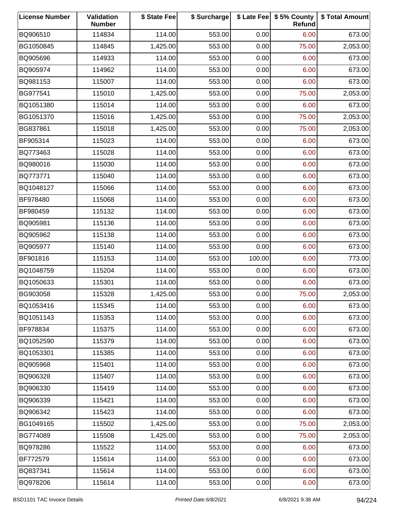| <b>License Number</b> | Validation<br><b>Number</b> | \$ State Fee | \$ Surcharge |        | \$ Late Fee   \$5% County<br>Refund | \$ Total Amount |
|-----------------------|-----------------------------|--------------|--------------|--------|-------------------------------------|-----------------|
| BQ906510              | 114834                      | 114.00       | 553.00       | 0.00   | 6.00                                | 673.00          |
| BG1050845             | 114845                      | 1,425.00     | 553.00       | 0.00   | 75.00                               | 2,053.00        |
| BQ905696              | 114933                      | 114.00       | 553.00       | 0.00   | 6.00                                | 673.00          |
| BQ905974              | 114962                      | 114.00       | 553.00       | 0.00   | 6.00                                | 673.00          |
| BQ981153              | 115007                      | 114.00       | 553.00       | 0.00   | 6.00                                | 673.00          |
| BG977541              | 115010                      | 1,425.00     | 553.00       | 0.00   | 75.00                               | 2,053.00        |
| BQ1051380             | 115014                      | 114.00       | 553.00       | 0.00   | 6.00                                | 673.00          |
| BG1051370             | 115016                      | 1,425.00     | 553.00       | 0.00   | 75.00                               | 2,053.00        |
| BG837861              | 115018                      | 1,425.00     | 553.00       | 0.00   | 75.00                               | 2,053.00        |
| BF905314              | 115023                      | 114.00       | 553.00       | 0.00   | 6.00                                | 673.00          |
| BQ773463              | 115028                      | 114.00       | 553.00       | 0.00   | 6.00                                | 673.00          |
| BQ980016              | 115030                      | 114.00       | 553.00       | 0.00   | 6.00                                | 673.00          |
| BQ773771              | 115040                      | 114.00       | 553.00       | 0.00   | 6.00                                | 673.00          |
| BQ1048127             | 115066                      | 114.00       | 553.00       | 0.00   | 6.00                                | 673.00          |
| BF978480              | 115068                      | 114.00       | 553.00       | 0.00   | 6.00                                | 673.00          |
| BF980459              | 115132                      | 114.00       | 553.00       | 0.00   | 6.00                                | 673.00          |
| BQ905981              | 115136                      | 114.00       | 553.00       | 0.00   | 6.00                                | 673.00          |
| BQ905962              | 115138                      | 114.00       | 553.00       | 0.00   | 6.00                                | 673.00          |
| BQ905977              | 115140                      | 114.00       | 553.00       | 0.00   | 6.00                                | 673.00          |
| BF901816              | 115153                      | 114.00       | 553.00       | 100.00 | 6.00                                | 773.00          |
| BQ1048759             | 115204                      | 114.00       | 553.00       | 0.00   | 6.00                                | 673.00          |
| BQ1050633             | 115301                      | 114.00       | 553.00       | 0.00   | 6.00                                | 673.00          |
| BG903058              | 115328                      | 1,425.00     | 553.00       | 0.00   | 75.00                               | 2,053.00        |
| BQ1053416             | 115345                      | 114.00       | 553.00       | 0.00   | 6.00                                | 673.00          |
| BQ1051143             | 115353                      | 114.00       | 553.00       | 0.00   | 6.00                                | 673.00          |
| BF978834              | 115375                      | 114.00       | 553.00       | 0.00   | 6.00                                | 673.00          |
| BQ1052590             | 115379                      | 114.00       | 553.00       | 0.00   | 6.00                                | 673.00          |
| BQ1053301             | 115385                      | 114.00       | 553.00       | 0.00   | 6.00                                | 673.00          |
| BQ905968              | 115401                      | 114.00       | 553.00       | 0.00   | 6.00                                | 673.00          |
| BQ906328              | 115407                      | 114.00       | 553.00       | 0.00   | 6.00                                | 673.00          |
| BQ906330              | 115419                      | 114.00       | 553.00       | 0.00   | 6.00                                | 673.00          |
| BQ906339              | 115421                      | 114.00       | 553.00       | 0.00   | 6.00                                | 673.00          |
| BQ906342              | 115423                      | 114.00       | 553.00       | 0.00   | 6.00                                | 673.00          |
| BG1049165             | 115502                      | 1,425.00     | 553.00       | 0.00   | 75.00                               | 2,053.00        |
| BG774089              | 115508                      | 1,425.00     | 553.00       | 0.00   | 75.00                               | 2,053.00        |
| BQ978286              | 115522                      | 114.00       | 553.00       | 0.00   | 6.00                                | 673.00          |
| BF772579              | 115614                      | 114.00       | 553.00       | 0.00   | 6.00                                | 673.00          |
| BQ837341              | 115614                      | 114.00       | 553.00       | 0.00   | 6.00                                | 673.00          |
| BQ978206              | 115614                      | 114.00       | 553.00       | 0.00   | 6.00                                | 673.00          |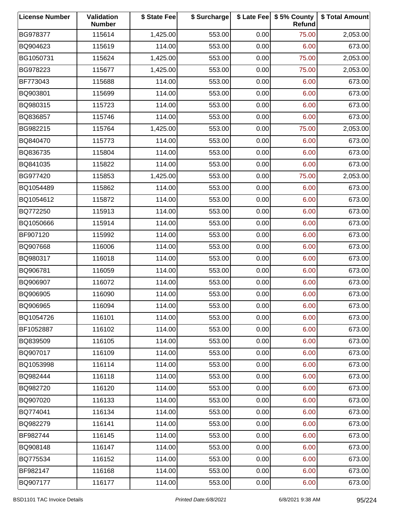| <b>License Number</b> | Validation<br><b>Number</b> | \$ State Fee | \$ Surcharge |      | \$ Late Fee   \$5% County<br>Refund | \$ Total Amount |
|-----------------------|-----------------------------|--------------|--------------|------|-------------------------------------|-----------------|
| BG978377              | 115614                      | 1,425.00     | 553.00       | 0.00 | 75.00                               | 2,053.00        |
| BQ904623              | 115619                      | 114.00       | 553.00       | 0.00 | 6.00                                | 673.00          |
| BG1050731             | 115624                      | 1,425.00     | 553.00       | 0.00 | 75.00                               | 2,053.00        |
| BG978223              | 115677                      | 1,425.00     | 553.00       | 0.00 | 75.00                               | 2,053.00        |
| BF773043              | 115688                      | 114.00       | 553.00       | 0.00 | 6.00                                | 673.00          |
| BQ903801              | 115699                      | 114.00       | 553.00       | 0.00 | 6.00                                | 673.00          |
| BQ980315              | 115723                      | 114.00       | 553.00       | 0.00 | 6.00                                | 673.00          |
| BQ836857              | 115746                      | 114.00       | 553.00       | 0.00 | 6.00                                | 673.00          |
| BG982215              | 115764                      | 1,425.00     | 553.00       | 0.00 | 75.00                               | 2,053.00        |
| BQ840470              | 115773                      | 114.00       | 553.00       | 0.00 | 6.00                                | 673.00          |
| BQ836735              | 115804                      | 114.00       | 553.00       | 0.00 | 6.00                                | 673.00          |
| BQ841035              | 115822                      | 114.00       | 553.00       | 0.00 | 6.00                                | 673.00          |
| BG977420              | 115853                      | 1,425.00     | 553.00       | 0.00 | 75.00                               | 2,053.00        |
| BQ1054489             | 115862                      | 114.00       | 553.00       | 0.00 | 6.00                                | 673.00          |
| BQ1054612             | 115872                      | 114.00       | 553.00       | 0.00 | 6.00                                | 673.00          |
| BQ772250              | 115913                      | 114.00       | 553.00       | 0.00 | 6.00                                | 673.00          |
| BQ1050666             | 115914                      | 114.00       | 553.00       | 0.00 | 6.00                                | 673.00          |
| BF907120              | 115992                      | 114.00       | 553.00       | 0.00 | 6.00                                | 673.00          |
| BQ907668              | 116006                      | 114.00       | 553.00       | 0.00 | 6.00                                | 673.00          |
| BQ980317              | 116018                      | 114.00       | 553.00       | 0.00 | 6.00                                | 673.00          |
| BQ906781              | 116059                      | 114.00       | 553.00       | 0.00 | 6.00                                | 673.00          |
| BQ906907              | 116072                      | 114.00       | 553.00       | 0.00 | 6.00                                | 673.00          |
| BQ906905              | 116090                      | 114.00       | 553.00       | 0.00 | 6.00                                | 673.00          |
| BQ906965              | 116094                      | 114.00       | 553.00       | 0.00 | 6.00                                | 673.00          |
| BQ1054726             | 116101                      | 114.00       | 553.00       | 0.00 | 6.00                                | 673.00          |
| BF1052887             | 116102                      | 114.00       | 553.00       | 0.00 | 6.00                                | 673.00          |
| BQ839509              | 116105                      | 114.00       | 553.00       | 0.00 | 6.00                                | 673.00          |
| BQ907017              | 116109                      | 114.00       | 553.00       | 0.00 | 6.00                                | 673.00          |
| BQ1053998             | 116114                      | 114.00       | 553.00       | 0.00 | 6.00                                | 673.00          |
| BQ982444              | 116118                      | 114.00       | 553.00       | 0.00 | 6.00                                | 673.00          |
| BQ982720              | 116120                      | 114.00       | 553.00       | 0.00 | 6.00                                | 673.00          |
| BQ907020              | 116133                      | 114.00       | 553.00       | 0.00 | 6.00                                | 673.00          |
| BQ774041              | 116134                      | 114.00       | 553.00       | 0.00 | 6.00                                | 673.00          |
| BQ982279              | 116141                      | 114.00       | 553.00       | 0.00 | 6.00                                | 673.00          |
| BF982744              | 116145                      | 114.00       | 553.00       | 0.00 | 6.00                                | 673.00          |
| BQ908148              | 116147                      | 114.00       | 553.00       | 0.00 | 6.00                                | 673.00          |
| BQ775534              | 116152                      | 114.00       | 553.00       | 0.00 | 6.00                                | 673.00          |
| BF982147              | 116168                      | 114.00       | 553.00       | 0.00 | 6.00                                | 673.00          |
| BQ907177              | 116177                      | 114.00       | 553.00       | 0.00 | 6.00                                | 673.00          |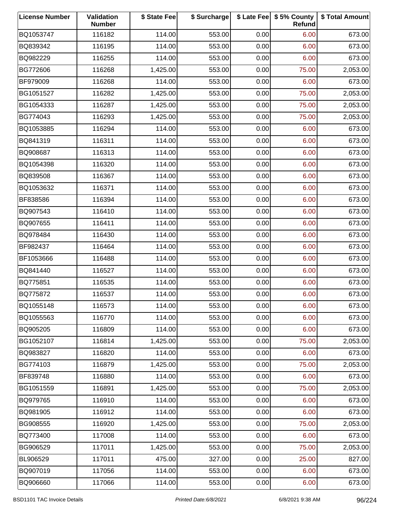| <b>License Number</b> | <b>Validation</b><br><b>Number</b> | \$ State Fee | \$ Surcharge |      | \$ Late Fee   \$5% County<br>Refund | \$ Total Amount |
|-----------------------|------------------------------------|--------------|--------------|------|-------------------------------------|-----------------|
| BQ1053747             | 116182                             | 114.00       | 553.00       | 0.00 | 6.00                                | 673.00          |
| BQ839342              | 116195                             | 114.00       | 553.00       | 0.00 | 6.00                                | 673.00          |
| BQ982229              | 116255                             | 114.00       | 553.00       | 0.00 | 6.00                                | 673.00          |
| BG772606              | 116268                             | 1,425.00     | 553.00       | 0.00 | 75.00                               | 2,053.00        |
| BF979009              | 116268                             | 114.00       | 553.00       | 0.00 | 6.00                                | 673.00          |
| BG1051527             | 116282                             | 1,425.00     | 553.00       | 0.00 | 75.00                               | 2,053.00        |
| BG1054333             | 116287                             | 1,425.00     | 553.00       | 0.00 | 75.00                               | 2,053.00        |
| BG774043              | 116293                             | 1,425.00     | 553.00       | 0.00 | 75.00                               | 2,053.00        |
| BQ1053885             | 116294                             | 114.00       | 553.00       | 0.00 | 6.00                                | 673.00          |
| BQ841319              | 116311                             | 114.00       | 553.00       | 0.00 | 6.00                                | 673.00          |
| BQ908687              | 116313                             | 114.00       | 553.00       | 0.00 | 6.00                                | 673.00          |
| BQ1054398             | 116320                             | 114.00       | 553.00       | 0.00 | 6.00                                | 673.00          |
| BQ839508              | 116367                             | 114.00       | 553.00       | 0.00 | 6.00                                | 673.00          |
| BQ1053632             | 116371                             | 114.00       | 553.00       | 0.00 | 6.00                                | 673.00          |
| BF838586              | 116394                             | 114.00       | 553.00       | 0.00 | 6.00                                | 673.00          |
| BQ907543              | 116410                             | 114.00       | 553.00       | 0.00 | 6.00                                | 673.00          |
| BQ907655              | 116411                             | 114.00       | 553.00       | 0.00 | 6.00                                | 673.00          |
| BQ978484              | 116430                             | 114.00       | 553.00       | 0.00 | 6.00                                | 673.00          |
| BF982437              | 116464                             | 114.00       | 553.00       | 0.00 | 6.00                                | 673.00          |
| BF1053666             | 116488                             | 114.00       | 553.00       | 0.00 | 6.00                                | 673.00          |
| BQ841440              | 116527                             | 114.00       | 553.00       | 0.00 | 6.00                                | 673.00          |
| BQ775851              | 116535                             | 114.00       | 553.00       | 0.00 | 6.00                                | 673.00          |
| BQ775872              | 116537                             | 114.00       | 553.00       | 0.00 | 6.00                                | 673.00          |
| BQ1055148             | 116573                             | 114.00       | 553.00       | 0.00 | 6.00                                | 673.00          |
| BQ1055563             | 116770                             | 114.00       | 553.00       | 0.00 | 6.00                                | 673.00          |
| BQ905205              | 116809                             | 114.00       | 553.00       | 0.00 | 6.00                                | 673.00          |
| BG1052107             | 116814                             | 1,425.00     | 553.00       | 0.00 | 75.00                               | 2,053.00        |
| BQ983827              | 116820                             | 114.00       | 553.00       | 0.00 | 6.00                                | 673.00          |
| BG774103              | 116879                             | 1,425.00     | 553.00       | 0.00 | 75.00                               | 2,053.00        |
| BF839748              | 116880                             | 114.00       | 553.00       | 0.00 | 6.00                                | 673.00          |
| BG1051559             | 116891                             | 1,425.00     | 553.00       | 0.00 | 75.00                               | 2,053.00        |
| BQ979765              | 116910                             | 114.00       | 553.00       | 0.00 | 6.00                                | 673.00          |
| BQ981905              | 116912                             | 114.00       | 553.00       | 0.00 | 6.00                                | 673.00          |
| BG908555              | 116920                             | 1,425.00     | 553.00       | 0.00 | 75.00                               | 2,053.00        |
| BQ773400              | 117008                             | 114.00       | 553.00       | 0.00 | 6.00                                | 673.00          |
| BG906529              | 117011                             | 1,425.00     | 553.00       | 0.00 | 75.00                               | 2,053.00        |
| BL906529              | 117011                             | 475.00       | 327.00       | 0.00 | 25.00                               | 827.00          |
| BQ907019              | 117056                             | 114.00       | 553.00       | 0.00 | 6.00                                | 673.00          |
| BQ906660              | 117066                             | 114.00       | 553.00       | 0.00 | 6.00                                | 673.00          |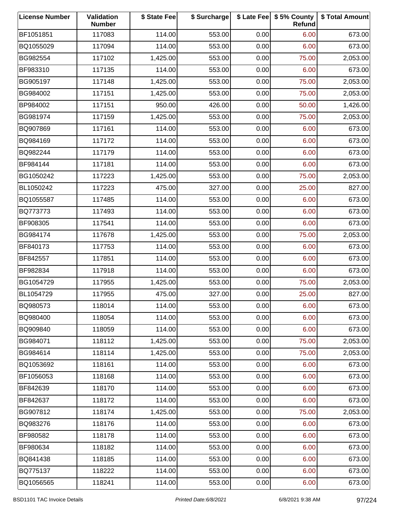| <b>License Number</b> | Validation<br><b>Number</b> | \$ State Fee | \$ Surcharge |      | \$ Late Fee   \$5% County<br>Refund | \$ Total Amount |
|-----------------------|-----------------------------|--------------|--------------|------|-------------------------------------|-----------------|
| BF1051851             | 117083                      | 114.00       | 553.00       | 0.00 | 6.00                                | 673.00          |
| BQ1055029             | 117094                      | 114.00       | 553.00       | 0.00 | 6.00                                | 673.00          |
| BG982554              | 117102                      | 1,425.00     | 553.00       | 0.00 | 75.00                               | 2,053.00        |
| BF983310              | 117135                      | 114.00       | 553.00       | 0.00 | 6.00                                | 673.00          |
| BG905197              | 117148                      | 1,425.00     | 553.00       | 0.00 | 75.00                               | 2,053.00        |
| BG984002              | 117151                      | 1,425.00     | 553.00       | 0.00 | 75.00                               | 2,053.00        |
| BP984002              | 117151                      | 950.00       | 426.00       | 0.00 | 50.00                               | 1,426.00        |
| BG981974              | 117159                      | 1,425.00     | 553.00       | 0.00 | 75.00                               | 2,053.00        |
| BQ907869              | 117161                      | 114.00       | 553.00       | 0.00 | 6.00                                | 673.00          |
| BQ984169              | 117172                      | 114.00       | 553.00       | 0.00 | 6.00                                | 673.00          |
| BQ982244              | 117179                      | 114.00       | 553.00       | 0.00 | 6.00                                | 673.00          |
| BF984144              | 117181                      | 114.00       | 553.00       | 0.00 | 6.00                                | 673.00          |
| BG1050242             | 117223                      | 1,425.00     | 553.00       | 0.00 | 75.00                               | 2,053.00        |
| BL1050242             | 117223                      | 475.00       | 327.00       | 0.00 | 25.00                               | 827.00          |
| BQ1055587             | 117485                      | 114.00       | 553.00       | 0.00 | 6.00                                | 673.00          |
| BQ773773              | 117493                      | 114.00       | 553.00       | 0.00 | 6.00                                | 673.00          |
| BF908305              | 117541                      | 114.00       | 553.00       | 0.00 | 6.00                                | 673.00          |
| BG984174              | 117678                      | 1,425.00     | 553.00       | 0.00 | 75.00                               | 2,053.00        |
| BF840173              | 117753                      | 114.00       | 553.00       | 0.00 | 6.00                                | 673.00          |
| BF842557              | 117851                      | 114.00       | 553.00       | 0.00 | 6.00                                | 673.00          |
| BF982834              | 117918                      | 114.00       | 553.00       | 0.00 | 6.00                                | 673.00          |
| BG1054729             | 117955                      | 1,425.00     | 553.00       | 0.00 | 75.00                               | 2,053.00        |
| BL1054729             | 117955                      | 475.00       | 327.00       | 0.00 | 25.00                               | 827.00          |
| BQ980573              | 118014                      | 114.00       | 553.00       | 0.00 | 6.00                                | 673.00          |
| BQ980400              | 118054                      | 114.00       | 553.00       | 0.00 | 6.00                                | 673.00          |
| BQ909840              | 118059                      | 114.00       | 553.00       | 0.00 | 6.00                                | 673.00          |
| BG984071              | 118112                      | 1,425.00     | 553.00       | 0.00 | 75.00                               | 2,053.00        |
| BG984614              | 118114                      | 1,425.00     | 553.00       | 0.00 | 75.00                               | 2,053.00        |
| BQ1053692             | 118161                      | 114.00       | 553.00       | 0.00 | 6.00                                | 673.00          |
| BF1056053             | 118168                      | 114.00       | 553.00       | 0.00 | 6.00                                | 673.00          |
| BF842639              | 118170                      | 114.00       | 553.00       | 0.00 | 6.00                                | 673.00          |
| BF842637              | 118172                      | 114.00       | 553.00       | 0.00 | 6.00                                | 673.00          |
| BG907812              | 118174                      | 1,425.00     | 553.00       | 0.00 | 75.00                               | 2,053.00        |
| BQ983276              | 118176                      | 114.00       | 553.00       | 0.00 | 6.00                                | 673.00          |
| BF980582              | 118178                      | 114.00       | 553.00       | 0.00 | 6.00                                | 673.00          |
| BF980634              | 118182                      | 114.00       | 553.00       | 0.00 | 6.00                                | 673.00          |
| BQ841438              | 118185                      | 114.00       | 553.00       | 0.00 | 6.00                                | 673.00          |
| BQ775137              | 118222                      | 114.00       | 553.00       | 0.00 | 6.00                                | 673.00          |
| BQ1056565             | 118241                      | 114.00       | 553.00       | 0.00 | 6.00                                | 673.00          |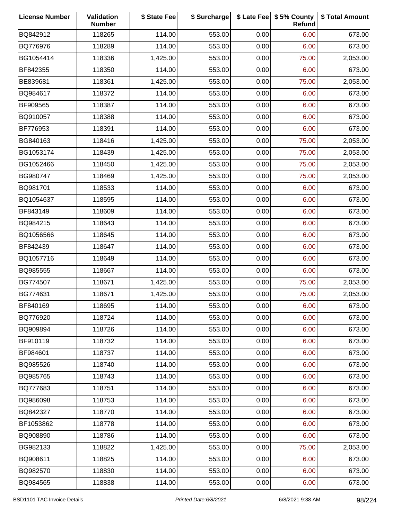| <b>License Number</b> | Validation<br><b>Number</b> | \$ State Fee | \$ Surcharge |      | \$ Late Fee   \$5% County<br>Refund | \$ Total Amount |
|-----------------------|-----------------------------|--------------|--------------|------|-------------------------------------|-----------------|
| BQ842912              | 118265                      | 114.00       | 553.00       | 0.00 | 6.00                                | 673.00          |
| BQ776976              | 118289                      | 114.00       | 553.00       | 0.00 | 6.00                                | 673.00          |
| BG1054414             | 118336                      | 1,425.00     | 553.00       | 0.00 | 75.00                               | 2,053.00        |
| BF842355              | 118350                      | 114.00       | 553.00       | 0.00 | 6.00                                | 673.00          |
| BE839681              | 118361                      | 1,425.00     | 553.00       | 0.00 | 75.00                               | 2,053.00        |
| BQ984617              | 118372                      | 114.00       | 553.00       | 0.00 | 6.00                                | 673.00          |
| BF909565              | 118387                      | 114.00       | 553.00       | 0.00 | 6.00                                | 673.00          |
| BQ910057              | 118388                      | 114.00       | 553.00       | 0.00 | 6.00                                | 673.00          |
| BF776953              | 118391                      | 114.00       | 553.00       | 0.00 | 6.00                                | 673.00          |
| BG840163              | 118416                      | 1,425.00     | 553.00       | 0.00 | 75.00                               | 2,053.00        |
| BG1053174             | 118439                      | 1,425.00     | 553.00       | 0.00 | 75.00                               | 2,053.00        |
| BG1052466             | 118450                      | 1,425.00     | 553.00       | 0.00 | 75.00                               | 2,053.00        |
| BG980747              | 118469                      | 1,425.00     | 553.00       | 0.00 | 75.00                               | 2,053.00        |
| BQ981701              | 118533                      | 114.00       | 553.00       | 0.00 | 6.00                                | 673.00          |
| BQ1054637             | 118595                      | 114.00       | 553.00       | 0.00 | 6.00                                | 673.00          |
| BF843149              | 118609                      | 114.00       | 553.00       | 0.00 | 6.00                                | 673.00          |
| BQ984215              | 118643                      | 114.00       | 553.00       | 0.00 | 6.00                                | 673.00          |
| BQ1056566             | 118645                      | 114.00       | 553.00       | 0.00 | 6.00                                | 673.00          |
| BF842439              | 118647                      | 114.00       | 553.00       | 0.00 | 6.00                                | 673.00          |
| BQ1057716             | 118649                      | 114.00       | 553.00       | 0.00 | 6.00                                | 673.00          |
| BQ985555              | 118667                      | 114.00       | 553.00       | 0.00 | 6.00                                | 673.00          |
| BG774507              | 118671                      | 1,425.00     | 553.00       | 0.00 | 75.00                               | 2,053.00        |
| BG774631              | 118671                      | 1,425.00     | 553.00       | 0.00 | 75.00                               | 2,053.00        |
| BF840169              | 118695                      | 114.00       | 553.00       | 0.00 | 6.00                                | 673.00          |
| BQ776920              | 118724                      | 114.00       | 553.00       | 0.00 | 6.00                                | 673.00          |
| BQ909894              | 118726                      | 114.00       | 553.00       | 0.00 | 6.00                                | 673.00          |
| BF910119              | 118732                      | 114.00       | 553.00       | 0.00 | 6.00                                | 673.00          |
| BF984601              | 118737                      | 114.00       | 553.00       | 0.00 | 6.00                                | 673.00          |
| BQ985526              | 118740                      | 114.00       | 553.00       | 0.00 | 6.00                                | 673.00          |
| BQ985765              | 118743                      | 114.00       | 553.00       | 0.00 | 6.00                                | 673.00          |
| BQ777683              | 118751                      | 114.00       | 553.00       | 0.00 | 6.00                                | 673.00          |
| BQ986098              | 118753                      | 114.00       | 553.00       | 0.00 | 6.00                                | 673.00          |
| BQ842327              | 118770                      | 114.00       | 553.00       | 0.00 | 6.00                                | 673.00          |
| BF1053862             | 118778                      | 114.00       | 553.00       | 0.00 | 6.00                                | 673.00          |
| BQ908890              | 118786                      | 114.00       | 553.00       | 0.00 | 6.00                                | 673.00          |
| BG982133              | 118822                      | 1,425.00     | 553.00       | 0.00 | 75.00                               | 2,053.00        |
| BQ908611              | 118825                      | 114.00       | 553.00       | 0.00 | 6.00                                | 673.00          |
| BQ982570              | 118830                      | 114.00       | 553.00       | 0.00 | 6.00                                | 673.00          |
| BQ984565              | 118838                      | 114.00       | 553.00       | 0.00 | 6.00                                | 673.00          |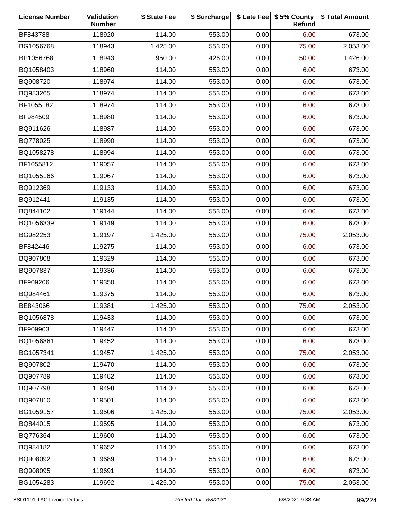| <b>License Number</b> | Validation<br><b>Number</b> | \$ State Fee | \$ Surcharge |      | \$ Late Fee   \$5% County<br>Refund | \$ Total Amount |
|-----------------------|-----------------------------|--------------|--------------|------|-------------------------------------|-----------------|
| BF843788              | 118920                      | 114.00       | 553.00       | 0.00 | 6.00                                | 673.00          |
| BG1056768             | 118943                      | 1,425.00     | 553.00       | 0.00 | 75.00                               | 2,053.00        |
| BP1056768             | 118943                      | 950.00       | 426.00       | 0.00 | 50.00                               | 1,426.00        |
| BQ1058403             | 118960                      | 114.00       | 553.00       | 0.00 | 6.00                                | 673.00          |
| BQ908720              | 118974                      | 114.00       | 553.00       | 0.00 | 6.00                                | 673.00          |
| BQ983265              | 118974                      | 114.00       | 553.00       | 0.00 | 6.00                                | 673.00          |
| BF1055182             | 118974                      | 114.00       | 553.00       | 0.00 | 6.00                                | 673.00          |
| BF984509              | 118980                      | 114.00       | 553.00       | 0.00 | 6.00                                | 673.00          |
| BQ911626              | 118987                      | 114.00       | 553.00       | 0.00 | 6.00                                | 673.00          |
| BQ778025              | 118990                      | 114.00       | 553.00       | 0.00 | 6.00                                | 673.00          |
| BQ1058278             | 118994                      | 114.00       | 553.00       | 0.00 | 6.00                                | 673.00          |
| BF1055812             | 119057                      | 114.00       | 553.00       | 0.00 | 6.00                                | 673.00          |
| BQ1055166             | 119067                      | 114.00       | 553.00       | 0.00 | 6.00                                | 673.00          |
| BQ912369              | 119133                      | 114.00       | 553.00       | 0.00 | 6.00                                | 673.00          |
| BQ912441              | 119135                      | 114.00       | 553.00       | 0.00 | 6.00                                | 673.00          |
| BQ844102              | 119144                      | 114.00       | 553.00       | 0.00 | 6.00                                | 673.00          |
| BQ1056339             | 119149                      | 114.00       | 553.00       | 0.00 | 6.00                                | 673.00          |
| BG982253              | 119197                      | 1,425.00     | 553.00       | 0.00 | 75.00                               | 2,053.00        |
| BF842446              | 119275                      | 114.00       | 553.00       | 0.00 | 6.00                                | 673.00          |
| BQ907808              | 119329                      | 114.00       | 553.00       | 0.00 | 6.00                                | 673.00          |
| BQ907837              | 119336                      | 114.00       | 553.00       | 0.00 | 6.00                                | 673.00          |
| BF909206              | 119350                      | 114.00       | 553.00       | 0.00 | 6.00                                | 673.00          |
| BQ984461              | 119375                      | 114.00       | 553.00       | 0.00 | 6.00                                | 673.00          |
| BE843066              | 119381                      | 1,425.00     | 553.00       | 0.00 | 75.00                               | 2,053.00        |
| BQ1056878             | 119433                      | 114.00       | 553.00       | 0.00 | 6.00                                | 673.00          |
| BF909903              | 119447                      | 114.00       | 553.00       | 0.00 | 6.00                                | 673.00          |
| BQ1056861             | 119452                      | 114.00       | 553.00       | 0.00 | 6.00                                | 673.00          |
| BG1057341             | 119457                      | 1,425.00     | 553.00       | 0.00 | 75.00                               | 2,053.00        |
| BQ907802              | 119470                      | 114.00       | 553.00       | 0.00 | 6.00                                | 673.00          |
| BQ907789              | 119482                      | 114.00       | 553.00       | 0.00 | 6.00                                | 673.00          |
| BQ907798              | 119498                      | 114.00       | 553.00       | 0.00 | 6.00                                | 673.00          |
| BQ907810              | 119501                      | 114.00       | 553.00       | 0.00 | 6.00                                | 673.00          |
| BG1059157             | 119506                      | 1,425.00     | 553.00       | 0.00 | 75.00                               | 2,053.00        |
| BQ844015              | 119595                      | 114.00       | 553.00       | 0.00 | 6.00                                | 673.00          |
| BQ776364              | 119600                      | 114.00       | 553.00       | 0.00 | 6.00                                | 673.00          |
| BQ984182              | 119652                      | 114.00       | 553.00       | 0.00 | 6.00                                | 673.00          |
| BQ908092              | 119689                      | 114.00       | 553.00       | 0.00 | 6.00                                | 673.00          |
| BQ908095              | 119691                      | 114.00       | 553.00       | 0.00 | 6.00                                | 673.00          |
| BG1054283             | 119692                      | 1,425.00     | 553.00       | 0.00 | 75.00                               | 2,053.00        |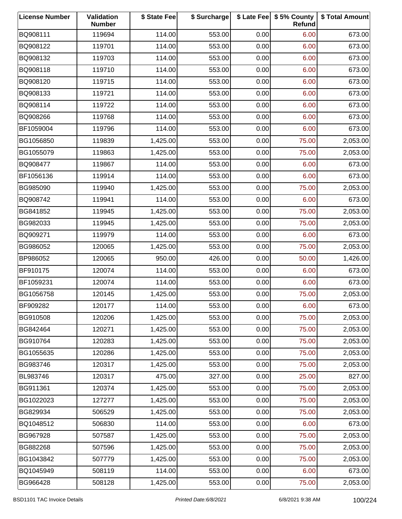| <b>License Number</b> | Validation<br><b>Number</b> | \$ State Fee | \$ Surcharge |      | \$ Late Fee   \$5% County<br>Refund | \$ Total Amount |
|-----------------------|-----------------------------|--------------|--------------|------|-------------------------------------|-----------------|
| BQ908111              | 119694                      | 114.00       | 553.00       | 0.00 | 6.00                                | 673.00          |
| BQ908122              | 119701                      | 114.00       | 553.00       | 0.00 | 6.00                                | 673.00          |
| BQ908132              | 119703                      | 114.00       | 553.00       | 0.00 | 6.00                                | 673.00          |
| BQ908118              | 119710                      | 114.00       | 553.00       | 0.00 | 6.00                                | 673.00          |
| BQ908120              | 119715                      | 114.00       | 553.00       | 0.00 | 6.00                                | 673.00          |
| BQ908133              | 119721                      | 114.00       | 553.00       | 0.00 | 6.00                                | 673.00          |
| BQ908114              | 119722                      | 114.00       | 553.00       | 0.00 | 6.00                                | 673.00          |
| BQ908266              | 119768                      | 114.00       | 553.00       | 0.00 | 6.00                                | 673.00          |
| BF1059004             | 119796                      | 114.00       | 553.00       | 0.00 | 6.00                                | 673.00          |
| BG1056850             | 119839                      | 1,425.00     | 553.00       | 0.00 | 75.00                               | 2,053.00        |
| BG1055079             | 119863                      | 1,425.00     | 553.00       | 0.00 | 75.00                               | 2,053.00        |
| BQ908477              | 119867                      | 114.00       | 553.00       | 0.00 | 6.00                                | 673.00          |
| BF1056136             | 119914                      | 114.00       | 553.00       | 0.00 | 6.00                                | 673.00          |
| BG985090              | 119940                      | 1,425.00     | 553.00       | 0.00 | 75.00                               | 2,053.00        |
| BQ908742              | 119941                      | 114.00       | 553.00       | 0.00 | 6.00                                | 673.00          |
| BG841852              | 119945                      | 1,425.00     | 553.00       | 0.00 | 75.00                               | 2,053.00        |
| BG982033              | 119945                      | 1,425.00     | 553.00       | 0.00 | 75.00                               | 2,053.00        |
| BQ909271              | 119979                      | 114.00       | 553.00       | 0.00 | 6.00                                | 673.00          |
| BG986052              | 120065                      | 1,425.00     | 553.00       | 0.00 | 75.00                               | 2,053.00        |
| BP986052              | 120065                      | 950.00       | 426.00       | 0.00 | 50.00                               | 1,426.00        |
| BF910175              | 120074                      | 114.00       | 553.00       | 0.00 | 6.00                                | 673.00          |
| BF1059231             | 120074                      | 114.00       | 553.00       | 0.00 | 6.00                                | 673.00          |
| BG1056758             | 120145                      | 1,425.00     | 553.00       | 0.00 | 75.00                               | 2,053.00        |
| BF909282              | 120177                      | 114.00       | 553.00       | 0.00 | 6.00                                | 673.00          |
| BG910508              | 120206                      | 1,425.00     | 553.00       | 0.00 | 75.00                               | 2,053.00        |
| BG842464              | 120271                      | 1,425.00     | 553.00       | 0.00 | 75.00                               | 2,053.00        |
| BG910764              | 120283                      | 1,425.00     | 553.00       | 0.00 | 75.00                               | 2,053.00        |
| BG1055635             | 120286                      | 1,425.00     | 553.00       | 0.00 | 75.00                               | 2,053.00        |
| BG983746              | 120317                      | 1,425.00     | 553.00       | 0.00 | 75.00                               | 2,053.00        |
| BL983746              | 120317                      | 475.00       | 327.00       | 0.00 | 25.00                               | 827.00          |
| BG911361              | 120374                      | 1,425.00     | 553.00       | 0.00 | 75.00                               | 2,053.00        |
| BG1022023             | 127277                      | 1,425.00     | 553.00       | 0.00 | 75.00                               | 2,053.00        |
| BG829934              | 506529                      | 1,425.00     | 553.00       | 0.00 | 75.00                               | 2,053.00        |
| BQ1048512             | 506830                      | 114.00       | 553.00       | 0.00 | 6.00                                | 673.00          |
| BG967928              | 507587                      | 1,425.00     | 553.00       | 0.00 | 75.00                               | 2,053.00        |
| BG882268              | 507596                      | 1,425.00     | 553.00       | 0.00 | 75.00                               | 2,053.00        |
| BG1043842             | 507779                      | 1,425.00     | 553.00       | 0.00 | 75.00                               | 2,053.00        |
| BQ1045949             | 508119                      | 114.00       | 553.00       | 0.00 | 6.00                                | 673.00          |
| BG966428              | 508128                      | 1,425.00     | 553.00       | 0.00 | 75.00                               | 2,053.00        |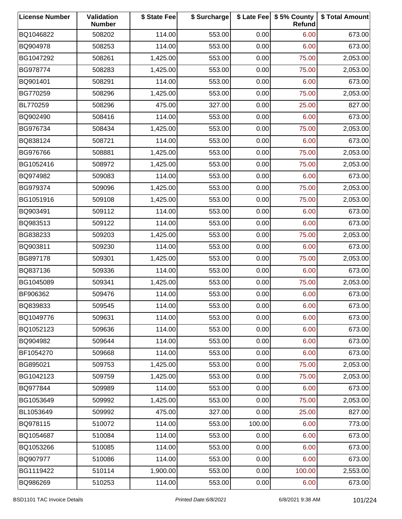| <b>License Number</b> | Validation<br><b>Number</b> | \$ State Fee | \$ Surcharge |        | \$ Late Fee   \$5% County<br>Refund | \$ Total Amount |
|-----------------------|-----------------------------|--------------|--------------|--------|-------------------------------------|-----------------|
| BQ1046822             | 508202                      | 114.00       | 553.00       | 0.00   | 6.00                                | 673.00          |
| BQ904978              | 508253                      | 114.00       | 553.00       | 0.00   | 6.00                                | 673.00          |
| BG1047292             | 508261                      | 1,425.00     | 553.00       | 0.00   | 75.00                               | 2,053.00        |
| BG978774              | 508283                      | 1,425.00     | 553.00       | 0.00   | 75.00                               | 2,053.00        |
| BQ901401              | 508291                      | 114.00       | 553.00       | 0.00   | 6.00                                | 673.00          |
| BG770259              | 508296                      | 1,425.00     | 553.00       | 0.00   | 75.00                               | 2,053.00        |
| BL770259              | 508296                      | 475.00       | 327.00       | 0.00   | 25.00                               | 827.00          |
| BQ902490              | 508416                      | 114.00       | 553.00       | 0.00   | 6.00                                | 673.00          |
| BG976734              | 508434                      | 1,425.00     | 553.00       | 0.00   | 75.00                               | 2,053.00        |
| BQ838124              | 508721                      | 114.00       | 553.00       | 0.00   | 6.00                                | 673.00          |
| BG976766              | 508881                      | 1,425.00     | 553.00       | 0.00   | 75.00                               | 2,053.00        |
| BG1052416             | 508972                      | 1,425.00     | 553.00       | 0.00   | 75.00                               | 2,053.00        |
| BQ974982              | 509083                      | 114.00       | 553.00       | 0.00   | 6.00                                | 673.00          |
| BG979374              | 509096                      | 1,425.00     | 553.00       | 0.00   | 75.00                               | 2,053.00        |
| BG1051916             | 509108                      | 1,425.00     | 553.00       | 0.00   | 75.00                               | 2,053.00        |
| BQ903491              | 509112                      | 114.00       | 553.00       | 0.00   | 6.00                                | 673.00          |
| BQ983513              | 509122                      | 114.00       | 553.00       | 0.00   | 6.00                                | 673.00          |
| BG838233              | 509203                      | 1,425.00     | 553.00       | 0.00   | 75.00                               | 2,053.00        |
| BQ903811              | 509230                      | 114.00       | 553.00       | 0.00   | 6.00                                | 673.00          |
| BG897178              | 509301                      | 1,425.00     | 553.00       | 0.00   | 75.00                               | 2,053.00        |
| BQ837136              | 509336                      | 114.00       | 553.00       | 0.00   | 6.00                                | 673.00          |
| BG1045089             | 509341                      | 1,425.00     | 553.00       | 0.00   | 75.00                               | 2,053.00        |
| BF906362              | 509476                      | 114.00       | 553.00       | 0.00   | 6.00                                | 673.00          |
| BQ839833              | 509545                      | 114.00       | 553.00       | 0.00   | 6.00                                | 673.00          |
| BQ1049776             | 509631                      | 114.00       | 553.00       | 0.00   | 6.00                                | 673.00          |
| BQ1052123             | 509636                      | 114.00       | 553.00       | 0.00   | 6.00                                | 673.00          |
| BQ904982              | 509644                      | 114.00       | 553.00       | 0.00   | 6.00                                | 673.00          |
| BF1054270             | 509668                      | 114.00       | 553.00       | 0.00   | 6.00                                | 673.00          |
| BG895021              | 509753                      | 1,425.00     | 553.00       | 0.00   | 75.00                               | 2,053.00        |
| BG1042123             | 509759                      | 1,425.00     | 553.00       | 0.00   | 75.00                               | 2,053.00        |
| BQ977844              | 509989                      | 114.00       | 553.00       | 0.00   | 6.00                                | 673.00          |
| BG1053649             | 509992                      | 1,425.00     | 553.00       | 0.00   | 75.00                               | 2,053.00        |
| BL1053649             | 509992                      | 475.00       | 327.00       | 0.00   | 25.00                               | 827.00          |
| BQ978115              | 510072                      | 114.00       | 553.00       | 100.00 | 6.00                                | 773.00          |
| BQ1054687             | 510084                      | 114.00       | 553.00       | 0.00   | 6.00                                | 673.00          |
| BQ1053266             | 510085                      | 114.00       | 553.00       | 0.00   | 6.00                                | 673.00          |
| BQ907977              | 510086                      | 114.00       | 553.00       | 0.00   | 6.00                                | 673.00          |
| BG1119422             | 510114                      | 1,900.00     | 553.00       | 0.00   | 100.00                              | 2,553.00        |
| BQ986269              | 510253                      | 114.00       | 553.00       | 0.00   | 6.00                                | 673.00          |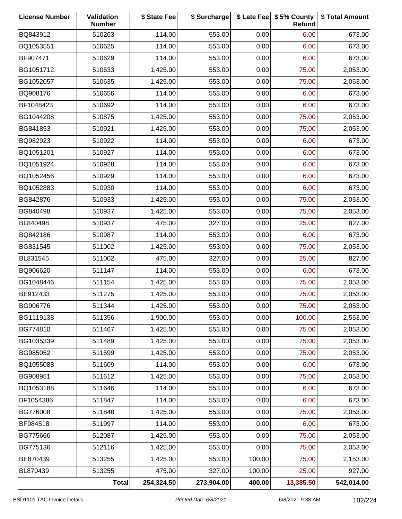| <b>License Number</b> | Validation<br><b>Number</b> | \$ State Fee | \$ Surcharge |        | \$ Late Fee   \$5% County<br>Refund | \$ Total Amount |
|-----------------------|-----------------------------|--------------|--------------|--------|-------------------------------------|-----------------|
| BQ843912              | 510263                      | 114.00       | 553.00       | 0.00   | 6.00                                | 673.00          |
| BQ1053551             | 510625                      | 114.00       | 553.00       | 0.00   | 6.00                                | 673.00          |
| BF907471              | 510629                      | 114.00       | 553.00       | 0.00   | 6.00                                | 673.00          |
| BG1051712             | 510633                      | 1,425.00     | 553.00       | 0.00   | 75.00                               | 2,053.00        |
| BG1052057             | 510635                      | 1,425.00     | 553.00       | 0.00   | 75.00                               | 2,053.00        |
| BQ908176              | 510656                      | 114.00       | 553.00       | 0.00   | 6.00                                | 673.00          |
| BF1048423             | 510692                      | 114.00       | 553.00       | 0.00   | 6.00                                | 673.00          |
| BG1044208             | 510875                      | 1,425.00     | 553.00       | 0.00   | 75.00                               | 2,053.00        |
| BG841853              | 510921                      | 1,425.00     | 553.00       | 0.00   | 75.00                               | 2,053.00        |
| BQ982923              | 510922                      | 114.00       | 553.00       | 0.00   | 6.00                                | 673.00          |
| BQ1051201             | 510927                      | 114.00       | 553.00       | 0.00   | 6.00                                | 673.00          |
| BQ1051924             | 510928                      | 114.00       | 553.00       | 0.00   | 6.00                                | 673.00          |
| BQ1052456             | 510929                      | 114.00       | 553.00       | 0.00   | 6.00                                | 673.00          |
| BQ1052883             | 510930                      | 114.00       | 553.00       | 0.00   | 6.00                                | 673.00          |
| BG842876              | 510933                      | 1,425.00     | 553.00       | 0.00   | 75.00                               | 2,053.00        |
| BG840498              | 510937                      | 1,425.00     | 553.00       | 0.00   | 75.00                               | 2,053.00        |
| BL840498              | 510937                      | 475.00       | 327.00       | 0.00   | 25.00                               | 827.00          |
| BQ842186              | 510987                      | 114.00       | 553.00       | 0.00   | 6.00                                | 673.00          |
| BG831545              | 511002                      | 1,425.00     | 553.00       | 0.00   | 75.00                               | 2,053.00        |
| BL831545              | 511002                      | 475.00       | 327.00       | 0.00   | 25.00                               | 827.00          |
| BQ906620              | 511147                      | 114.00       | 553.00       | 0.00   | 6.00                                | 673.00          |
| BG1048446             | 511154                      | 1,425.00     | 553.00       | 0.00   | 75.00                               | 2,053.00        |
| BE912433              | 511275                      | 1,425.00     | 553.00       | 0.00   | 75.00                               | 2,053.00        |
| BG906776              | 511344                      | 1,425.00     | 553.00       | 0.00   | 75.00                               | 2,053.00        |
| BG1119138             | 511356                      | 1,900.00     | 553.00       | 0.00   | 100.00                              | 2,553.00        |
| BG774810              | 511467                      | 1,425.00     | 553.00       | 0.00   | 75.00                               | 2,053.00        |
| BG1035339             | 511489                      | 1,425.00     | 553.00       | 0.00   | 75.00                               | 2,053.00        |
| BG985052              | 511599                      | 1,425.00     | 553.00       | 0.00   | 75.00                               | 2,053.00        |
| BQ1055088             | 511609                      | 114.00       | 553.00       | 0.00   | 6.00                                | 673.00          |
| BG908951              | 511612                      | 1,425.00     | 553.00       | 0.00   | 75.00                               | 2,053.00        |
| BQ1053188             | 511646                      | 114.00       | 553.00       | 0.00   | 6.00                                | 673.00          |
| BF1054386             | 511847                      | 114.00       | 553.00       | 0.00   | 6.00                                | 673.00          |
| BG776008              | 511848                      | 1,425.00     | 553.00       | 0.00   | 75.00                               | 2,053.00        |
| BF984518              | 511997                      | 114.00       | 553.00       | 0.00   | 6.00                                | 673.00          |
| BG775666              | 512087                      | 1,425.00     | 553.00       | 0.00   | 75.00                               | 2,053.00        |
| BG775136              | 512116                      | 1,425.00     | 553.00       | 0.00   | 75.00                               | 2,053.00        |
| BE870439              | 513255                      | 1,425.00     | 553.00       | 100.00 | 75.00                               | 2,153.00        |
| BL870439              | 513255                      | 475.00       | 327.00       | 100.00 | 25.00                               | 927.00          |
|                       | <b>Total</b>                | 254,324.50   | 273,904.00   | 400.00 | 13,385.50                           | 542,014.00      |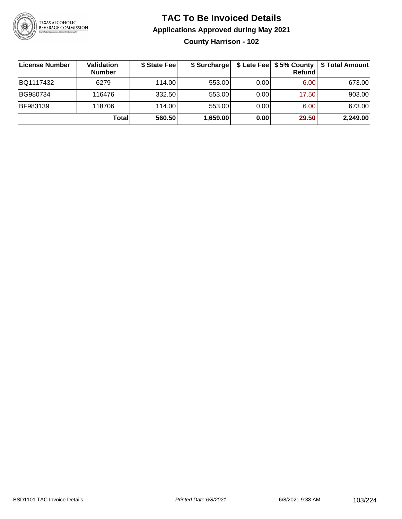

**County Harrison - 102**

| License Number | Validation<br><b>Number</b> | \$ State Feel | \$ Surcharge |      | Refundl | \$ Late Fee   \$5% County   \$ Total Amount |
|----------------|-----------------------------|---------------|--------------|------|---------|---------------------------------------------|
| BQ1117432      | 6279                        | 114.00        | 553.00       | 0.00 | 6.00    | 673.00                                      |
| BG980734       | 116476                      | 332.50        | 553.00       | 0.00 | 17.50   | 903.00                                      |
| BF983139       | 118706                      | 114.00        | 553.00       | 0.00 | 6.00    | 673.00                                      |
|                | Total                       | 560.50        | 1,659.00     | 0.00 | 29.50   | 2,249.00                                    |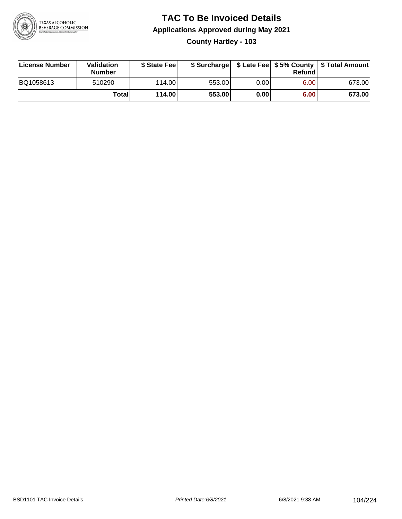

#### **TAC To Be Invoiced Details Applications Approved during May 2021 County Hartley - 103**

| License Number | Validation<br>Number | \$ State Fee    |        |      | Refundl | \$ Surcharge   \$ Late Fee   \$5% County   \$ Total Amount |
|----------------|----------------------|-----------------|--------|------|---------|------------------------------------------------------------|
| BQ1058613      | 510290               | 114.00 <b>1</b> | 553.00 | 0.00 | 6.00    | 673.00                                                     |
|                | Totall               | 114.00          | 553.00 | 0.00 | 6.00    | 673.00                                                     |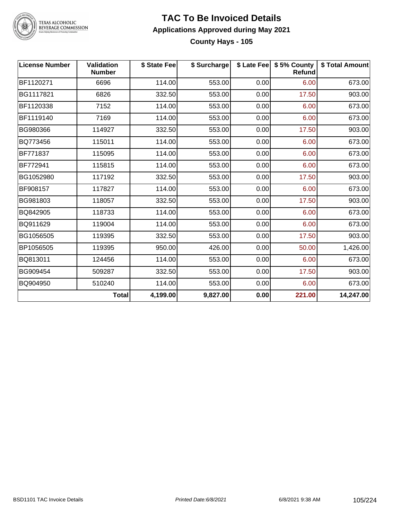

### **TAC To Be Invoiced Details Applications Approved during May 2021**

**\$ State Fee \$ Surcharge \$ Late Fee \$ 5% County \$ Total Amount County Hays - 105**

| <b>License Number</b> | <b>Validation</b><br><b>Number</b> | \$ State Fee | \$ Surcharge |      | \$ Late Fee   \$5% County<br>Refund | \$ Total Amount |
|-----------------------|------------------------------------|--------------|--------------|------|-------------------------------------|-----------------|
| BF1120271             | 6696                               | 114.00       | 553.00       | 0.00 | 6.00                                | 673.00          |
| BG1117821             | 6826                               | 332.50       | 553.00       | 0.00 | 17.50                               | 903.00          |
| BF1120338             | 7152                               | 114.00       | 553.00       | 0.00 | 6.00                                | 673.00          |
| BF1119140             | 7169                               | 114.00       | 553.00       | 0.00 | 6.00                                | 673.00          |
| BG980366              | 114927                             | 332.50       | 553.00       | 0.00 | 17.50                               | 903.00          |
| BQ773456              | 115011                             | 114.00       | 553.00       | 0.00 | 6.00                                | 673.00          |
| BF771837              | 115095                             | 114.00       | 553.00       | 0.00 | 6.00                                | 673.00          |
| BF772941              | 115815                             | 114.00       | 553.00       | 0.00 | 6.00                                | 673.00          |
| BG1052980             | 117192                             | 332.50       | 553.00       | 0.00 | 17.50                               | 903.00          |
| BF908157              | 117827                             | 114.00       | 553.00       | 0.00 | 6.00                                | 673.00          |
| BG981803              | 118057                             | 332.50       | 553.00       | 0.00 | 17.50                               | 903.00          |
| BQ842905              | 118733                             | 114.00       | 553.00       | 0.00 | 6.00                                | 673.00          |
| BQ911629              | 119004                             | 114.00       | 553.00       | 0.00 | 6.00                                | 673.00          |
| BG1056505             | 119395                             | 332.50       | 553.00       | 0.00 | 17.50                               | 903.00          |
| BP1056505             | 119395                             | 950.00       | 426.00       | 0.00 | 50.00                               | 1,426.00        |
| BQ813011              | 124456                             | 114.00       | 553.00       | 0.00 | 6.00                                | 673.00          |
| BG909454              | 509287                             | 332.50       | 553.00       | 0.00 | 17.50                               | 903.00          |
| BQ904950              | 510240                             | 114.00       | 553.00       | 0.00 | 6.00                                | 673.00          |
|                       | <b>Total</b>                       | 4,199.00     | 9,827.00     | 0.00 | 221.00                              | 14,247.00       |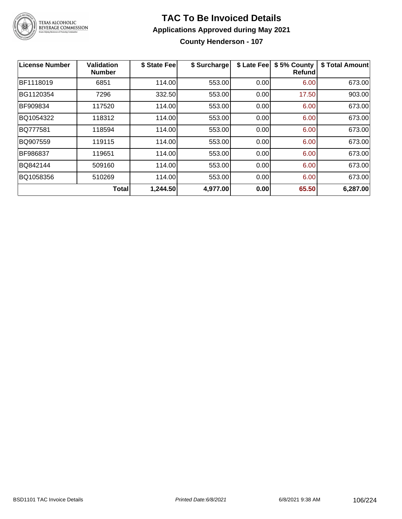

#### **TAC To Be Invoiced Details Applications Approved during May 2021 County Henderson - 107**

| License Number | Validation<br><b>Number</b> | \$ State Fee | \$ Surcharge | \$ Late Fee | \$5% County<br>Refund | \$ Total Amount |
|----------------|-----------------------------|--------------|--------------|-------------|-----------------------|-----------------|
| BF1118019      | 6851                        | 114.00       | 553.00       | 0.00        | 6.00                  | 673.00          |
| BG1120354      | 7296                        | 332.50       | 553.00       | 0.00        | 17.50                 | 903.00          |
| BF909834       | 117520                      | 114.00       | 553.00       | 0.00        | 6.00                  | 673.00          |
| BQ1054322      | 118312                      | 114.00       | 553.00       | 0.00        | 6.00                  | 673.00          |
| BQ777581       | 118594                      | 114.00       | 553.00       | 0.00        | 6.00                  | 673.00          |
| BQ907559       | 119115                      | 114.00       | 553.00       | 0.00        | 6.00                  | 673.00          |
| BF986837       | 119651                      | 114.00       | 553.00       | 0.00        | 6.00                  | 673.00          |
| BQ842144       | 509160                      | 114.00       | 553.00       | 0.00        | 6.00                  | 673.00          |
| BQ1058356      | 510269                      | 114.00       | 553.00       | 0.00        | 6.00                  | 673.00          |
|                | <b>Total</b>                | 1,244.50     | 4,977.00     | 0.00        | 65.50                 | 6,287.00        |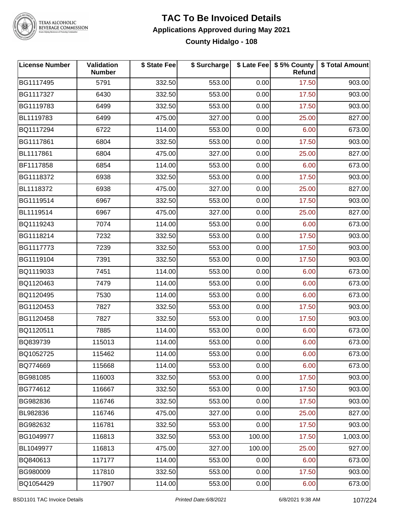

#### **TAC To Be Invoiced Details Applications Approved during May 2021 County Hidalgo - 108**

| <b>License Number</b> | Validation<br><b>Number</b> | \$ State Fee | \$ Surcharge |        | \$ Late Fee   \$5% County<br>Refund | \$ Total Amount |
|-----------------------|-----------------------------|--------------|--------------|--------|-------------------------------------|-----------------|
| BG1117495             | 5791                        | 332.50       | 553.00       | 0.00   | 17.50                               | 903.00          |
| BG1117327             | 6430                        | 332.50       | 553.00       | 0.00   | 17.50                               | 903.00          |
| BG1119783             | 6499                        | 332.50       | 553.00       | 0.00   | 17.50                               | 903.00          |
| BL1119783             | 6499                        | 475.00       | 327.00       | 0.00   | 25.00                               | 827.00          |
| BQ1117294             | 6722                        | 114.00       | 553.00       | 0.00   | 6.00                                | 673.00          |
| BG1117861             | 6804                        | 332.50       | 553.00       | 0.00   | 17.50                               | 903.00          |
| BL1117861             | 6804                        | 475.00       | 327.00       | 0.00   | 25.00                               | 827.00          |
| BF1117858             | 6854                        | 114.00       | 553.00       | 0.00   | 6.00                                | 673.00          |
| BG1118372             | 6938                        | 332.50       | 553.00       | 0.00   | 17.50                               | 903.00          |
| BL1118372             | 6938                        | 475.00       | 327.00       | 0.00   | 25.00                               | 827.00          |
| BG1119514             | 6967                        | 332.50       | 553.00       | 0.00   | 17.50                               | 903.00          |
| BL1119514             | 6967                        | 475.00       | 327.00       | 0.00   | 25.00                               | 827.00          |
| BQ1119243             | 7074                        | 114.00       | 553.00       | 0.00   | 6.00                                | 673.00          |
| BG1118214             | 7232                        | 332.50       | 553.00       | 0.00   | 17.50                               | 903.00          |
| BG1117773             | 7239                        | 332.50       | 553.00       | 0.00   | 17.50                               | 903.00          |
| BG1119104             | 7391                        | 332.50       | 553.00       | 0.00   | 17.50                               | 903.00          |
| BQ1119033             | 7451                        | 114.00       | 553.00       | 0.00   | 6.00                                | 673.00          |
| BQ1120463             | 7479                        | 114.00       | 553.00       | 0.00   | 6.00                                | 673.00          |
| BQ1120495             | 7530                        | 114.00       | 553.00       | 0.00   | 6.00                                | 673.00          |
| BG1120453             | 7827                        | 332.50       | 553.00       | 0.00   | 17.50                               | 903.00          |
| BG1120458             | 7827                        | 332.50       | 553.00       | 0.00   | 17.50                               | 903.00          |
| BQ1120511             | 7885                        | 114.00       | 553.00       | 0.00   | 6.00                                | 673.00          |
| BQ839739              | 115013                      | 114.00       | 553.00       | 0.00   | 6.00                                | 673.00          |
| BQ1052725             | 115462                      | 114.00       | 553.00       | 0.00   | 6.00                                | 673.00          |
| BQ774669              | 115668                      | 114.00       | 553.00       | 0.00   | 6.00                                | 673.00          |
| BG981085              | 116003                      | 332.50       | 553.00       | 0.00   | 17.50                               | 903.00          |
| BG774612              | 116667                      | 332.50       | 553.00       | 0.00   | 17.50                               | 903.00          |
| BG982836              | 116746                      | 332.50       | 553.00       | 0.00   | 17.50                               | 903.00          |
| BL982836              | 116746                      | 475.00       | 327.00       | 0.00   | 25.00                               | 827.00          |
| BG982632              | 116781                      | 332.50       | 553.00       | 0.00   | 17.50                               | 903.00          |
| BG1049977             | 116813                      | 332.50       | 553.00       | 100.00 | 17.50                               | 1,003.00        |
| BL1049977             | 116813                      | 475.00       | 327.00       | 100.00 | 25.00                               | 927.00          |
| BQ840613              | 117177                      | 114.00       | 553.00       | 0.00   | 6.00                                | 673.00          |
| BG980009              | 117810                      | 332.50       | 553.00       | 0.00   | 17.50                               | 903.00          |
| BQ1054429             | 117907                      | 114.00       | 553.00       | 0.00   | 6.00                                | 673.00          |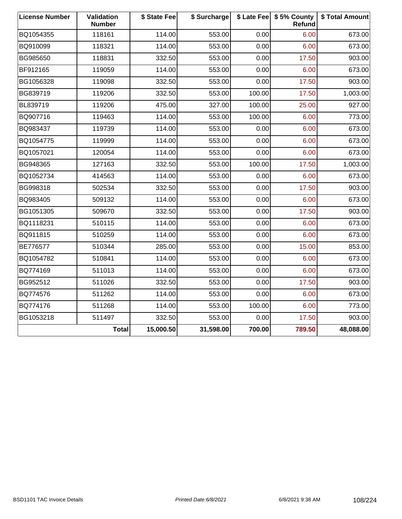| <b>License Number</b> | Validation<br><b>Number</b> | \$ State Fee | \$ Surcharge |        | \$ Late Fee   \$5% County<br>Refund | \$ Total Amount |
|-----------------------|-----------------------------|--------------|--------------|--------|-------------------------------------|-----------------|
| BQ1054355             | 118161                      | 114.00       | 553.00       | 0.00   | 6.00                                | 673.00          |
| BQ910099              | 118321                      | 114.00       | 553.00       | 0.00   | 6.00                                | 673.00          |
| BG985650              | 118831                      | 332.50       | 553.00       | 0.00   | 17.50                               | 903.00          |
| BF912165              | 119059                      | 114.00       | 553.00       | 0.00   | 6.00                                | 673.00          |
| BG1056328             | 119098                      | 332.50       | 553.00       | 0.00   | 17.50                               | 903.00          |
| BG839719              | 119206                      | 332.50       | 553.00       | 100.00 | 17.50                               | 1,003.00        |
| BL839719              | 119206                      | 475.00       | 327.00       | 100.00 | 25.00                               | 927.00          |
| BQ907716              | 119463                      | 114.00       | 553.00       | 100.00 | 6.00                                | 773.00          |
| BQ983437              | 119739                      | 114.00       | 553.00       | 0.00   | 6.00                                | 673.00          |
| BQ1054775             | 119999                      | 114.00       | 553.00       | 0.00   | 6.00                                | 673.00          |
| BQ1057021             | 120054                      | 114.00       | 553.00       | 0.00   | 6.00                                | 673.00          |
| BG948365              | 127163                      | 332.50       | 553.00       | 100.00 | 17.50                               | 1,003.00        |
| BQ1052734             | 414563                      | 114.00       | 553.00       | 0.00   | 6.00                                | 673.00          |
| BG998318              | 502534                      | 332.50       | 553.00       | 0.00   | 17.50                               | 903.00          |
| BQ983405              | 509132                      | 114.00       | 553.00       | 0.00   | 6.00                                | 673.00          |
| BG1051305             | 509670                      | 332.50       | 553.00       | 0.00   | 17.50                               | 903.00          |
| BQ1118231             | 510115                      | 114.00       | 553.00       | 0.00   | 6.00                                | 673.00          |
| BQ911815              | 510259                      | 114.00       | 553.00       | 0.00   | 6.00                                | 673.00          |
| BE776577              | 510344                      | 285.00       | 553.00       | 0.00   | 15.00                               | 853.00          |
| BQ1054782             | 510841                      | 114.00       | 553.00       | 0.00   | 6.00                                | 673.00          |
| BQ774169              | 511013                      | 114.00       | 553.00       | 0.00   | 6.00                                | 673.00          |
| BG952512              | 511026                      | 332.50       | 553.00       | 0.00   | 17.50                               | 903.00          |
| BQ774576              | 511262                      | 114.00       | 553.00       | 0.00   | 6.00                                | 673.00          |
| BQ774176              | 511268                      | 114.00       | 553.00       | 100.00 | 6.00                                | 773.00          |
| BG1053218             | 511497                      | 332.50       | 553.00       | 0.00   | 17.50                               | 903.00          |
|                       | <b>Total</b>                | 15,000.50    | 31,598.00    | 700.00 | 789.50                              | 48,088.00       |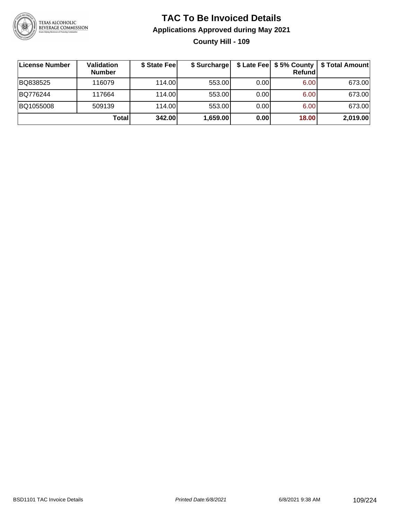

#### **TAC To Be Invoiced Details Applications Approved during May 2021 County Hill - 109**

| License Number | <b>Validation</b><br><b>Number</b> | \$ State Fee | \$ Surcharge |      | \$ Late Fee   \$5% County  <br>Refundl | \$ Total Amount |
|----------------|------------------------------------|--------------|--------------|------|----------------------------------------|-----------------|
| BQ838525       | 116079                             | 114.00       | 553.00       | 0.00 | 6.00                                   | 673.00          |
| BQ776244       | 117664                             | 114.00       | 553.00       | 0.00 | 6.00                                   | 673.00          |
| BQ1055008      | 509139                             | 114.00L      | 553.00       | 0.00 | 6.00                                   | 673.00          |
|                | <b>Total</b>                       | 342.00       | 1,659.00     | 0.00 | 18.00                                  | 2,019.00        |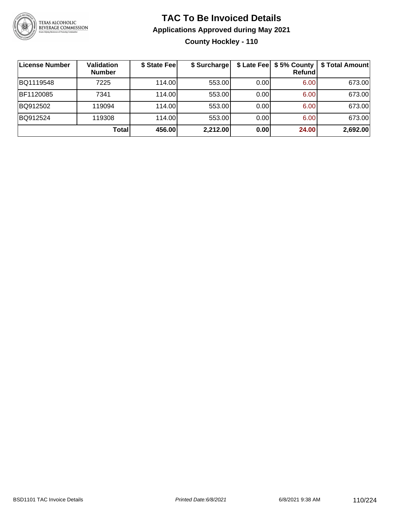

#### **TAC To Be Invoiced Details Applications Approved during May 2021 County Hockley - 110**

| License Number   | <b>Validation</b><br><b>Number</b> | \$ State Fee | \$ Surcharge |      | Refundl | \$ Late Fee   \$5% County   \$ Total Amount |
|------------------|------------------------------------|--------------|--------------|------|---------|---------------------------------------------|
| BQ1119548        | 7225                               | 114.00       | 553.00       | 0.00 | 6.00    | 673.00                                      |
| <b>BF1120085</b> | 7341                               | 114.00L      | 553.00       | 0.00 | 6.00    | 673.00                                      |
| BQ912502         | 119094                             | 114.00       | 553.00       | 0.00 | 6.00    | 673.00                                      |
| BQ912524         | 119308                             | 114.00L      | 553.00       | 0.00 | 6.00    | 673.00                                      |
|                  | Total                              | 456.00       | 2,212.00     | 0.00 | 24.00   | 2,692.00                                    |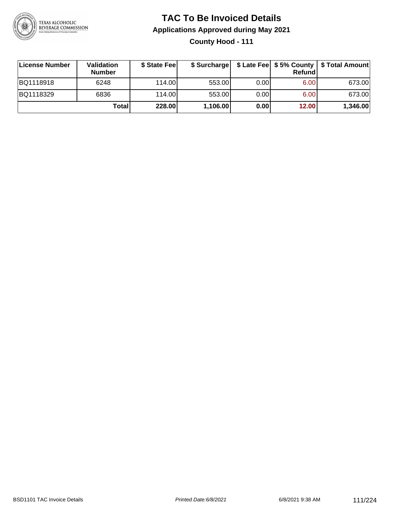

**County Hood - 111**

| ∣License Number | <b>Validation</b><br><b>Number</b> | \$ State Fee | \$ Surcharge |       | Refundl | \$ Late Fee   \$5% County   \$ Total Amount |
|-----------------|------------------------------------|--------------|--------------|-------|---------|---------------------------------------------|
| BQ1118918       | 6248                               | 114.00       | 553.00       | 0.001 | 6.00    | 673.00                                      |
| BQ1118329       | 6836                               | 114.00       | 553.00       | 0.001 | 6.00    | 673.00                                      |
|                 | Totall                             | 228.00       | 1,106.00     | 0.00  | 12.00   | 1,346.00                                    |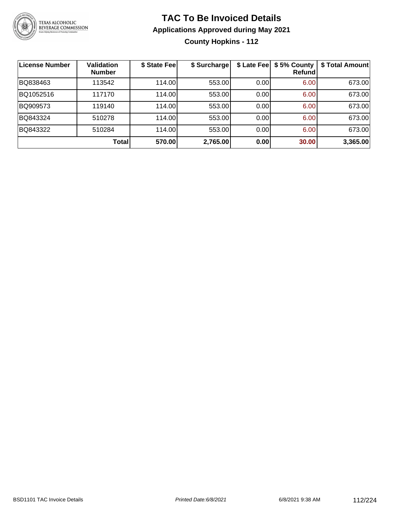

**County Hopkins - 112**

| <b>License Number</b> | <b>Validation</b><br><b>Number</b> | \$ State Fee | \$ Surcharge |       | \$ Late Fee   \$5% County<br>Refundl | \$ Total Amount |
|-----------------------|------------------------------------|--------------|--------------|-------|--------------------------------------|-----------------|
| BQ838463              | 113542                             | 114.00       | 553.00       | 0.00  | 6.00                                 | 673.00          |
| BQ1052516             | 117170                             | 114.00       | 553.00       | 0.001 | 6.00                                 | 673.00          |
| BQ909573              | 119140                             | 114.00       | 553.00       | 0.00  | 6.00                                 | 673.00          |
| BQ843324              | 510278                             | 114.00       | 553.00       | 0.00  | 6.00                                 | 673.00          |
| BQ843322              | 510284                             | 114.00       | 553.00       | 0.00  | 6.00                                 | 673.00          |
|                       | <b>Total</b>                       | 570.00       | 2,765.00     | 0.00  | 30.00                                | 3,365.00        |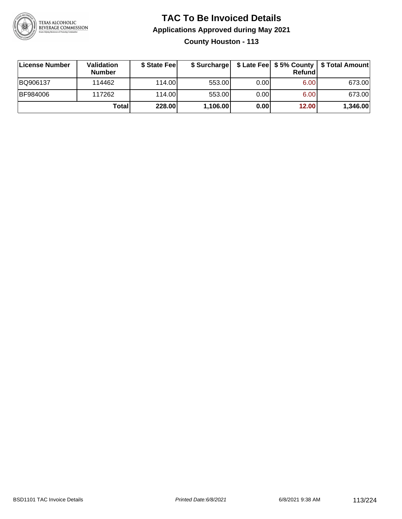

**County Houston - 113**

| ∣License Number | <b>Validation</b><br><b>Number</b> | \$ State Fee | \$ Surcharge |      | Refundl           | \$ Late Fee   \$5% County   \$ Total Amount |
|-----------------|------------------------------------|--------------|--------------|------|-------------------|---------------------------------------------|
| BQ906137        | 114462                             | 114.00L      | 553.00       | 0.00 | 6.00 <sub>1</sub> | 673.00                                      |
| <b>BF984006</b> | 117262                             | 114.00L      | 553.00       | 0.00 | 6.00 <sub>1</sub> | 673.00                                      |
|                 | Totall                             | 228.00       | 1,106.00     | 0.00 | 12.00             | 1,346.00                                    |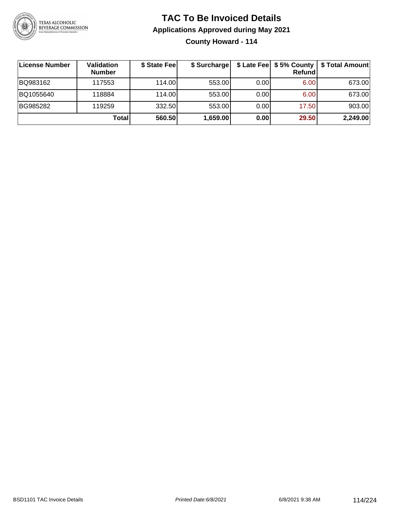

**County Howard - 114**

| License Number | <b>Validation</b><br><b>Number</b> | \$ State Feel | \$ Surcharge |       | Refundl | \$ Late Fee   \$5% County   \$ Total Amount |
|----------------|------------------------------------|---------------|--------------|-------|---------|---------------------------------------------|
| BQ983162       | 117553                             | 114.00        | 553.00       | 0.001 | 6.00    | 673.00                                      |
| BQ1055640      | 118884                             | 114.00        | 553.00       | 0.001 | 6.00    | 673.00                                      |
| BG985282       | 119259                             | 332.50        | 553.00       | 0.001 | 17.50   | 903.00                                      |
|                | Total                              | 560.50        | 1,659.00     | 0.00  | 29.50   | 2,249.00                                    |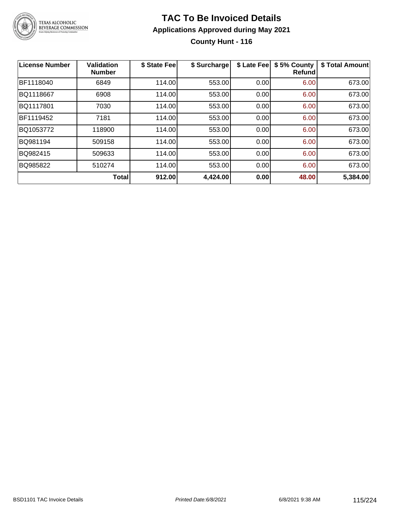

#### **TAC To Be Invoiced Details Applications Approved during May 2021 County Hunt - 116**

| <b>License Number</b> | Validation<br><b>Number</b> | \$ State Fee | \$ Surcharge | \$ Late Fee | \$5% County<br>Refundl | \$ Total Amount |
|-----------------------|-----------------------------|--------------|--------------|-------------|------------------------|-----------------|
| BF1118040             | 6849                        | 114.00       | 553.00       | 0.00        | 6.00                   | 673.00          |
| BQ1118667             | 6908                        | 114.00       | 553.00       | 0.00        | 6.00                   | 673.00          |
| BQ1117801             | 7030                        | 114.00       | 553.00       | 0.00        | 6.00                   | 673.00          |
| BF1119452             | 7181                        | 114.00       | 553.00       | 0.00        | 6.00                   | 673.00          |
| BQ1053772             | 118900                      | 114.00       | 553.00       | 0.00        | 6.00                   | 673.00          |
| BQ981194              | 509158                      | 114.00       | 553.00       | 0.00        | 6.00                   | 673.00          |
| BQ982415              | 509633                      | 114.00       | 553.00       | 0.00        | 6.00                   | 673.00          |
| BQ985822              | 510274                      | 114.00       | 553.00       | 0.00        | 6.00                   | 673.00          |
|                       | <b>Total</b>                | 912.00       | 4,424.00     | 0.00        | 48.00                  | 5,384.00        |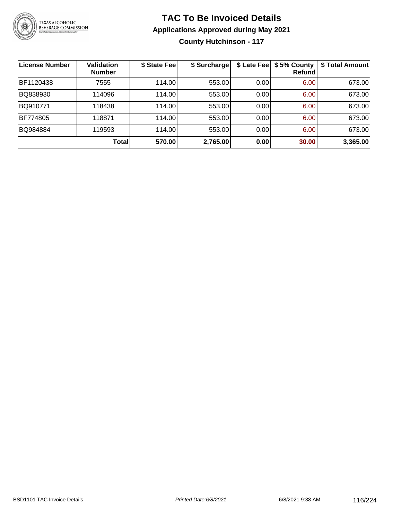

**County Hutchinson - 117**

| License Number | Validation<br><b>Number</b> | \$ State Fee | \$ Surcharge |      | \$ Late Fee   \$5% County<br>Refundl | \$ Total Amount |
|----------------|-----------------------------|--------------|--------------|------|--------------------------------------|-----------------|
| BF1120438      | 7555                        | 114.00       | 553.00       | 0.00 | 6.00                                 | 673.00          |
| BQ838930       | 114096                      | 114.00       | 553.00       | 0.00 | 6.00                                 | 673.00          |
| BQ910771       | 118438                      | 114.00       | 553.00       | 0.00 | 6.00                                 | 673.00          |
| BF774805       | 118871                      | 114.00       | 553.00       | 0.00 | 6.00                                 | 673.00          |
| BQ984884       | 119593                      | 114.00       | 553.00       | 0.00 | 6.00                                 | 673.00          |
|                | Total                       | 570.00       | 2,765.00     | 0.00 | 30.00                                | 3,365.00        |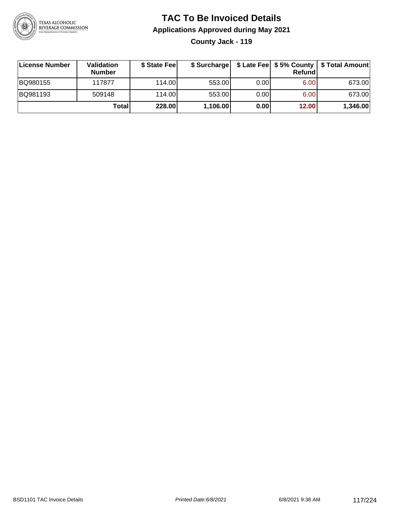

**County Jack - 119**

| ∣License Number | <b>Validation</b><br><b>Number</b> | \$ State Feel |          |       | Refundl | \$ Surcharge   \$ Late Fee   \$5% County   \$ Total Amount |
|-----------------|------------------------------------|---------------|----------|-------|---------|------------------------------------------------------------|
| BQ980155        | 117877                             | 114.00        | 553.00   | 0.001 | 6.00    | 673.00                                                     |
| BQ981193        | 509148                             | 114.00        | 553.00   | 0.00  | 6.00    | 673.00                                                     |
|                 | Totall                             | 228.00        | 1,106.00 | 0.00  | 12.00   | 1,346.00                                                   |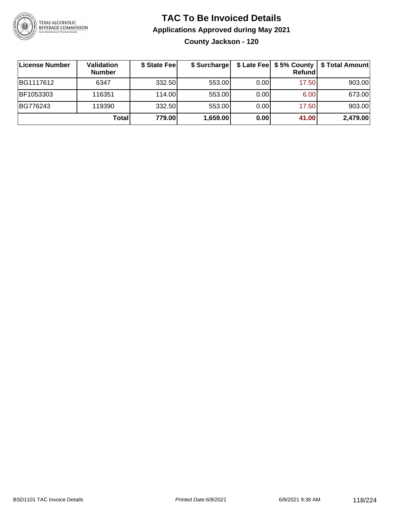

**County Jackson - 120**

| ∣License Number | Validation<br><b>Number</b> | \$ State Fee | \$ Surcharge |      | Refundl | \$ Late Fee   \$5% County   \$ Total Amount |
|-----------------|-----------------------------|--------------|--------------|------|---------|---------------------------------------------|
| BG1117612       | 6347                        | 332.50       | 553.00       | 0.00 | 17.50   | 903.00                                      |
| BF1053303       | 116351                      | 114.00       | 553.00       | 0.00 | 6.00    | 673.00                                      |
| BG776243        | 119390                      | 332.50       | 553.00       | 0.00 | 17.50   | 903.00                                      |
|                 | Total                       | 779.00       | 1,659.00     | 0.00 | 41.00   | 2,479.00                                    |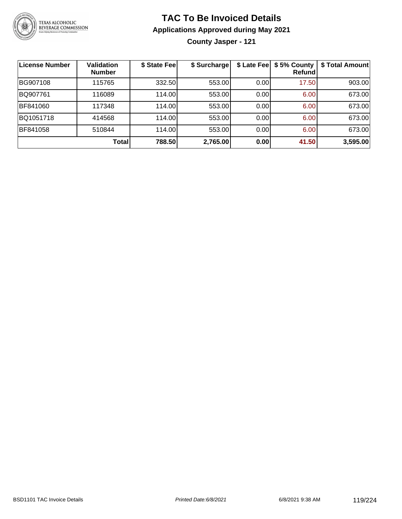

**County Jasper - 121**

| <b>License Number</b> | <b>Validation</b><br><b>Number</b> | \$ State Fee | \$ Surcharge |      | \$ Late Fee   \$5% County<br>Refundl | \$ Total Amount |
|-----------------------|------------------------------------|--------------|--------------|------|--------------------------------------|-----------------|
| BG907108              | 115765                             | 332.50       | 553.00       | 0.00 | 17.50                                | 903.00          |
| BQ907761              | 116089                             | 114.00       | 553.00       | 0.00 | 6.00                                 | 673.00          |
| BF841060              | 117348                             | 114.00       | 553.00       | 0.00 | 6.00                                 | 673.00          |
| BQ1051718             | 414568                             | 114.00       | 553.00       | 0.00 | 6.00                                 | 673.00          |
| BF841058              | 510844                             | 114.00L      | 553.00       | 0.00 | 6.00                                 | 673.00          |
|                       | <b>Total</b>                       | 788.50       | 2,765.00     | 0.00 | 41.50                                | 3,595.00        |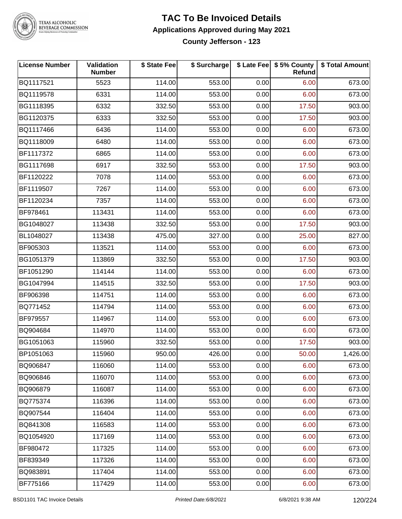

# **BEVERAGE COMMISSION**

#### **TAC To Be Invoiced Details Applications Approved during May 2021 County Jefferson - 123**

**License Number Validation Number \$ State Fee \$ Surcharge \$ Late Fee \$ 5% County Refund \$ Total Amount** BQ1117521 | 5523 | 114.00| 553.00| 0.00| 6.00| 673.00 BQ1119578 | 6331 | 114.00| 553.00| 0.00| 6.00| 673.00 BG1118395 | 6332 | 332.50| 553.00| 0.00| 17.50| 903.00 BG1120375 | 6333 | 332.50| 553.00| 0.00| 17.50| 903.00 BQ1117466 | 6436 | 114.00| 553.00| 0.00| 6.00| 673.00 BQ1118009 | 6480 | 114.00| 553.00| 0.00| 6.00| 673.00 BF1117372 | 6865 | 114.00| 553.00| 0.00| 6.00| 673.00 BG1117698 | 6917 | 332.50| 553.00| 0.00| 17.50| 903.00 BF1120222 7078 114.00 553.00 0.00 6.00 673.00 BF1119507 | 7267 | 114.00| 553.00| 0.00| 6.00| 673.00 BF1120234 7357 114.00 553.00 0.00 6.00 673.00 BF978461 113431 114.00 553.00 0.00 6.00 673.00 BG1048027 | 113438 | 332.50| 553.00| 0.00| 17.50| 903.00 BL1048027 113438 475.00 327.00 0.00 25.00 827.00 BF905303 113521 114.00 553.00 0.00 6.00 673.00 BG1051379 | 113869 | 332.50| 553.00| 0.00| 17.50| 903.00 BF1051290 | 114144 | 114.00| 553.00| 0.00| 6.00| 673.00 BG1047994 | 114515 | 332.50| 553.00| 0.00| 17.50| 903.00 BF906398 | 114751 | 114.00| 553.00| 0.00| 6.00| 673.00 BQ771452 114794 114.00 553.00 0.00 6.00 673.00 BF979557 114967 114.00 553.00 0.00 6.00 673.00 BQ904684 114970 114.00 553.00 0.00 6.00 673.00 BG1051063 | 115960 | 332.50| 553.00| 0.00| 17.50| 903.00 BP1051063 115960 950.00 426.00 0.00 50.00 1,426.00 BQ906847 | 116060 | 114.00| 553.00| 0.00| 6.00| 673.00 BQ906846 116070 114.00 553.00 0.00 6.00 673.00 BQ906879 116087 114.00 553.00 0.00 6.00 673.00 BQ775374 | 116396 | 114.00| 553.00| 0.00| 6.00| 673.00 BQ907544 116404 114.00 553.00 0.00 6.00 673.00 BQ841308 | 116583 | 114.00| 553.00| 0.00| 6.00| 673.00 BQ1054920 117169 114.00 553.00 0.00 6.00 673.00 BF980472 | 117325 | 114.00| 553.00| 0.00| 6.00| 673.00 BF839349 | 117326 | 114.00| 553.00| 0.00| 6.00| 673.00 BQ983891 117404 114.00 553.00 0.00 6.00 673.00 BF775166 | 117429 | 114.00| 553.00| 0.00| 6.00| 673.00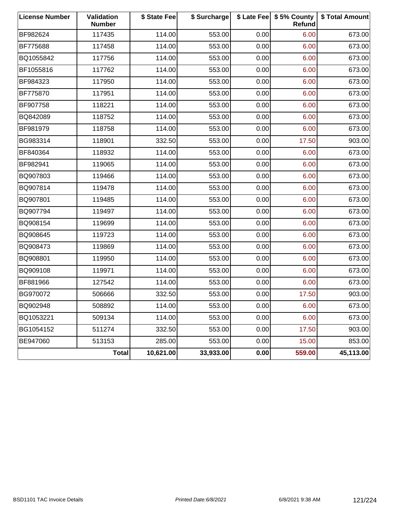| <b>License Number</b> | Validation<br><b>Number</b> | \$ State Fee | \$ Surcharge |      | \$ Late Fee   \$5% County<br>Refund | \$ Total Amount |
|-----------------------|-----------------------------|--------------|--------------|------|-------------------------------------|-----------------|
| BF982624              | 117435                      | 114.00       | 553.00       | 0.00 | 6.00                                | 673.00          |
| BF775688              | 117458                      | 114.00       | 553.00       | 0.00 | 6.00                                | 673.00          |
| BQ1055842             | 117756                      | 114.00       | 553.00       | 0.00 | 6.00                                | 673.00          |
| BF1055816             | 117762                      | 114.00       | 553.00       | 0.00 | 6.00                                | 673.00          |
| BF984323              | 117950                      | 114.00       | 553.00       | 0.00 | 6.00                                | 673.00          |
| BF775870              | 117951                      | 114.00       | 553.00       | 0.00 | 6.00                                | 673.00          |
| BF907758              | 118221                      | 114.00       | 553.00       | 0.00 | 6.00                                | 673.00          |
| BQ842089              | 118752                      | 114.00       | 553.00       | 0.00 | 6.00                                | 673.00          |
| BF981979              | 118758                      | 114.00       | 553.00       | 0.00 | 6.00                                | 673.00          |
| BG983314              | 118901                      | 332.50       | 553.00       | 0.00 | 17.50                               | 903.00          |
| BF840364              | 118932                      | 114.00       | 553.00       | 0.00 | 6.00                                | 673.00          |
| BF982941              | 119065                      | 114.00       | 553.00       | 0.00 | 6.00                                | 673.00          |
| BQ907803              | 119466                      | 114.00       | 553.00       | 0.00 | 6.00                                | 673.00          |
| BQ907814              | 119478                      | 114.00       | 553.00       | 0.00 | 6.00                                | 673.00          |
| BQ907801              | 119485                      | 114.00       | 553.00       | 0.00 | 6.00                                | 673.00          |
| BQ907794              | 119497                      | 114.00       | 553.00       | 0.00 | 6.00                                | 673.00          |
| BQ908154              | 119699                      | 114.00       | 553.00       | 0.00 | 6.00                                | 673.00          |
| BQ908645              | 119723                      | 114.00       | 553.00       | 0.00 | 6.00                                | 673.00          |
| BQ908473              | 119869                      | 114.00       | 553.00       | 0.00 | 6.00                                | 673.00          |
| BQ908801              | 119950                      | 114.00       | 553.00       | 0.00 | 6.00                                | 673.00          |
| BQ909108              | 119971                      | 114.00       | 553.00       | 0.00 | 6.00                                | 673.00          |
| BF881966              | 127542                      | 114.00       | 553.00       | 0.00 | 6.00                                | 673.00          |
| BG970072              | 506666                      | 332.50       | 553.00       | 0.00 | 17.50                               | 903.00          |
| BQ902948              | 508892                      | 114.00       | 553.00       | 0.00 | 6.00                                | 673.00          |
| BQ1053221             | 509134                      | 114.00       | 553.00       | 0.00 | 6.00                                | 673.00          |
| BG1054152             | 511274                      | 332.50       | 553.00       | 0.00 | 17.50                               | 903.00          |
| BE947060              | 513153                      | 285.00       | 553.00       | 0.00 | 15.00                               | 853.00          |
|                       | <b>Total</b>                | 10,621.00    | 33,933.00    | 0.00 | 559.00                              | 45,113.00       |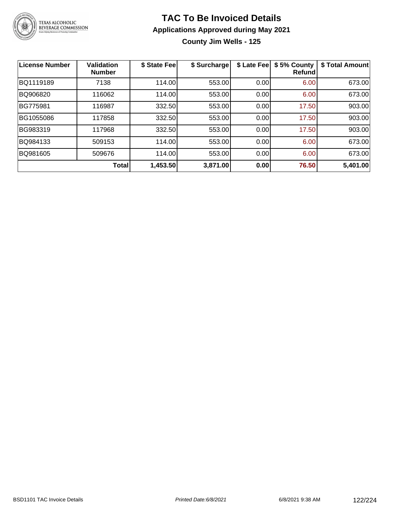

# TEXAS ALCOHOLIC<br>BEVERAGE COMMISSION

### **TAC To Be Invoiced Details Applications Approved during May 2021**

**County Jim Wells - 125**

| License Number | <b>Validation</b><br><b>Number</b> | \$ State Fee | \$ Surcharge | \$ Late Fee | \$5% County<br><b>Refund</b> | \$ Total Amount |
|----------------|------------------------------------|--------------|--------------|-------------|------------------------------|-----------------|
| BQ1119189      | 7138                               | 114.00       | 553.00       | 0.00        | 6.00                         | 673.00          |
| BQ906820       | 116062                             | 114.00       | 553.00       | 0.00        | 6.00                         | 673.00          |
| BG775981       | 116987                             | 332.50       | 553.00       | 0.00        | 17.50                        | 903.00          |
| BG1055086      | 117858                             | 332.50       | 553.00       | 0.00        | 17.50                        | 903.00          |
| BG983319       | 117968                             | 332.50       | 553.00       | 0.00        | 17.50                        | 903.00          |
| BQ984133       | 509153                             | 114.00       | 553.00       | 0.00        | 6.00                         | 673.00          |
| BQ981605       | 509676                             | 114.00       | 553.00       | 0.00        | 6.00                         | 673.00          |
|                | Total                              | 1,453.50     | 3,871.00     | 0.00        | 76.50                        | 5,401.00        |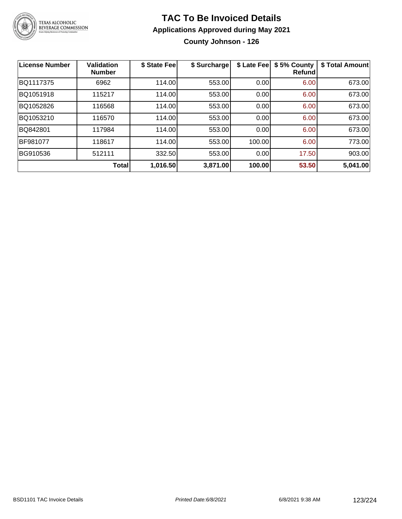

**County Johnson - 126**

| <b>License Number</b> | <b>Validation</b><br><b>Number</b> | \$ State Fee | \$ Surcharge | \$ Late Fee | \$5% County<br>Refundl | \$ Total Amount |
|-----------------------|------------------------------------|--------------|--------------|-------------|------------------------|-----------------|
| BQ1117375             | 6962                               | 114.00       | 553.00       | 0.00        | 6.00                   | 673.00          |
| BQ1051918             | 115217                             | 114.00       | 553.00       | 0.00        | 6.00                   | 673.00          |
| BQ1052826             | 116568                             | 114.00       | 553.00       | 0.00        | 6.00                   | 673.00          |
| BQ1053210             | 116570                             | 114.00       | 553.00       | 0.00        | 6.00                   | 673.00          |
| BQ842801              | 117984                             | 114.00       | 553.00       | 0.00        | 6.00                   | 673.00          |
| <b>BF981077</b>       | 118617                             | 114.00       | 553.00       | 100.00      | 6.00                   | 773.00          |
| BG910536              | 512111                             | 332.50       | 553.00       | 0.00        | 17.50                  | 903.00          |
|                       | <b>Total</b>                       | 1,016.50     | 3,871.00     | 100.00      | 53.50                  | 5,041.00        |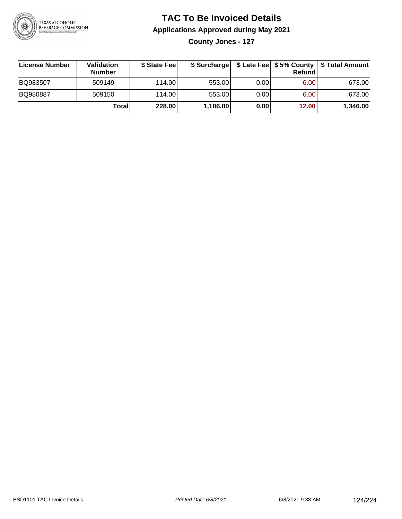

**County Jones - 127**

| License Number | Validation<br><b>Number</b> | \$ State Feel |          |      | Refundl | \$ Surcharge   \$ Late Fee   \$5% County   \$ Total Amount |
|----------------|-----------------------------|---------------|----------|------|---------|------------------------------------------------------------|
| BQ983507       | 509149                      | 114.00        | 553.00   | 0.00 | 6.00    | 673.00                                                     |
| BQ980887       | 509150                      | 114.00        | 553.00   | 0.00 | 6.00    | 673.00                                                     |
|                | Total                       | 228.00        | 1,106.00 | 0.00 | 12.00   | 1,346.00                                                   |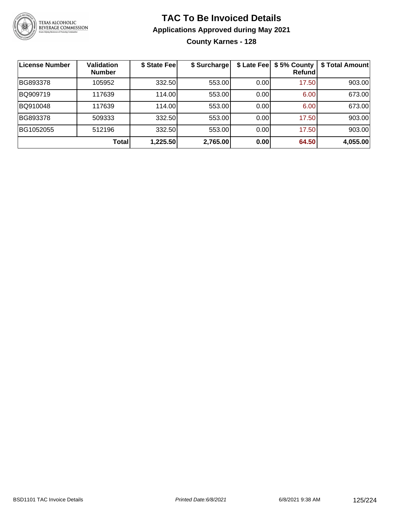

#### **TAC To Be Invoiced Details Applications Approved during May 2021 County Karnes - 128**

| License Number | <b>Validation</b><br><b>Number</b> | \$ State Fee | \$ Surcharge | \$ Late Fee | \$5% County<br>Refund | \$ Total Amount |
|----------------|------------------------------------|--------------|--------------|-------------|-----------------------|-----------------|
| BG893378       | 105952                             | 332.50       | 553.00       | 0.00        | 17.50                 | 903.00          |
| BQ909719       | 117639                             | 114.00       | 553.00       | 0.00        | 6.00                  | 673.00          |
| BQ910048       | 117639                             | 114.00       | 553.00       | 0.00        | 6.00                  | 673.00          |
| BG893378       | 509333                             | 332.50       | 553.00       | 0.00        | 17.50                 | 903.00          |
| BG1052055      | 512196                             | 332.50       | 553.00       | 0.00        | 17.50                 | 903.00          |
|                | <b>Total</b>                       | 1,225.50     | 2,765.00     | 0.00        | 64.50                 | 4,055.00        |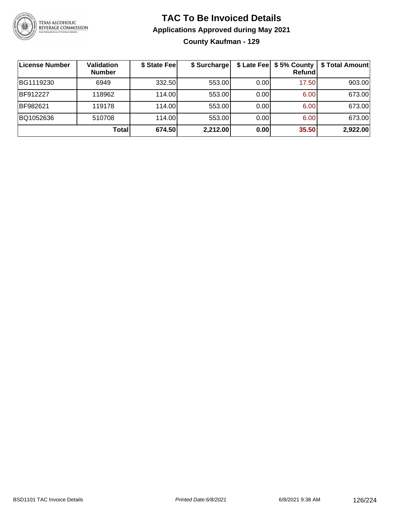

#### **TAC To Be Invoiced Details Applications Approved during May 2021 County Kaufman - 129**

| License Number | <b>Validation</b><br><b>Number</b> | \$ State Fee | \$ Surcharge | \$ Late Fee | \$5% County<br><b>Refund</b> | \$ Total Amount |
|----------------|------------------------------------|--------------|--------------|-------------|------------------------------|-----------------|
| BG1119230      | 6949                               | 332.50       | 553.00       | 0.00        | 17.50                        | 903.00          |
| BF912227       | 118962                             | 114.00L      | 553.00       | 0.00        | 6.00                         | 673.00          |
| BF982621       | 119178                             | 114.00       | 553.00       | 0.00        | 6.00                         | 673.00          |
| BQ1052636      | 510708                             | 114.00       | 553.00       | 0.00        | 6.00                         | 673.00          |
|                | <b>Total</b>                       | 674.50       | 2,212.00     | 0.00        | 35.50                        | 2,922.00        |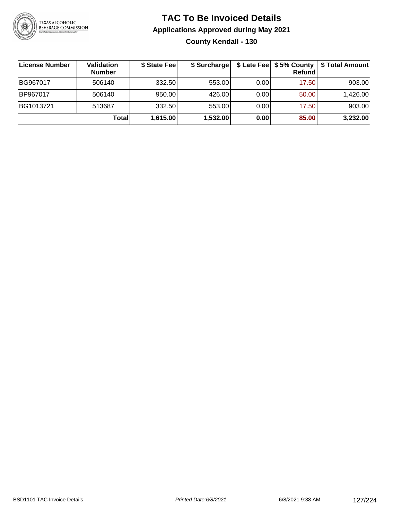

#### **TAC To Be Invoiced Details Applications Approved during May 2021 County Kendall - 130**

| License Number | Validation<br><b>Number</b> | \$ State Fee | \$ Surcharge |      | $$$ Late Fee $$$ 5% County  <br>Refundl | \$ Total Amount |
|----------------|-----------------------------|--------------|--------------|------|-----------------------------------------|-----------------|
| BG967017       | 506140                      | 332.50       | 553.00       | 0.00 | 17.50                                   | 903.00          |
| BP967017       | 506140                      | 950.00       | 426.00       | 0.00 | 50.00                                   | 1,426.00        |
| BG1013721      | 513687                      | 332.50       | 553.00       | 0.00 | 17.50                                   | 903.00          |
|                | Total                       | 1,615.00     | 1,532.00     | 0.00 | 85.00                                   | 3,232.00        |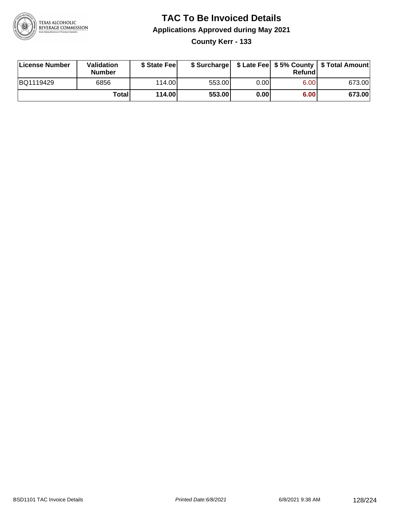

**County Kerr - 133**

| License Number | Validation<br><b>Number</b> | \$ State Feel |        |       | Refundl | \$ Surcharge   \$ Late Fee   \$5% County   \$ Total Amount |
|----------------|-----------------------------|---------------|--------|-------|---------|------------------------------------------------------------|
| BQ1119429      | 6856                        | 114.00        | 553.00 | 0.00I | 6.00    | 673.00                                                     |
|                | Totall                      | 114.00        | 553.00 | 0.001 | 6.00    | 673.00                                                     |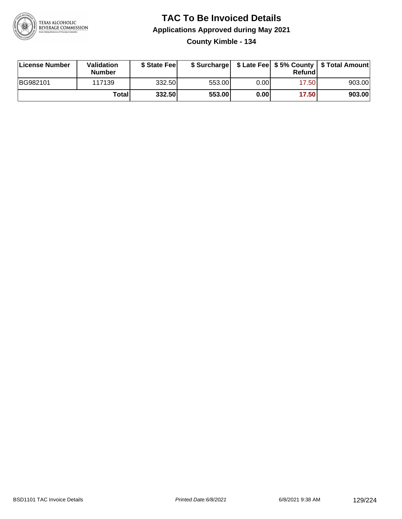

#### **TAC To Be Invoiced Details Applications Approved during May 2021 County Kimble - 134**

| License Number | Validation<br><b>Number</b> | \$ State Fee |        |      | Refund | \$ Surcharge   \$ Late Fee   \$5% County   \$ Total Amount |
|----------------|-----------------------------|--------------|--------|------|--------|------------------------------------------------------------|
| BG982101       | 117139                      | 332.50       | 553.00 | 0.00 | 17.50  | 903.00                                                     |
|                | Total                       | 332.50       | 553.00 | 0.00 | 17.50  | 903.00                                                     |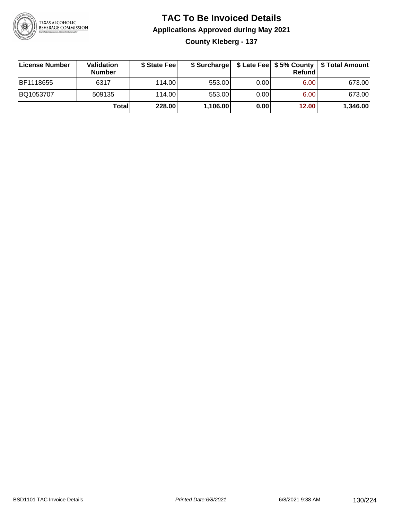

#### **TAC To Be Invoiced Details Applications Approved during May 2021 County Kleberg - 137**

| License Number   | Validation<br><b>Number</b> | \$ State Fee | \$ Surcharge |      | Refund | \$ Late Fee   \$5% County   \$ Total Amount |
|------------------|-----------------------------|--------------|--------------|------|--------|---------------------------------------------|
| <b>BF1118655</b> | 6317                        | 114.00L      | 553.00       | 0.00 | 6.00   | 673.00                                      |
| BQ1053707        | 509135                      | 114.00L      | 553.00       | 0.00 | 6.00   | 673.00                                      |
|                  | Total                       | 228.00       | 1,106.00     | 0.00 | 12.00  | 1,346.00                                    |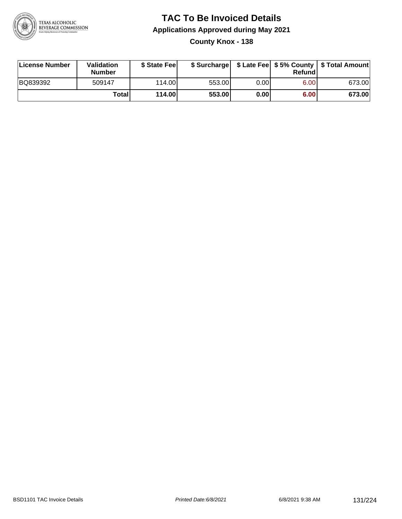

**County Knox - 138**

| License Number | Validation<br><b>Number</b> | \$ State Feel |        |      | Refundl | \$ Surcharge   \$ Late Fee   \$5% County   \$ Total Amount |
|----------------|-----------------------------|---------------|--------|------|---------|------------------------------------------------------------|
| BQ839392       | 509147                      | 114.00        | 553.00 | 0.00 | 6.00    | 673.00                                                     |
|                | Totall                      | 114.00        | 553.00 | 0.00 | 6.00    | 673.00                                                     |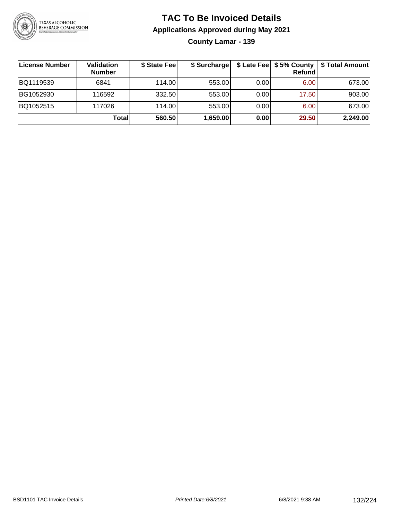

**County Lamar - 139**

| License Number | Validation<br><b>Number</b> | \$ State Fee | \$ Surcharge |       | <b>Refund</b> | \$ Late Fee   \$5% County   \$ Total Amount |
|----------------|-----------------------------|--------------|--------------|-------|---------------|---------------------------------------------|
| BQ1119539      | 6841                        | 114.00       | 553.00       | 0.001 | 6.00          | 673.00                                      |
| BG1052930      | 116592                      | 332.50       | 553.00       | 0.001 | 17.50         | 903.00                                      |
| BQ1052515      | 117026                      | 114.00L      | 553.00       | 0.00  | 6.00          | 673.00                                      |
|                | Total                       | 560.50       | 1,659.00     | 0.00  | 29.50         | 2,249.00                                    |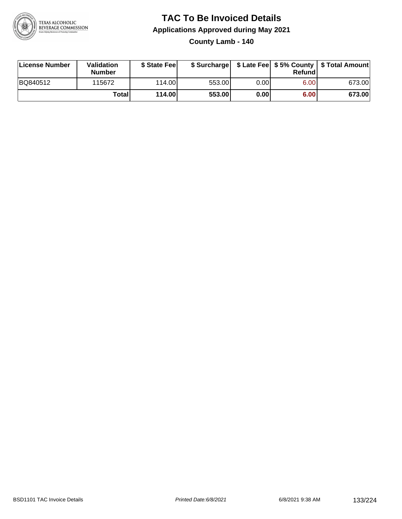

**County Lamb - 140**

| License Number | Validation<br><b>Number</b> | \$ State Feel |        |      | Refundl | \$ Surcharge   \$ Late Fee   \$5% County   \$ Total Amount |
|----------------|-----------------------------|---------------|--------|------|---------|------------------------------------------------------------|
| BQ840512       | 115672                      | 114.00        | 553.00 | 0.00 | 6.00    | 673.00                                                     |
|                | Totall                      | 114.00        | 553.00 | 0.00 | 6.00    | 673.00                                                     |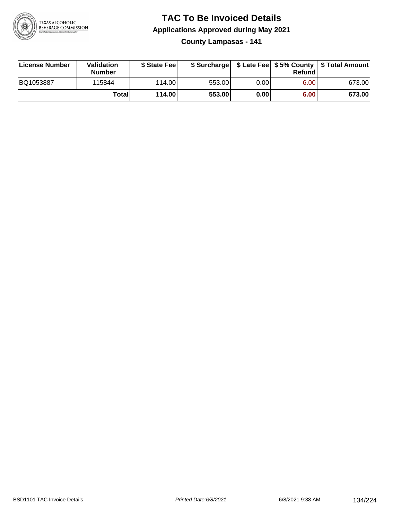

**County Lampasas - 141**

| License Number | Validation<br><b>Number</b> | \$ State Fee |        |      | Refundl | \$ Surcharge   \$ Late Fee   \$5% County   \$ Total Amount |
|----------------|-----------------------------|--------------|--------|------|---------|------------------------------------------------------------|
| BQ1053887      | 115844                      | 114.00       | 553.00 | 0.00 | 6.00    | 673.00                                                     |
|                | <b>Total</b>                | 114.00       | 553.00 | 0.00 | 6.00    | 673.00                                                     |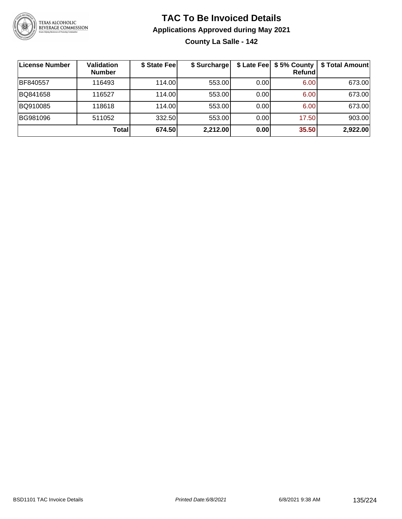

**County La Salle - 142**

| ∣License Number | <b>Validation</b><br><b>Number</b> | \$ State Fee | \$ Surcharge |       | \$ Late Fee   \$5% County  <br>Refund | \$ Total Amount |
|-----------------|------------------------------------|--------------|--------------|-------|---------------------------------------|-----------------|
| BF840557        | 116493                             | 114.00       | 553.00       | 0.001 | 6.00                                  | 673.00          |
| BQ841658        | 116527                             | 114.00       | 553.00       | 0.001 | 6.00                                  | 673.00          |
| BQ910085        | 118618                             | 114.00       | 553.00       | 0.001 | 6.00                                  | 673.00          |
| BG981096        | 511052                             | 332.50       | 553.00       | 0.00  | 17.50                                 | 903.00          |
|                 | Total                              | 674.50       | 2,212.00     | 0.00  | 35.50                                 | 2,922.00        |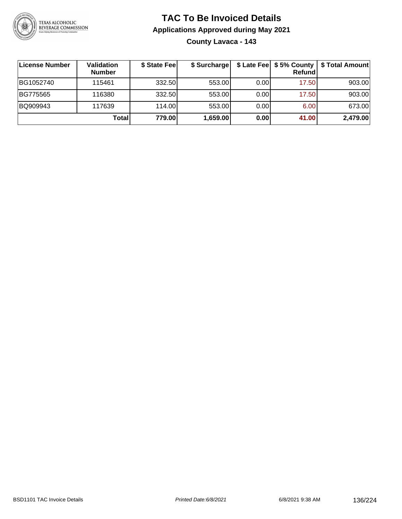

#### **TAC To Be Invoiced Details Applications Approved during May 2021 County Lavaca - 143**

| License Number | <b>Validation</b><br><b>Number</b> | \$ State Fee | \$ Surcharge |      | \$ Late Fee   \$5% County<br>Refund | \$ Total Amount |
|----------------|------------------------------------|--------------|--------------|------|-------------------------------------|-----------------|
| BG1052740      | 115461                             | 332.50       | 553.00       | 0.00 | 17.50                               | 903.00          |
| BG775565       | 116380                             | 332.50       | 553.00       | 0.00 | 17.50                               | 903.00          |
| BQ909943       | 117639                             | 114.00       | 553.00       | 0.00 | 6.00                                | 673.00          |
|                | Total                              | 779.00       | 1,659.00     | 0.00 | 41.00                               | 2,479.00        |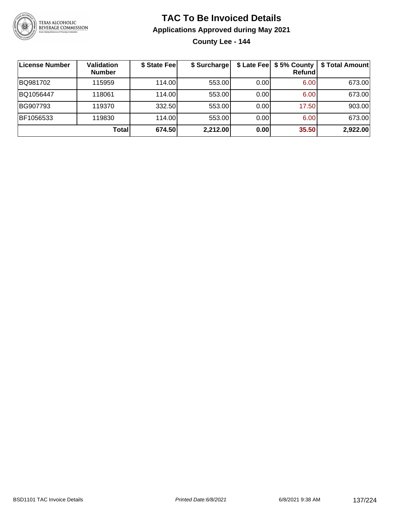

**County Lee - 144**

| License Number | <b>Validation</b><br><b>Number</b> | \$ State Fee | \$ Surcharge |      | \$ Late Fee   \$5% County  <br><b>Refund</b> | \$ Total Amount |
|----------------|------------------------------------|--------------|--------------|------|----------------------------------------------|-----------------|
| BQ981702       | 115959                             | 114.00       | 553.00       | 0.00 | 6.00                                         | 673.00          |
| BQ1056447      | 118061                             | 114.00       | 553.00       | 0.00 | 6.00                                         | 673.00          |
| BG907793       | 119370                             | 332.50       | 553.00       | 0.00 | 17.50                                        | 903.00          |
| BF1056533      | 119830                             | 114.00       | 553.00       | 0.00 | 6.00                                         | 673.00          |
|                | Total                              | 674.50       | 2,212.00     | 0.00 | 35.50                                        | 2,922.00        |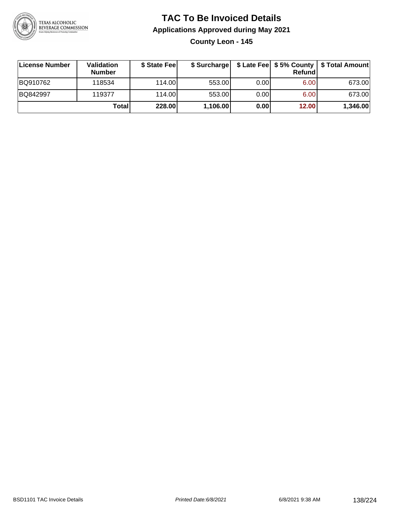

**County Leon - 145**

| License Number | <b>Validation</b><br><b>Number</b> | \$ State Feel |          |      | Refundl | \$ Surcharge   \$ Late Fee   \$5% County   \$ Total Amount |
|----------------|------------------------------------|---------------|----------|------|---------|------------------------------------------------------------|
| BQ910762       | 118534                             | 114.00        | 553.00   | 0.00 | 6.00    | 673.00                                                     |
| BQ842997       | 119377                             | 114.00        | 553.00   | 0.00 | 6.00    | 673.00                                                     |
|                | <b>Total</b>                       | 228.00        | 1,106.00 | 0.00 | 12.00   | 1,346.00                                                   |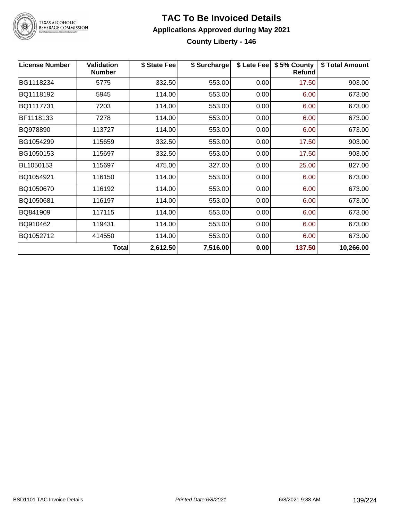

#### **TAC To Be Invoiced Details Applications Approved during May 2021 County Liberty - 146**

**License Number Validation Number \$ State Fee \$ Surcharge \$ Late Fee \$ 5% County Refund \$ Total Amount** BG1118234 5775 332.50 553.00 0.00 17.50 903.00 BQ1118192 5945 114.00 553.00 0.00 6.00 673.00 BQ1117731 7203 114.00 553.00 0.00 6.00 673.00 BF1118133 7278 114.00 553.00 0.00 6.00 673.00 BQ978890 113727 114.00 553.00 0.00 6.00 673.00 BG1054299 | 115659 | 332.50| 553.00| 0.00| 17.50| 903.00 BG1050153 115697 332.50 553.00 0.00 17.50 903.00 BL1050153 115697 475.00 327.00 0.00 25.00 827.00 BQ1054921 116150 114.00 553.00 0.00 6.00 673.00 BQ1050670 116192 114.00 553.00 0.00 6.00 673.00 BQ1050681 116197 114.00 553.00 0.00 6.00 673.00 BQ841909 117115 114.00 553.00 0.00 6.00 673.00 BQ910462 119431 114.00 553.00 0.00 6.00 673.00 BQ1052712 | 414550 | 114.00| 553.00| 0.00| 6.00| 673.00 **Total 2,612.50 7,516.00 0.00 137.50 10,266.00**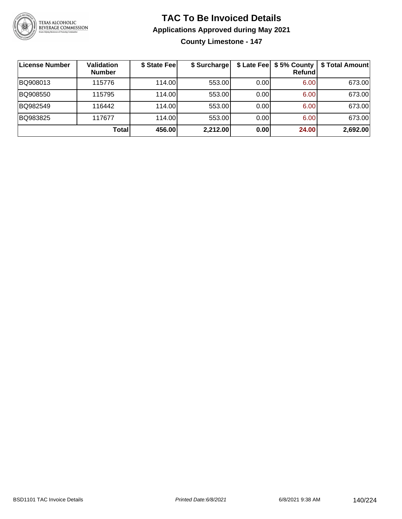

**County Limestone - 147**

| License Number | <b>Validation</b><br><b>Number</b> | \$ State Fee | \$ Surcharge |      | \$ Late Fee   \$5% County  <br><b>Refund</b> | \$ Total Amount |
|----------------|------------------------------------|--------------|--------------|------|----------------------------------------------|-----------------|
| BQ908013       | 115776                             | 114.00L      | 553.00       | 0.00 | 6.00                                         | 673.00          |
| BQ908550       | 115795                             | 114.00       | 553.00       | 0.00 | 6.00                                         | 673.00          |
| BQ982549       | 116442                             | 114.00L      | 553.00       | 0.00 | 6.00                                         | 673.00          |
| BQ983825       | 117677                             | 114.00       | 553.00       | 0.00 | 6.00                                         | 673.00          |
|                | Total                              | 456.00       | 2,212.00     | 0.00 | 24.00                                        | 2,692.00        |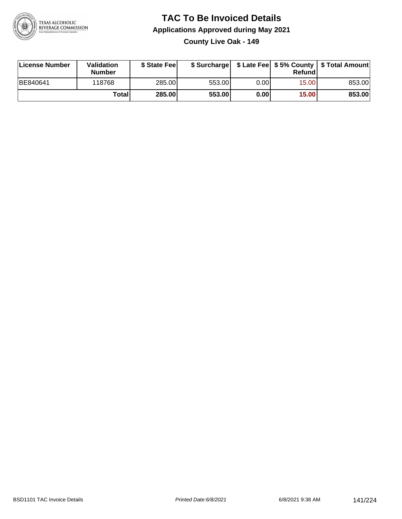

**County Live Oak - 149**

| License Number | <b>Validation</b><br><b>Number</b> | \$ State Fee |        |      | Refundl | \$ Surcharge   \$ Late Fee   \$5% County   \$ Total Amount |
|----------------|------------------------------------|--------------|--------|------|---------|------------------------------------------------------------|
| BE840641       | 118768                             | 285.00       | 553.00 | 0.00 | 15.00   | 853.00                                                     |
|                | Totall                             | 285.00       | 553.00 | 0.00 | 15.00   | 853.00                                                     |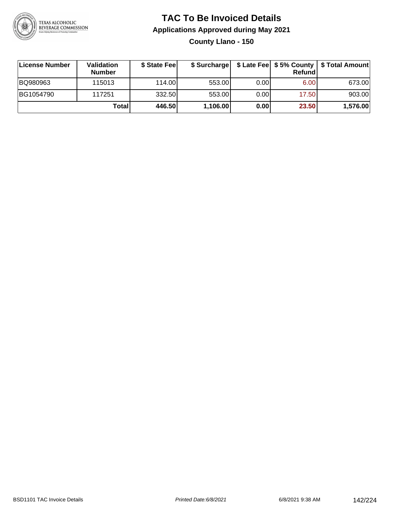

**County Llano - 150**

| ∣License Number | <b>Validation</b><br><b>Number</b> | \$ State Feel |          |       | Refundl | \$ Surcharge   \$ Late Fee   \$5% County   \$ Total Amount |
|-----------------|------------------------------------|---------------|----------|-------|---------|------------------------------------------------------------|
| BQ980963        | 115013                             | 114.00        | 553.00   | 0.001 | 6.00    | 673.00                                                     |
| BG1054790       | 117251                             | 332.50        | 553.00   | 0.00  | 17.50   | 903.00                                                     |
|                 | Totall                             | 446.50        | 1,106.00 | 0.00  | 23.50   | 1,576.00                                                   |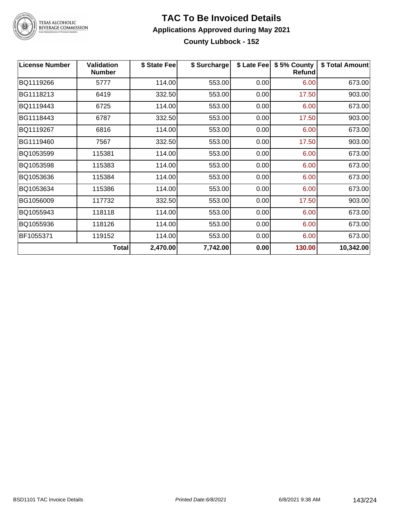

#### **TAC To Be Invoiced Details Applications Approved during May 2021 County Lubbock - 152**

| <b>License Number</b> | <b>Validation</b><br><b>Number</b> | \$ State Fee | \$ Surcharge | \$ Late Fee | \$5% County<br>Refund | \$ Total Amount |
|-----------------------|------------------------------------|--------------|--------------|-------------|-----------------------|-----------------|
| BQ1119266             | 5777                               | 114.00       | 553.00       | 0.00        | 6.00                  | 673.00          |
| BG1118213             | 6419                               | 332.50       | 553.00       | 0.00        | 17.50                 | 903.00          |
| BQ1119443             | 6725                               | 114.00       | 553.00       | 0.00        | 6.00                  | 673.00          |
| BG1118443             | 6787                               | 332.50       | 553.00       | 0.00        | 17.50                 | 903.00          |
| BQ1119267             | 6816                               | 114.00       | 553.00       | 0.00        | 6.00                  | 673.00          |
| BG1119460             | 7567                               | 332.50       | 553.00       | 0.00        | 17.50                 | 903.00          |
| BQ1053599             | 115381                             | 114.00       | 553.00       | 0.00        | 6.00                  | 673.00          |
| BQ1053598             | 115383                             | 114.00       | 553.00       | 0.00        | 6.00                  | 673.00          |
| BQ1053636             | 115384                             | 114.00       | 553.00       | 0.00        | 6.00                  | 673.00          |
| BQ1053634             | 115386                             | 114.00       | 553.00       | 0.00        | 6.00                  | 673.00          |
| BG1056009             | 117732                             | 332.50       | 553.00       | 0.00        | 17.50                 | 903.00          |
| BQ1055943             | 118118                             | 114.00       | 553.00       | 0.00        | 6.00                  | 673.00          |
| BQ1055936             | 118126                             | 114.00       | 553.00       | 0.00        | 6.00                  | 673.00          |
| BF1055371             | 119152                             | 114.00       | 553.00       | 0.00        | 6.00                  | 673.00          |
|                       | Total                              | 2,470.00     | 7,742.00     | 0.00        | 130.00                | 10,342.00       |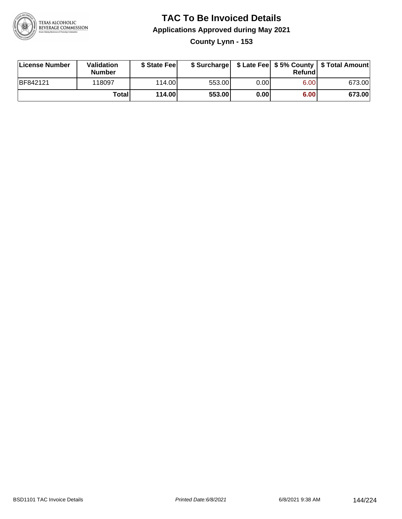

**County Lynn - 153**

| License Number | Validation<br><b>Number</b> | \$ State Fee |        |      | Refundl | \$ Surcharge   \$ Late Fee   \$5% County   \$ Total Amount |
|----------------|-----------------------------|--------------|--------|------|---------|------------------------------------------------------------|
| BF842121       | 118097                      | 114.00L      | 553.00 | 0.00 | 6.00    | 673.00                                                     |
|                | Totall                      | 114.00       | 553.00 | 0.00 | 6.00    | 673.00                                                     |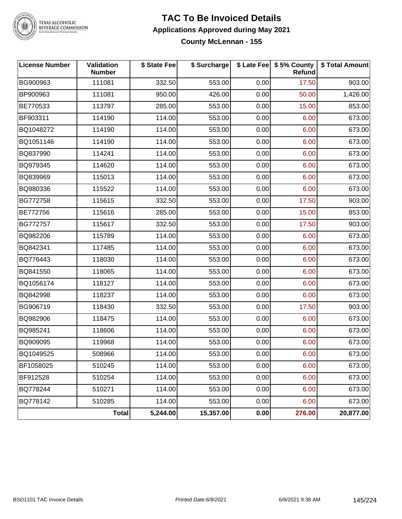

### **TAC To Be Invoiced Details Applications Approved during May 2021 County McLennan - 155**

| <b>License Number</b> | Validation<br><b>Number</b> | \$ State Fee | \$ Surcharge |      | \$ Late Fee   \$5% County<br><b>Refund</b> | \$ Total Amount |
|-----------------------|-----------------------------|--------------|--------------|------|--------------------------------------------|-----------------|
| BG900963              | 111081                      | 332.50       | 553.00       | 0.00 | 17.50                                      | 903.00          |
| BP900963              | 111081                      | 950.00       | 426.00       | 0.00 | 50.00                                      | 1,426.00        |
| BE770533              | 113797                      | 285.00       | 553.00       | 0.00 | 15.00                                      | 853.00          |
| BF903311              | 114190                      | 114.00       | 553.00       | 0.00 | 6.00                                       | 673.00          |
| BQ1048272             | 114190                      | 114.00       | 553.00       | 0.00 | 6.00                                       | 673.00          |
| BQ1051146             | 114190                      | 114.00       | 553.00       | 0.00 | 6.00                                       | 673.00          |
| BQ837990              | 114241                      | 114.00       | 553.00       | 0.00 | 6.00                                       | 673.00          |
| BQ979345              | 114620                      | 114.00       | 553.00       | 0.00 | 6.00                                       | 673.00          |
| BQ839969              | 115013                      | 114.00       | 553.00       | 0.00 | 6.00                                       | 673.00          |
| BQ980336              | 115522                      | 114.00       | 553.00       | 0.00 | 6.00                                       | 673.00          |
| BG772758              | 115615                      | 332.50       | 553.00       | 0.00 | 17.50                                      | 903.00          |
| BE772756              | 115616                      | 285.00       | 553.00       | 0.00 | 15.00                                      | 853.00          |
| BG772757              | 115617                      | 332.50       | 553.00       | 0.00 | 17.50                                      | 903.00          |
| BQ982206              | 115789                      | 114.00       | 553.00       | 0.00 | 6.00                                       | 673.00          |
| BQ842341              | 117485                      | 114.00       | 553.00       | 0.00 | 6.00                                       | 673.00          |
| BQ776443              | 118030                      | 114.00       | 553.00       | 0.00 | 6.00                                       | 673.00          |
| BQ841550              | 118065                      | 114.00       | 553.00       | 0.00 | 6.00                                       | 673.00          |
| BQ1056174             | 118127                      | 114.00       | 553.00       | 0.00 | 6.00                                       | 673.00          |
| BQ842998              | 118237                      | 114.00       | 553.00       | 0.00 | 6.00                                       | 673.00          |
| BG906719              | 118430                      | 332.50       | 553.00       | 0.00 | 17.50                                      | 903.00          |
| BQ982906              | 118475                      | 114.00       | 553.00       | 0.00 | 6.00                                       | 673.00          |
| BQ985241              | 118606                      | 114.00       | 553.00       | 0.00 | 6.00                                       | 673.00          |
| BQ909095              | 119968                      | 114.00       | 553.00       | 0.00 | 6.00                                       | 673.00          |
| BQ1049525             | 508966                      | 114.00       | 553.00       | 0.00 | 6.00                                       | 673.00          |
| BF1058025             | 510245                      | 114.00       | 553.00       | 0.00 | 6.00                                       | 673.00          |
| BF912528              | 510254                      | 114.00       | 553.00       | 0.00 | 6.00                                       | 673.00          |
| BQ778244              | 510271                      | 114.00       | 553.00       | 0.00 | 6.00                                       | 673.00          |
| BQ778142              | 510285                      | 114.00       | 553.00       | 0.00 | 6.00                                       | 673.00          |
|                       | Total                       | 5,244.00     | 15,357.00    | 0.00 | 276.00                                     | 20,877.00       |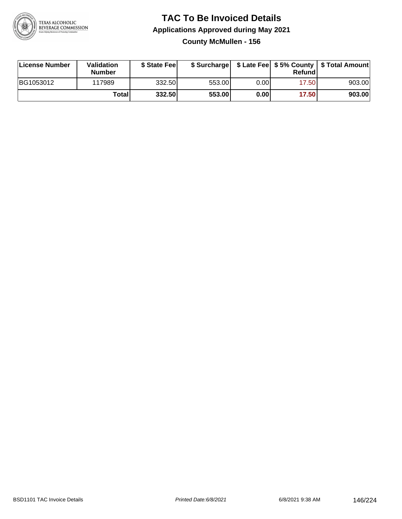

### **TAC To Be Invoiced Details Applications Approved during May 2021 County McMullen - 156**

| License Number | Validation<br>Number | \$ State Fee |        |      | Refundl | \$ Surcharge   \$ Late Fee   \$5% County   \$ Total Amount |
|----------------|----------------------|--------------|--------|------|---------|------------------------------------------------------------|
| BG1053012      | 117989               | 332.50       | 553.00 | 0.00 | 17.50   | 903.00                                                     |
|                | Totall               | 332.50       | 553.00 | 0.00 | 17.50   | 903.00                                                     |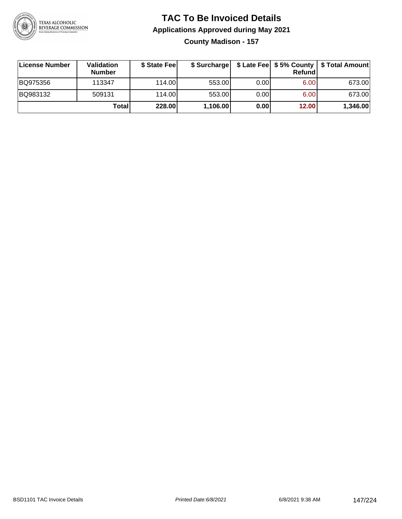

**County Madison - 157**

| License Number | <b>Validation</b><br><b>Number</b> | \$ State Fee |          |       | Refundl | \$ Surcharge   \$ Late Fee   \$5% County   \$ Total Amount |
|----------------|------------------------------------|--------------|----------|-------|---------|------------------------------------------------------------|
| BQ975356       | 113347                             | 114.00       | 553.00   | 0.001 | 6.00    | 673.00                                                     |
| BQ983132       | 509131                             | 114.00       | 553.00   | 0.001 | 6.00    | 673.00                                                     |
|                | Totall                             | 228.00       | 1,106.00 | 0.00  | 12.00   | 1,346.00                                                   |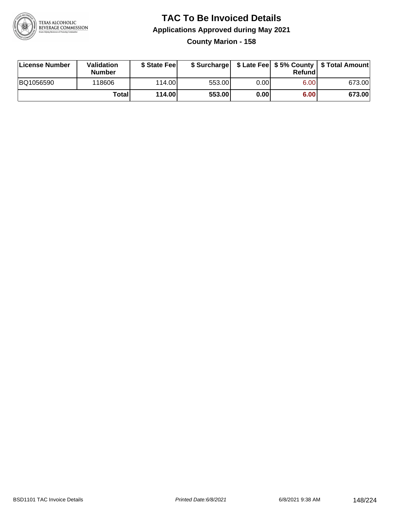

### **TAC To Be Invoiced Details Applications Approved during May 2021 County Marion - 158**

| License Number | Validation<br><b>Number</b> | \$ State Fee |        |      | Refund | \$ Surcharge   \$ Late Fee   \$5% County   \$ Total Amount |
|----------------|-----------------------------|--------------|--------|------|--------|------------------------------------------------------------|
| BQ1056590      | 118606                      | 114.00L      | 553.00 | 0.00 | 6.00   | 673.00                                                     |
|                | Total                       | 114.00       | 553.00 | 0.00 | 6.00   | 673.00                                                     |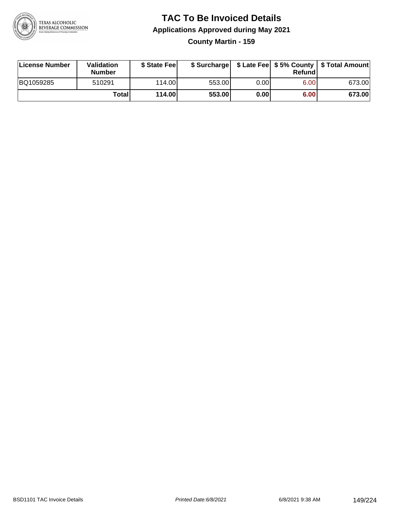

**County Martin - 159**

| License Number | Validation<br><b>Number</b> | \$ State Fee |        |      | Refundl | \$ Surcharge   \$ Late Fee   \$5% County   \$ Total Amount |
|----------------|-----------------------------|--------------|--------|------|---------|------------------------------------------------------------|
| BQ1059285      | 510291                      | 114.00       | 553.00 | 0.00 | 6.00    | 673.00                                                     |
|                | Totall                      | 114.00       | 553.00 | 0.00 | 6.00    | 673.00                                                     |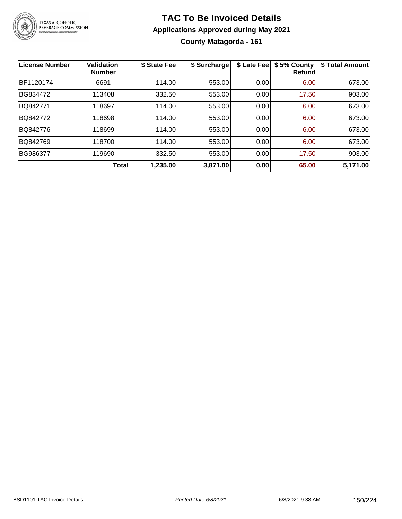

**County Matagorda - 161**

| <b>License Number</b> | <b>Validation</b><br><b>Number</b> | \$ State Fee | \$ Surcharge | \$ Late Fee | \$5% County<br>Refundl | \$ Total Amount |
|-----------------------|------------------------------------|--------------|--------------|-------------|------------------------|-----------------|
| BF1120174             | 6691                               | 114.00       | 553.00       | 0.00        | 6.00                   | 673.00          |
| BG834472              | 113408                             | 332.50       | 553.00       | 0.00        | 17.50                  | 903.00          |
| BQ842771              | 118697                             | 114.00       | 553.00       | 0.00        | 6.00                   | 673.00          |
| BQ842772              | 118698                             | 114.00       | 553.00       | 0.00        | 6.00                   | 673.00          |
| BQ842776              | 118699                             | 114.00       | 553.00       | 0.00        | 6.00                   | 673.00          |
| BQ842769              | 118700                             | 114.00       | 553.00       | 0.00        | 6.00                   | 673.00          |
| BG986377              | 119690                             | 332.50       | 553.00       | 0.00        | 17.50                  | 903.00          |
|                       | Total                              | 1,235.00     | 3,871.00     | 0.00        | 65.00                  | 5,171.00        |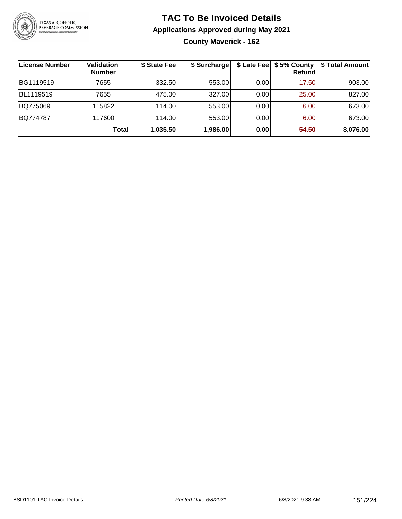

### **TAC To Be Invoiced Details Applications Approved during May 2021 County Maverick - 162**

| License Number | <b>Validation</b><br><b>Number</b> | \$ State Fee | \$ Surcharge | \$ Late Fee | \$5% County<br><b>Refund</b> | \$ Total Amount |
|----------------|------------------------------------|--------------|--------------|-------------|------------------------------|-----------------|
| BG1119519      | 7655                               | 332.50       | 553.00       | 0.00        | 17.50                        | 903.00          |
| BL1119519      | 7655                               | 475.00       | 327.00       | 0.00        | 25.00                        | 827.00          |
| BQ775069       | 115822                             | 114.00       | 553.00       | 0.00        | 6.00                         | 673.00          |
| BQ774787       | 117600                             | 114.00       | 553.00       | 0.00        | 6.00                         | 673.00          |
|                | <b>Total</b>                       | 1,035.50     | 1,986.00     | 0.00        | 54.50                        | 3,076.00        |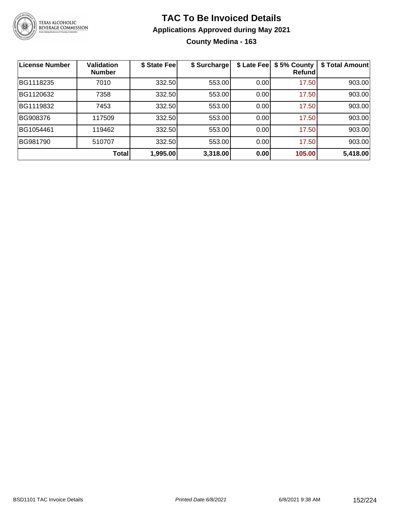

### **TAC To Be Invoiced Details Applications Approved during May 2021 County Medina - 163**

| <b>License Number</b> | <b>Validation</b><br><b>Number</b> | \$ State Fee | \$ Surcharge | \$ Late Fee | \$5% County<br>Refund | \$ Total Amount |
|-----------------------|------------------------------------|--------------|--------------|-------------|-----------------------|-----------------|
| BG1118235             | 7010                               | 332.50       | 553.00       | 0.00        | 17.50                 | 903.00          |
| BG1120632             | 7358                               | 332.50       | 553.00       | 0.00        | 17.50                 | 903.00          |
| BG1119832             | 7453                               | 332.50       | 553.00       | 0.00        | 17.50                 | 903.00          |
| BG908376              | 117509                             | 332.50       | 553.00       | 0.00        | 17.50                 | 903.00          |
| BG1054461             | 119462                             | 332.50       | 553.00       | 0.00        | 17.50                 | 903.00          |
| BG981790              | 510707                             | 332.50       | 553.00       | 0.00        | 17.50                 | 903.00          |
|                       | <b>Total</b>                       | 1,995.00     | 3,318.00     | 0.00        | 105.00                | 5,418.00        |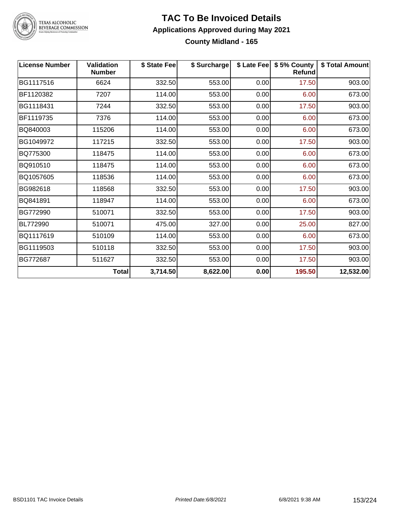

### **TAC To Be Invoiced Details Applications Approved during May 2021 County Midland - 165**

| <b>License Number</b> | <b>Validation</b><br><b>Number</b> | \$ State Fee | \$ Surcharge |      | \$ Late Fee   \$5% County<br>Refund | \$ Total Amount |
|-----------------------|------------------------------------|--------------|--------------|------|-------------------------------------|-----------------|
| BG1117516             | 6624                               | 332.50       | 553.00       | 0.00 | 17.50                               | 903.00          |
| BF1120382             | 7207                               | 114.00       | 553.00       | 0.00 | 6.00                                | 673.00          |
| BG1118431             | 7244                               | 332.50       | 553.00       | 0.00 | 17.50                               | 903.00          |
| BF1119735             | 7376                               | 114.00       | 553.00       | 0.00 | 6.00                                | 673.00          |
| BQ840003              | 115206                             | 114.00       | 553.00       | 0.00 | 6.00                                | 673.00          |
| BG1049972             | 117215                             | 332.50       | 553.00       | 0.00 | 17.50                               | 903.00          |
| BQ775300              | 118475                             | 114.00       | 553.00       | 0.00 | 6.00                                | 673.00          |
| BQ910510              | 118475                             | 114.00       | 553.00       | 0.00 | 6.00                                | 673.00          |
| BQ1057605             | 118536                             | 114.00       | 553.00       | 0.00 | 6.00                                | 673.00          |
| BG982618              | 118568                             | 332.50       | 553.00       | 0.00 | 17.50                               | 903.00          |
| BQ841891              | 118947                             | 114.00       | 553.00       | 0.00 | 6.00                                | 673.00          |
| BG772990              | 510071                             | 332.50       | 553.00       | 0.00 | 17.50                               | 903.00          |
| BL772990              | 510071                             | 475.00       | 327.00       | 0.00 | 25.00                               | 827.00          |
| BQ1117619             | 510109                             | 114.00       | 553.00       | 0.00 | 6.00                                | 673.00          |
| BG1119503             | 510118                             | 332.50       | 553.00       | 0.00 | 17.50                               | 903.00          |
| BG772687              | 511627                             | 332.50       | 553.00       | 0.00 | 17.50                               | 903.00          |
|                       | <b>Total</b>                       | 3,714.50     | 8,622.00     | 0.00 | 195.50                              | 12,532.00       |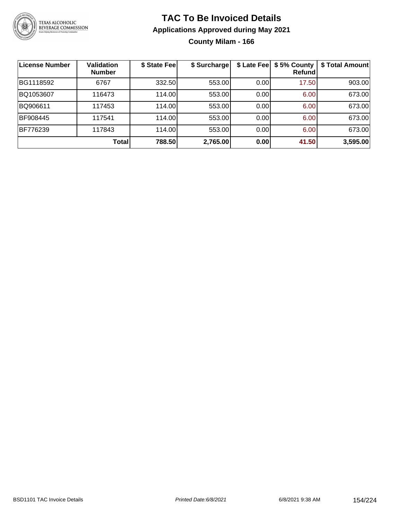

**County Milam - 166**

| <b>License Number</b> | <b>Validation</b><br><b>Number</b> | \$ State Fee | \$ Surcharge |       | \$ Late Fee   \$5% County<br>Refundl | \$ Total Amount |
|-----------------------|------------------------------------|--------------|--------------|-------|--------------------------------------|-----------------|
| BG1118592             | 6767                               | 332.50       | 553.00       | 0.00  | 17.50                                | 903.00          |
| BQ1053607             | 116473                             | 114.00       | 553.00       | 0.00  | 6.00                                 | 673.00          |
| BQ906611              | 117453                             | 114.00       | 553.00       | 0.001 | 6.00                                 | 673.00          |
| BF908445              | 117541                             | 114.00       | 553.00       | 0.00  | 6.00                                 | 673.00          |
| BF776239              | 117843                             | 114.00       | 553.00       | 0.00  | 6.00                                 | 673.00          |
|                       | <b>Total</b>                       | 788.50       | 2,765.00     | 0.00  | 41.50                                | 3,595.00        |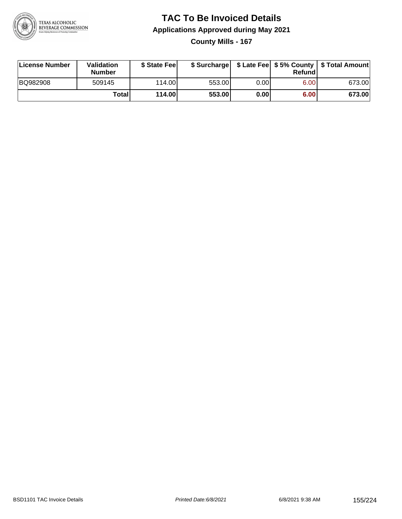

### **TAC To Be Invoiced Details Applications Approved during May 2021 County Mills - 167**

| License Number | Validation<br><b>Number</b> | \$ State Feel |        |      | Refundl | \$ Surcharge   \$ Late Fee   \$5% County   \$ Total Amount |
|----------------|-----------------------------|---------------|--------|------|---------|------------------------------------------------------------|
| BQ982908       | 509145                      | 114.00L       | 553.00 | 0.00 | 6.00    | 673.00                                                     |
|                | <b>Total</b>                | 114.00        | 553.00 | 0.00 | 6.00    | 673.00                                                     |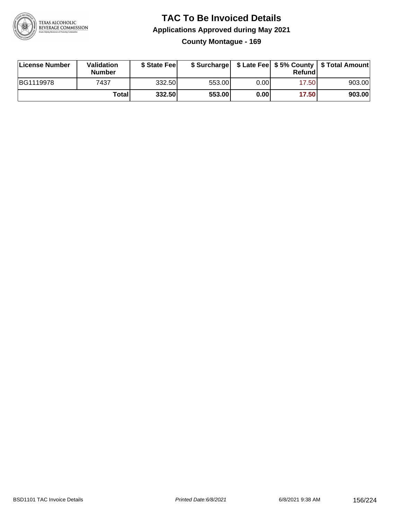

### **TAC To Be Invoiced Details Applications Approved during May 2021 County Montague - 169**

| <b>License Number</b> | Validation<br><b>Number</b> | \$ State Fee |        |      | Refund | \$ Surcharge   \$ Late Fee   \$5% County   \$ Total Amount |
|-----------------------|-----------------------------|--------------|--------|------|--------|------------------------------------------------------------|
| BG1119978             | 7437                        | 332.50       | 553.00 | 0.00 | 17.50  | 903.00                                                     |
|                       | <b>Total</b>                | 332.50       | 553.00 | 0.00 | 17.50  | 903.00                                                     |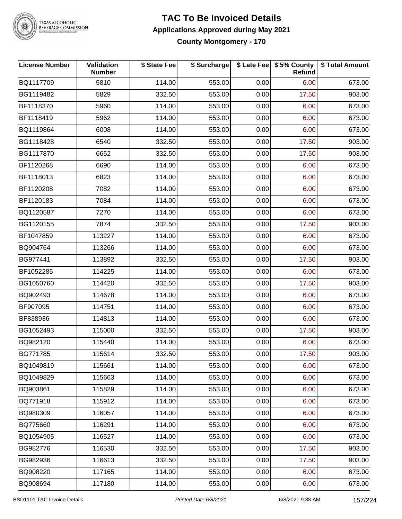

**County Montgomery - 170**

| <b>License Number</b> | Validation<br><b>Number</b> | \$ State Fee | \$ Surcharge |      | \$ Late Fee   \$5% County<br>Refund | \$ Total Amount |
|-----------------------|-----------------------------|--------------|--------------|------|-------------------------------------|-----------------|
| BQ1117709             | 5810                        | 114.00       | 553.00       | 0.00 | 6.00                                | 673.00          |
| BG1119482             | 5829                        | 332.50       | 553.00       | 0.00 | 17.50                               | 903.00          |
| BF1118370             | 5960                        | 114.00       | 553.00       | 0.00 | 6.00                                | 673.00          |
| BF1118419             | 5962                        | 114.00       | 553.00       | 0.00 | 6.00                                | 673.00          |
| BQ1119864             | 6008                        | 114.00       | 553.00       | 0.00 | 6.00                                | 673.00          |
| BG1118428             | 6540                        | 332.50       | 553.00       | 0.00 | 17.50                               | 903.00          |
| BG1117870             | 6652                        | 332.50       | 553.00       | 0.00 | 17.50                               | 903.00          |
| BF1120268             | 6690                        | 114.00       | 553.00       | 0.00 | 6.00                                | 673.00          |
| BF1118013             | 6823                        | 114.00       | 553.00       | 0.00 | 6.00                                | 673.00          |
| BF1120208             | 7082                        | 114.00       | 553.00       | 0.00 | 6.00                                | 673.00          |
| BF1120183             | 7084                        | 114.00       | 553.00       | 0.00 | 6.00                                | 673.00          |
| BQ1120587             | 7270                        | 114.00       | 553.00       | 0.00 | 6.00                                | 673.00          |
| BG1120155             | 7874                        | 332.50       | 553.00       | 0.00 | 17.50                               | 903.00          |
| BF1047859             | 113227                      | 114.00       | 553.00       | 0.00 | 6.00                                | 673.00          |
| BQ904764              | 113266                      | 114.00       | 553.00       | 0.00 | 6.00                                | 673.00          |
| BG977441              | 113892                      | 332.50       | 553.00       | 0.00 | 17.50                               | 903.00          |
| BF1052285             | 114225                      | 114.00       | 553.00       | 0.00 | 6.00                                | 673.00          |
| BG1050760             | 114420                      | 332.50       | 553.00       | 0.00 | 17.50                               | 903.00          |
| BQ902493              | 114678                      | 114.00       | 553.00       | 0.00 | 6.00                                | 673.00          |
| BF907095              | 114751                      | 114.00       | 553.00       | 0.00 | 6.00                                | 673.00          |
| BF838936              | 114813                      | 114.00       | 553.00       | 0.00 | 6.00                                | 673.00          |
| BG1052493             | 115000                      | 332.50       | 553.00       | 0.00 | 17.50                               | 903.00          |
| BQ982120              | 115440                      | 114.00       | 553.00       | 0.00 | 6.00                                | 673.00          |
| BG771785              | 115614                      | 332.50       | 553.00       | 0.00 | 17.50                               | 903.00          |
| BQ1049819             | 115661                      | 114.00       | 553.00       | 0.00 | 6.00                                | 673.00          |
| BQ1049829             | 115663                      | 114.00       | 553.00       | 0.00 | 6.00                                | 673.00          |
| BQ903861              | 115829                      | 114.00       | 553.00       | 0.00 | 6.00                                | 673.00          |
| BQ771918              | 115912                      | 114.00       | 553.00       | 0.00 | 6.00                                | 673.00          |
| BQ980309              | 116057                      | 114.00       | 553.00       | 0.00 | 6.00                                | 673.00          |
| BQ775660              | 116291                      | 114.00       | 553.00       | 0.00 | 6.00                                | 673.00          |
| BQ1054905             | 116527                      | 114.00       | 553.00       | 0.00 | 6.00                                | 673.00          |
| BG982776              | 116530                      | 332.50       | 553.00       | 0.00 | 17.50                               | 903.00          |
| BG982936              | 116613                      | 332.50       | 553.00       | 0.00 | 17.50                               | 903.00          |
| BQ908220              | 117165                      | 114.00       | 553.00       | 0.00 | 6.00                                | 673.00          |
| BQ908694              | 117180                      | 114.00       | 553.00       | 0.00 | 6.00                                | 673.00          |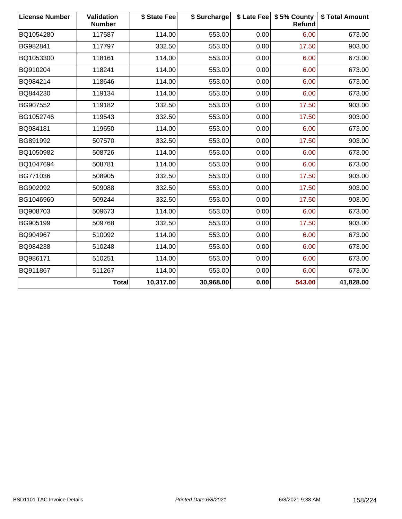| <b>License Number</b> | Validation<br><b>Number</b> | \$ State Fee | \$ Surcharge | \$ Late Fee | \$5% County<br>Refund | \$ Total Amount |
|-----------------------|-----------------------------|--------------|--------------|-------------|-----------------------|-----------------|
| BQ1054280             | 117587                      | 114.00       | 553.00       | 0.00        | 6.00                  | 673.00          |
| BG982841              | 117797                      | 332.50       | 553.00       | 0.00        | 17.50                 | 903.00          |
| BQ1053300             | 118161                      | 114.00       | 553.00       | 0.00        | 6.00                  | 673.00          |
| BQ910204              | 118241                      | 114.00       | 553.00       | 0.00        | 6.00                  | 673.00          |
| BQ984214              | 118646                      | 114.00       | 553.00       | 0.00        | 6.00                  | 673.00          |
| BQ844230              | 119134                      | 114.00       | 553.00       | 0.00        | 6.00                  | 673.00          |
| BG907552              | 119182                      | 332.50       | 553.00       | 0.00        | 17.50                 | 903.00          |
| BG1052746             | 119543                      | 332.50       | 553.00       | 0.00        | 17.50                 | 903.00          |
| BQ984181              | 119650                      | 114.00       | 553.00       | 0.00        | 6.00                  | 673.00          |
| BG891992              | 507570                      | 332.50       | 553.00       | 0.00        | 17.50                 | 903.00          |
| BQ1050982             | 508726                      | 114.00       | 553.00       | 0.00        | 6.00                  | 673.00          |
| BQ1047694             | 508781                      | 114.00       | 553.00       | 0.00        | 6.00                  | 673.00          |
| BG771036              | 508905                      | 332.50       | 553.00       | 0.00        | 17.50                 | 903.00          |
| BG902092              | 509088                      | 332.50       | 553.00       | 0.00        | 17.50                 | 903.00          |
| BG1046960             | 509244                      | 332.50       | 553.00       | 0.00        | 17.50                 | 903.00          |
| BQ908703              | 509673                      | 114.00       | 553.00       | 0.00        | 6.00                  | 673.00          |
| BG905199              | 509768                      | 332.50       | 553.00       | 0.00        | 17.50                 | 903.00          |
| BQ904967              | 510092                      | 114.00       | 553.00       | 0.00        | 6.00                  | 673.00          |
| BQ984238              | 510248                      | 114.00       | 553.00       | 0.00        | 6.00                  | 673.00          |
| BQ986171              | 510251                      | 114.00       | 553.00       | 0.00        | 6.00                  | 673.00          |
| BQ911867              | 511267                      | 114.00       | 553.00       | 0.00        | 6.00                  | 673.00          |
|                       | <b>Total</b>                | 10,317.00    | 30,968.00    | 0.00        | 543.00                | 41,828.00       |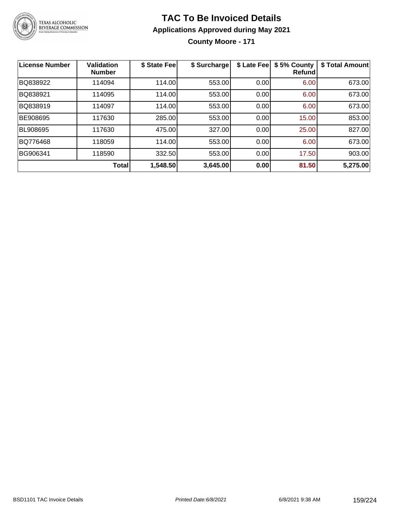

**County Moore - 171**

| License Number  | <b>Validation</b><br><b>Number</b> | \$ State Fee | \$ Surcharge | \$ Late Fee | \$5% County<br>Refundl | \$ Total Amount |
|-----------------|------------------------------------|--------------|--------------|-------------|------------------------|-----------------|
| BQ838922        | 114094                             | 114.00       | 553.00       | 0.00        | 6.00                   | 673.00          |
| BQ838921        | 114095                             | 114.00       | 553.00       | 0.00        | 6.00                   | 673.00          |
| BQ838919        | 114097                             | 114.00       | 553.00       | 0.00        | 6.00                   | 673.00          |
| BE908695        | 117630                             | 285.00       | 553.00       | 0.00        | 15.00                  | 853.00          |
| <b>BL908695</b> | 117630                             | 475.00       | 327.00       | 0.00        | 25.00                  | 827.00          |
| BQ776468        | 118059                             | 114.00       | 553.00       | 0.00        | 6.00                   | 673.00          |
| BG906341        | 118590                             | 332.50       | 553.00       | 0.00        | 17.50                  | 903.00          |
|                 | <b>Total</b>                       | 1,548.50     | 3,645.00     | 0.00        | 81.50                  | 5,275.00        |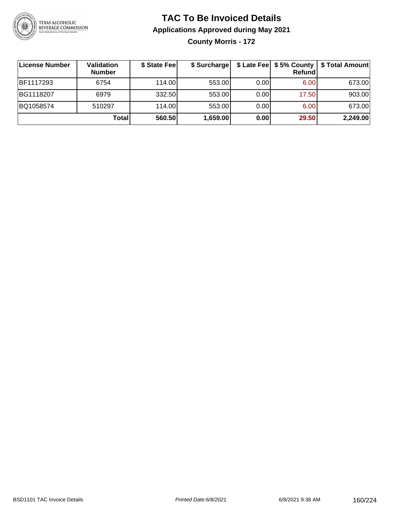

**County Morris - 172**

| License Number   | Validation<br><b>Number</b> | \$ State Fee | \$ Surcharge |       | <b>Refund</b> | \$ Late Fee   \$5% County   \$ Total Amount |
|------------------|-----------------------------|--------------|--------------|-------|---------------|---------------------------------------------|
| <b>BF1117293</b> | 6754                        | 114.00       | 553.00       | 0.001 | 6.00          | 673.00                                      |
| BG1118207        | 6979                        | 332.50       | 553.00       | 0.00  | 17.50         | 903.00                                      |
| BQ1058574        | 510297                      | 114.00L      | 553.00       | 0.00  | 6.00          | 673.00                                      |
|                  | Total                       | 560.50       | 1,659.00     | 0.00  | 29.50         | 2,249.00                                    |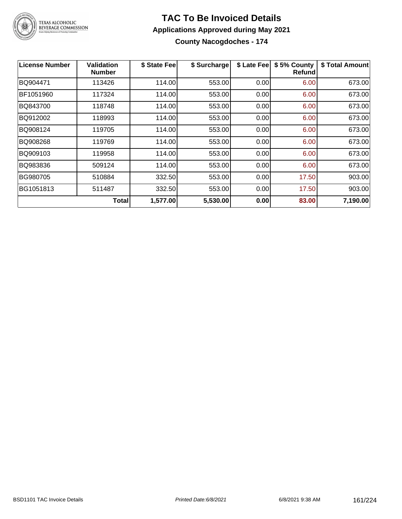

**County Nacogdoches - 174**

| <b>License Number</b> | <b>Validation</b><br><b>Number</b> | \$ State Fee | \$ Surcharge | \$ Late Fee | \$5% County<br><b>Refund</b> | \$ Total Amount |
|-----------------------|------------------------------------|--------------|--------------|-------------|------------------------------|-----------------|
| BQ904471              | 113426                             | 114.00       | 553.00       | 0.00        | 6.00                         | 673.00          |
| BF1051960             | 117324                             | 114.00       | 553.00       | 0.00        | 6.00                         | 673.00          |
| BQ843700              | 118748                             | 114.00       | 553.00       | 0.00        | 6.00                         | 673.00          |
| BQ912002              | 118993                             | 114.00       | 553.00       | 0.00        | 6.00                         | 673.00          |
| BQ908124              | 119705                             | 114.00       | 553.00       | 0.00        | 6.00                         | 673.00          |
| BQ908268              | 119769                             | 114.00       | 553.00       | 0.00        | 6.00                         | 673.00          |
| BQ909103              | 119958                             | 114.00       | 553.00       | 0.00        | 6.00                         | 673.00          |
| BQ983836              | 509124                             | 114.00       | 553.00       | 0.00        | 6.00                         | 673.00          |
| BG980705              | 510884                             | 332.50       | 553.00       | 0.00        | 17.50                        | 903.00          |
| BG1051813             | 511487                             | 332.50       | 553.00       | 0.00        | 17.50                        | 903.00          |
|                       | <b>Total</b>                       | 1,577.00     | 5,530.00     | 0.00        | 83.00                        | 7,190.00        |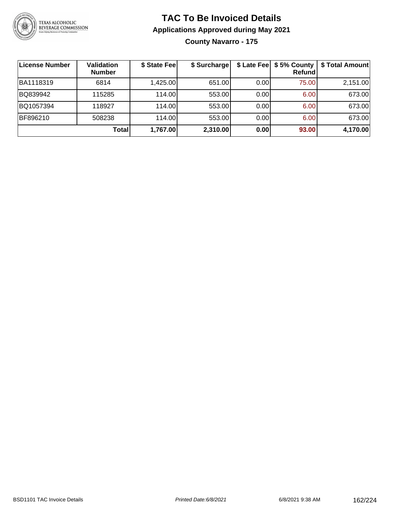

### **TAC To Be Invoiced Details Applications Approved during May 2021 County Navarro - 175**

| ∣License Number | <b>Validation</b><br><b>Number</b> | \$ State Fee | \$ Surcharge |      | \$ Late Fee   \$5% County<br><b>Refund</b> | \$ Total Amount |
|-----------------|------------------------------------|--------------|--------------|------|--------------------------------------------|-----------------|
| BA1118319       | 6814                               | 1,425.00     | 651.00       | 0.00 | 75.00                                      | 2,151.00        |
| BQ839942        | 115285                             | 114.00L      | 553.00       | 0.00 | 6.00                                       | 673.00          |
| BQ1057394       | 118927                             | 114.00       | 553.00       | 0.00 | 6.00                                       | 673.00          |
| BF896210        | 508238                             | 114.00L      | 553.00       | 0.00 | 6.00                                       | 673.00          |
|                 | <b>Total</b>                       | 1,767.00     | 2,310.00     | 0.00 | 93.00                                      | 4,170.00        |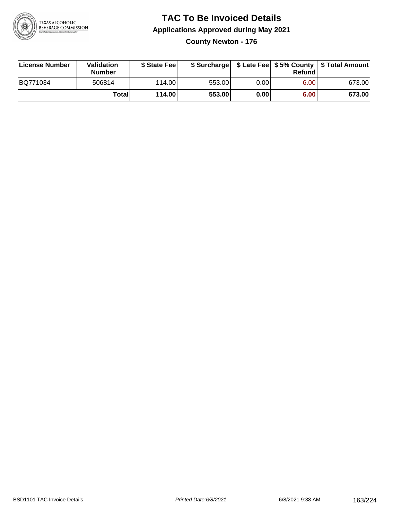

**County Newton - 176**

| License Number | Validation<br><b>Number</b> | \$ State Feel |        |      | Refundl | \$ Surcharge   \$ Late Fee   \$5% County   \$ Total Amount |
|----------------|-----------------------------|---------------|--------|------|---------|------------------------------------------------------------|
| BQ771034       | 506814                      | 114.00        | 553.00 | 0.00 | 6.00    | 673.00                                                     |
|                | Totall                      | 114.00        | 553.00 | 0.00 | 6.00    | 673.00                                                     |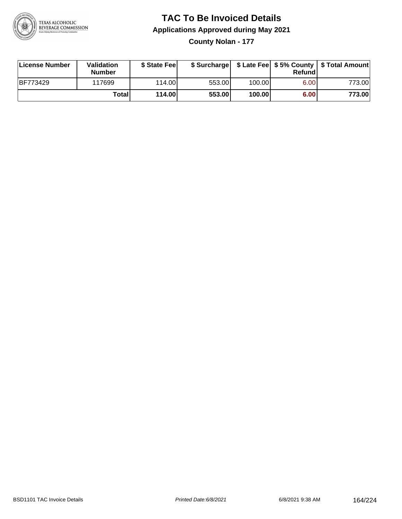

**County Nolan - 177**

| License Number  | Validation<br><b>Number</b> | \$ State Fee |        |        | Refundl | \$ Surcharge   \$ Late Fee   \$5% County   \$ Total Amount |
|-----------------|-----------------------------|--------------|--------|--------|---------|------------------------------------------------------------|
| <b>BF773429</b> | 117699                      | 114.00       | 553.00 | 100.00 | 6.00    | 773.001                                                    |
|                 | Totall                      | 114.00       | 553.00 | 100.00 | 6.00    | 773.00                                                     |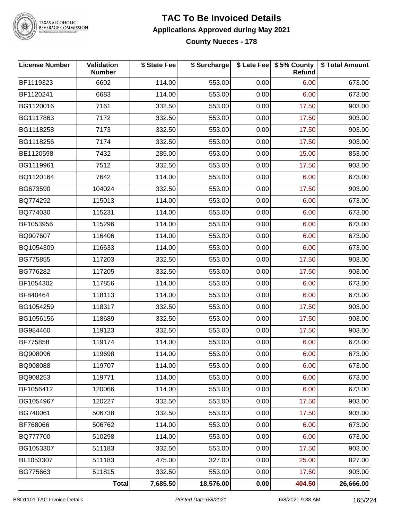

# TEXAS ALCOHOLIC<br>BEVERAGE COMMISSION

### **TAC To Be Invoiced Details Applications Approved during May 2021 County Nueces - 178**

| <b>License Number</b> | Validation<br><b>Number</b> | \$ State Fee | \$ Surcharge |      | \$ Late Fee   \$5% County<br><b>Refund</b> | \$ Total Amount |
|-----------------------|-----------------------------|--------------|--------------|------|--------------------------------------------|-----------------|
| BF1119323             | 6602                        | 114.00       | 553.00       | 0.00 | 6.00                                       | 673.00          |
| BF1120241             | 6683                        | 114.00       | 553.00       | 0.00 | 6.00                                       | 673.00          |
| BG1120016             | 7161                        | 332.50       | 553.00       | 0.00 | 17.50                                      | 903.00          |
| BG1117863             | 7172                        | 332.50       | 553.00       | 0.00 | 17.50                                      | 903.00          |
| BG1118258             | 7173                        | 332.50       | 553.00       | 0.00 | 17.50                                      | 903.00          |
| BG1118256             | 7174                        | 332.50       | 553.00       | 0.00 | 17.50                                      | 903.00          |
| BE1120598             | 7432                        | 285.00       | 553.00       | 0.00 | 15.00                                      | 853.00          |
| BG1119961             | 7512                        | 332.50       | 553.00       | 0.00 | 17.50                                      | 903.00          |
| BQ1120164             | 7642                        | 114.00       | 553.00       | 0.00 | 6.00                                       | 673.00          |
| BG673590              | 104024                      | 332.50       | 553.00       | 0.00 | 17.50                                      | 903.00          |
| BQ774292              | 115013                      | 114.00       | 553.00       | 0.00 | 6.00                                       | 673.00          |
| BQ774030              | 115231                      | 114.00       | 553.00       | 0.00 | 6.00                                       | 673.00          |
| BF1053956             | 115296                      | 114.00       | 553.00       | 0.00 | 6.00                                       | 673.00          |
| BQ907607              | 116406                      | 114.00       | 553.00       | 0.00 | 6.00                                       | 673.00          |
| BQ1054309             | 116633                      | 114.00       | 553.00       | 0.00 | 6.00                                       | 673.00          |
| BG775855              | 117203                      | 332.50       | 553.00       | 0.00 | 17.50                                      | 903.00          |
| BG776282              | 117205                      | 332.50       | 553.00       | 0.00 | 17.50                                      | 903.00          |
| BF1054302             | 117856                      | 114.00       | 553.00       | 0.00 | 6.00                                       | 673.00          |
| BF840464              | 118113                      | 114.00       | 553.00       | 0.00 | 6.00                                       | 673.00          |
| BG1054259             | 118317                      | 332.50       | 553.00       | 0.00 | 17.50                                      | 903.00          |
| BG1056156             | 118689                      | 332.50       | 553.00       | 0.00 | 17.50                                      | 903.00          |
| BG984460              | 119123                      | 332.50       | 553.00       | 0.00 | 17.50                                      | 903.00          |
| BF775858              | 119174                      | 114.00       | 553.00       | 0.00 | 6.00                                       | 673.00          |
| BQ908096              | 119698                      | 114.00       | 553.00       | 0.00 | 6.00                                       | 673.00          |
| BQ908088              | 119707                      | 114.00       | 553.00       | 0.00 | 6.00                                       | 673.00          |
| BQ908253              | 119771                      | 114.00       | 553.00       | 0.00 | 6.00                                       | 673.00          |
| BF1056412             | 120066                      | 114.00       | 553.00       | 0.00 | 6.00                                       | 673.00          |
| BG1054967             | 120227                      | 332.50       | 553.00       | 0.00 | 17.50                                      | 903.00          |
| BG740061              | 506738                      | 332.50       | 553.00       | 0.00 | 17.50                                      | 903.00          |
| BF768066              | 506762                      | 114.00       | 553.00       | 0.00 | 6.00                                       | 673.00          |
| <b>BQ777700</b>       | 510298                      | 114.00       | 553.00       | 0.00 | 6.00                                       | 673.00          |
| BG1053307             | 511183                      | 332.50       | 553.00       | 0.00 | 17.50                                      | 903.00          |
| BL1053307             | 511183                      | 475.00       | 327.00       | 0.00 | 25.00                                      | 827.00          |
| BG775663              | 511815                      | 332.50       | 553.00       | 0.00 | 17.50                                      | 903.00          |
|                       | Total                       | 7,685.50     | 18,576.00    | 0.00 | 404.50                                     | 26,666.00       |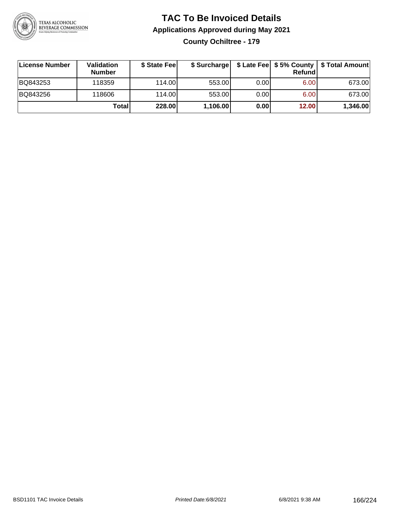

### **TAC To Be Invoiced Details Applications Approved during May 2021 County Ochiltree - 179**

| License Number | Validation<br><b>Number</b> | \$ State Fee | \$ Surcharge |       | Refund | \$ Late Fee   \$5% County   \$ Total Amount |
|----------------|-----------------------------|--------------|--------------|-------|--------|---------------------------------------------|
| BQ843253       | 118359                      | 114.00L      | 553.00       | 0.001 | 6.00   | 673.00                                      |
| BQ843256       | 118606                      | 114.00L      | 553.00       | 0.00  | 6.00   | 673.00                                      |
|                | Total                       | 228.00       | 1,106.00     | 0.00  | 12.00  | 1,346.00                                    |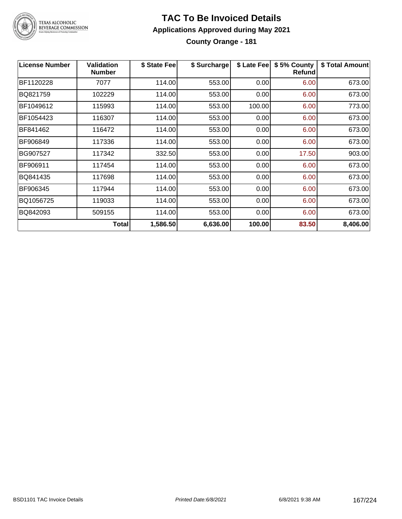

### **TAC To Be Invoiced Details Applications Approved during May 2021 County Orange - 181**

| <b>License Number</b> | <b>Validation</b><br><b>Number</b> | \$ State Fee | \$ Surcharge | \$ Late Fee | \$5% County<br>Refund | \$ Total Amount |
|-----------------------|------------------------------------|--------------|--------------|-------------|-----------------------|-----------------|
| BF1120228             | 7077                               | 114.00       | 553.00       | 0.00        | 6.00                  | 673.00          |
| BQ821759              | 102229                             | 114.00       | 553.00       | 0.00        | 6.00                  | 673.00          |
| BF1049612             | 115993                             | 114.00       | 553.00       | 100.00      | 6.00                  | 773.00          |
| BF1054423             | 116307                             | 114.00       | 553.00       | 0.00        | 6.00                  | 673.00          |
| BF841462              | 116472                             | 114.00       | 553.00       | 0.00        | 6.00                  | 673.00          |
| BF906849              | 117336                             | 114.00       | 553.00       | 0.00        | 6.00                  | 673.00          |
| BG907527              | 117342                             | 332.50       | 553.00       | 0.00        | 17.50                 | 903.00          |
| BF906911              | 117454                             | 114.00       | 553.00       | 0.00        | 6.00                  | 673.00          |
| BQ841435              | 117698                             | 114.00       | 553.00       | 0.00        | 6.00                  | 673.00          |
| BF906345              | 117944                             | 114.00       | 553.00       | 0.00        | 6.00                  | 673.00          |
| BQ1056725             | 119033                             | 114.00       | 553.00       | 0.00        | 6.00                  | 673.00          |
| BQ842093              | 509155                             | 114.00       | 553.00       | 0.00        | 6.00                  | 673.00          |
|                       | <b>Total</b>                       | 1,586.50     | 6,636.00     | 100.00      | 83.50                 | 8,406.00        |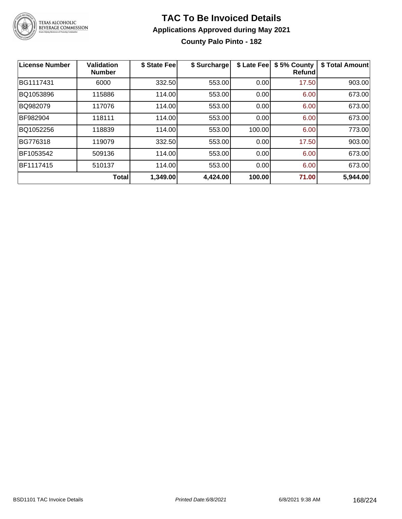

### **TAC To Be Invoiced Details Applications Approved during May 2021 County Palo Pinto - 182**

| License Number | <b>Validation</b><br><b>Number</b> | \$ State Fee | \$ Surcharge | \$ Late Fee | \$5% County<br><b>Refund</b> | \$ Total Amount |
|----------------|------------------------------------|--------------|--------------|-------------|------------------------------|-----------------|
| BG1117431      | 6000                               | 332.50       | 553.00       | 0.00        | 17.50                        | 903.00          |
| BQ1053896      | 115886                             | 114.00       | 553.00       | 0.00        | 6.00                         | 673.00          |
| BQ982079       | 117076                             | 114.00       | 553.00       | 0.00        | 6.00                         | 673.00          |
| BF982904       | 118111                             | 114.00       | 553.00       | 0.00        | 6.00                         | 673.00          |
| BQ1052256      | 118839                             | 114.00       | 553.00       | 100.00      | 6.00                         | 773.00          |
| BG776318       | 119079                             | 332.50       | 553.00       | 0.00        | 17.50                        | 903.00          |
| BF1053542      | 509136                             | 114.00       | 553.00       | 0.00        | 6.00                         | 673.00          |
| BF1117415      | 510137                             | 114.00       | 553.00       | 0.00        | 6.00                         | 673.00          |
|                | <b>Total</b>                       | 1,349.00     | 4,424.00     | 100.00      | 71.00                        | 5,944.00        |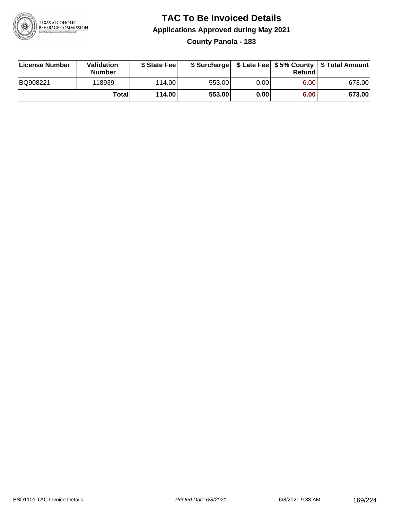

### **TAC To Be Invoiced Details Applications Approved during May 2021 County Panola - 183**

| License Number | Validation<br>Number | \$ State Fee    |        |      | Refundl | \$ Surcharge   \$ Late Fee   \$5% County   \$ Total Amount |
|----------------|----------------------|-----------------|--------|------|---------|------------------------------------------------------------|
| BQ908221       | 118939               | 114.00 <b>1</b> | 553.00 | 0.00 | 6.00    | 673.00                                                     |
|                | Totall               | 114.00          | 553.00 | 0.00 | 6.00    | 673.00                                                     |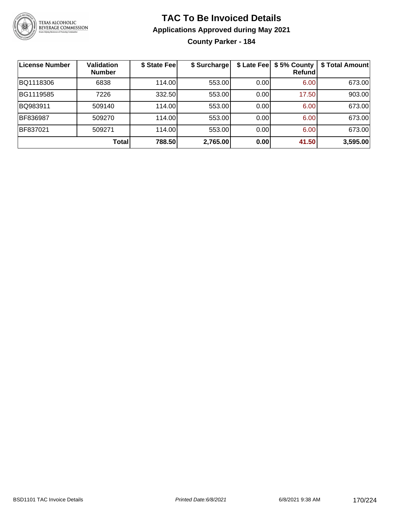

**County Parker - 184**

| <b>License Number</b> | <b>Validation</b><br><b>Number</b> | \$ State Fee | \$ Surcharge |       | \$ Late Fee   \$5% County<br>Refundl | \$ Total Amount |
|-----------------------|------------------------------------|--------------|--------------|-------|--------------------------------------|-----------------|
| BQ1118306             | 6838                               | 114.00       | 553.00       | 0.00  | 6.00                                 | 673.00          |
| BG1119585             | 7226                               | 332.50       | 553.00       | 0.00  | 17.50                                | 903.00          |
| BQ983911              | 509140                             | 114.00       | 553.00       | 0.001 | 6.00                                 | 673.00          |
| BF836987              | 509270                             | 114.00       | 553.00       | 0.00  | 6.00                                 | 673.00          |
| BF837021              | 509271                             | 114.00       | 553.00       | 0.00  | 6.00                                 | 673.00          |
|                       | <b>Total</b>                       | 788.50       | 2,765.00     | 0.00  | 41.50                                | 3,595.00        |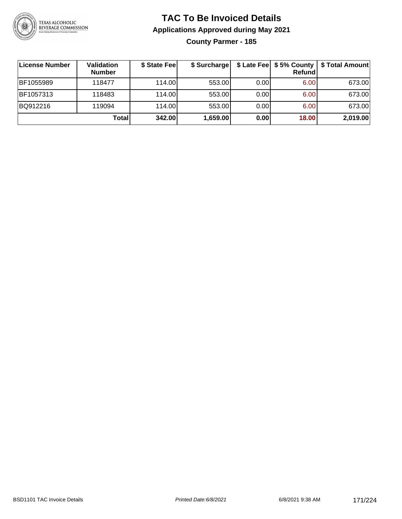

### **TAC To Be Invoiced Details Applications Approved during May 2021 County Parmer - 185**

| <b>License Number</b> | <b>Validation</b><br><b>Number</b> | \$ State Fee | \$ Surcharge |       | Refundl | \$ Late Fee   \$5% County   \$ Total Amount |
|-----------------------|------------------------------------|--------------|--------------|-------|---------|---------------------------------------------|
| BF1055989             | 118477                             | 114.00L      | 553.00       | 0.001 | 6.00    | 673.00                                      |
| BF1057313             | 118483                             | 114.00L      | 553.00       | 0.00  | 6.00    | 673.00                                      |
| BQ912216              | 119094                             | 114.00       | 553.00       | 0.00  | 6.00    | 673.00                                      |
|                       | Totall                             | 342.00       | 1,659.00     | 0.00  | 18.00   | 2,019.00                                    |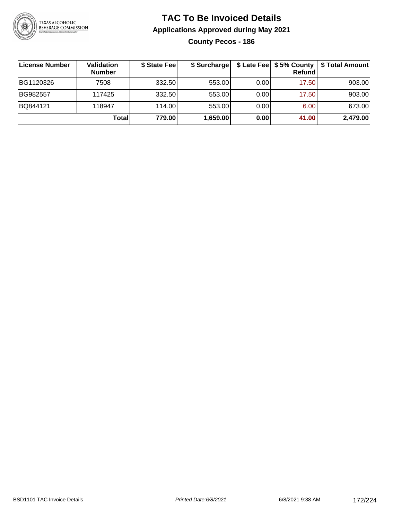

**County Pecos - 186**

| <b>License Number</b> | <b>Validation</b><br><b>Number</b> | \$ State Feel | \$ Surcharge |       | Refundl | \$ Late Fee   \$5% County   \$ Total Amount |
|-----------------------|------------------------------------|---------------|--------------|-------|---------|---------------------------------------------|
| BG1120326             | 7508                               | 332.50        | 553.00       | 0.001 | 17.50   | 903.00                                      |
| BG982557              | 117425                             | 332.50        | 553.00       | 0.00  | 17.50   | 903.00                                      |
| BQ844121              | 118947                             | 114.00L       | 553.00       | 0.00  | 6.00    | 673.00                                      |
|                       | Totall                             | 779.00        | 1,659.00     | 0.00  | 41.00   | 2,479.00                                    |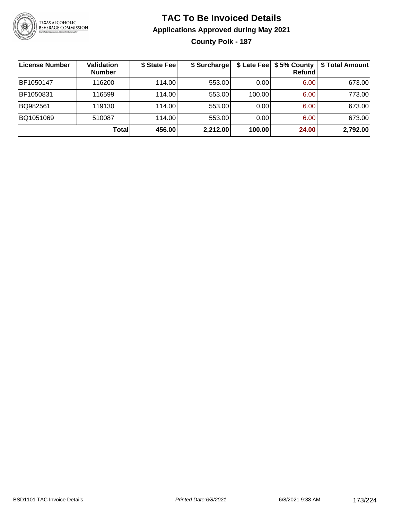

### **TAC To Be Invoiced Details Applications Approved during May 2021 County Polk - 187**

| License Number | <b>Validation</b><br><b>Number</b> | \$ State Fee | \$ Surcharge |        | \$ Late Fee   \$5% County<br>Refund | \$ Total Amount |
|----------------|------------------------------------|--------------|--------------|--------|-------------------------------------|-----------------|
| BF1050147      | 116200                             | 114.00L      | 553.00       | 0.001  | 6.00                                | 673.00          |
| BF1050831      | 116599                             | 114.00L      | 553.00       | 100.00 | 6.00                                | 773.00          |
| BQ982561       | 119130                             | 114.00       | 553.00       | 0.00   | 6.00                                | 673.00          |
| BQ1051069      | 510087                             | 114.00       | 553.00       | 0.00   | 6.00                                | 673.00          |
|                | <b>Total</b>                       | 456.00       | 2,212.00     | 100.00 | 24.00                               | 2,792.00        |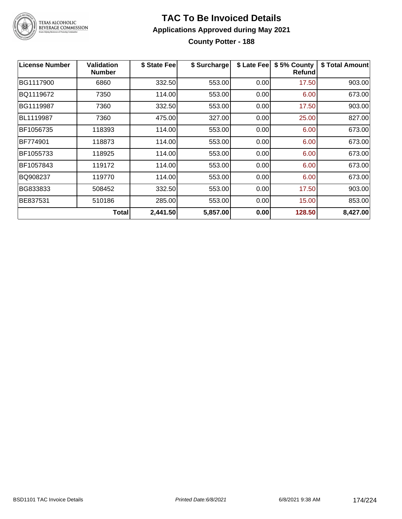

**County Potter - 188**

| <b>License Number</b> | <b>Validation</b><br><b>Number</b> | \$ State Fee | \$ Surcharge | \$ Late Fee | \$5% County<br><b>Refund</b> | \$ Total Amount |
|-----------------------|------------------------------------|--------------|--------------|-------------|------------------------------|-----------------|
| BG1117900             | 6860                               | 332.50       | 553.00       | 0.00        | 17.50                        | 903.00          |
| BQ1119672             | 7350                               | 114.00       | 553.00       | 0.00        | 6.00                         | 673.00          |
| BG1119987             | 7360                               | 332.50       | 553.00       | 0.00        | 17.50                        | 903.00          |
| BL1119987             | 7360                               | 475.00       | 327.00       | 0.00        | 25.00                        | 827.00          |
| BF1056735             | 118393                             | 114.00       | 553.00       | 0.00        | 6.00                         | 673.00          |
| BF774901              | 118873                             | 114.00       | 553.00       | 0.00        | 6.00                         | 673.00          |
| BF1055733             | 118925                             | 114.00       | 553.00       | 0.00        | 6.00                         | 673.00          |
| BF1057843             | 119172                             | 114.00       | 553.00       | 0.00        | 6.00                         | 673.00          |
| BQ908237              | 119770                             | 114.00       | 553.00       | 0.00        | 6.00                         | 673.00          |
| BG833833              | 508452                             | 332.50       | 553.00       | 0.00        | 17.50                        | 903.00          |
| BE837531              | 510186                             | 285.00       | 553.00       | 0.00        | 15.00                        | 853.00          |
|                       | Total                              | 2,441.50     | 5,857.00     | 0.00        | 128.50                       | 8,427.00        |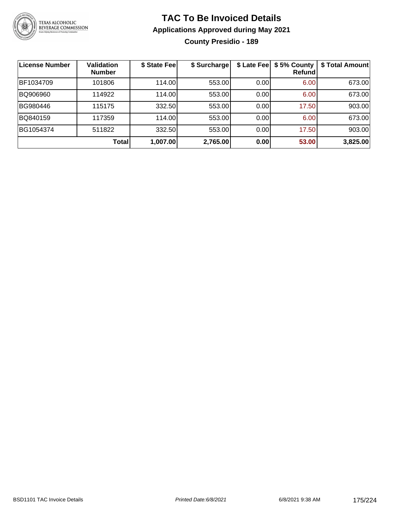

### **TAC To Be Invoiced Details Applications Approved during May 2021 County Presidio - 189**

| License Number | <b>Validation</b><br><b>Number</b> | \$ State Fee | \$ Surcharge |       | \$ Late Fee   \$5% County<br><b>Refund</b> | \$ Total Amount |
|----------------|------------------------------------|--------------|--------------|-------|--------------------------------------------|-----------------|
| BF1034709      | 101806                             | 114.00       | 553.00       | 0.00  | 6.00                                       | 673.00          |
| BQ906960       | 114922                             | 114.00       | 553.00       | 0.001 | 6.00                                       | 673.00          |
| BG980446       | 115175                             | 332.50       | 553.00       | 0.001 | 17.50                                      | 903.00          |
| BQ840159       | 117359                             | 114.00       | 553.00       | 0.001 | 6.00                                       | 673.00          |
| BG1054374      | 511822                             | 332.50       | 553.00       | 0.00  | 17.50                                      | 903.00          |
|                | Total                              | 1,007.00     | 2,765.00     | 0.00  | 53.00                                      | 3,825.00        |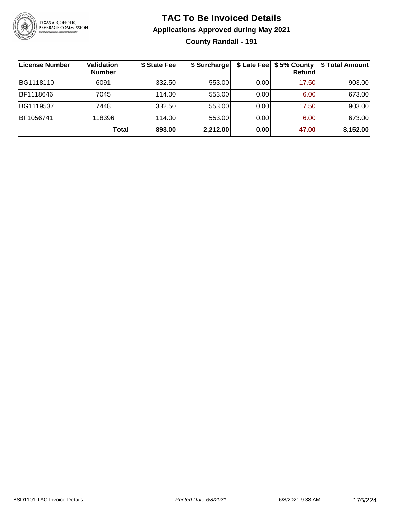

### **TAC To Be Invoiced Details Applications Approved during May 2021 County Randall - 191**

| ∣License Number | Validation<br><b>Number</b> | \$ State Fee | \$ Surcharge |      | \$ Late Fee   \$5% County<br><b>Refund</b> | \$ Total Amount |
|-----------------|-----------------------------|--------------|--------------|------|--------------------------------------------|-----------------|
| BG1118110       | 6091                        | 332.50       | 553.00       | 0.00 | 17.50                                      | 903.00          |
| BF1118646       | 7045                        | 114.00       | 553.00       | 0.00 | 6.00                                       | 673.00          |
| BG1119537       | 7448                        | 332.50       | 553.00       | 0.00 | 17.50                                      | 903.00          |
| BF1056741       | 118396                      | 114.00L      | 553.00       | 0.00 | 6.00                                       | 673.00          |
|                 | Total                       | 893.00       | 2,212.00     | 0.00 | 47.00                                      | 3,152.00        |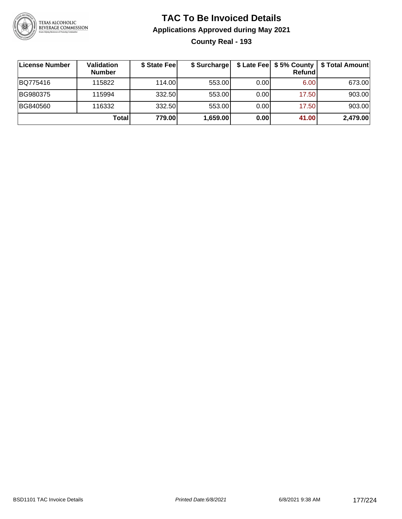

### **TAC To Be Invoiced Details Applications Approved during May 2021 County Real - 193**

| ∣License Number | Validation<br><b>Number</b> | \$ State Feel | \$ Surcharge |      | <b>Refund</b> | \$ Late Fee   \$5% County   \$ Total Amount |
|-----------------|-----------------------------|---------------|--------------|------|---------------|---------------------------------------------|
| BQ775416        | 115822                      | 114.00        | 553.00       | 0.00 | 6.00          | 673.00                                      |
| BG980375        | 115994                      | 332.50        | 553.00       | 0.00 | 17.50         | 903.00                                      |
| BG840560        | 116332                      | 332.50        | 553.00       | 0.00 | 17.50         | 903.00                                      |
|                 | Total                       | 779.00        | 1,659.00     | 0.00 | 41.00         | 2,479.00                                    |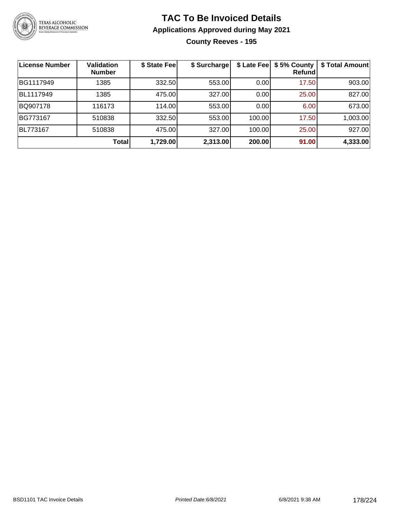

### **TAC To Be Invoiced Details Applications Approved during May 2021 County Reeves - 195**

| License Number | Validation<br><b>Number</b> | \$ State Fee | \$ Surcharge |        | \$ Late Fee   \$5% County<br><b>Refund</b> | \$ Total Amount |
|----------------|-----------------------------|--------------|--------------|--------|--------------------------------------------|-----------------|
| BG1117949      | 1385                        | 332.50       | 553.00       | 0.00   | 17.50                                      | 903.00          |
| BL1117949      | 1385                        | 475.00       | 327.00       | 0.00   | 25.00                                      | 827.00          |
| BQ907178       | 116173                      | 114.00       | 553.00       | 0.00   | 6.00                                       | 673.00          |
| BG773167       | 510838                      | 332.50       | 553.00       | 100.00 | 17.50                                      | 1,003.00        |
| BL773167       | 510838                      | 475.00       | 327.00       | 100.00 | 25.00                                      | 927.00          |
|                | Total                       | 1,729.00     | 2,313.00     | 200.00 | 91.00                                      | 4,333.00        |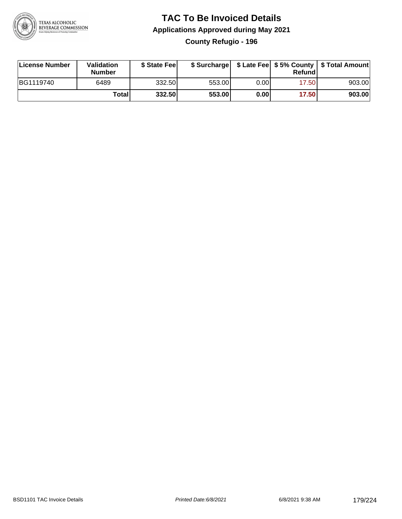

### **TAC To Be Invoiced Details Applications Approved during May 2021 County Refugio - 196**

| <b>License Number</b> | Validation<br><b>Number</b> | \$ State Fee |        |      | Refund | \$ Surcharge   \$ Late Fee   \$5% County   \$ Total Amount |
|-----------------------|-----------------------------|--------------|--------|------|--------|------------------------------------------------------------|
| BG1119740             | 6489                        | 332.50       | 553.00 | 0.00 | 17.50  | 903.00                                                     |
|                       | <b>Total</b>                | 332.50       | 553.00 | 0.00 | 17.50  | 903.00                                                     |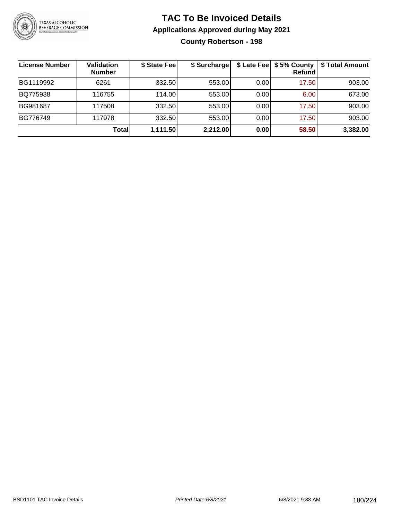

### **TAC To Be Invoiced Details Applications Approved during May 2021 County Robertson - 198**

| License Number | Validation<br><b>Number</b> | \$ State Fee | \$ Surcharge | \$ Late Fee | \$5% County<br>Refund | \$ Total Amount |
|----------------|-----------------------------|--------------|--------------|-------------|-----------------------|-----------------|
| BG1119992      | 6261                        | 332.50       | 553.00       | 0.00        | 17.50                 | 903.00          |
| BQ775938       | 116755                      | 114.00       | 553.00       | 0.00        | 6.00                  | 673.00          |
| BG981687       | 117508                      | 332.50       | 553.00       | 0.00        | 17.50                 | 903.00          |
| BG776749       | 117978                      | 332.50       | 553.00       | 0.00        | 17.50                 | 903.00          |
|                | Totall                      | 1,111.50     | 2,212.00     | 0.00        | 58.50                 | 3,382.00        |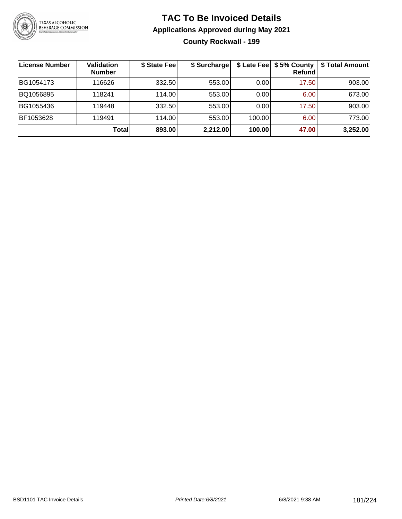

#### **TAC To Be Invoiced Details Applications Approved during May 2021 County Rockwall - 199**

| License Number | Validation<br><b>Number</b> | \$ State Fee | \$ Surcharge | \$ Late Fee | \$5% County<br><b>Refund</b> | \$ Total Amount |
|----------------|-----------------------------|--------------|--------------|-------------|------------------------------|-----------------|
| BG1054173      | 116626                      | 332.50       | 553.00       | 0.00        | 17.50                        | 903.00          |
| BQ1056895      | 118241                      | 114.00L      | 553.00       | 0.00        | 6.00                         | 673.00          |
| BG1055436      | 119448                      | 332.50       | 553.00       | 0.00        | 17.50                        | 903.00          |
| BF1053628      | 119491                      | 114.00L      | 553.00       | 100.00      | 6.00                         | 773.00          |
|                | Total                       | 893.00       | 2,212.00     | 100.00      | 47.00                        | 3,252.00        |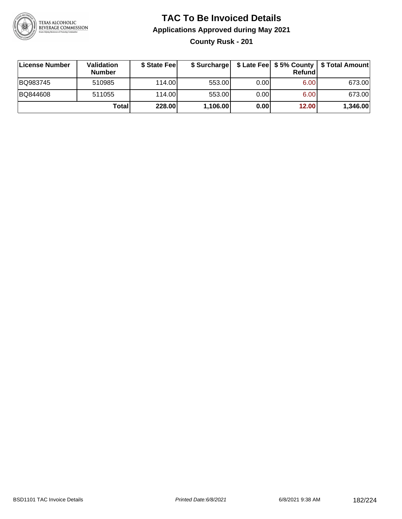

**County Rusk - 201**

| License Number | <b>Validation</b><br><b>Number</b> | \$ State Feel |          |       | Refundl | \$ Surcharge   \$ Late Fee   \$5% County   \$ Total Amount |
|----------------|------------------------------------|---------------|----------|-------|---------|------------------------------------------------------------|
| BQ983745       | 510985                             | 114.00        | 553.00   | 0.001 | 6.00    | 673.00                                                     |
| BQ844608       | 511055                             | 114.00        | 553.00   | 0.001 | 6.00    | 673.00                                                     |
|                | Totall                             | 228.00        | 1,106.00 | 0.00  | 12.00   | 1,346.00                                                   |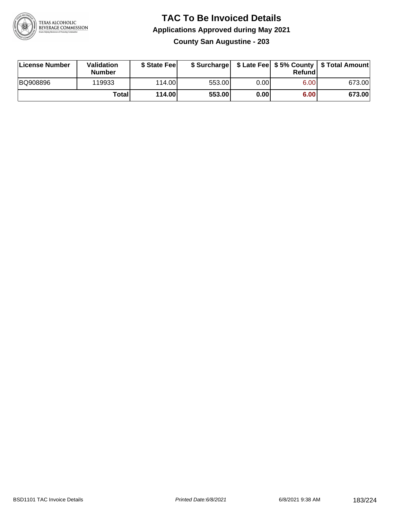

#### **TAC To Be Invoiced Details Applications Approved during May 2021 County San Augustine - 203**

| License Number  | Validation<br><b>Number</b> | \$ State Feel |        |       | Refund | \$ Surcharge   \$ Late Fee   \$5% County   \$ Total Amount |
|-----------------|-----------------------------|---------------|--------|-------|--------|------------------------------------------------------------|
| <b>BQ908896</b> | 119933                      | 114.00        | 553.00 | 0.001 | 6.00   | 673.00                                                     |
|                 | Total                       | 114.00        | 553.00 | 0.00  | 6.00   | 673.00                                                     |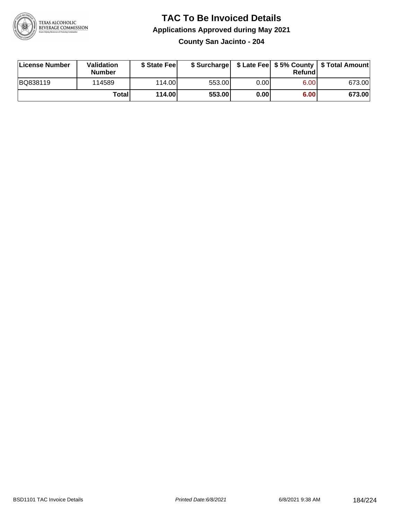

**County San Jacinto - 204**

| License Number | <b>Validation</b><br><b>Number</b> | \$ State Feel |        |      | Refundl | \$ Surcharge   \$ Late Fee   \$5% County   \$ Total Amount |
|----------------|------------------------------------|---------------|--------|------|---------|------------------------------------------------------------|
| BQ838119       | 114589                             | 114.00        | 553.00 | 0.00 | 6.00    | 673.00                                                     |
|                | Totall                             | 114.00        | 553.00 | 0.00 | 6.00    | 673.00                                                     |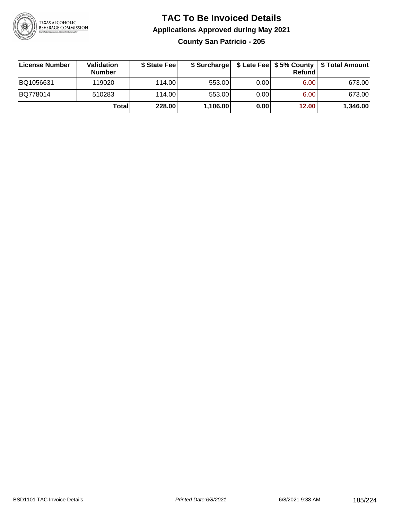

#### **TAC To Be Invoiced Details Applications Approved during May 2021 County San Patricio - 205**

| License Number | Validation<br><b>Number</b> | \$ State Feel | \$ Surcharge |      | Refundl | \$ Late Fee   \$5% County   \$ Total Amount |
|----------------|-----------------------------|---------------|--------------|------|---------|---------------------------------------------|
| BQ1056631      | 119020                      | 114.00L       | 553.00       | 0.00 | 6.00    | 673.00                                      |
| BQ778014       | 510283                      | 114.00L       | 553.00       | 0.00 | 6.00    | 673.00                                      |
|                | Total                       | 228.00        | 1,106.00     | 0.00 | 12.00   | 1,346.00                                    |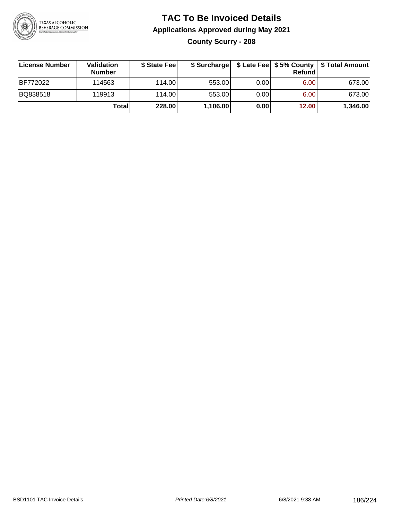

#### **TAC To Be Invoiced Details Applications Approved during May 2021 County Scurry - 208**

| ∣License Number | Validation<br><b>Number</b> | \$ State Feel | \$ Surcharge |      | Refund | \$ Late Fee   \$5% County   \$ Total Amount |
|-----------------|-----------------------------|---------------|--------------|------|--------|---------------------------------------------|
| BF772022        | 114563                      | 114.00L       | 553.00       | 0.00 | 6.00   | 673.00                                      |
| BQ838518        | 119913                      | 114.00L       | 553.00       | 0.00 | 6.00   | 673.00                                      |
|                 | Total                       | 228.00        | 1,106.00     | 0.00 | 12.00  | 1,346.00                                    |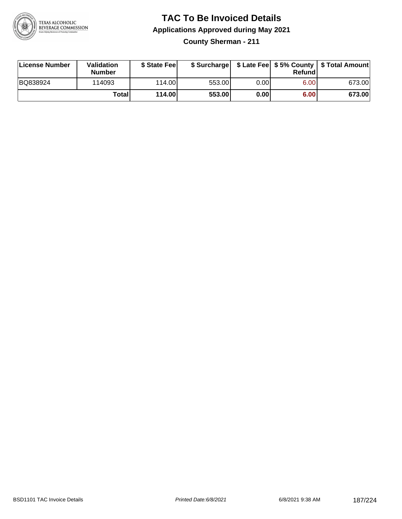

**County Sherman - 211**

| License Number | Validation<br><b>Number</b> | \$ State Feel |        |      | Refundl | \$ Surcharge   \$ Late Fee   \$5% County   \$ Total Amount |
|----------------|-----------------------------|---------------|--------|------|---------|------------------------------------------------------------|
| BQ838924       | 114093                      | 114.00        | 553.00 | 0.00 | 6.00    | 673.00                                                     |
|                | Totall                      | 114.00        | 553.00 | 0.00 | 6.00    | 673.00                                                     |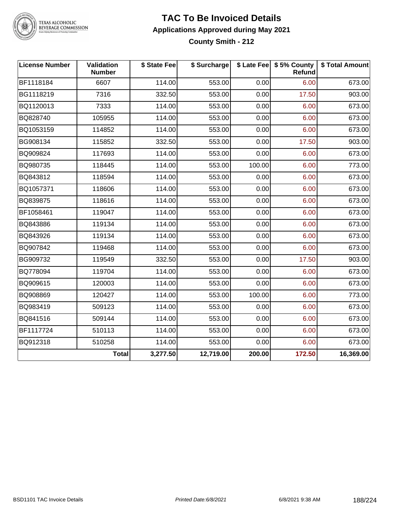

TEXAS ALCOHOLIC<br>BEVERAGE COMMISSION

#### **TAC To Be Invoiced Details Applications Approved during May 2021 County Smith - 212**

| <b>License Number</b> | Validation<br><b>Number</b> | \$ State Fee | \$ Surcharge |        | \$ Late Fee   \$5% County  <br><b>Refund</b> | \$ Total Amount |
|-----------------------|-----------------------------|--------------|--------------|--------|----------------------------------------------|-----------------|
| BF1118184             | 6607                        | 114.00       | 553.00       | 0.00   | 6.00                                         | 673.00          |
| BG1118219             | 7316                        | 332.50       | 553.00       | 0.00   | 17.50                                        | 903.00          |
| BQ1120013             | 7333                        | 114.00       | 553.00       | 0.00   | 6.00                                         | 673.00          |
| BQ828740              | 105955                      | 114.00       | 553.00       | 0.00   | 6.00                                         | 673.00          |
| BQ1053159             | 114852                      | 114.00       | 553.00       | 0.00   | 6.00                                         | 673.00          |
| BG908134              | 115852                      | 332.50       | 553.00       | 0.00   | 17.50                                        | 903.00          |
| BQ909824              | 117693                      | 114.00       | 553.00       | 0.00   | 6.00                                         | 673.00          |
| BQ980735              | 118445                      | 114.00       | 553.00       | 100.00 | 6.00                                         | 773.00          |
| BQ843812              | 118594                      | 114.00       | 553.00       | 0.00   | 6.00                                         | 673.00          |
| BQ1057371             | 118606                      | 114.00       | 553.00       | 0.00   | 6.00                                         | 673.00          |
| BQ839875              | 118616                      | 114.00       | 553.00       | 0.00   | 6.00                                         | 673.00          |
| BF1058461             | 119047                      | 114.00       | 553.00       | 0.00   | 6.00                                         | 673.00          |
| BQ843886              | 119134                      | 114.00       | 553.00       | 0.00   | 6.00                                         | 673.00          |
| BQ843926              | 119134                      | 114.00       | 553.00       | 0.00   | 6.00                                         | 673.00          |
| BQ907842              | 119468                      | 114.00       | 553.00       | 0.00   | 6.00                                         | 673.00          |
| BG909732              | 119549                      | 332.50       | 553.00       | 0.00   | 17.50                                        | 903.00          |
| BQ778094              | 119704                      | 114.00       | 553.00       | 0.00   | 6.00                                         | 673.00          |
| BQ909615              | 120003                      | 114.00       | 553.00       | 0.00   | 6.00                                         | 673.00          |
| BQ908869              | 120427                      | 114.00       | 553.00       | 100.00 | 6.00                                         | 773.00          |
| BQ983419              | 509123                      | 114.00       | 553.00       | 0.00   | 6.00                                         | 673.00          |
| BQ841516              | 509144                      | 114.00       | 553.00       | 0.00   | 6.00                                         | 673.00          |
| BF1117724             | 510113                      | 114.00       | 553.00       | 0.00   | 6.00                                         | 673.00          |
| BQ912318              | 510258                      | 114.00       | 553.00       | 0.00   | 6.00                                         | 673.00          |
|                       | <b>Total</b>                | 3,277.50     | 12,719.00    | 200.00 | 172.50                                       | 16,369.00       |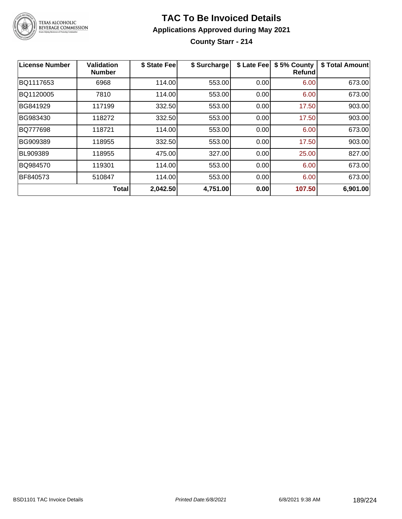

**County Starr - 214**

| <b>License Number</b> | <b>Validation</b><br><b>Number</b> | \$ State Fee | \$ Surcharge | \$ Late Fee | \$5% County<br>Refundl | \$ Total Amount |
|-----------------------|------------------------------------|--------------|--------------|-------------|------------------------|-----------------|
| BQ1117653             | 6968                               | 114.00       | 553.00       | 0.00        | 6.00                   | 673.00          |
| BQ1120005             | 7810                               | 114.00       | 553.00       | 0.00        | 6.00                   | 673.00          |
| BG841929              | 117199                             | 332.50       | 553.00       | 0.00        | 17.50                  | 903.00          |
| BG983430              | 118272                             | 332.50       | 553.00       | 0.00        | 17.50                  | 903.00          |
| BQ777698              | 118721                             | 114.00       | 553.00       | 0.00        | 6.00                   | 673.00          |
| BG909389              | 118955                             | 332.50       | 553.00       | 0.00        | 17.50                  | 903.00          |
| BL909389              | 118955                             | 475.00       | 327.00       | 0.00        | 25.00                  | 827.00          |
| BQ984570              | 119301                             | 114.00       | 553.00       | 0.00        | 6.00                   | 673.00          |
| BF840573              | 510847                             | 114.00       | 553.00       | 0.00        | 6.00                   | 673.00          |
|                       | Total                              | 2,042.50     | 4,751.00     | 0.00        | 107.50                 | 6,901.00        |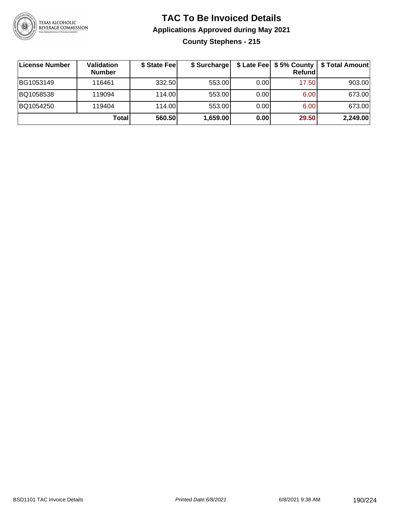

#### **TAC To Be Invoiced Details Applications Approved during May 2021 County Stephens - 215**

| License Number | <b>Validation</b><br><b>Number</b> | \$ State Fee | \$ Surcharge |      | Refund | \$ Late Fee   \$5% County   \$ Total Amount |
|----------------|------------------------------------|--------------|--------------|------|--------|---------------------------------------------|
| BG1053149      | 116461                             | 332.50       | 553.00       | 0.00 | 17.50  | 903.00                                      |
| BQ1058538      | 119094                             | 114.00       | 553.00       | 0.00 | 6.00   | 673.00                                      |
| BQ1054250      | 119404                             | 114.00       | 553.00       | 0.00 | 6.00   | 673.00                                      |
|                | Totall                             | 560.50       | 1,659.00     | 0.00 | 29.50  | 2,249.00                                    |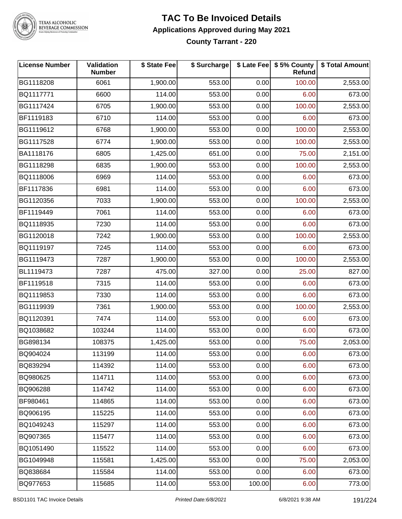

#### **TAC To Be Invoiced Details Applications Approved during May 2021 County Tarrant - 220**

| <b>License Number</b> | Validation<br><b>Number</b> | \$ State Fee | \$ Surcharge |        | \$ Late Fee   \$5% County<br>Refund | \$ Total Amount |
|-----------------------|-----------------------------|--------------|--------------|--------|-------------------------------------|-----------------|
| BG1118208             | 6061                        | 1,900.00     | 553.00       | 0.00   | 100.00                              | 2,553.00        |
| BQ1117771             | 6600                        | 114.00       | 553.00       | 0.00   | 6.00                                | 673.00          |
| BG1117424             | 6705                        | 1,900.00     | 553.00       | 0.00   | 100.00                              | 2,553.00        |
| BF1119183             | 6710                        | 114.00       | 553.00       | 0.00   | 6.00                                | 673.00          |
| BG1119612             | 6768                        | 1,900.00     | 553.00       | 0.00   | 100.00                              | 2,553.00        |
| BG1117528             | 6774                        | 1,900.00     | 553.00       | 0.00   | 100.00                              | 2,553.00        |
| BA1118176             | 6805                        | 1,425.00     | 651.00       | 0.00   | 75.00                               | 2,151.00        |
| BG1118298             | 6835                        | 1,900.00     | 553.00       | 0.00   | 100.00                              | 2,553.00        |
| BQ1118006             | 6969                        | 114.00       | 553.00       | 0.00   | 6.00                                | 673.00          |
| BF1117836             | 6981                        | 114.00       | 553.00       | 0.00   | 6.00                                | 673.00          |
| BG1120356             | 7033                        | 1,900.00     | 553.00       | 0.00   | 100.00                              | 2,553.00        |
| BF1119449             | 7061                        | 114.00       | 553.00       | 0.00   | 6.00                                | 673.00          |
| BQ1118935             | 7230                        | 114.00       | 553.00       | 0.00   | 6.00                                | 673.00          |
| BG1120018             | 7242                        | 1,900.00     | 553.00       | 0.00   | 100.00                              | 2,553.00        |
| BQ1119197             | 7245                        | 114.00       | 553.00       | 0.00   | 6.00                                | 673.00          |
| BG1119473             | 7287                        | 1,900.00     | 553.00       | 0.00   | 100.00                              | 2,553.00        |
| BL1119473             | 7287                        | 475.00       | 327.00       | 0.00   | 25.00                               | 827.00          |
| BF1119518             | 7315                        | 114.00       | 553.00       | 0.00   | 6.00                                | 673.00          |
| BQ1119853             | 7330                        | 114.00       | 553.00       | 0.00   | 6.00                                | 673.00          |
| BG1119939             | 7361                        | 1,900.00     | 553.00       | 0.00   | 100.00                              | 2,553.00        |
| BQ1120391             | 7474                        | 114.00       | 553.00       | 0.00   | 6.00                                | 673.00          |
| BQ1038682             | 103244                      | 114.00       | 553.00       | 0.00   | 6.00                                | 673.00          |
| BG898134              | 108375                      | 1,425.00     | 553.00       | 0.00   | 75.00                               | 2,053.00        |
| BQ904024              | 113199                      | 114.00       | 553.00       | 0.00   | 6.00                                | 673.00          |
| BQ839294              | 114392                      | 114.00       | 553.00       | 0.00   | 6.00                                | 673.00          |
| BQ980625              | 114711                      | 114.00       | 553.00       | 0.00   | 6.00                                | 673.00          |
| BQ906288              | 114742                      | 114.00       | 553.00       | 0.00   | 6.00                                | 673.00          |
| BF980461              | 114865                      | 114.00       | 553.00       | 0.00   | 6.00                                | 673.00          |
| BQ906195              | 115225                      | 114.00       | 553.00       | 0.00   | 6.00                                | 673.00          |
| BQ1049243             | 115297                      | 114.00       | 553.00       | 0.00   | 6.00                                | 673.00          |
| BQ907365              | 115477                      | 114.00       | 553.00       | 0.00   | 6.00                                | 673.00          |
| BQ1051490             | 115522                      | 114.00       | 553.00       | 0.00   | 6.00                                | 673.00          |
| BG1049948             | 115581                      | 1,425.00     | 553.00       | 0.00   | 75.00                               | 2,053.00        |
| BQ838684              | 115584                      | 114.00       | 553.00       | 0.00   | 6.00                                | 673.00          |
| BQ977653              | 115685                      | 114.00       | 553.00       | 100.00 | 6.00                                | 773.00          |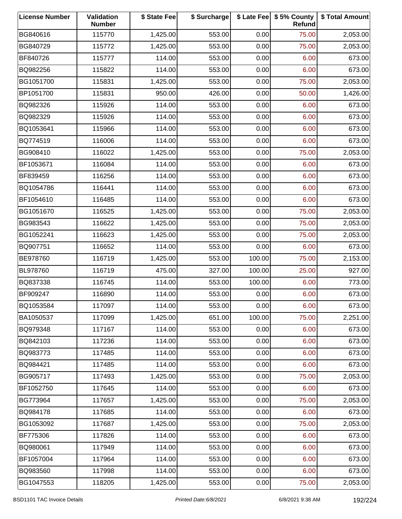| <b>License Number</b> | Validation<br><b>Number</b> | \$ State Fee | \$ Surcharge |        | \$ Late Fee   \$5% County<br>Refund | \$ Total Amount |
|-----------------------|-----------------------------|--------------|--------------|--------|-------------------------------------|-----------------|
| BG840616              | 115770                      | 1,425.00     | 553.00       | 0.00   | 75.00                               | 2,053.00        |
| BG840729              | 115772                      | 1,425.00     | 553.00       | 0.00   | 75.00                               | 2,053.00        |
| BF840726              | 115777                      | 114.00       | 553.00       | 0.00   | 6.00                                | 673.00          |
| BQ982256              | 115822                      | 114.00       | 553.00       | 0.00   | 6.00                                | 673.00          |
| BG1051700             | 115831                      | 1,425.00     | 553.00       | 0.00   | 75.00                               | 2,053.00        |
| BP1051700             | 115831                      | 950.00       | 426.00       | 0.00   | 50.00                               | 1,426.00        |
| BQ982326              | 115926                      | 114.00       | 553.00       | 0.00   | 6.00                                | 673.00          |
| BQ982329              | 115926                      | 114.00       | 553.00       | 0.00   | 6.00                                | 673.00          |
| BQ1053641             | 115966                      | 114.00       | 553.00       | 0.00   | 6.00                                | 673.00          |
| BQ774519              | 116006                      | 114.00       | 553.00       | 0.00   | 6.00                                | 673.00          |
| BG908410              | 116022                      | 1,425.00     | 553.00       | 0.00   | 75.00                               | 2,053.00        |
| BF1053671             | 116084                      | 114.00       | 553.00       | 0.00   | 6.00                                | 673.00          |
| BF839459              | 116256                      | 114.00       | 553.00       | 0.00   | 6.00                                | 673.00          |
| BQ1054786             | 116441                      | 114.00       | 553.00       | 0.00   | 6.00                                | 673.00          |
| BF1054610             | 116485                      | 114.00       | 553.00       | 0.00   | 6.00                                | 673.00          |
| BG1051670             | 116525                      | 1,425.00     | 553.00       | 0.00   | 75.00                               | 2,053.00        |
| BG983543              | 116622                      | 1,425.00     | 553.00       | 0.00   | 75.00                               | 2,053.00        |
| BG1052241             | 116623                      | 1,425.00     | 553.00       | 0.00   | 75.00                               | 2,053.00        |
| BQ907751              | 116652                      | 114.00       | 553.00       | 0.00   | 6.00                                | 673.00          |
| BE978760              | 116719                      | 1,425.00     | 553.00       | 100.00 | 75.00                               | 2,153.00        |
| BL978760              | 116719                      | 475.00       | 327.00       | 100.00 | 25.00                               | 927.00          |
| BQ837338              | 116745                      | 114.00       | 553.00       | 100.00 | 6.00                                | 773.00          |
| BF909247              | 116890                      | 114.00       | 553.00       | 0.00   | 6.00                                | 673.00          |
| BQ1053584             | 117097                      | 114.00       | 553.00       | 0.00   | 6.00                                | 673.00          |
| BA1050537             | 117099                      | 1,425.00     | 651.00       | 100.00 | 75.00                               | 2,251.00        |
| BQ979348              | 117167                      | 114.00       | 553.00       | 0.00   | 6.00                                | 673.00          |
| BQ842103              | 117236                      | 114.00       | 553.00       | 0.00   | 6.00                                | 673.00          |
| BQ983773              | 117485                      | 114.00       | 553.00       | 0.00   | 6.00                                | 673.00          |
| BQ984421              | 117485                      | 114.00       | 553.00       | 0.00   | 6.00                                | 673.00          |
| BG905717              | 117493                      | 1,425.00     | 553.00       | 0.00   | 75.00                               | 2,053.00        |
| BF1052750             | 117645                      | 114.00       | 553.00       | 0.00   | 6.00                                | 673.00          |
| BG773964              | 117657                      | 1,425.00     | 553.00       | 0.00   | 75.00                               | 2,053.00        |
| BQ984178              | 117685                      | 114.00       | 553.00       | 0.00   | 6.00                                | 673.00          |
| BG1053092             | 117687                      | 1,425.00     | 553.00       | 0.00   | 75.00                               | 2,053.00        |
| BF775306              | 117826                      | 114.00       | 553.00       | 0.00   | 6.00                                | 673.00          |
| BQ980061              | 117949                      | 114.00       | 553.00       | 0.00   | 6.00                                | 673.00          |
| BF1057004             | 117964                      | 114.00       | 553.00       | 0.00   | 6.00                                | 673.00          |
| BQ983560              | 117998                      | 114.00       | 553.00       | 0.00   | 6.00                                | 673.00          |
| BG1047553             | 118205                      | 1,425.00     | 553.00       | 0.00   | 75.00                               | 2,053.00        |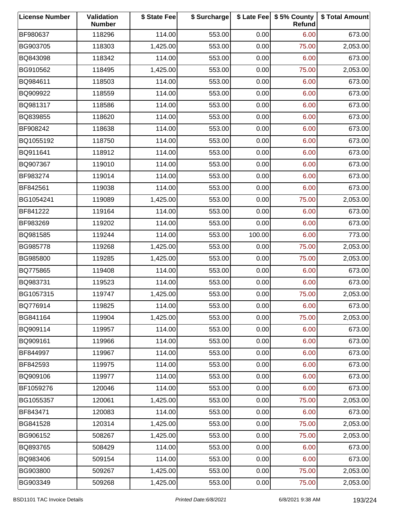| <b>License Number</b> | Validation<br><b>Number</b> | \$ State Fee | \$ Surcharge |        | \$ Late Fee   \$5% County<br>Refund | \$ Total Amount |
|-----------------------|-----------------------------|--------------|--------------|--------|-------------------------------------|-----------------|
| BF980637              | 118296                      | 114.00       | 553.00       | 0.00   | 6.00                                | 673.00          |
| BG903705              | 118303                      | 1,425.00     | 553.00       | 0.00   | 75.00                               | 2,053.00        |
| BQ843098              | 118342                      | 114.00       | 553.00       | 0.00   | 6.00                                | 673.00          |
| BG910562              | 118495                      | 1,425.00     | 553.00       | 0.00   | 75.00                               | 2,053.00        |
| BQ984611              | 118503                      | 114.00       | 553.00       | 0.00   | 6.00                                | 673.00          |
| BQ909922              | 118559                      | 114.00       | 553.00       | 0.00   | 6.00                                | 673.00          |
| BQ981317              | 118586                      | 114.00       | 553.00       | 0.00   | 6.00                                | 673.00          |
| BQ839855              | 118620                      | 114.00       | 553.00       | 0.00   | 6.00                                | 673.00          |
| BF908242              | 118638                      | 114.00       | 553.00       | 0.00   | 6.00                                | 673.00          |
| BQ1055192             | 118750                      | 114.00       | 553.00       | 0.00   | 6.00                                | 673.00          |
| BQ911641              | 118912                      | 114.00       | 553.00       | 0.00   | 6.00                                | 673.00          |
| BQ907367              | 119010                      | 114.00       | 553.00       | 0.00   | 6.00                                | 673.00          |
| BF983274              | 119014                      | 114.00       | 553.00       | 0.00   | 6.00                                | 673.00          |
| BF842561              | 119038                      | 114.00       | 553.00       | 0.00   | 6.00                                | 673.00          |
| BG1054241             | 119089                      | 1,425.00     | 553.00       | 0.00   | 75.00                               | 2,053.00        |
| BF841222              | 119164                      | 114.00       | 553.00       | 0.00   | 6.00                                | 673.00          |
| BF983269              | 119202                      | 114.00       | 553.00       | 0.00   | 6.00                                | 673.00          |
| BQ981585              | 119244                      | 114.00       | 553.00       | 100.00 | 6.00                                | 773.00          |
| BG985778              | 119268                      | 1,425.00     | 553.00       | 0.00   | 75.00                               | 2,053.00        |
| BG985800              | 119285                      | 1,425.00     | 553.00       | 0.00   | 75.00                               | 2,053.00        |
| BQ775865              | 119408                      | 114.00       | 553.00       | 0.00   | 6.00                                | 673.00          |
| BQ983731              | 119523                      | 114.00       | 553.00       | 0.00   | 6.00                                | 673.00          |
| BG1057315             | 119747                      | 1,425.00     | 553.00       | 0.00   | 75.00                               | 2,053.00        |
| BQ776914              | 119825                      | 114.00       | 553.00       | 0.00   | 6.00                                | 673.00          |
| BG841164              | 119904                      | 1,425.00     | 553.00       | 0.00   | 75.00                               | 2,053.00        |
| BQ909114              | 119957                      | 114.00       | 553.00       | 0.00   | 6.00                                | 673.00          |
| BQ909161              | 119966                      | 114.00       | 553.00       | 0.00   | 6.00                                | 673.00          |
| BF844997              | 119967                      | 114.00       | 553.00       | 0.00   | 6.00                                | 673.00          |
| BF842593              | 119975                      | 114.00       | 553.00       | 0.00   | 6.00                                | 673.00          |
| BQ909106              | 119977                      | 114.00       | 553.00       | 0.00   | 6.00                                | 673.00          |
| BF1059276             | 120046                      | 114.00       | 553.00       | 0.00   | 6.00                                | 673.00          |
| BG1055357             | 120061                      | 1,425.00     | 553.00       | 0.00   | 75.00                               | 2,053.00        |
| BF843471              | 120083                      | 114.00       | 553.00       | 0.00   | 6.00                                | 673.00          |
| BG841528              | 120314                      | 1,425.00     | 553.00       | 0.00   | 75.00                               | 2,053.00        |
| BG906152              | 508267                      | 1,425.00     | 553.00       | 0.00   | 75.00                               | 2,053.00        |
| BQ893765              | 508429                      | 114.00       | 553.00       | 0.00   | 6.00                                | 673.00          |
| BQ983406              | 509154                      | 114.00       | 553.00       | 0.00   | 6.00                                | 673.00          |
| BG903800              | 509267                      | 1,425.00     | 553.00       | 0.00   | 75.00                               | 2,053.00        |
| BG903349              | 509268                      | 1,425.00     | 553.00       | 0.00   | 75.00                               | 2,053.00        |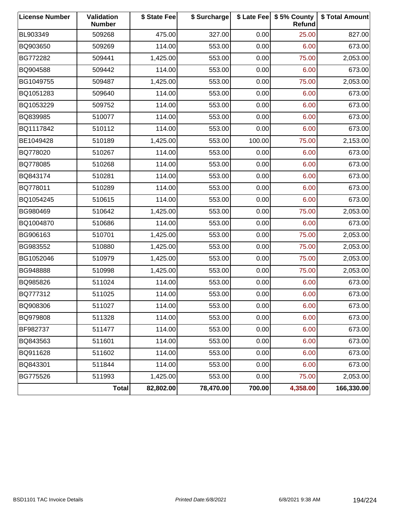| <b>License Number</b> | Validation<br><b>Number</b> | \$ State Fee | \$ Surcharge |        | \$ Late Fee   \$5% County<br>Refund | \$ Total Amount |
|-----------------------|-----------------------------|--------------|--------------|--------|-------------------------------------|-----------------|
| BL903349              | 509268                      | 475.00       | 327.00       | 0.00   | 25.00                               | 827.00          |
| BQ903650              | 509269                      | 114.00       | 553.00       | 0.00   | 6.00                                | 673.00          |
| BG772282              | 509441                      | 1,425.00     | 553.00       | 0.00   | 75.00                               | 2,053.00        |
| BQ904588              | 509442                      | 114.00       | 553.00       | 0.00   | 6.00                                | 673.00          |
| BG1049755             | 509487                      | 1,425.00     | 553.00       | 0.00   | 75.00                               | 2,053.00        |
| BQ1051283             | 509640                      | 114.00       | 553.00       | 0.00   | 6.00                                | 673.00          |
| BQ1053229             | 509752                      | 114.00       | 553.00       | 0.00   | 6.00                                | 673.00          |
| BQ839985              | 510077                      | 114.00       | 553.00       | 0.00   | 6.00                                | 673.00          |
| BQ1117842             | 510112                      | 114.00       | 553.00       | 0.00   | 6.00                                | 673.00          |
| BE1049428             | 510189                      | 1,425.00     | 553.00       | 100.00 | 75.00                               | 2,153.00        |
| BQ778020              | 510267                      | 114.00       | 553.00       | 0.00   | 6.00                                | 673.00          |
| BQ778085              | 510268                      | 114.00       | 553.00       | 0.00   | 6.00                                | 673.00          |
| BQ843174              | 510281                      | 114.00       | 553.00       | 0.00   | 6.00                                | 673.00          |
| BQ778011              | 510289                      | 114.00       | 553.00       | 0.00   | 6.00                                | 673.00          |
| BQ1054245             | 510615                      | 114.00       | 553.00       | 0.00   | 6.00                                | 673.00          |
| BG980469              | 510642                      | 1,425.00     | 553.00       | 0.00   | 75.00                               | 2,053.00        |
| BQ1004870             | 510686                      | 114.00       | 553.00       | 0.00   | 6.00                                | 673.00          |
| BG906163              | 510701                      | 1,425.00     | 553.00       | 0.00   | 75.00                               | 2,053.00        |
| BG983552              | 510880                      | 1,425.00     | 553.00       | 0.00   | 75.00                               | 2,053.00        |
| BG1052046             | 510979                      | 1,425.00     | 553.00       | 0.00   | 75.00                               | 2,053.00        |
| BG948888              | 510998                      | 1,425.00     | 553.00       | 0.00   | 75.00                               | 2,053.00        |
| BQ985826              | 511024                      | 114.00       | 553.00       | 0.00   | 6.00                                | 673.00          |
| BQ777312              | 511025                      | 114.00       | 553.00       | 0.00   | 6.00                                | 673.00          |
| BQ908306              | 511027                      | 114.00       | 553.00       | 0.00   | 6.00                                | 673.00          |
| BQ979808              | 511328                      | 114.00       | 553.00       | 0.00   | 6.00                                | 673.00          |
| BF982737              | 511477                      | 114.00       | 553.00       | 0.00   | 6.00                                | 673.00          |
| BQ843563              | 511601                      | 114.00       | 553.00       | 0.00   | 6.00                                | 673.00          |
| BQ911628              | 511602                      | 114.00       | 553.00       | 0.00   | 6.00                                | 673.00          |
| BQ843301              | 511844                      | 114.00       | 553.00       | 0.00   | 6.00                                | 673.00          |
| BG775526              | 511993                      | 1,425.00     | 553.00       | 0.00   | 75.00                               | 2,053.00        |
|                       | <b>Total</b>                | 82,802.00    | 78,470.00    | 700.00 | 4,358.00                            | 166,330.00      |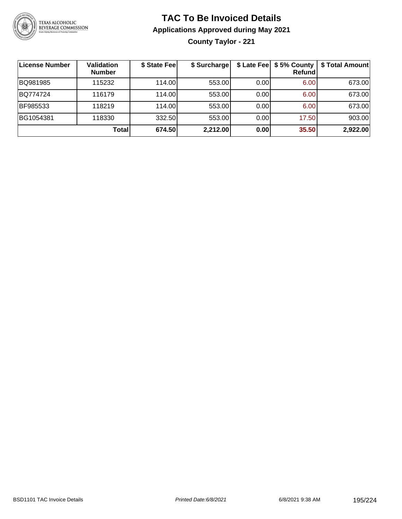

**County Taylor - 221**

| ∣License Number | <b>Validation</b><br><b>Number</b> | \$ State Fee | \$ Surcharge |      | \$ Late Fee   \$5% County  <br><b>Refund</b> | \$ Total Amount |
|-----------------|------------------------------------|--------------|--------------|------|----------------------------------------------|-----------------|
| BQ981985        | 115232                             | 114.00       | 553.00       | 0.00 | 6.00                                         | 673.00          |
| BQ774724        | 116179                             | 114.00       | 553.00       | 0.00 | 6.00                                         | 673.00          |
| BF985533        | 118219                             | 114.00L      | 553.00       | 0.00 | 6.00                                         | 673.00          |
| BG1054381       | 118330                             | 332.50       | 553.00       | 0.00 | 17.50                                        | 903.00          |
|                 | Total                              | 674.50       | 2,212.00     | 0.00 | 35.50                                        | 2,922.00        |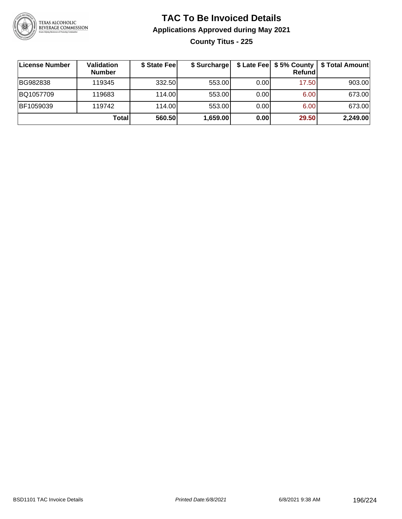

#### **TAC To Be Invoiced Details Applications Approved during May 2021 County Titus - 225**

| ∣License Number | Validation<br><b>Number</b> | \$ State Fee | \$ Surcharge |      | \$ Late Fee   \$5% County  <br>Refund | \$ Total Amount |
|-----------------|-----------------------------|--------------|--------------|------|---------------------------------------|-----------------|
| BG982838        | 119345                      | 332.50       | 553.00       | 0.00 | 17.50                                 | 903.00          |
| BQ1057709       | 119683                      | 114.00       | 553.00       | 0.00 | 6.00                                  | 673.00          |
| BF1059039       | 119742                      | 114.00       | 553.00       | 0.00 | 6.00                                  | 673.00          |
|                 | <b>Total</b>                | 560.50       | 1,659.00     | 0.00 | 29.50                                 | 2,249.00        |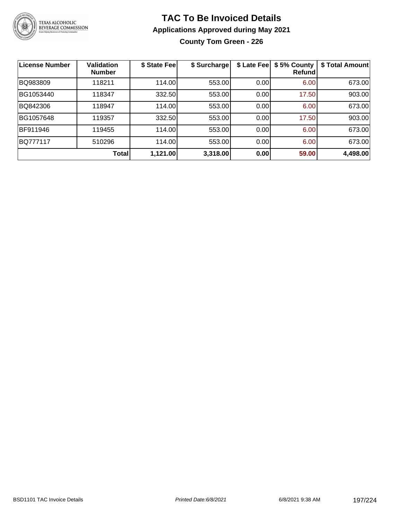

**County Tom Green - 226**

| License Number  | <b>Validation</b><br><b>Number</b> | \$ State Fee | \$ Surcharge | \$ Late Fee | \$5% County<br>Refundl | \$ Total Amount |
|-----------------|------------------------------------|--------------|--------------|-------------|------------------------|-----------------|
| BQ983809        | 118211                             | 114.00       | 553.00       | 0.00        | 6.00                   | 673.00          |
| BG1053440       | 118347                             | 332.50       | 553.00       | 0.00        | 17.50                  | 903.00          |
| BQ842306        | 118947                             | 114.00       | 553.00       | 0.00        | 6.00                   | 673.00          |
| BG1057648       | 119357                             | 332.50       | 553.00       | 0.00        | 17.50                  | 903.00          |
| BF911946        | 119455                             | 114.00       | 553.00       | 0.00        | 6.00                   | 673.00          |
| <b>BQ777117</b> | 510296                             | 114.00       | 553.00       | 0.00        | 6.00                   | 673.00          |
|                 | Total                              | 1,121.00     | 3,318.00     | 0.00        | 59.00                  | 4,498.00        |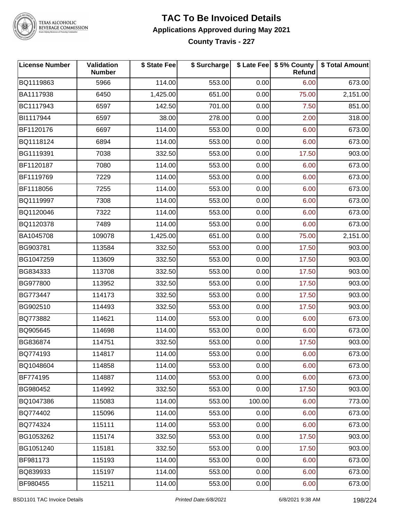

TEXAS ALCOHOLIC<br>BEVERAGE COMMISSION

## **TAC To Be Invoiced Details Applications Approved during May 2021**

**County Travis - 227**

| <b>License Number</b> | Validation<br><b>Number</b> | \$ State Fee | \$ Surcharge |        | \$ Late Fee   \$5% County<br>Refund | \$ Total Amount |
|-----------------------|-----------------------------|--------------|--------------|--------|-------------------------------------|-----------------|
| BQ1119863             | 5966                        | 114.00       | 553.00       | 0.00   | 6.00                                | 673.00          |
| BA1117938             | 6450                        | 1,425.00     | 651.00       | 0.00   | 75.00                               | 2,151.00        |
| BC1117943             | 6597                        | 142.50       | 701.00       | 0.00   | 7.50                                | 851.00          |
| BI1117944             | 6597                        | 38.00        | 278.00       | 0.00   | 2.00                                | 318.00          |
| BF1120176             | 6697                        | 114.00       | 553.00       | 0.00   | 6.00                                | 673.00          |
| BQ1118124             | 6894                        | 114.00       | 553.00       | 0.00   | 6.00                                | 673.00          |
| BG1119391             | 7038                        | 332.50       | 553.00       | 0.00   | 17.50                               | 903.00          |
| BF1120187             | 7080                        | 114.00       | 553.00       | 0.00   | 6.00                                | 673.00          |
| BF1119769             | 7229                        | 114.00       | 553.00       | 0.00   | 6.00                                | 673.00          |
| BF1118056             | 7255                        | 114.00       | 553.00       | 0.00   | 6.00                                | 673.00          |
| BQ1119997             | 7308                        | 114.00       | 553.00       | 0.00   | 6.00                                | 673.00          |
| BQ1120046             | 7322                        | 114.00       | 553.00       | 0.00   | 6.00                                | 673.00          |
| BQ1120378             | 7489                        | 114.00       | 553.00       | 0.00   | 6.00                                | 673.00          |
| BA1045708             | 109078                      | 1,425.00     | 651.00       | 0.00   | 75.00                               | 2,151.00        |
| BG903781              | 113584                      | 332.50       | 553.00       | 0.00   | 17.50                               | 903.00          |
| BG1047259             | 113609                      | 332.50       | 553.00       | 0.00   | 17.50                               | 903.00          |
| BG834333              | 113708                      | 332.50       | 553.00       | 0.00   | 17.50                               | 903.00          |
| BG977800              | 113952                      | 332.50       | 553.00       | 0.00   | 17.50                               | 903.00          |
| BG773447              | 114173                      | 332.50       | 553.00       | 0.00   | 17.50                               | 903.00          |
| BG902510              | 114493                      | 332.50       | 553.00       | 0.00   | 17.50                               | 903.00          |
| BQ773882              | 114621                      | 114.00       | 553.00       | 0.00   | 6.00                                | 673.00          |
| BQ905645              | 114698                      | 114.00       | 553.00       | 0.00   | 6.00                                | 673.00          |
| BG836874              | 114751                      | 332.50       | 553.00       | 0.00   | 17.50                               | 903.00          |
| BQ774193              | 114817                      | 114.00       | 553.00       | 0.00   | 6.00                                | 673.00          |
| BQ1048604             | 114858                      | 114.00       | 553.00       | 0.00   | 6.00                                | 673.00          |
| BF774195              | 114887                      | 114.00       | 553.00       | 0.00   | 6.00                                | 673.00          |
| BG980452              | 114992                      | 332.50       | 553.00       | 0.00   | 17.50                               | 903.00          |
| BQ1047386             | 115083                      | 114.00       | 553.00       | 100.00 | 6.00                                | 773.00          |
| BQ774402              | 115096                      | 114.00       | 553.00       | 0.00   | 6.00                                | 673.00          |
| BQ774324              | 115111                      | 114.00       | 553.00       | 0.00   | 6.00                                | 673.00          |
| BG1053262             | 115174                      | 332.50       | 553.00       | 0.00   | 17.50                               | 903.00          |
| BG1051240             | 115181                      | 332.50       | 553.00       | 0.00   | 17.50                               | 903.00          |
| BF981173              | 115193                      | 114.00       | 553.00       | 0.00   | 6.00                                | 673.00          |
| BQ839933              | 115197                      | 114.00       | 553.00       | 0.00   | 6.00                                | 673.00          |
| BF980455              | 115211                      | 114.00       | 553.00       | 0.00   | 6.00                                | 673.00          |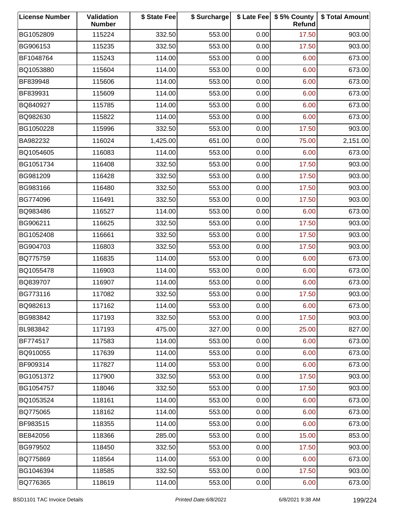| <b>License Number</b> | Validation<br><b>Number</b> | \$ State Fee | \$ Surcharge |      | \$ Late Fee   \$5% County<br>Refund | \$ Total Amount |
|-----------------------|-----------------------------|--------------|--------------|------|-------------------------------------|-----------------|
| BG1052809             | 115224                      | 332.50       | 553.00       | 0.00 | 17.50                               | 903.00          |
| BG906153              | 115235                      | 332.50       | 553.00       | 0.00 | 17.50                               | 903.00          |
| BF1048764             | 115243                      | 114.00       | 553.00       | 0.00 | 6.00                                | 673.00          |
| BQ1053880             | 115604                      | 114.00       | 553.00       | 0.00 | 6.00                                | 673.00          |
| BF839948              | 115606                      | 114.00       | 553.00       | 0.00 | 6.00                                | 673.00          |
| BF839931              | 115609                      | 114.00       | 553.00       | 0.00 | 6.00                                | 673.00          |
| BQ840927              | 115785                      | 114.00       | 553.00       | 0.00 | 6.00                                | 673.00          |
| BQ982630              | 115822                      | 114.00       | 553.00       | 0.00 | 6.00                                | 673.00          |
| BG1050228             | 115996                      | 332.50       | 553.00       | 0.00 | 17.50                               | 903.00          |
| BA982232              | 116024                      | 1,425.00     | 651.00       | 0.00 | 75.00                               | 2,151.00        |
| BQ1054605             | 116083                      | 114.00       | 553.00       | 0.00 | 6.00                                | 673.00          |
| BG1051734             | 116408                      | 332.50       | 553.00       | 0.00 | 17.50                               | 903.00          |
| BG981209              | 116428                      | 332.50       | 553.00       | 0.00 | 17.50                               | 903.00          |
| BG983166              | 116480                      | 332.50       | 553.00       | 0.00 | 17.50                               | 903.00          |
| BG774096              | 116491                      | 332.50       | 553.00       | 0.00 | 17.50                               | 903.00          |
| BQ983486              | 116527                      | 114.00       | 553.00       | 0.00 | 6.00                                | 673.00          |
| BG906211              | 116625                      | 332.50       | 553.00       | 0.00 | 17.50                               | 903.00          |
| BG1052408             | 116661                      | 332.50       | 553.00       | 0.00 | 17.50                               | 903.00          |
| BG904703              | 116803                      | 332.50       | 553.00       | 0.00 | 17.50                               | 903.00          |
| BQ775759              | 116835                      | 114.00       | 553.00       | 0.00 | 6.00                                | 673.00          |
| BQ1055478             | 116903                      | 114.00       | 553.00       | 0.00 | 6.00                                | 673.00          |
| BQ839707              | 116907                      | 114.00       | 553.00       | 0.00 | 6.00                                | 673.00          |
| BG773116              | 117082                      | 332.50       | 553.00       | 0.00 | 17.50                               | 903.00          |
| BQ982613              | 117162                      | 114.00       | 553.00       | 0.00 | 6.00                                | 673.00          |
| BG983842              | 117193                      | 332.50       | 553.00       | 0.00 | 17.50                               | 903.00          |
| BL983842              | 117193                      | 475.00       | 327.00       | 0.00 | 25.00                               | 827.00          |
| BF774517              | 117583                      | 114.00       | 553.00       | 0.00 | 6.00                                | 673.00          |
| BQ910055              | 117639                      | 114.00       | 553.00       | 0.00 | 6.00                                | 673.00          |
| BF909314              | 117827                      | 114.00       | 553.00       | 0.00 | 6.00                                | 673.00          |
| BG1051372             | 117900                      | 332.50       | 553.00       | 0.00 | 17.50                               | 903.00          |
| BG1054757             | 118046                      | 332.50       | 553.00       | 0.00 | 17.50                               | 903.00          |
| BQ1053524             | 118161                      | 114.00       | 553.00       | 0.00 | 6.00                                | 673.00          |
| BQ775065              | 118162                      | 114.00       | 553.00       | 0.00 | 6.00                                | 673.00          |
| BF983515              | 118355                      | 114.00       | 553.00       | 0.00 | 6.00                                | 673.00          |
| BE842056              | 118366                      | 285.00       | 553.00       | 0.00 | 15.00                               | 853.00          |
| BG979502              | 118450                      | 332.50       | 553.00       | 0.00 | 17.50                               | 903.00          |
| BQ775869              | 118564                      | 114.00       | 553.00       | 0.00 | 6.00                                | 673.00          |
| BG1046394             | 118585                      | 332.50       | 553.00       | 0.00 | 17.50                               | 903.00          |
| BQ776365              | 118619                      | 114.00       | 553.00       | 0.00 | 6.00                                | 673.00          |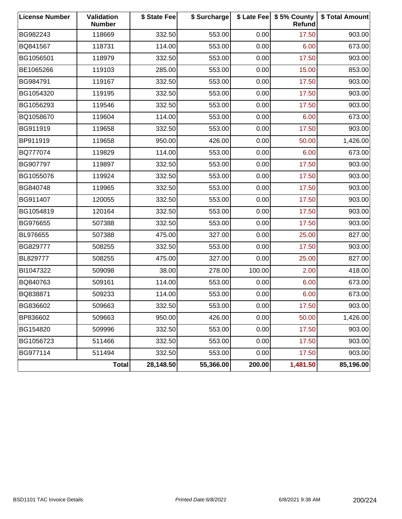| <b>License Number</b> | Validation<br><b>Number</b> | \$ State Fee | \$ Surcharge |        | \$ Late Fee   \$5% County<br><b>Refund</b> | \$ Total Amount |
|-----------------------|-----------------------------|--------------|--------------|--------|--------------------------------------------|-----------------|
| BG982243              | 118669                      | 332.50       | 553.00       | 0.00   | 17.50                                      | 903.00          |
| BQ841567              | 118731                      | 114.00       | 553.00       | 0.00   | 6.00                                       | 673.00          |
| BG1056501             | 118979                      | 332.50       | 553.00       | 0.00   | 17.50                                      | 903.00          |
| BE1065266             | 119103                      | 285.00       | 553.00       | 0.00   | 15.00                                      | 853.00          |
| BG984791              | 119167                      | 332.50       | 553.00       | 0.00   | 17.50                                      | 903.00          |
| BG1054320             | 119195                      | 332.50       | 553.00       | 0.00   | 17.50                                      | 903.00          |
| BG1056293             | 119546                      | 332.50       | 553.00       | 0.00   | 17.50                                      | 903.00          |
| BQ1058670             | 119604                      | 114.00       | 553.00       | 0.00   | 6.00                                       | 673.00          |
| BG911919              | 119658                      | 332.50       | 553.00       | 0.00   | 17.50                                      | 903.00          |
| BP911919              | 119658                      | 950.00       | 426.00       | 0.00   | 50.00                                      | 1,426.00        |
| BQ777074              | 119829                      | 114.00       | 553.00       | 0.00   | 6.00                                       | 673.00          |
| BG907797              | 119897                      | 332.50       | 553.00       | 0.00   | 17.50                                      | 903.00          |
| BG1055076             | 119924                      | 332.50       | 553.00       | 0.00   | 17.50                                      | 903.00          |
| BG840748              | 119965                      | 332.50       | 553.00       | 0.00   | 17.50                                      | 903.00          |
| BG911407              | 120055                      | 332.50       | 553.00       | 0.00   | 17.50                                      | 903.00          |
| BG1054819             | 120164                      | 332.50       | 553.00       | 0.00   | 17.50                                      | 903.00          |
| BG976655              | 507388                      | 332.50       | 553.00       | 0.00   | 17.50                                      | 903.00          |
| BL976655              | 507388                      | 475.00       | 327.00       | 0.00   | 25.00                                      | 827.00          |
| BG829777              | 508255                      | 332.50       | 553.00       | 0.00   | 17.50                                      | 903.00          |
| BL829777              | 508255                      | 475.00       | 327.00       | 0.00   | 25.00                                      | 827.00          |
| BI1047322             | 509098                      | 38.00        | 278.00       | 100.00 | 2.00                                       | 418.00          |
| BQ840763              | 509161                      | 114.00       | 553.00       | 0.00   | 6.00                                       | 673.00          |
| BQ838871              | 509233                      | 114.00       | 553.00       | 0.00   | 6.00                                       | 673.00          |
| BG836602              | 509663                      | 332.50       | 553.00       | 0.00   | 17.50                                      | 903.00          |
| BP836602              | 509663                      | 950.00       | 426.00       | 0.00   | 50.00                                      | 1,426.00        |
| BG154820              | 509996                      | 332.50       | 553.00       | 0.00   | 17.50                                      | 903.00          |
| BG1056723             | 511466                      | 332.50       | 553.00       | 0.00   | 17.50                                      | 903.00          |
| BG977114              | 511494                      | 332.50       | 553.00       | 0.00   | 17.50                                      | 903.00          |
|                       | <b>Total</b>                | 28,148.50    | 55,366.00    | 200.00 | 1,481.50                                   | 85,196.00       |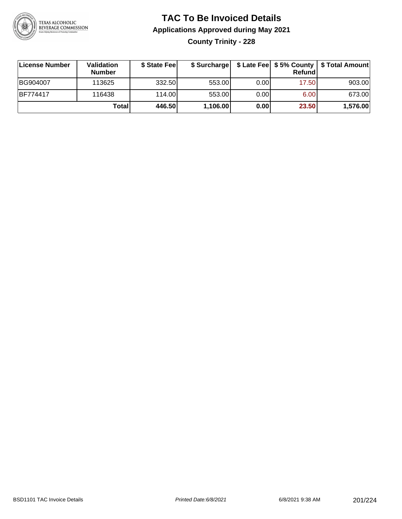

**County Trinity - 228**

| ∣License Number | Validation<br><b>Number</b> | \$ State Fee |          |      | <b>Refund</b> | \$ Surcharge   \$ Late Fee   \$5% County   \$ Total Amount |
|-----------------|-----------------------------|--------------|----------|------|---------------|------------------------------------------------------------|
| BG904007        | 113625                      | 332.50       | 553.00   | 0.00 | 17.50         | 903.00                                                     |
| <b>BF774417</b> | 116438                      | 114.00       | 553.00   | 0.00 | 6.00          | 673.00                                                     |
|                 | Totall                      | 446.50       | 1,106.00 | 0.00 | 23.50         | 1,576.00                                                   |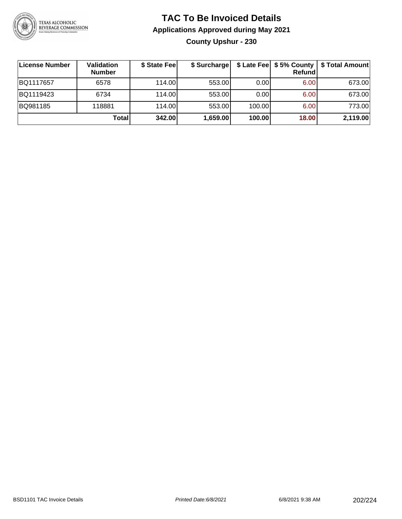

#### **TAC To Be Invoiced Details Applications Approved during May 2021 County Upshur - 230**

| ∣License Number | Validation<br><b>Number</b> | \$ State Fee | \$ Surcharge |        | $$$ Late Fee $$5%$ County<br>Refund | \$ Total Amount |
|-----------------|-----------------------------|--------------|--------------|--------|-------------------------------------|-----------------|
| BQ1117657       | 6578                        | 114.00       | 553.00       | 0.001  | 6.00                                | 673.00          |
| BQ1119423       | 6734                        | 114.00       | 553.00       | 0.00   | 6.00                                | 673.00          |
| BQ981185        | 118881                      | 114.00       | 553.00       | 100.00 | 6.00                                | 773.00          |
|                 | Total                       | 342.00       | 1,659.00     | 100.00 | 18.00                               | 2,119.00        |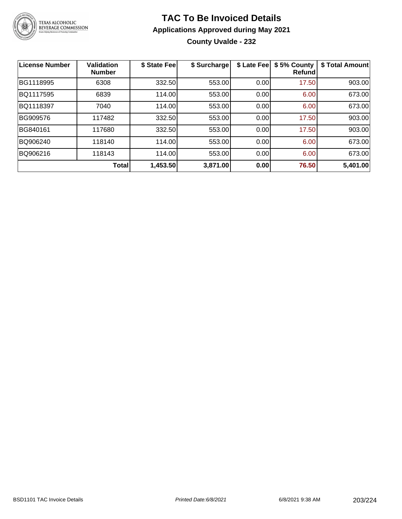

#### **TAC To Be Invoiced Details Applications Approved during May 2021 County Uvalde - 232**

| <b>License Number</b> | <b>Validation</b><br><b>Number</b> | \$ State Fee | \$ Surcharge | \$ Late Fee | \$5% County<br><b>Refund</b> | \$ Total Amount |
|-----------------------|------------------------------------|--------------|--------------|-------------|------------------------------|-----------------|
| BG1118995             | 6308                               | 332.50       | 553.00       | 0.00        | 17.50                        | 903.00          |
| BQ1117595             | 6839                               | 114.00       | 553.00       | 0.00        | 6.00                         | 673.00          |
| BQ1118397             | 7040                               | 114.00       | 553.00       | 0.00        | 6.00                         | 673.00          |
| BG909576              | 117482                             | 332.50       | 553.00       | 0.00        | 17.50                        | 903.00          |
| BG840161              | 117680                             | 332.50       | 553.00       | 0.00        | 17.50                        | 903.00          |
| BQ906240              | 118140                             | 114.00       | 553.00       | 0.00        | 6.00                         | 673.00          |
| BQ906216              | 118143                             | 114.00       | 553.00       | 0.00        | 6.00                         | 673.00          |
|                       | Total                              | 1,453.50     | 3,871.00     | 0.00        | 76.50                        | 5,401.00        |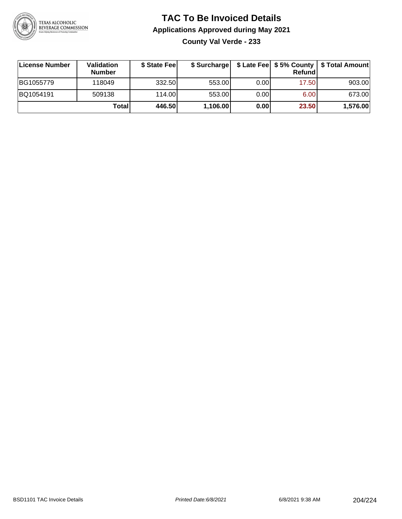

**County Val Verde - 233**

| ∣License Number | Validation<br><b>Number</b> | \$ State Fee |          |      | <b>Refund</b> | \$ Surcharge   \$ Late Fee   \$5% County   \$ Total Amount |
|-----------------|-----------------------------|--------------|----------|------|---------------|------------------------------------------------------------|
| BG1055779       | 118049                      | 332.50       | 553.00   | 0.00 | 17.50         | 903.00                                                     |
| BQ1054191       | 509138                      | 114.00       | 553.00   | 0.00 | 6.00          | 673.00                                                     |
|                 | Totall                      | 446.50       | 1,106.00 | 0.00 | 23.50         | 1,576.00                                                   |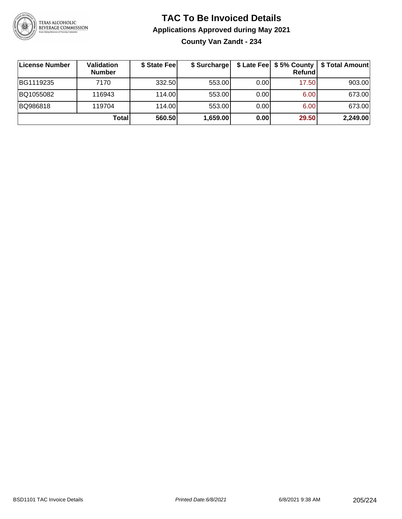

#### **TAC To Be Invoiced Details Applications Approved during May 2021 County Van Zandt - 234**

| License Number | Validation<br><b>Number</b> | \$ State Fee | \$ Surcharge |      | \$ Late Fee   \$5% County  <br>Refund | \$ Total Amount |
|----------------|-----------------------------|--------------|--------------|------|---------------------------------------|-----------------|
| BG1119235      | 7170                        | 332.50       | 553.00       | 0.00 | 17.50                                 | 903.00          |
| BQ1055082      | 116943                      | 114.00L      | 553.00       | 0.00 | 6.00                                  | 673.00          |
| BQ986818       | 119704                      | 114.00       | 553.00       | 0.00 | 6.00                                  | 673.00          |
|                | Total                       | 560.50       | 1,659.00     | 0.00 | 29.50                                 | 2,249.00        |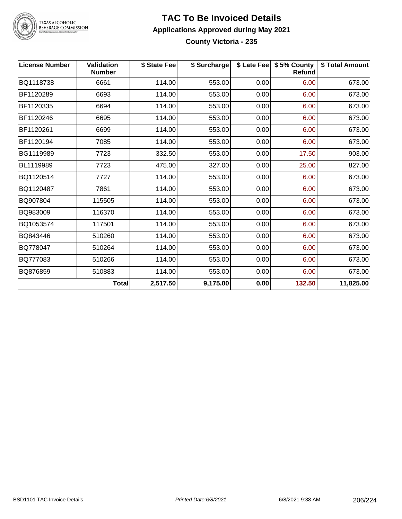

#### **TAC To Be Invoiced Details Applications Approved during May 2021 County Victoria - 235**

| <b>License Number</b> | <b>Validation</b><br><b>Number</b> | \$ State Fee | \$ Surcharge |      | \$ Late Fee   \$5% County<br><b>Refund</b> | \$ Total Amount |
|-----------------------|------------------------------------|--------------|--------------|------|--------------------------------------------|-----------------|
| BQ1118738             | 6661                               | 114.00       | 553.00       | 0.00 | 6.00                                       | 673.00          |
| BF1120289             | 6693                               | 114.00       | 553.00       | 0.00 | 6.00                                       | 673.00          |
| BF1120335             | 6694                               | 114.00       | 553.00       | 0.00 | 6.00                                       | 673.00          |
| BF1120246             | 6695                               | 114.00       | 553.00       | 0.00 | 6.00                                       | 673.00          |
| BF1120261             | 6699                               | 114.00       | 553.00       | 0.00 | 6.00                                       | 673.00          |
| BF1120194             | 7085                               | 114.00       | 553.00       | 0.00 | 6.00                                       | 673.00          |
| BG1119989             | 7723                               | 332.50       | 553.00       | 0.00 | 17.50                                      | 903.00          |
| BL1119989             | 7723                               | 475.00       | 327.00       | 0.00 | 25.00                                      | 827.00          |
| BQ1120514             | 7727                               | 114.00       | 553.00       | 0.00 | 6.00                                       | 673.00          |
| BQ1120487             | 7861                               | 114.00       | 553.00       | 0.00 | 6.00                                       | 673.00          |
| BQ907804              | 115505                             | 114.00       | 553.00       | 0.00 | 6.00                                       | 673.00          |
| BQ983009              | 116370                             | 114.00       | 553.00       | 0.00 | 6.00                                       | 673.00          |
| BQ1053574             | 117501                             | 114.00       | 553.00       | 0.00 | 6.00                                       | 673.00          |
| BQ843446              | 510260                             | 114.00       | 553.00       | 0.00 | 6.00                                       | 673.00          |
| BQ778047              | 510264                             | 114.00       | 553.00       | 0.00 | 6.00                                       | 673.00          |
| BQ777083              | 510266                             | 114.00       | 553.00       | 0.00 | 6.00                                       | 673.00          |
| BQ876859              | 510883                             | 114.00       | 553.00       | 0.00 | 6.00                                       | 673.00          |
|                       | <b>Total</b>                       | 2,517.50     | 9,175.00     | 0.00 | 132.50                                     | 11,825.00       |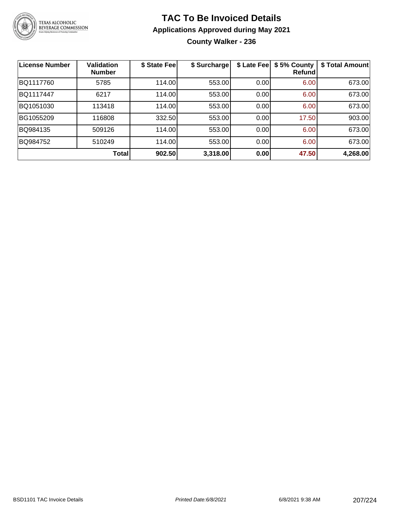

#### **TAC To Be Invoiced Details Applications Approved during May 2021 County Walker - 236**

| <b>License Number</b> | <b>Validation</b><br><b>Number</b> | \$ State Fee | \$ Surcharge | \$ Late Fee | \$5% County<br>Refundl | \$ Total Amount |
|-----------------------|------------------------------------|--------------|--------------|-------------|------------------------|-----------------|
| BQ1117760             | 5785                               | 114.00       | 553.00       | 0.00        | 6.00                   | 673.00          |
| BQ1117447             | 6217                               | 114.00       | 553.00       | 0.00        | 6.00                   | 673.00          |
| BQ1051030             | 113418                             | 114.00       | 553.00       | 0.00        | 6.00                   | 673.00          |
| BG1055209             | 116808                             | 332.50       | 553.00       | 0.00        | 17.50                  | 903.00          |
| BQ984135              | 509126                             | 114.00       | 553.00       | 0.00        | 6.00                   | 673.00          |
| BQ984752              | 510249                             | 114.00       | 553.00       | 0.00        | 6.00                   | 673.00          |
|                       | Total                              | 902.50       | 3,318.00     | 0.00        | 47.50                  | 4,268.00        |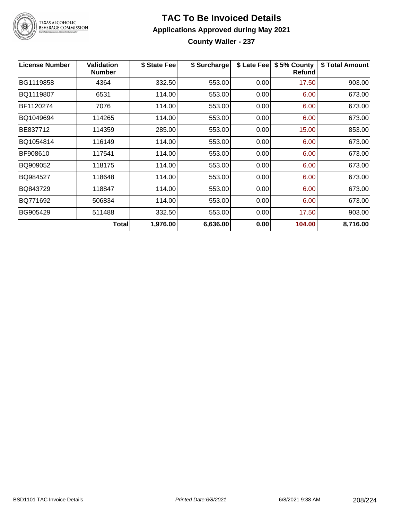

**County Waller - 237**

| <b>License Number</b> | <b>Validation</b><br><b>Number</b> | \$ State Fee | \$ Surcharge | \$ Late Fee | \$5% County<br>Refund | \$ Total Amount |
|-----------------------|------------------------------------|--------------|--------------|-------------|-----------------------|-----------------|
| BG1119858             | 4364                               | 332.50       | 553.00       | 0.00        | 17.50                 | 903.00          |
| BQ1119807             | 6531                               | 114.00       | 553.00       | 0.00        | 6.00                  | 673.00          |
| BF1120274             | 7076                               | 114.00       | 553.00       | 0.00        | 6.00                  | 673.00          |
| BQ1049694             | 114265                             | 114.00       | 553.00       | 0.00        | 6.00                  | 673.00          |
| BE837712              | 114359                             | 285.00       | 553.00       | 0.00        | 15.00                 | 853.00          |
| BQ1054814             | 116149                             | 114.00       | 553.00       | 0.00        | 6.00                  | 673.00          |
| BF908610              | 117541                             | 114.00       | 553.00       | 0.00        | 6.00                  | 673.00          |
| BQ909052              | 118175                             | 114.00       | 553.00       | 0.00        | 6.00                  | 673.00          |
| BQ984527              | 118648                             | 114.00       | 553.00       | 0.00        | 6.00                  | 673.00          |
| BQ843729              | 118847                             | 114.00       | 553.00       | 0.00        | 6.00                  | 673.00          |
| BQ771692              | 506834                             | 114.00       | 553.00       | 0.00        | 6.00                  | 673.00          |
| BG905429              | 511488                             | 332.50       | 553.00       | 0.00        | 17.50                 | 903.00          |
|                       | Total                              | 1,976.00     | 6,636.00     | 0.00        | 104.00                | 8,716.00        |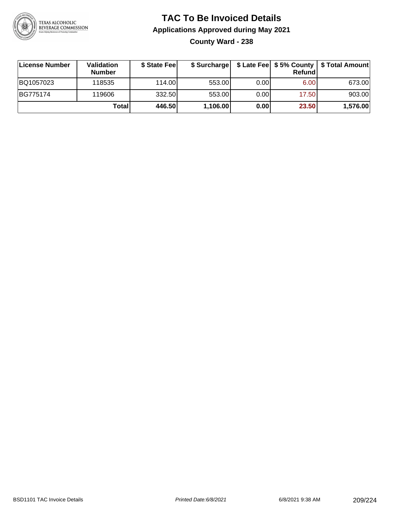

**County Ward - 238**

| License Number | <b>Validation</b><br><b>Number</b> | \$ State Fee |          |       | Refundl | \$ Surcharge   \$ Late Fee   \$5% County   \$ Total Amount |
|----------------|------------------------------------|--------------|----------|-------|---------|------------------------------------------------------------|
| BQ1057023      | 118535                             | 114.00       | 553.00   | 0.001 | 6.00    | 673.00                                                     |
| BG775174       | 119606                             | 332.50       | 553.00   | 0.001 | 17.50   | 903.00                                                     |
|                | Totall                             | 446.50       | 1,106.00 | 0.00  | 23.50   | 1,576.00                                                   |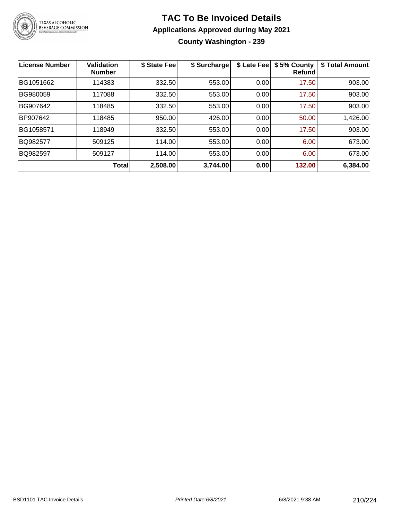

#### **TAC To Be Invoiced Details Applications Approved during May 2021 County Washington - 239**

| <b>License Number</b> | <b>Validation</b><br><b>Number</b> | \$ State Fee | \$ Surcharge | \$ Late Fee | \$5% County<br><b>Refund</b> | \$ Total Amount |
|-----------------------|------------------------------------|--------------|--------------|-------------|------------------------------|-----------------|
| BG1051662             | 114383                             | 332.50       | 553.00       | 0.00        | 17.50                        | 903.00          |
| BG980059              | 117088                             | 332.50       | 553.00       | 0.00        | 17.50                        | 903.00          |
| BG907642              | 118485                             | 332.50       | 553.00       | 0.00        | 17.50                        | 903.00          |
| BP907642              | 118485                             | 950.00       | 426.00       | 0.00        | 50.00                        | 1,426.00        |
| BG1058571             | 118949                             | 332.50       | 553.00       | 0.00        | 17.50                        | 903.00          |
| BQ982577              | 509125                             | 114.00       | 553.00       | 0.00        | 6.00                         | 673.00          |
| BQ982597              | 509127                             | 114.00       | 553.00       | 0.00        | 6.00                         | 673.00          |
|                       | Total                              | 2,508.00     | 3,744.00     | 0.00        | 132.00                       | 6,384.00        |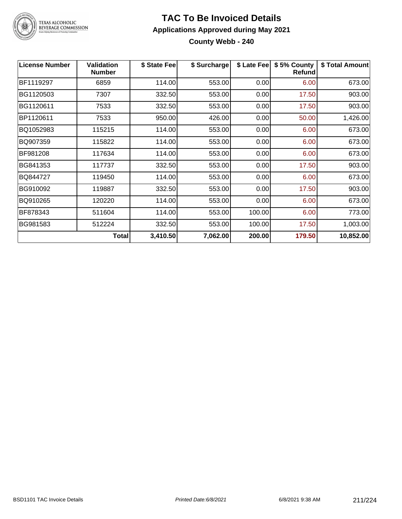

**County Webb - 240**

| <b>License Number</b> | <b>Validation</b><br><b>Number</b> | \$ State Feel | \$ Surcharge |        | \$ Late Fee   \$5% County<br>Refund | \$ Total Amount |
|-----------------------|------------------------------------|---------------|--------------|--------|-------------------------------------|-----------------|
| BF1119297             | 6859                               | 114.00        | 553.00       | 0.00   | 6.00                                | 673.00          |
| BG1120503             | 7307                               | 332.50        | 553.00       | 0.00   | 17.50                               | 903.00          |
| BG1120611             | 7533                               | 332.50        | 553.00       | 0.00   | 17.50                               | 903.00          |
| BP1120611             | 7533                               | 950.00        | 426.00       | 0.00   | 50.00                               | 1,426.00        |
| BQ1052983             | 115215                             | 114.00        | 553.00       | 0.00   | 6.00                                | 673.00          |
| BQ907359              | 115822                             | 114.00        | 553.00       | 0.00   | 6.00                                | 673.00          |
| BF981208              | 117634                             | 114.00        | 553.00       | 0.00   | 6.00                                | 673.00          |
| BG841353              | 117737                             | 332.50        | 553.00       | 0.00   | 17.50                               | 903.00          |
| BQ844727              | 119450                             | 114.00        | 553.00       | 0.00   | 6.00                                | 673.00          |
| BG910092              | 119887                             | 332.50        | 553.00       | 0.00   | 17.50                               | 903.00          |
| BQ910265              | 120220                             | 114.00        | 553.00       | 0.00   | 6.00                                | 673.00          |
| BF878343              | 511604                             | 114.00        | 553.00       | 100.00 | 6.00                                | 773.00          |
| BG981583              | 512224                             | 332.50        | 553.00       | 100.00 | 17.50                               | 1,003.00        |
|                       | Total                              | 3,410.50      | 7,062.00     | 200.00 | 179.50                              | 10,852.00       |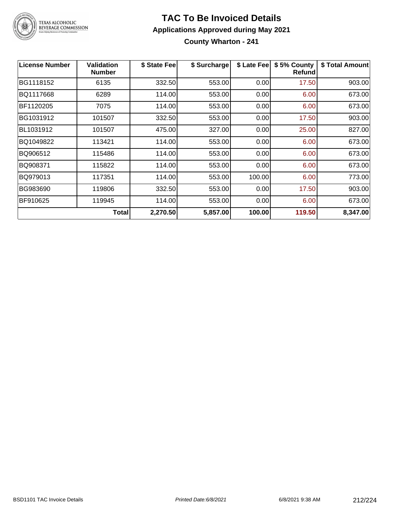

#### **TAC To Be Invoiced Details Applications Approved during May 2021 County Wharton - 241**

| <b>License Number</b> | Validation<br><b>Number</b> | \$ State Fee | \$ Surcharge | \$ Late Fee | \$5% County<br><b>Refund</b> | \$ Total Amount |
|-----------------------|-----------------------------|--------------|--------------|-------------|------------------------------|-----------------|
| BG1118152             | 6135                        | 332.50       | 553.00       | 0.00        | 17.50                        | 903.00          |
| BQ1117668             | 6289                        | 114.00       | 553.00       | 0.00        | 6.00                         | 673.00          |
| BF1120205             | 7075                        | 114.00       | 553.00       | 0.00        | 6.00                         | 673.00          |
| BG1031912             | 101507                      | 332.50       | 553.00       | 0.00        | 17.50                        | 903.00          |
| BL1031912             | 101507                      | 475.00       | 327.00       | 0.00        | 25.00                        | 827.00          |
| BQ1049822             | 113421                      | 114.00       | 553.00       | 0.00        | 6.00                         | 673.00          |
| BQ906512              | 115486                      | 114.00       | 553.00       | 0.00        | 6.00                         | 673.00          |
| BQ908371              | 115822                      | 114.00       | 553.00       | 0.00        | 6.00                         | 673.00          |
| BQ979013              | 117351                      | 114.00       | 553.00       | 100.00      | 6.00                         | 773.00          |
| BG983690              | 119806                      | 332.50       | 553.00       | 0.00        | 17.50                        | 903.00          |
| BF910625              | 119945                      | 114.00       | 553.00       | 0.00        | 6.00                         | 673.00          |
|                       | <b>Total</b>                | 2,270.50     | 5,857.00     | 100.00      | 119.50                       | 8,347.00        |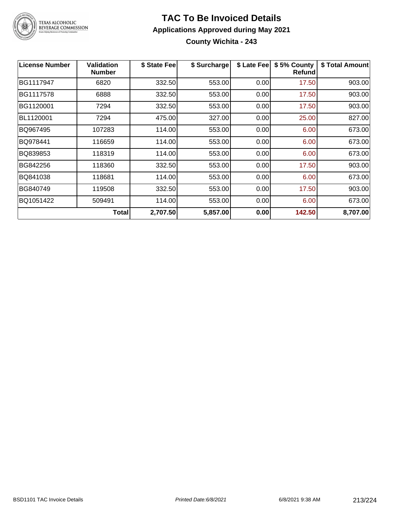

#### **TAC To Be Invoiced Details Applications Approved during May 2021 County Wichita - 243**

| <b>License Number</b> | <b>Validation</b><br><b>Number</b> | \$ State Fee | \$ Surcharge | \$ Late Fee | \$5% County<br><b>Refund</b> | \$ Total Amount |
|-----------------------|------------------------------------|--------------|--------------|-------------|------------------------------|-----------------|
| BG1117947             | 6820                               | 332.50       | 553.00       | 0.00        | 17.50                        | 903.00          |
| BG1117578             | 6888                               | 332.50       | 553.00       | 0.00        | 17.50                        | 903.00          |
| BG1120001             | 7294                               | 332.50       | 553.00       | 0.00        | 17.50                        | 903.00          |
| BL1120001             | 7294                               | 475.00       | 327.00       | 0.00        | 25.00                        | 827.00          |
| BQ967495              | 107283                             | 114.00       | 553.00       | 0.00        | 6.00                         | 673.00          |
| BQ978441              | 116659                             | 114.00       | 553.00       | 0.00        | 6.00                         | 673.00          |
| BQ839853              | 118319                             | 114.00       | 553.00       | 0.00        | 6.00                         | 673.00          |
| BG842256              | 118360                             | 332.50       | 553.00       | 0.00        | 17.50                        | 903.00          |
| BQ841038              | 118681                             | 114.00       | 553.00       | 0.00        | 6.00                         | 673.00          |
| BG840749              | 119508                             | 332.50       | 553.00       | 0.00        | 17.50                        | 903.00          |
| BQ1051422             | 509491                             | 114.00       | 553.00       | 0.00        | 6.00                         | 673.00          |
|                       | <b>Total</b>                       | 2,707.50     | 5,857.00     | 0.00        | 142.50                       | 8,707.00        |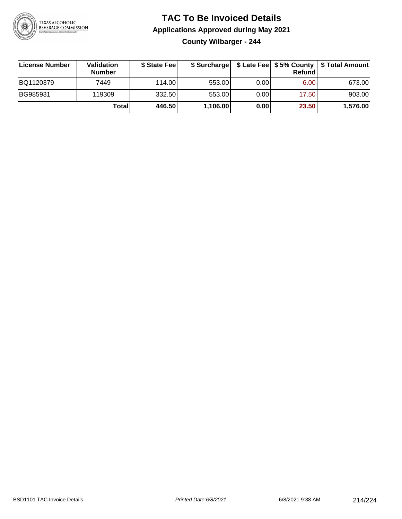

#### **TAC To Be Invoiced Details Applications Approved during May 2021 County Wilbarger - 244**

| License Number | Validation<br><b>Number</b> | \$ State Fee | \$ Surcharge |      | Refundl | \$ Late Fee   \$5% County   \$ Total Amount |
|----------------|-----------------------------|--------------|--------------|------|---------|---------------------------------------------|
| BQ1120379      | 7449                        | 114.00L      | 553.00       | 0.00 | 6.00    | 673.00                                      |
| BG985931       | 119309                      | 332.50       | 553.00       | 0.00 | 17.50   | 903.00                                      |
|                | <b>Total</b>                | 446.50       | 1,106.00     | 0.00 | 23.50   | 1,576.00                                    |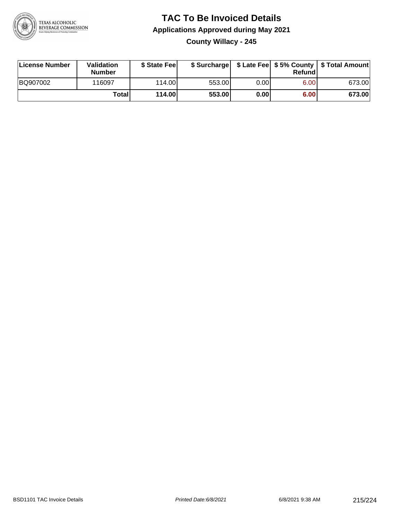

#### **TAC To Be Invoiced Details Applications Approved during May 2021 County Willacy - 245**

| License Number | Validation<br><b>Number</b> | \$ State Feel   |        |       | Refundl | \$ Surcharge   \$ Late Fee   \$5% County   \$ Total Amount |
|----------------|-----------------------------|-----------------|--------|-------|---------|------------------------------------------------------------|
| BQ907002       | 116097                      | 114.00 <b>1</b> | 553.00 | 0.00  | 6.00    | 673.00                                                     |
|                | Totall                      | 114.00          | 553.00 | 0.001 | 6.00    | 673.00                                                     |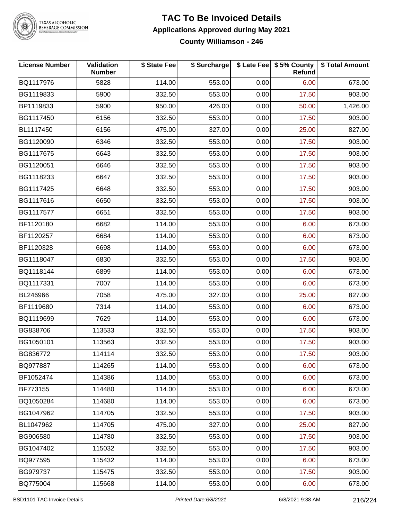

# TEXAS ALCOHOLIC<br>BEVERAGE COMMISSION

#### **TAC To Be Invoiced Details Applications Approved during May 2021 County Williamson - 246**

| <b>License Number</b> | <b>Validation</b><br><b>Number</b> | \$ State Fee | \$ Surcharge |      | \$ Late Fee \$5% County<br>Refund | \$ Total Amount |
|-----------------------|------------------------------------|--------------|--------------|------|-----------------------------------|-----------------|
| BQ1117976             | 5828                               | 114.00       | 553.00       | 0.00 | 6.00                              | 673.00          |
| BG1119833             | 5900                               | 332.50       | 553.00       | 0.00 | 17.50                             | 903.00          |
| BP1119833             | 5900                               | 950.00       | 426.00       | 0.00 | 50.00                             | 1,426.00        |
| BG1117450             | 6156                               | 332.50       | 553.00       | 0.00 | 17.50                             | 903.00          |
| BL1117450             | 6156                               | 475.00       | 327.00       | 0.00 | 25.00                             | 827.00          |
| BG1120090             | 6346                               | 332.50       | 553.00       | 0.00 | 17.50                             | 903.00          |
| BG1117675             | 6643                               | 332.50       | 553.00       | 0.00 | 17.50                             | 903.00          |
| BG1120051             | 6646                               | 332.50       | 553.00       | 0.00 | 17.50                             | 903.00          |
| BG1118233             | 6647                               | 332.50       | 553.00       | 0.00 | 17.50                             | 903.00          |
| BG1117425             | 6648                               | 332.50       | 553.00       | 0.00 | 17.50                             | 903.00          |
| BG1117616             | 6650                               | 332.50       | 553.00       | 0.00 | 17.50                             | 903.00          |
| BG1117577             | 6651                               | 332.50       | 553.00       | 0.00 | 17.50                             | 903.00          |
| BF1120180             | 6682                               | 114.00       | 553.00       | 0.00 | 6.00                              | 673.00          |
| BF1120257             | 6684                               | 114.00       | 553.00       | 0.00 | 6.00                              | 673.00          |
| BF1120328             | 6698                               | 114.00       | 553.00       | 0.00 | 6.00                              | 673.00          |
| BG1118047             | 6830                               | 332.50       | 553.00       | 0.00 | 17.50                             | 903.00          |
| BQ1118144             | 6899                               | 114.00       | 553.00       | 0.00 | 6.00                              | 673.00          |
| BQ1117331             | 7007                               | 114.00       | 553.00       | 0.00 | 6.00                              | 673.00          |
| BL246966              | 7058                               | 475.00       | 327.00       | 0.00 | 25.00                             | 827.00          |
| BF1119680             | 7314                               | 114.00       | 553.00       | 0.00 | 6.00                              | 673.00          |
| BQ1119699             | 7629                               | 114.00       | 553.00       | 0.00 | 6.00                              | 673.00          |
| BG838706              | 113533                             | 332.50       | 553.00       | 0.00 | 17.50                             | 903.00          |
| BG1050101             | 113563                             | 332.50       | 553.00       | 0.00 | 17.50                             | 903.00          |
| BG836772              | 114114                             | 332.50       | 553.00       | 0.00 | 17.50                             | 903.00          |
| BQ977887              | 114265                             | 114.00       | 553.00       | 0.00 | 6.00                              | 673.00          |
| BF1052474             | 114386                             | 114.00       | 553.00       | 0.00 | 6.00                              | 673.00          |
| <b>BF773155</b>       | 114480                             | 114.00       | 553.00       | 0.00 | 6.00                              | 673.00          |
| BQ1050284             | 114680                             | 114.00       | 553.00       | 0.00 | 6.00                              | 673.00          |
| BG1047962             | 114705                             | 332.50       | 553.00       | 0.00 | 17.50                             | 903.00          |
| BL1047962             | 114705                             | 475.00       | 327.00       | 0.00 | 25.00                             | 827.00          |
| BG906580              | 114780                             | 332.50       | 553.00       | 0.00 | 17.50                             | 903.00          |
| BG1047402             | 115032                             | 332.50       | 553.00       | 0.00 | 17.50                             | 903.00          |
| BQ977595              | 115432                             | 114.00       | 553.00       | 0.00 | 6.00                              | 673.00          |
| BG979737              | 115475                             | 332.50       | 553.00       | 0.00 | 17.50                             | 903.00          |
| BQ775004              | 115668                             | 114.00       | 553.00       | 0.00 | 6.00                              | 673.00          |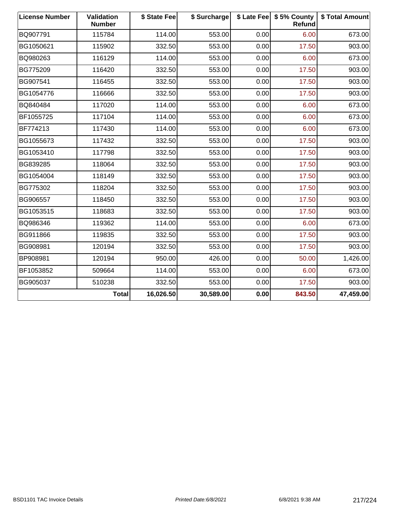| <b>License Number</b> | Validation<br><b>Number</b> | \$ State Fee | \$ Surcharge |      | \$ Late Fee   \$5% County<br>Refund | \$ Total Amount |
|-----------------------|-----------------------------|--------------|--------------|------|-------------------------------------|-----------------|
| BQ907791              | 115784                      | 114.00       | 553.00       | 0.00 | 6.00                                | 673.00          |
| BG1050621             | 115902                      | 332.50       | 553.00       | 0.00 | 17.50                               | 903.00          |
| BQ980263              | 116129                      | 114.00       | 553.00       | 0.00 | 6.00                                | 673.00          |
| BG775209              | 116420                      | 332.50       | 553.00       | 0.00 | 17.50                               | 903.00          |
| BG907541              | 116455                      | 332.50       | 553.00       | 0.00 | 17.50                               | 903.00          |
| BG1054776             | 116666                      | 332.50       | 553.00       | 0.00 | 17.50                               | 903.00          |
| BQ840484              | 117020                      | 114.00       | 553.00       | 0.00 | 6.00                                | 673.00          |
| BF1055725             | 117104                      | 114.00       | 553.00       | 0.00 | 6.00                                | 673.00          |
| BF774213              | 117430                      | 114.00       | 553.00       | 0.00 | 6.00                                | 673.00          |
| BG1055673             | 117432                      | 332.50       | 553.00       | 0.00 | 17.50                               | 903.00          |
| BG1053410             | 117798                      | 332.50       | 553.00       | 0.00 | 17.50                               | 903.00          |
| BG839285              | 118064                      | 332.50       | 553.00       | 0.00 | 17.50                               | 903.00          |
| BG1054004             | 118149                      | 332.50       | 553.00       | 0.00 | 17.50                               | 903.00          |
| BG775302              | 118204                      | 332.50       | 553.00       | 0.00 | 17.50                               | 903.00          |
| BG906557              | 118450                      | 332.50       | 553.00       | 0.00 | 17.50                               | 903.00          |
| BG1053515             | 118683                      | 332.50       | 553.00       | 0.00 | 17.50                               | 903.00          |
| BQ986346              | 119362                      | 114.00       | 553.00       | 0.00 | 6.00                                | 673.00          |
| BG911866              | 119835                      | 332.50       | 553.00       | 0.00 | 17.50                               | 903.00          |
| BG908981              | 120194                      | 332.50       | 553.00       | 0.00 | 17.50                               | 903.00          |
| BP908981              | 120194                      | 950.00       | 426.00       | 0.00 | 50.00                               | 1,426.00        |
| BF1053852             | 509664                      | 114.00       | 553.00       | 0.00 | 6.00                                | 673.00          |
| BG905037              | 510238                      | 332.50       | 553.00       | 0.00 | 17.50                               | 903.00          |
|                       | <b>Total</b>                | 16,026.50    | 30,589.00    | 0.00 | 843.50                              | 47,459.00       |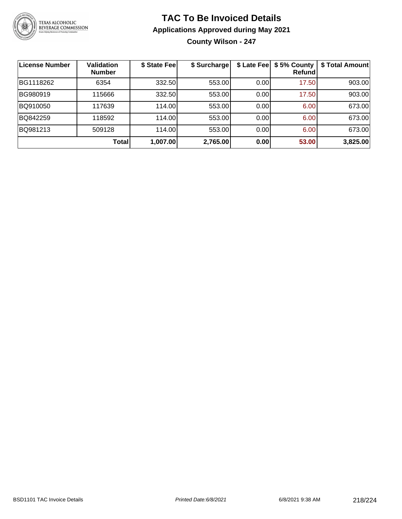

## **TAC To Be Invoiced Details Applications Approved during May 2021 County Wilson - 247**

| License Number | <b>Validation</b><br><b>Number</b> | \$ State Fee | \$ Surcharge | \$ Late Fee | \$5% County<br>Refundl | \$ Total Amount |
|----------------|------------------------------------|--------------|--------------|-------------|------------------------|-----------------|
| BG1118262      | 6354                               | 332.50       | 553.00       | 0.00        | 17.50                  | 903.00          |
| BG980919       | 115666                             | 332.50       | 553.00       | 0.00        | 17.50                  | 903.00          |
| BQ910050       | 117639                             | 114.00       | 553.00       | 0.00        | 6.00                   | 673.00          |
| BQ842259       | 118592                             | 114.00       | 553.00       | 0.00        | 6.00                   | 673.00          |
| BQ981213       | 509128                             | 114.00       | 553.00       | 0.00        | 6.00                   | 673.00          |
|                | <b>Total</b>                       | 1,007.00     | 2,765.00     | 0.00        | 53.00                  | 3,825.00        |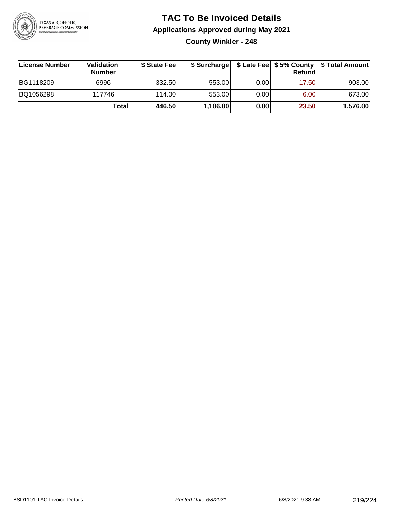

# **TAC To Be Invoiced Details Applications Approved during May 2021**

**County Winkler - 248**

| ∣License Number | Validation<br><b>Number</b> | \$ State Fee |          |       | Refundl | \$ Surcharge   \$ Late Fee   \$5% County   \$ Total Amount |
|-----------------|-----------------------------|--------------|----------|-------|---------|------------------------------------------------------------|
| BG1118209       | 6996                        | 332.50       | 553.00   | 0.001 | 17.50   | 903.00                                                     |
| BQ1056298       | 117746                      | 114.00       | 553.00   | 0.001 | 6.00    | 673.00                                                     |
|                 | Total                       | 446.50       | 1,106.00 | 0.00  | 23.50   | 1,576.00                                                   |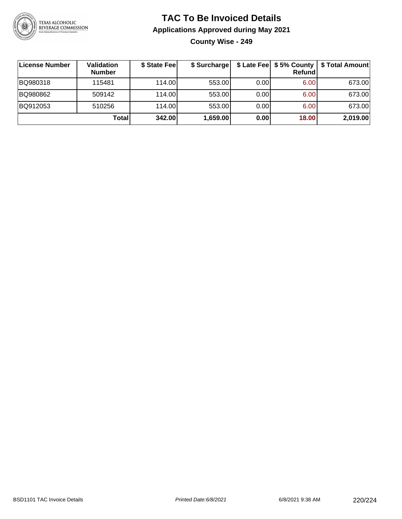

#### **TAC To Be Invoiced Details Applications Approved during May 2021 County Wise - 249**

**License Number Validation Number \$ State Fee \$ Surcharge \$ Late Fee \$ 5% County Refund \$ Total Amount** BQ980318 115481 114.00 553.00 0.00 6.00 673.00 BQ980862 | 509142 | 114.00| 553.00| 0.00| 6.00| 673.00 BQ912053 | 510256 | 114.00| 553.00| 0.00| 6.00| 673.00 **Total 342.00 1,659.00 0.00 18.00 2,019.00**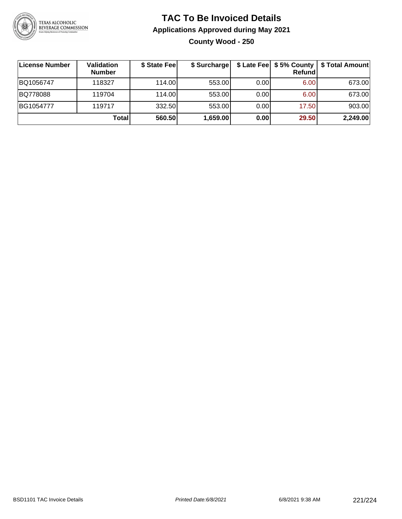

### **TAC To Be Invoiced Details Applications Approved during May 2021 County Wood - 250**

| <b>License Number</b> | Validation<br><b>Number</b> | \$ State Fee | \$ Surcharge |       | \$ Late Fee   \$5% County<br>Refundl | \$ Total Amount |
|-----------------------|-----------------------------|--------------|--------------|-------|--------------------------------------|-----------------|
| BQ1056747             | 118327                      | 114.00       | 553.00       | 0.001 | 6.00                                 | 673.00          |
| BQ778088              | 119704                      | 114.00       | 553.00       | 0.00  | 6.00                                 | 673.00          |
| BG1054777             | 119717                      | 332.50       | 553.00       | 0.00  | 17.50                                | 903.00          |
|                       | Total                       | 560.50       | 1,659.00     | 0.00  | 29.50                                | 2,249.00        |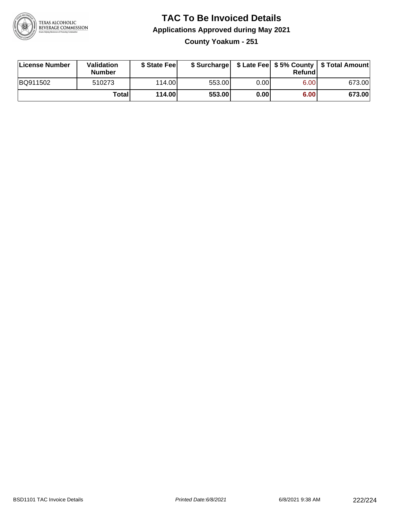

# **TAC To Be Invoiced Details Applications Approved during May 2021**

**County Yoakum - 251**

| License Number | Validation<br><b>Number</b> | \$ State Feel |        |      | Refundl | \$ Surcharge   \$ Late Fee   \$5% County   \$ Total Amount |
|----------------|-----------------------------|---------------|--------|------|---------|------------------------------------------------------------|
| BQ911502       | 510273                      | 114.00        | 553.00 | 0.00 | 6.00    | 673.00                                                     |
|                | Totall                      | 114.00        | 553.00 | 0.00 | 6.00    | 673.00                                                     |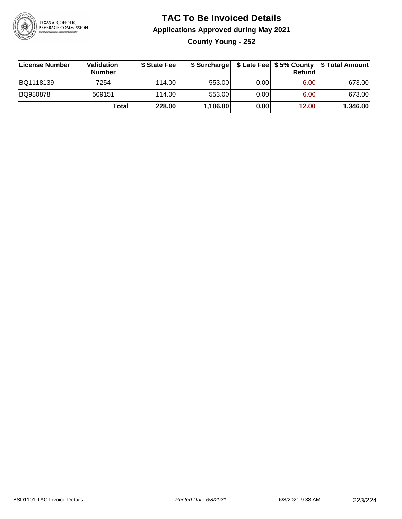

## **TAC To Be Invoiced Details Applications Approved during May 2021 County Young - 252**

| License Number | Validation<br><b>Number</b> | \$ State Fee | \$ Surcharge |       | Refund | \$ Late Fee   \$5% County   \$ Total Amount |
|----------------|-----------------------------|--------------|--------------|-------|--------|---------------------------------------------|
| BQ1118139      | 7254                        | 114.00L      | 553.00       | 0.001 | 6.00   | 673.00                                      |
| BQ980878       | 509151                      | 114.00L      | 553.00       | 0.00  | 6.00   | 673.00                                      |
|                | Total                       | 228.00       | 1,106.00     | 0.00  | 12.00  | 1,346.00                                    |